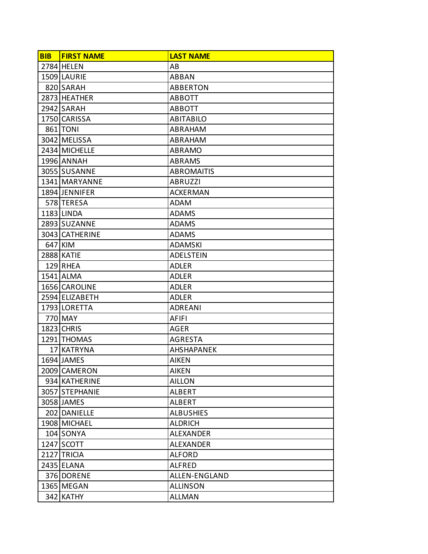| <b>BIB</b> | <b>FIRST NAME</b> | <b>LAST NAME</b>  |
|------------|-------------------|-------------------|
|            | 2784 HELEN        | AB                |
|            | 1509 LAURIE       | <b>ABBAN</b>      |
|            | 820 SARAH         | <b>ABBERTON</b>   |
|            | 2873 HEATHER      | <b>ABBOTT</b>     |
|            | 2942 SARAH        | <b>ABBOTT</b>     |
|            | 1750 CARISSA      | <b>ABITABILO</b>  |
|            | 861 TONI          | ABRAHAM           |
|            | 3042 MELISSA      | ABRAHAM           |
|            | 2434 MICHELLE     | <b>ABRAMO</b>     |
|            | 1996 ANNAH        | ABRAMS            |
|            | 3055 SUSANNE      | <b>ABROMAITIS</b> |
|            | 1341 MARYANNE     | <b>ABRUZZI</b>    |
|            | 1894 JENNIFER     | <b>ACKERMAN</b>   |
|            | 578 TERESA        | ADAM              |
|            | 1183 LINDA        | <b>ADAMS</b>      |
|            | 2893 SUZANNE      | <b>ADAMS</b>      |
|            | 3043 CATHERINE    | <b>ADAMS</b>      |
|            | 647 KIM           | <b>ADAMSKI</b>    |
|            | 2888 KATIE        | <b>ADELSTEIN</b>  |
|            | 129 RHEA          | <b>ADLER</b>      |
|            | 1541 ALMA         | <b>ADLER</b>      |
|            | 1656 CAROLINE     | ADLER             |
|            | 2594 ELIZABETH    | <b>ADLER</b>      |
|            | 1793 LORETTA      | <b>ADREANI</b>    |
|            | 770 MAY           | <b>AFIFI</b>      |
|            | 1823 CHRIS        | <b>AGER</b>       |
|            | 1291 THOMAS       | <b>AGRESTA</b>    |
|            | 17 KATRYNA        | <b>AHSHAPANEK</b> |
|            | 1694 JAMES        | <b>AIKEN</b>      |
|            | 2009 CAMERON      | <b>AIKEN</b>      |
|            | 934 KATHERINE     | <b>AILLON</b>     |
|            | 3057 STEPHANIE    | <b>ALBERT</b>     |
|            | 3058 JAMES        | ALBERT            |
|            | 202 DANIELLE      | <b>ALBUSHIES</b>  |
|            | 1908 MICHAEL      | <b>ALDRICH</b>    |
|            | 104 SONYA         | <b>ALEXANDER</b>  |
|            | 1247 SCOTT        | <b>ALEXANDER</b>  |
|            | 2127 TRICIA       | <b>ALFORD</b>     |
|            | 2435 ELANA        | <b>ALFRED</b>     |
|            | 376 DORENE        | ALLEN-ENGLAND     |
|            | 1365 MEGAN        | <b>ALLINSON</b>   |
|            | 342 KATHY         | <b>ALLMAN</b>     |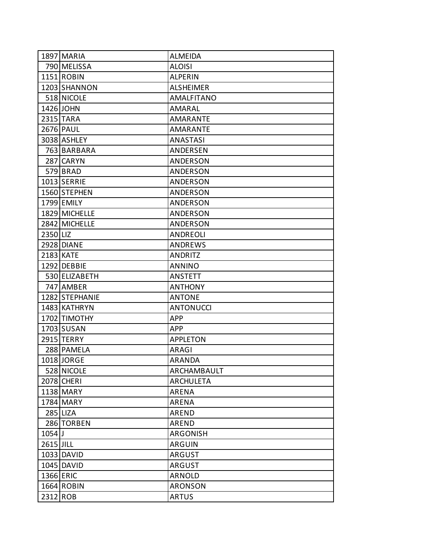|           | 1897 MARIA     | <b>ALMEIDA</b>    |
|-----------|----------------|-------------------|
|           | 790 MELISSA    | <b>ALOISI</b>     |
|           | 1151 ROBIN     | <b>ALPERIN</b>    |
|           | 1203 SHANNON   | <b>ALSHEIMER</b>  |
|           | 518 NICOLE     | <b>AMALFITANO</b> |
|           | 1426 JOHN      | AMARAL            |
|           | 2315 TARA      | <b>AMARANTE</b>   |
|           | 2676 PAUL      | <b>AMARANTE</b>   |
|           | 3038 ASHLEY    | <b>ANASTASI</b>   |
|           | 763 BARBARA    | ANDERSEN          |
|           | 287 CARYN      | ANDERSON          |
|           | 579 BRAD       | ANDERSON          |
|           | 1013 SERRIE    | ANDERSON          |
|           | 1560 STEPHEN   | ANDERSON          |
|           | 1799 EMILY     | ANDERSON          |
|           | 1829 MICHELLE  | <b>ANDERSON</b>   |
|           | 2842 MICHELLE  | <b>ANDERSON</b>   |
| 2350 LIZ  |                | <b>ANDREOLI</b>   |
|           | 2928 DIANE     | <b>ANDREWS</b>    |
|           | 2183 KATE      | ANDRITZ           |
|           | 1292 DEBBIE    | <b>ANNINO</b>     |
|           | 530 ELIZABETH  | <b>ANSTETT</b>    |
|           | 747 AMBER      | <b>ANTHONY</b>    |
|           | 1282 STEPHANIE | <b>ANTONE</b>     |
|           | 1483 KATHRYN   | <b>ANTONUCCI</b>  |
|           | 1702 TIMOTHY   | <b>APP</b>        |
|           | 1703 SUSAN     | <b>APP</b>        |
|           | 2915 TERRY     | <b>APPLETON</b>   |
|           | 288 PAMELA     | ARAGI             |
|           | 1018 JORGE     | ARANDA            |
|           | 528 NICOLE     | ARCHAMBAULT       |
|           | 2078 CHERI     | <b>ARCHULETA</b>  |
|           | 1138 MARY      | ARENA             |
|           | 1784 MARY      | ARENA             |
|           | 285 LIZA       | <b>AREND</b>      |
|           | 286 TORBEN     | <b>AREND</b>      |
| $1054$ J  |                | <b>ARGONISH</b>   |
| 2615 JILL |                | <b>ARGUIN</b>     |
|           | 1033 DAVID     | <b>ARGUST</b>     |
|           | 1045 DAVID     | <b>ARGUST</b>     |
|           | 1366 ERIC      | <b>ARNOLD</b>     |
|           | 1664 ROBIN     | <b>ARONSON</b>    |
| 2312 ROB  |                | <b>ARTUS</b>      |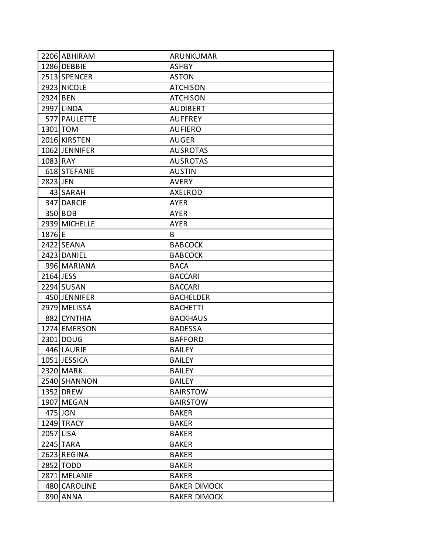|           | 2206 ABHIRAM  | ARUNKUMAR           |
|-----------|---------------|---------------------|
|           | 1286 DEBBIE   | <b>ASHBY</b>        |
|           | 2513 SPENCER  | <b>ASTON</b>        |
|           | 2923 NICOLE   | <b>ATCHISON</b>     |
| 2924 BEN  |               | <b>ATCHISON</b>     |
|           | 2997 LINDA    | <b>AUDIBERT</b>     |
|           | 577 PAULETTE  | <b>AUFFREY</b>      |
|           | 1301 TOM      | <b>AUFIERO</b>      |
|           | 2016 KIRSTEN  | <b>AUGER</b>        |
|           | 1062 JENNIFER | <b>AUSROTAS</b>     |
| 1083 RAY  |               | <b>AUSROTAS</b>     |
|           | 618 STEFANIE  | <b>AUSTIN</b>       |
| 2823 JEN  |               | AVERY               |
|           | 43 SARAH      | <b>AXELROD</b>      |
|           | 347 DARCIE    | AYER                |
|           | 350 BOB       | <b>AYER</b>         |
|           | 2939 MICHELLE | <b>AYER</b>         |
| 1876 E    |               | B                   |
|           | 2422 SEANA    | <b>BABCOCK</b>      |
|           | 2423 DANIEL   | <b>BABCOCK</b>      |
|           | 996 MARIANA   | <b>BACA</b>         |
| 2164 JESS |               | <b>BACCARI</b>      |
|           | 2294 SUSAN    | <b>BACCARI</b>      |
|           | 450 JENNIFER  | <b>BACHELDER</b>    |
|           | 2979 MELISSA  | <b>BACHETTI</b>     |
|           | 882 CYNTHIA   | <b>BACKHAUS</b>     |
|           | 1274 EMERSON  | <b>BADESSA</b>      |
|           | 2301 DOUG     | <b>BAFFORD</b>      |
|           | 446 LAURIE    | <b>BAILEY</b>       |
|           | 1051 JESSICA  | <b>BAILEY</b>       |
|           | 2320 MARK     | <b>BAILEY</b>       |
|           | 2540 SHANNON  | <b>BAILEY</b>       |
|           | 1352 DREW     | <b>BAIRSTOW</b>     |
|           | 1907 MEGAN    | <b>BAIRSTOW</b>     |
|           | 475 JON       | <b>BAKER</b>        |
|           | 1249 TRACY    | <b>BAKER</b>        |
| 2057 LISA |               | <b>BAKER</b>        |
|           | 2245 TARA     | <b>BAKER</b>        |
|           | 2623 REGINA   | <b>BAKER</b>        |
|           | 2852 TODD     | <b>BAKER</b>        |
|           | 2871 MELANIE  | <b>BAKER</b>        |
|           | 480 CAROLINE  | <b>BAKER DIMOCK</b> |
|           | 890 ANNA      | <b>BAKER DIMOCK</b> |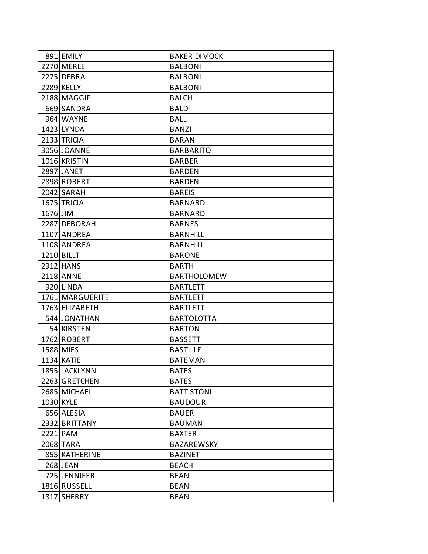|          | 891 EMILY         | <b>BAKER DIMOCK</b> |
|----------|-------------------|---------------------|
|          | 2270 MERLE        | <b>BALBONI</b>      |
|          | 2275 DEBRA        | <b>BALBONI</b>      |
|          | 2289 KELLY        | <b>BALBONI</b>      |
|          | 2188 MAGGIE       | <b>BALCH</b>        |
|          | 669 SANDRA        | <b>BALDI</b>        |
|          | 964 WAYNE         | BALL                |
|          | 1423 LYNDA        | <b>BANZI</b>        |
|          | 2133 TRICIA       | <b>BARAN</b>        |
|          | 3056 JOANNE       | <b>BARBARITO</b>    |
|          | 1016 KRISTIN      | <b>BARBER</b>       |
|          | 2897 JANET        | <b>BARDEN</b>       |
|          | 2898 ROBERT       | <b>BARDEN</b>       |
|          | 2042 SARAH        | <b>BAREIS</b>       |
|          | 1675 TRICIA       | <b>BARNARD</b>      |
| 1676 JIM |                   | <b>BARNARD</b>      |
|          | 2287 DEBORAH      | <b>BARNES</b>       |
|          | 1107 ANDREA       | <b>BARNHILL</b>     |
|          | 1108 ANDREA       | <b>BARNHILL</b>     |
|          | 1210 BILLT        | <b>BARONE</b>       |
|          | 2912 HANS         | <b>BARTH</b>        |
|          | 2118 ANNE         | <b>BARTHOLOMEW</b>  |
|          | 920 LINDA         | <b>BARTLETT</b>     |
|          | 1761 MARGUERITE   | <b>BARTLETT</b>     |
|          | 1763 ELIZABETH    | <b>BARTLETT</b>     |
|          | 544 JONATHAN      | <b>BARTOLOTTA</b>   |
|          | 54 KIRSTEN        | <b>BARTON</b>       |
|          | 1762 ROBERT       | <b>BASSETT</b>      |
|          | 1588 MIES         | <b>BASTILLE</b>     |
|          | <b>1134 KATIE</b> | <b>BATEMAN</b>      |
|          | 1855 JACKLYNN     | <b>BATES</b>        |
|          | 2263 GRETCHEN     | <b>BATES</b>        |
|          | 2685 MICHAEL      | <b>BATTISTONI</b>   |
|          | 1030 KYLE         | <b>BAUDOUR</b>      |
|          | 656 ALESIA        | <b>BAUER</b>        |
|          | 2332 BRITTANY     | <b>BAUMAN</b>       |
|          | 2221 PAM          | <b>BAXTER</b>       |
|          | 2068 TARA         | BAZAREWSKY          |
|          | 855 KATHERINE     | <b>BAZINET</b>      |
|          | 268 JEAN          | <b>BEACH</b>        |
|          | 725 JENNIFER      | <b>BEAN</b>         |
|          | 1816 RUSSELL      | <b>BEAN</b>         |
|          | 1817 SHERRY       | <b>BEAN</b>         |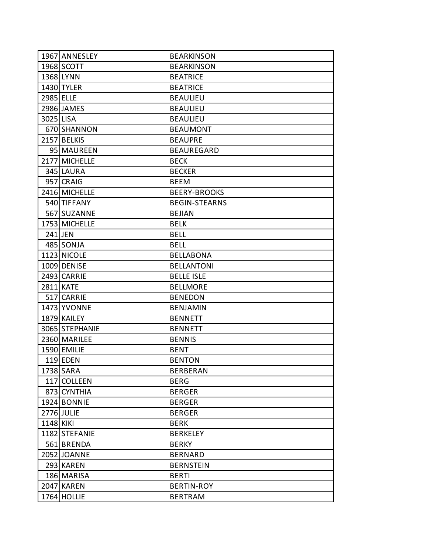|           | 1967 ANNESLEY  | <b>BEARKINSON</b>    |
|-----------|----------------|----------------------|
|           | 1968 SCOTT     | <b>BEARKINSON</b>    |
|           | 1368 LYNN      | <b>BEATRICE</b>      |
|           | 1430 TYLER     | <b>BEATRICE</b>      |
| 2985 ELLE |                | <b>BEAULIEU</b>      |
|           | 2986 JAMES     | <b>BEAULIEU</b>      |
| 3025 LISA |                | <b>BEAULIEU</b>      |
|           | 670 SHANNON    | <b>BEAUMONT</b>      |
|           | 2157 BELKIS    | <b>BEAUPRE</b>       |
|           | 95 MAUREEN     | <b>BEAUREGARD</b>    |
|           | 2177 MICHELLE  | <b>BECK</b>          |
|           | 345 LAURA      | <b>BECKER</b>        |
|           | 957 CRAIG      | <b>BEEM</b>          |
|           | 2416 MICHELLE  | <b>BEERY-BROOKS</b>  |
|           | 540 TIFFANY    | <b>BEGIN-STEARNS</b> |
|           | 567 SUZANNE    | <b>BEJIAN</b>        |
|           | 1753 MICHELLE  | <b>BELK</b>          |
|           | 241 JEN        | <b>BELL</b>          |
|           | 485 SONJA      | <b>BELL</b>          |
|           | 1123 NICOLE    | <b>BELLABONA</b>     |
|           | 1009 DENISE    | <b>BELLANTONI</b>    |
|           | 2493 CARRIE    | <b>BELLE ISLE</b>    |
|           | 2811 KATE      | <b>BELLMORE</b>      |
|           | 517 CARRIE     | <b>BENEDON</b>       |
|           | 1473 YVONNE    | <b>BENJAMIN</b>      |
|           | 1879 KAILEY    | <b>BENNETT</b>       |
|           | 3065 STEPHANIE | <b>BENNETT</b>       |
|           | 2360 MARILEE   | <b>BENNIS</b>        |
|           | 1590 EMILIE    | <b>BENT</b>          |
|           | $119$ EDEN     | <b>BENTON</b>        |
|           | 1738 SARA      | <b>BERBERAN</b>      |
|           | 117 COLLEEN    | <b>BERG</b>          |
|           | 873 CYNTHIA    | <b>BERGER</b>        |
|           | 1924 BONNIE    | <b>BERGER</b>        |
|           | 2776 JULIE     | <b>BERGER</b>        |
| 1148 KIKI |                | <b>BERK</b>          |
|           | 1182 STEFANIE  | <b>BERKELEY</b>      |
|           | 561 BRENDA     | <b>BERKY</b>         |
|           | 2052 JOANNE    | <b>BERNARD</b>       |
|           | 293 KAREN      | <b>BERNSTEIN</b>     |
|           | 186 MARISA     | <b>BERTI</b>         |
|           | 2047 KAREN     | <b>BERTIN-ROY</b>    |
|           | 1764 HOLLIE    | <b>BERTRAM</b>       |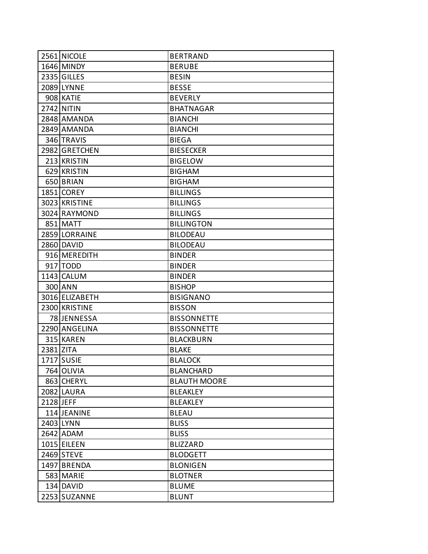|           | 2561 NICOLE    | <b>BERTRAND</b>     |
|-----------|----------------|---------------------|
|           | 1646 MINDY     | <b>BERUBE</b>       |
|           | 2335 GILLES    | <b>BESIN</b>        |
|           | 2089 LYNNE     | <b>BESSE</b>        |
|           | 908 KATIE      | <b>BEVERLY</b>      |
|           | 2742 NITIN     | <b>BHATNAGAR</b>    |
|           | 2848 AMANDA    | <b>BIANCHI</b>      |
|           | 2849 AMANDA    | <b>BIANCHI</b>      |
|           | 346 TRAVIS     | <b>BIEGA</b>        |
|           | 2982 GRETCHEN  | <b>BIESECKER</b>    |
|           | 213 KRISTIN    | <b>BIGELOW</b>      |
|           | 629 KRISTIN    | <b>BIGHAM</b>       |
|           | 650 BRIAN      | <b>BIGHAM</b>       |
|           | 1851 COREY     | <b>BILLINGS</b>     |
|           | 3023 KRISTINE  | <b>BILLINGS</b>     |
|           | 3024 RAYMOND   | <b>BILLINGS</b>     |
|           | 851 MATT       | <b>BILLINGTON</b>   |
|           | 2859 LORRAINE  | <b>BILODEAU</b>     |
|           | 2860 DAVID     | <b>BILODEAU</b>     |
|           | 916 MEREDITH   | <b>BINDER</b>       |
|           | 917 TODD       | <b>BINDER</b>       |
|           | 1143 CALUM     | <b>BINDER</b>       |
|           | 300 ANN        | <b>BISHOP</b>       |
|           | 3016 ELIZABETH | <b>BISIGNANO</b>    |
|           | 2300 KRISTINE  | <b>BISSON</b>       |
|           | 78 JENNESSA    | <b>BISSONNETTE</b>  |
|           | 2290 ANGELINA  | <b>BISSONNETTE</b>  |
|           | 315 KAREN      | <b>BLACKBURN</b>    |
| 2381 ZITA |                | <b>BLAKE</b>        |
|           | 1717 SUSIE     | <b>BLALOCK</b>      |
|           | 764 OLIVIA     | <b>BLANCHARD</b>    |
|           | 863 CHERYL     | <b>BLAUTH MOORE</b> |
|           | 2082 LAURA     | <b>BLEAKLEY</b>     |
| 2128 JEFF |                | <b>BLEAKLEY</b>     |
|           | 114 JEANINE    | <b>BLEAU</b>        |
|           | 2403 LYNN      | <b>BLISS</b>        |
|           | 2642 ADAM      | <b>BLISS</b>        |
|           | 1015 EILEEN    | <b>BLIZZARD</b>     |
|           | 2469 STEVE     | <b>BLODGETT</b>     |
|           | 1497 BRENDA    | <b>BLONIGEN</b>     |
|           | 583 MARIE      | <b>BLOTNER</b>      |
|           | 134 DAVID      | <b>BLUME</b>        |
|           | 2253 SUZANNE   | <b>BLUNT</b>        |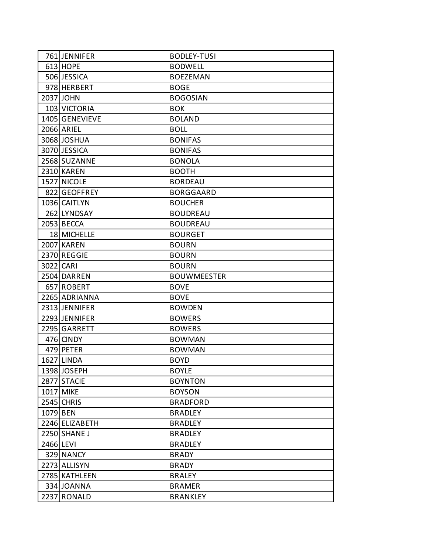|           | 761 JENNIFER   | <b>BODLEY-TUSI</b> |
|-----------|----------------|--------------------|
|           | $613$ HOPE     | <b>BODWELL</b>     |
|           | 506 JESSICA    | <b>BOEZEMAN</b>    |
|           | 978 HERBERT    | <b>BOGE</b>        |
|           | 2037 JOHN      | <b>BOGOSIAN</b>    |
|           | 103 VICTORIA   | <b>BOK</b>         |
|           | 1405 GENEVIEVE | <b>BOLAND</b>      |
|           | 2066 ARIEL     | <b>BOLL</b>        |
|           | 3068 JOSHUA    | <b>BONIFAS</b>     |
|           | 3070 JESSICA   | <b>BONIFAS</b>     |
|           | 2568 SUZANNE   | <b>BONOLA</b>      |
|           | 2310 KAREN     | <b>BOOTH</b>       |
|           | 1527 NICOLE    | <b>BORDEAU</b>     |
|           | 822 GEOFFREY   | <b>BORGGAARD</b>   |
|           | 1036 CAITLYN   | <b>BOUCHER</b>     |
|           | 262 LYNDSAY    | <b>BOUDREAU</b>    |
|           | 2053 BECCA     | <b>BOUDREAU</b>    |
|           | 18 MICHELLE    | <b>BOURGET</b>     |
|           | 2007 KAREN     | <b>BOURN</b>       |
|           | 2370 REGGIE    | <b>BOURN</b>       |
| 3022 CARI |                | <b>BOURN</b>       |
|           | 2504 DARREN    | <b>BOUWMEESTER</b> |
|           | 657 ROBERT     | <b>BOVE</b>        |
|           | 2265 ADRIANNA  | <b>BOVE</b>        |
|           | 2313 JENNIFER  | <b>BOWDEN</b>      |
|           | 2293 JENNIFER  | <b>BOWERS</b>      |
|           | 2295 GARRETT   | <b>BOWERS</b>      |
|           | 476 CINDY      | <b>BOWMAN</b>      |
|           | 479 PETER      | <b>BOWMAN</b>      |
|           | 1627 LINDA     | <b>BOYD</b>        |
|           | 1398 JOSEPH    | <b>BOYLE</b>       |
|           | 2877 STACIE    | <b>BOYNTON</b>     |
|           | 1017 MIKE      | <b>BOYSON</b>      |
|           | 2545 CHRIS     | <b>BRADFORD</b>    |
| 1079 BEN  |                | <b>BRADLEY</b>     |
|           | 2246 ELIZABETH | <b>BRADLEY</b>     |
|           | 2250 SHANE J   | <b>BRADLEY</b>     |
| 2466 LEVI |                | <b>BRADLEY</b>     |
|           | 329 NANCY      | <b>BRADY</b>       |
|           | 2273 ALLISYN   | <b>BRADY</b>       |
|           | 2785 KATHLEEN  | <b>BRALEY</b>      |
|           | 334 JOANNA     | <b>BRAMER</b>      |
|           | 2237 RONALD    | <b>BRANKLEY</b>    |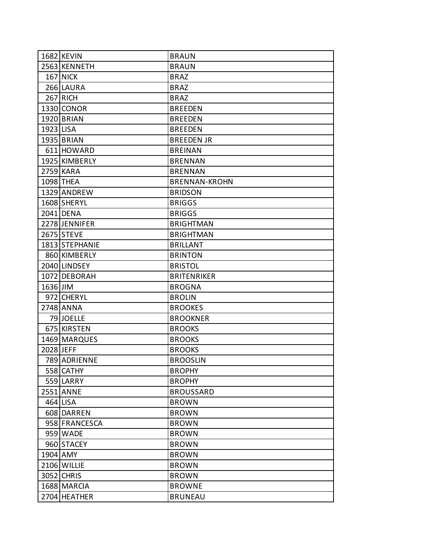|           | 1682 KEVIN     | <b>BRAUN</b>         |
|-----------|----------------|----------------------|
|           | 2563 KENNETH   | <b>BRAUN</b>         |
|           | 167 NICK       | <b>BRAZ</b>          |
|           | 266 LAURA      | <b>BRAZ</b>          |
|           | $267$ RICH     | <b>BRAZ</b>          |
|           | 1330 CONOR     | <b>BREEDEN</b>       |
|           | 1920 BRIAN     | <b>BREEDEN</b>       |
| 1923 LISA |                | <b>BREEDEN</b>       |
|           | 1935 BRIAN     | <b>BREEDEN JR</b>    |
|           | 611 HOWARD     | <b>BREINAN</b>       |
|           | 1925 KIMBERLY  | <b>BRENNAN</b>       |
|           | 2759 KARA      | <b>BRENNAN</b>       |
|           | 1098 THEA      | <b>BRENNAN-KROHN</b> |
|           | 1329 ANDREW    | <b>BRIDSON</b>       |
|           | 1608 SHERYL    | <b>BRIGGS</b>        |
|           | 2041 DENA      | <b>BRIGGS</b>        |
|           | 2278 JENNIFER  | <b>BRIGHTMAN</b>     |
|           | 2675 STEVE     | <b>BRIGHTMAN</b>     |
|           | 1813 STEPHANIE | <b>BRILLANT</b>      |
|           | 860 KIMBERLY   | <b>BRINTON</b>       |
|           | 2040 LINDSEY   | <b>BRISTOL</b>       |
|           | 1072 DEBORAH   | <b>BRITENRIKER</b>   |
| 1636 JIM  |                | <b>BROGNA</b>        |
|           | 972 CHERYL     | <b>BROLIN</b>        |
|           | 2748 ANNA      | <b>BROOKES</b>       |
|           | 79 JOELLE      | <b>BROOKNER</b>      |
|           | 675 KIRSTEN    | <b>BROOKS</b>        |
|           | 1469 MARQUES   | <b>BROOKS</b>        |
| 2028 JEFF |                | <b>BROOKS</b>        |
|           | 789 ADRIENNE   | <b>BROOSLIN</b>      |
|           | 558 CATHY      | <b>BROPHY</b>        |
|           | 559 LARRY      | <b>BROPHY</b>        |
|           | 2551 ANNE      | <b>BROUSSARD</b>     |
|           | 464 LISA       | <b>BROWN</b>         |
|           | 608 DARREN     | <b>BROWN</b>         |
|           | 958 FRANCESCA  | <b>BROWN</b>         |
|           | 959 WADE       | <b>BROWN</b>         |
|           | 960 STACEY     | <b>BROWN</b>         |
|           | 1904 AMY       | <b>BROWN</b>         |
|           | 2106 WILLIE    | <b>BROWN</b>         |
|           | 3052 CHRIS     | <b>BROWN</b>         |
|           | 1688 MARCIA    | <b>BROWNE</b>        |
|           | 2704 HEATHER   | <b>BRUNEAU</b>       |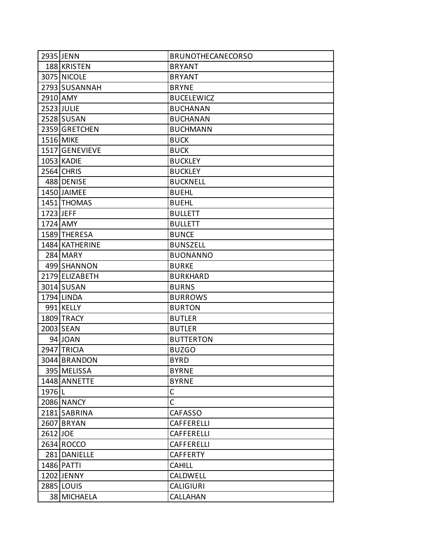|                   | 2935 JENN         | <b>BRUNOTHECANECORSO</b> |
|-------------------|-------------------|--------------------------|
|                   | 188 KRISTEN       | <b>BRYANT</b>            |
|                   | 3075 NICOLE       | <b>BRYANT</b>            |
|                   | 2793 SUSANNAH     | <b>BRYNE</b>             |
| 2910 AMY          |                   | <b>BUCELEWICZ</b>        |
|                   | 2523 JULIE        | <b>BUCHANAN</b>          |
|                   | 2528 SUSAN        | <b>BUCHANAN</b>          |
|                   | 2359 GRETCHEN     | <b>BUCHMANN</b>          |
|                   | 1516 MIKE         | <b>BUCK</b>              |
|                   | 1517 GENEVIEVE    | <b>BUCK</b>              |
|                   | 1053 KADIE        | <b>BUCKLEY</b>           |
|                   | 2564 CHRIS        | <b>BUCKLEY</b>           |
|                   | 488 DENISE        | <b>BUCKNELL</b>          |
|                   | 1450 JAIMEE       | <b>BUEHL</b>             |
|                   | 1451 THOMAS       | <b>BUEHL</b>             |
| 1723 JEFF         |                   | <b>BULLETT</b>           |
|                   | 1724 AMY          | <b>BULLETT</b>           |
|                   | 1589 THERESA      | <b>BUNCE</b>             |
|                   | 1484 KATHERINE    | <b>BUNSZELL</b>          |
|                   | 284 MARY          | <b>BUONANNO</b>          |
|                   | 499 SHANNON       | <b>BURKE</b>             |
|                   | 2179 ELIZABETH    | <b>BURKHARD</b>          |
|                   | 3014 SUSAN        | <b>BURNS</b>             |
|                   | 1794 LINDA        | <b>BURROWS</b>           |
|                   | 991 KELLY         | <b>BURTON</b>            |
|                   | 1809 TRACY        | <b>BUTLER</b>            |
|                   | 2003 SEAN         | <b>BUTLER</b>            |
|                   | 94 JOAN           | <b>BUTTERTON</b>         |
|                   | 2947 TRICIA       | <b>BUZGO</b>             |
|                   | 3044 BRANDON      | <b>BYRD</b>              |
|                   | 395 MELISSA       | <b>BYRNE</b>             |
|                   | 1448 ANNETTE      | <b>BYRNE</b>             |
| 1976 <sub>L</sub> |                   | C                        |
|                   | <b>2086 NANCY</b> | $\overline{C}$           |
|                   | 2181 SABRINA      | <b>CAFASSO</b>           |
|                   | 2607 BRYAN        | CAFFERELLI               |
| 2612 JOE          |                   | CAFFERELLI               |
|                   | 2634 ROCCO        | CAFFERELLI               |
|                   | 281 DANIELLE      | <b>CAFFERTY</b>          |
|                   | 1486 PATTI        | <b>CAHILL</b>            |
|                   | 1202 JENNY        | <b>CALDWELL</b>          |
|                   | 2885 LOUIS        | <b>CALIGIURI</b>         |
|                   | 38 MICHAELA       | CALLAHAN                 |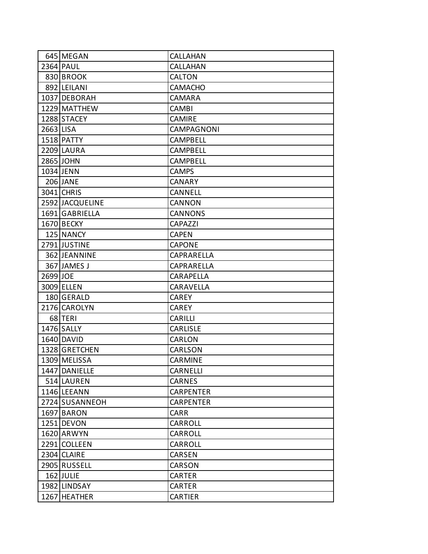|           | 645 MEGAN       | CALLAHAN          |
|-----------|-----------------|-------------------|
|           | 2364 PAUL       | <b>CALLAHAN</b>   |
|           | 830 BROOK       | <b>CALTON</b>     |
|           | 892 LEILANI     | <b>CAMACHO</b>    |
|           | 1037 DEBORAH    | CAMARA            |
|           | 1229 MATTHEW    | <b>CAMBI</b>      |
|           | 1288 STACEY     | <b>CAMIRE</b>     |
| 2663 LISA |                 | <b>CAMPAGNONI</b> |
|           | 1518 PATTY      | <b>CAMPBELL</b>   |
|           | 2209 LAURA      | <b>CAMPBELL</b>   |
|           | 2865 JOHN       | CAMPBELL          |
|           | 1034 JENN       | <b>CAMPS</b>      |
|           | 206 JANE        | <b>CANARY</b>     |
|           | 3041 CHRIS      | CANNELL           |
|           | 2592 JACQUELINE | CANNON            |
|           | 1691 GABRIELLA  | <b>CANNONS</b>    |
|           | 1670 BECKY      | CAPAZZI           |
|           | 125 NANCY       | <b>CAPEN</b>      |
|           | 2791 JUSTINE    | <b>CAPONE</b>     |
|           | 362 JEANNINE    | CAPRARELLA        |
|           | 367 JAMES J     | CAPRARELLA        |
| 2699 JOE  |                 | <b>CARAPELLA</b>  |
|           | 3009 ELLEN      | CARAVELLA         |
|           | 180 GERALD      | <b>CAREY</b>      |
|           | 2176 CAROLYN    | <b>CAREY</b>      |
|           | 68 TERI         | CARILLI           |
|           | 1476 SALLY      | <b>CARLISLE</b>   |
|           | 1640 DAVID      | CARLON            |
|           | 1328 GRETCHEN   | CARLSON           |
|           | 1309 MELISSA    | <b>CARMINE</b>    |
|           | 1447 DANIELLE   | CARNELLI          |
|           | 514 LAUREN      | CARNES            |
|           | 1146 LEEANN     | <b>CARPENTER</b>  |
|           | 2724 SUSANNEOH  | <b>CARPENTER</b>  |
|           | 1697 BARON      | <b>CARR</b>       |
|           | 1251 DEVON      | CARROLL           |
|           | 1620 ARWYN      | CARROLL           |
|           | 2291 COLLEEN    | CARROLL           |
|           | 2304 CLAIRE     | CARSEN            |
|           | 2905 RUSSELL    | CARSON            |
|           | 162 JULIE       | <b>CARTER</b>     |
|           | 1982 LINDSAY    | <b>CARTER</b>     |
|           | 1267 HEATHER    | <b>CARTIER</b>    |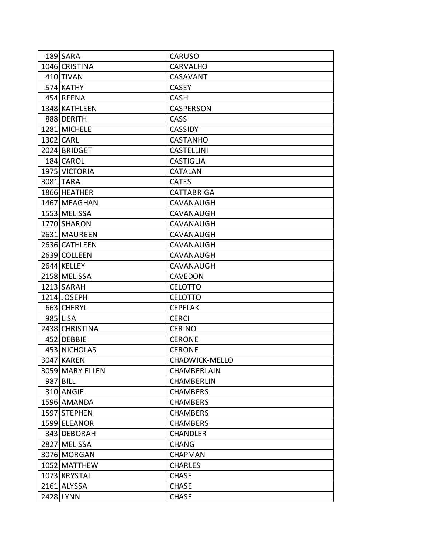| 189 SARA        | CARUSO                |
|-----------------|-----------------------|
| 1046 CRISTINA   | <b>CARVALHO</b>       |
| 410 TIVAN       | CASAVANT              |
| 574 KATHY       | <b>CASEY</b>          |
| 454 REENA       | CASH                  |
| 1348 KATHLEEN   | <b>CASPERSON</b>      |
| 888 DERITH      | <b>CASS</b>           |
| 1281 MICHELE    | <b>CASSIDY</b>        |
| 1302 CARL       | <b>CASTANHO</b>       |
| 2024 BRIDGET    | <b>CASTELLINI</b>     |
| 184 CAROL       | <b>CASTIGLIA</b>      |
| 1975 VICTORIA   | <b>CATALAN</b>        |
| 3081 TARA       | <b>CATES</b>          |
| 1866 HEATHER    | CATTABRIGA            |
| 1467 MEAGHAN    | CAVANAUGH             |
| 1553 MELISSA    | CAVANAUGH             |
| 1770 SHARON     | CAVANAUGH             |
| 2631 MAUREEN    | CAVANAUGH             |
| 2636 CATHLEEN   | CAVANAUGH             |
| 2639 COLLEEN    | CAVANAUGH             |
| 2644 KELLEY     | CAVANAUGH             |
| 2158 MELISSA    | <b>CAVEDON</b>        |
| 1213 SARAH      | <b>CELOTTO</b>        |
| 1214 JOSEPH     | <b>CELOTTO</b>        |
| 663 CHERYL      | <b>CEPELAK</b>        |
| 985 LISA        | <b>CERCI</b>          |
| 2438 CHRISTINA  | <b>CERINO</b>         |
| 452 DEBBIE      | <b>CERONE</b>         |
| 453 NICHOLAS    | <b>CERONE</b>         |
| 3047 KAREN      | <b>CHADWICK-MELLO</b> |
| 3059 MARY ELLEN | CHAMBERLAIN           |
| 987 BILL        | CHAMBERLIN            |
| 310 ANGIE       | <b>CHAMBERS</b>       |
| 1596 AMANDA     | <b>CHAMBERS</b>       |
| 1597 STEPHEN    | <b>CHAMBERS</b>       |
| 1599 ELEANOR    | <b>CHAMBERS</b>       |
| 343 DEBORAH     | <b>CHANDLER</b>       |
| 2827 MELISSA    | <b>CHANG</b>          |
| 3076 MORGAN     | <b>CHAPMAN</b>        |
| 1052 MATTHEW    | <b>CHARLES</b>        |
| 1073 KRYSTAL    | <b>CHASE</b>          |
| 2161 ALYSSA     | <b>CHASE</b>          |
| 2428 LYNN       | <b>CHASE</b>          |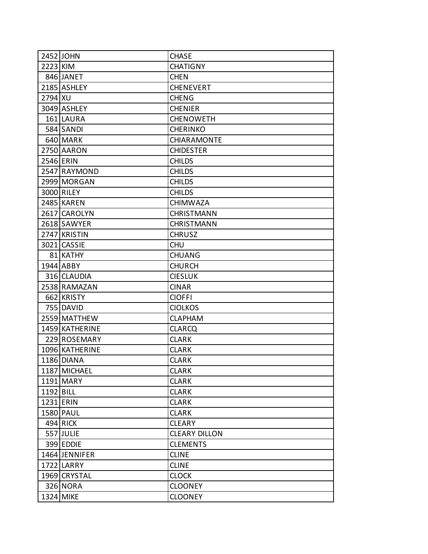|           | 2452 JOHN      | <b>CHASE</b>         |
|-----------|----------------|----------------------|
| 2223 KIM  |                | <b>CHATIGNY</b>      |
|           | 846 JANET      | <b>CHEN</b>          |
|           | 2185 ASHLEY    | <b>CHENEVERT</b>     |
| 2794 XU   |                | <b>CHENG</b>         |
|           | 3049 ASHLEY    | <b>CHENIER</b>       |
|           | 161 LAURA      | <b>CHENOWETH</b>     |
|           | 584 SANDI      | <b>CHERINKO</b>      |
|           | 640 MARK       | <b>CHIARAMONTE</b>   |
|           | 2750 AARON     | <b>CHIDESTER</b>     |
| 2546 ERIN |                | <b>CHILDS</b>        |
|           | 2547 RAYMOND   | <b>CHILDS</b>        |
|           | 2999 MORGAN    | <b>CHILDS</b>        |
|           | 3000 RILEY     | <b>CHILDS</b>        |
|           | 2485 KAREN     | <b>CHIMWAZA</b>      |
|           | 2617 CAROLYN   | <b>CHRISTMANN</b>    |
|           | 2618 SAWYER    | <b>CHRISTMANN</b>    |
|           | 2747 KRISTIN   | <b>CHRUSZ</b>        |
|           | 3021 CASSIE    | <b>CHU</b>           |
|           | 81 KATHY       | <b>CHUANG</b>        |
|           | 1944 ABBY      | <b>CHURCH</b>        |
|           | 316 CLAUDIA    | <b>CIESLUK</b>       |
|           | 2538 RAMAZAN   | <b>CINAR</b>         |
|           | 662 KRISTY     | <b>CIOFFI</b>        |
|           | 755 DAVID      | <b>CIOLKOS</b>       |
|           | 2559 MATTHEW   | <b>CLAPHAM</b>       |
|           | 1459 KATHERINE | <b>CLARCQ</b>        |
|           | 229 ROSEMARY   | <b>CLARK</b>         |
|           | 1096 KATHERINE | <b>CLARK</b>         |
|           | 1186 DIANA     | <b>CLARK</b>         |
|           | 1187 MICHAEL   | <b>CLARK</b>         |
|           | 1191 MARY      | <b>CLARK</b>         |
| 1192 BILL |                | <b>CLARK</b>         |
|           | 1231 ERIN      | <b>CLARK</b>         |
|           | 1580 PAUL      | <b>CLARK</b>         |
|           | 494 RICK       | <b>CLEARY</b>        |
|           | 557 JULIE      | <b>CLEARY DILLON</b> |
|           | 399 EDDIE      | <b>CLEMENTS</b>      |
|           | 1464 JENNIFER  | <b>CLINE</b>         |
|           | 1722 LARRY     | <b>CLINE</b>         |
|           | 1969 CRYSTAL   | <b>CLOCK</b>         |
|           | 326 NORA       | <b>CLOONEY</b>       |
|           | 1324 MIKE      | <b>CLOONEY</b>       |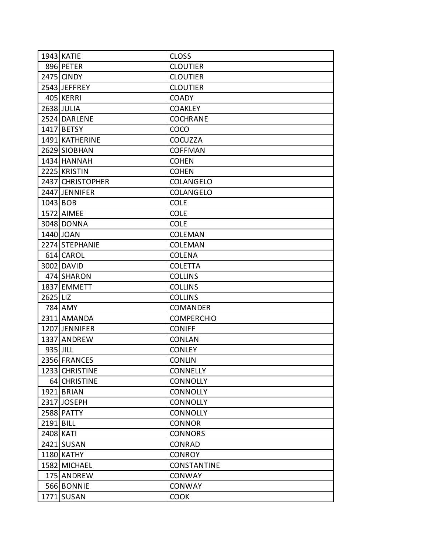|            | 1943 KATIE       | <b>CLOSS</b>       |
|------------|------------------|--------------------|
|            | 896 PETER        | <b>CLOUTIER</b>    |
|            | 2475 CINDY       | <b>CLOUTIER</b>    |
|            | 2543 JEFFREY     | <b>CLOUTIER</b>    |
|            | 405 KERRI        | <b>COADY</b>       |
|            | 2638 JULIA       | <b>COAKLEY</b>     |
|            | 2524 DARLENE     | <b>COCHRANE</b>    |
|            | 1417 BETSY       | <b>COCO</b>        |
|            | 1491 KATHERINE   | <b>COCUZZA</b>     |
|            | 2629 SIOBHAN     | <b>COFFMAN</b>     |
|            | 1434 HANNAH      | <b>COHEN</b>       |
|            | 2225 KRISTIN     | <b>COHEN</b>       |
|            | 2437 CHRISTOPHER | COLANGELO          |
|            | 2447 JENNIFER    | COLANGELO          |
| $1043$ BOB |                  | <b>COLE</b>        |
|            | 1572 AIMEE       | <b>COLE</b>        |
|            | 3048 DONNA       | <b>COLE</b>        |
|            | 1440 JOAN        | <b>COLEMAN</b>     |
|            | 2274 STEPHANIE   | <b>COLEMAN</b>     |
|            | 614 CAROL        | <b>COLENA</b>      |
|            | 3002 DAVID       | <b>COLETTA</b>     |
|            | 474 SHARON       | <b>COLLINS</b>     |
|            | 1837 EMMETT      | <b>COLLINS</b>     |
| 2625 LIZ   |                  | <b>COLLINS</b>     |
|            | 784 AMY          | <b>COMANDER</b>    |
|            | 2311 AMANDA      | <b>COMPERCHIO</b>  |
|            | 1207 JENNIFER    | <b>CONIFF</b>      |
|            | 1337 ANDREW      | <b>CONLAN</b>      |
| 935 JILL   |                  | <b>CONLEY</b>      |
|            | 2356 FRANCES     | <b>CONLIN</b>      |
|            | 1233 CHRISTINE   | <b>CONNELLY</b>    |
|            | 64 CHRISTINE     | <b>CONNOLLY</b>    |
|            | 1921 BRIAN       | <b>CONNOLLY</b>    |
|            | 2317 JOSEPH      | <b>CONNOLLY</b>    |
|            | 2588 PATTY       | <b>CONNOLLY</b>    |
| 2191 BILL  |                  | <b>CONNOR</b>      |
| 2408 KATI  |                  | <b>CONNORS</b>     |
|            | 2421 SUSAN       | CONRAD             |
|            | 1180 KATHY       | <b>CONROY</b>      |
|            | 1582 MICHAEL     | <b>CONSTANTINE</b> |
|            | 175 ANDREW       | <b>CONWAY</b>      |
|            | 566 BONNIE       | <b>CONWAY</b>      |
|            | 1771 SUSAN       | <b>COOK</b>        |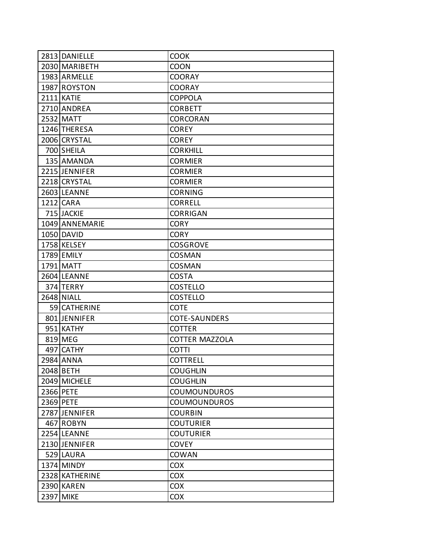| 2813 DANIELLE  | <b>COOK</b>           |
|----------------|-----------------------|
| 2030 MARIBETH  | <b>COON</b>           |
| 1983 ARMELLE   | <b>COORAY</b>         |
| 1987 ROYSTON   | <b>COORAY</b>         |
| 2111 KATIE     | <b>COPPOLA</b>        |
| 2710 ANDREA    | <b>CORBETT</b>        |
| 2532 MATT      | <b>CORCORAN</b>       |
| 1246 THERESA   | <b>COREY</b>          |
| 2006 CRYSTAL   | <b>COREY</b>          |
| 700 SHEILA     | <b>CORKHILL</b>       |
| 135 AMANDA     | <b>CORMIER</b>        |
| 2215 JENNIFER  | <b>CORMIER</b>        |
| 2218 CRYSTAL   | <b>CORMIER</b>        |
| 2603 LEANNE    | <b>CORNING</b>        |
| 1212 CARA      | <b>CORRELL</b>        |
| 715 JACKIE     | <b>CORRIGAN</b>       |
| 1049 ANNEMARIE | <b>CORY</b>           |
| 1050 DAVID     | <b>CORY</b>           |
| 1758 KELSEY    | <b>COSGROVE</b>       |
| 1789 EMILY     | <b>COSMAN</b>         |
| 1791 MATT      | <b>COSMAN</b>         |
| 2604 LEANNE    | <b>COSTA</b>          |
| 374 TERRY      | <b>COSTELLO</b>       |
| 2648 NIALL     | <b>COSTELLO</b>       |
| 59 CATHERINE   | <b>COTE</b>           |
| 801 JENNIFER   | <b>COTE-SAUNDERS</b>  |
| 951 KATHY      | <b>COTTER</b>         |
| 819 MEG        | <b>COTTER MAZZOLA</b> |
| 497 CATHY      | <b>COTTI</b>          |
| 2984 ANNA      | <b>COTTRELL</b>       |
| 2048 BETH      | <b>COUGHLIN</b>       |
| 2049 MICHELE   | <b>COUGHLIN</b>       |
| 2366 PETE      | <b>COUMOUNDUROS</b>   |
| 2369 PETE      | <b>COUMOUNDUROS</b>   |
| 2787 JENNIFER  | <b>COURBIN</b>        |
| 467 ROBYN      | <b>COUTURIER</b>      |
| 2254 LEANNE    | <b>COUTURIER</b>      |
| 2130 JENNIFER  | <b>COVEY</b>          |
| 529 LAURA      | <b>COWAN</b>          |
| 1374 MINDY     | <b>COX</b>            |
| 2328 KATHERINE | <b>COX</b>            |
| 2390 KAREN     | <b>COX</b>            |
| 2397 MIKE      | <b>COX</b>            |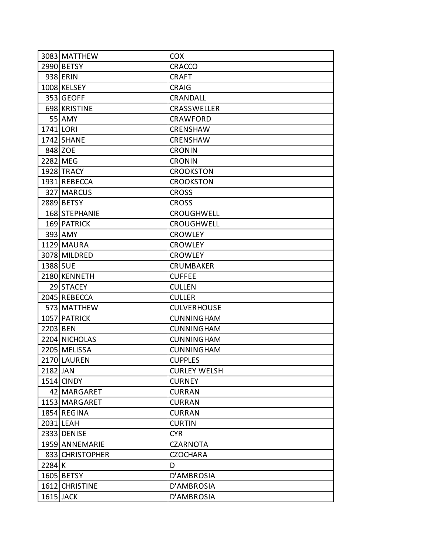|          | 3083 MATTHEW    | <b>COX</b>          |
|----------|-----------------|---------------------|
|          | 2990 BETSY      | <b>CRACCO</b>       |
|          | 938 ERIN        | <b>CRAFT</b>        |
|          | 1008 KELSEY     | <b>CRAIG</b>        |
|          | 353 GEOFF       | CRANDALL            |
|          | 698 KRISTINE    | <b>CRASSWELLER</b>  |
|          | 55 AMY          | CRAWFORD            |
|          | 1741 LORI       | <b>CRENSHAW</b>     |
|          | 1742 SHANE      | <b>CRENSHAW</b>     |
|          | 848 ZOE         | <b>CRONIN</b>       |
|          | 2282 MEG        | <b>CRONIN</b>       |
|          | 1928 TRACY      | <b>CROOKSTON</b>    |
|          | 1931 REBECCA    | <b>CROOKSTON</b>    |
|          | 327 MARCUS      | <b>CROSS</b>        |
|          | 2889 BETSY      | <b>CROSS</b>        |
|          | 168 STEPHANIE   | <b>CROUGHWELL</b>   |
|          | 169 PATRICK     | CROUGHWELL          |
|          | 393 AMY         | <b>CROWLEY</b>      |
|          | 1129 MAURA      | <b>CROWLEY</b>      |
|          | 3078 MILDRED    | <b>CROWLEY</b>      |
| 1388 SUE |                 | <b>CRUMBAKER</b>    |
|          | 2180 KENNETH    | <b>CUFFEE</b>       |
|          | 29 STACEY       | <b>CULLEN</b>       |
|          | 2045 REBECCA    | <b>CULLER</b>       |
|          | 573 MATTHEW     | <b>CULVERHOUSE</b>  |
|          | 1057 PATRICK    | <b>CUNNINGHAM</b>   |
| 2203 BEN |                 | <b>CUNNINGHAM</b>   |
|          | 2204 NICHOLAS   | <b>CUNNINGHAM</b>   |
|          | 2205 MELISSA    | <b>CUNNINGHAM</b>   |
|          | 2170 LAUREN     | <b>CUPPLES</b>      |
| 2182 JAN |                 | <b>CURLEY WELSH</b> |
|          | 1514 CINDY      | <b>CURNEY</b>       |
|          | 42 MARGARET     | <b>CURRAN</b>       |
|          | 1153 MARGARET   | <b>CURRAN</b>       |
|          | 1854 REGINA     | <b>CURRAN</b>       |
|          | 2031 LEAH       | <b>CURTIN</b>       |
|          | 2333 DENISE     | <b>CYR</b>          |
|          | 1959 ANNEMARIE  | <b>CZARNOTA</b>     |
|          | 833 CHRISTOPHER | <b>CZOCHARA</b>     |
| $2284$ K |                 | D                   |
|          | 1605 BETSY      | D'AMBROSIA          |
|          | 1612 CHRISTINE  | D'AMBROSIA          |
|          | 1615 JACK       | D'AMBROSIA          |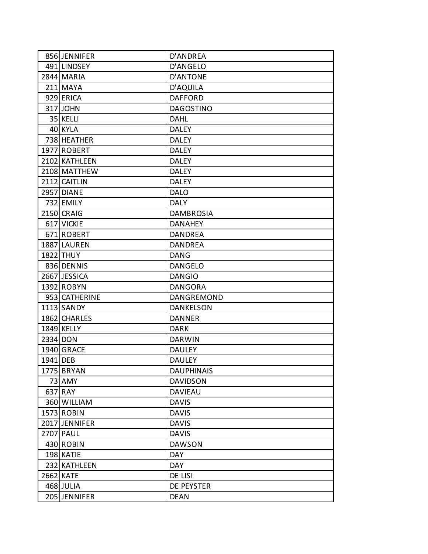|          | 856 JENNIFER  | D'ANDREA          |
|----------|---------------|-------------------|
|          | 491 LINDSEY   | D'ANGELO          |
|          | 2844 MARIA    | D'ANTONE          |
|          | 211 MAYA      | D'AQUILA          |
|          | 929 ERICA     | <b>DAFFORD</b>    |
|          | 317 JOHN      | <b>DAGOSTINO</b>  |
|          | 35 KELLI      | DAHL              |
|          | 40 KYLA       | <b>DALEY</b>      |
|          | 738 HEATHER   | <b>DALEY</b>      |
|          | 1977 ROBERT   | <b>DALEY</b>      |
|          | 2102 KATHLEEN | <b>DALEY</b>      |
|          | 2108 MATTHEW  | <b>DALEY</b>      |
|          | 2112 CAITLIN  | <b>DALEY</b>      |
|          | 2957 DIANE    | <b>DALO</b>       |
|          | 732 EMILY     | <b>DALY</b>       |
|          | 2150 CRAIG    | <b>DAMBROSIA</b>  |
|          | 617 VICKIE    | <b>DANAHEY</b>    |
|          | 671 ROBERT    | DANDREA           |
|          | 1887 LAUREN   | <b>DANDREA</b>    |
|          | 1822 THUY     | DANG              |
|          | 836 DENNIS    | <b>DANGELO</b>    |
|          | 2667 JESSICA  | <b>DANGIO</b>     |
|          | 1392 ROBYN    | <b>DANGORA</b>    |
|          | 953 CATHERINE | DANGREMOND        |
|          | 1113 SANDY    | <b>DANKELSON</b>  |
|          | 1862 CHARLES  | <b>DANNER</b>     |
|          | 1849 KELLY    | <b>DARK</b>       |
|          | 2334 DON      | <b>DARWIN</b>     |
|          | 1940 GRACE    | <b>DAULEY</b>     |
| 1941 DEB |               | <b>DAULEY</b>     |
|          | 1775 BRYAN    | <b>DAUPHINAIS</b> |
|          | 73 AMY        | <b>DAVIDSON</b>   |
|          | 637 RAY       | <b>DAVIEAU</b>    |
|          | 360 WILLIAM   | <b>DAVIS</b>      |
|          | 1573 ROBIN    | <b>DAVIS</b>      |
|          | 2017 JENNIFER | <b>DAVIS</b>      |
|          | 2707 PAUL     | <b>DAVIS</b>      |
|          | 430 ROBIN     | <b>DAWSON</b>     |
|          | 198 KATIE     | <b>DAY</b>        |
|          | 232 KATHLEEN  | <b>DAY</b>        |
|          | 2662 KATE     | DE LISI           |
|          | 468 JULIA     | DE PEYSTER        |
|          | 205 JENNIFER  | <b>DEAN</b>       |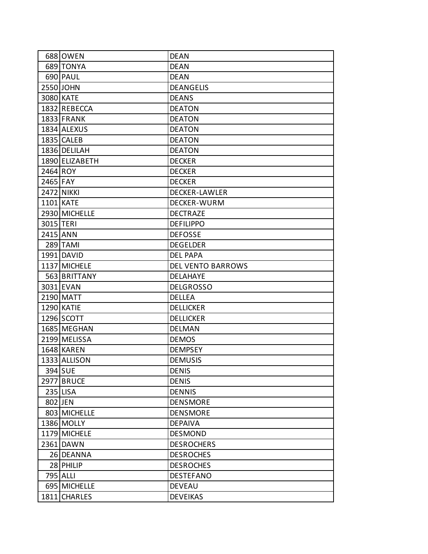|           | 688 OWEN          | <b>DEAN</b>              |
|-----------|-------------------|--------------------------|
|           | 689 TONYA         | <b>DEAN</b>              |
|           | 690 PAUL          | <b>DEAN</b>              |
|           | 2550 JOHN         | <b>DEANGELIS</b>         |
|           | 3080 KATE         | <b>DEANS</b>             |
|           | 1832 REBECCA      | <b>DEATON</b>            |
|           | 1833 FRANK        | <b>DEATON</b>            |
|           | 1834 ALEXUS       | <b>DEATON</b>            |
|           | 1835 CALEB        | <b>DEATON</b>            |
|           | 1836 DELILAH      | <b>DEATON</b>            |
|           | 1890 ELIZABETH    | <b>DECKER</b>            |
| 2464 ROY  |                   | <b>DECKER</b>            |
| 2465 FAY  |                   | <b>DECKER</b>            |
|           | 2472 NIKKI        | <b>DECKER-LAWLER</b>     |
|           | 1101 KATE         | DECKER-WURM              |
|           | 2930 MICHELLE     | <b>DECTRAZE</b>          |
| 3015 TERI |                   | <b>DEFILIPPO</b>         |
| 2415 ANN  |                   | <b>DEFOSSE</b>           |
|           | 289 TAMI          | <b>DEGELDER</b>          |
|           | 1991 DAVID        | <b>DEL PAPA</b>          |
|           | 1137 MICHELE      | <b>DEL VENTO BARROWS</b> |
|           | 563 BRITTANY      | <b>DELAHAYE</b>          |
|           | 3031 EVAN         | <b>DELGROSSO</b>         |
|           | 2190 MATT         | <b>DELLEA</b>            |
|           | 1290 KATIE        | <b>DELLICKER</b>         |
|           | 1296 SCOTT        | <b>DELLICKER</b>         |
|           | 1685 MEGHAN       | <b>DELMAN</b>            |
|           | 2199 MELISSA      | <b>DEMOS</b>             |
|           | 1648 KAREN        | <b>DEMPSEY</b>           |
|           | 1333 ALLISON      | <b>DEMUSIS</b>           |
|           | 394 SUE           | <b>DENIS</b>             |
|           | <b>2977 BRUCE</b> | <b>DENIS</b>             |
|           | 235 LISA          | <b>DENNIS</b>            |
|           | 802 JEN           | <b>DENSMORE</b>          |
|           | 803 MICHELLE      | <b>DENSMORE</b>          |
|           | 1386 MOLLY        | <b>DEPAIVA</b>           |
|           | 1179 MICHELE      | <b>DESMOND</b>           |
|           | 2361 DAWN         | <b>DESROCHERS</b>        |
|           | 26 DEANNA         | <b>DESROCHES</b>         |
|           | 28 PHILIP         | <b>DESROCHES</b>         |
|           | 795 ALLI          | <b>DESTEFANO</b>         |
|           | 695 MICHELLE      | <b>DEVEAU</b>            |
|           | 1811 CHARLES      | <b>DEVEIKAS</b>          |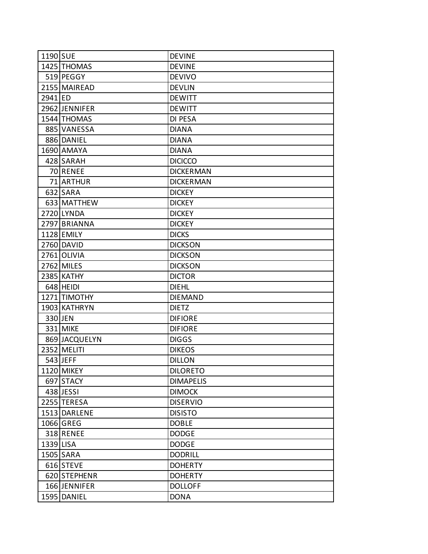| 1190 SUE  |               | <b>DEVINE</b>    |
|-----------|---------------|------------------|
|           | 1425 THOMAS   | <b>DEVINE</b>    |
|           | 519 PEGGY     | <b>DEVIVO</b>    |
|           | 2155 MAIREAD  | <b>DEVLIN</b>    |
| 2941 ED   |               | <b>DEWITT</b>    |
|           | 2962 JENNIFER | <b>DEWITT</b>    |
|           | 1544 THOMAS   | DI PESA          |
|           | 885 VANESSA   | <b>DIANA</b>     |
|           | 886 DANIEL    | <b>DIANA</b>     |
|           | 1690 AMAYA    | <b>DIANA</b>     |
|           | 428 SARAH     | <b>DICICCO</b>   |
|           | 70 RENEE      | <b>DICKERMAN</b> |
|           | 71 ARTHUR     | <b>DICKERMAN</b> |
|           | 632 SARA      | <b>DICKEY</b>    |
|           | 633 MATTHEW   | <b>DICKEY</b>    |
|           | 2720 LYNDA    | <b>DICKEY</b>    |
|           | 2797 BRIANNA  | <b>DICKEY</b>    |
|           | 1128 EMILY    | <b>DICKS</b>     |
|           | 2760 DAVID    | <b>DICKSON</b>   |
|           | 2761 OLIVIA   | <b>DICKSON</b>   |
|           | 2762 MILES    | <b>DICKSON</b>   |
|           | 2385 KATHY    | <b>DICTOR</b>    |
|           | 648 HEIDI     | <b>DIEHL</b>     |
|           | 1271 TIMOTHY  | <b>DIEMAND</b>   |
|           | 1903 KATHRYN  | <b>DIETZ</b>     |
|           | 330 JEN       | <b>DIFIORE</b>   |
|           | 331 MIKE      | <b>DIFIORE</b>   |
|           | 869 JACQUELYN | <b>DIGGS</b>     |
|           | 2352 MELITI   | <b>DIKEOS</b>    |
|           | 543 JEFF      | <b>DILLON</b>    |
|           | 1120 MIKEY    | <b>DILORETO</b>  |
|           | 697 STACY     | <b>DIMAPELIS</b> |
|           | 438 JESSI     | <b>DIMOCK</b>    |
|           | 2255 TERESA   | <b>DISERVIO</b>  |
|           | 1513 DARLENE  | <b>DISISTO</b>   |
|           | 1066 GREG     | <b>DOBLE</b>     |
|           | 318 RENEE     | <b>DODGE</b>     |
| 1339 LISA |               | <b>DODGE</b>     |
|           | 1505 SARA     | <b>DODRILL</b>   |
|           | 616 STEVE     | <b>DOHERTY</b>   |
|           | 620 STEPHENR  | <b>DOHERTY</b>   |
|           | 166 JENNIFER  | <b>DOLLOFF</b>   |
|           | 1595 DANIEL   | <b>DONA</b>      |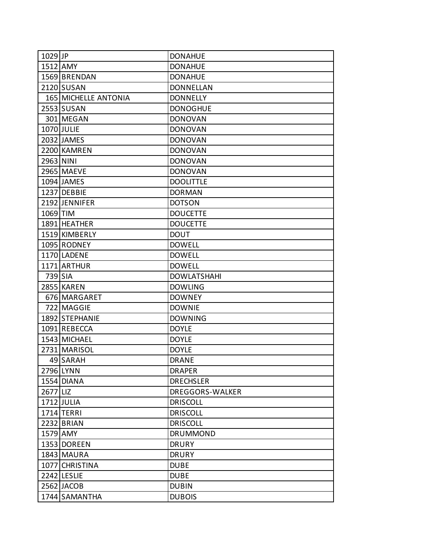| 1029 JP   |                             | <b>DONAHUE</b>     |
|-----------|-----------------------------|--------------------|
| 1512 AMY  |                             | <b>DONAHUE</b>     |
|           | 1569 BRENDAN                | <b>DONAHUE</b>     |
|           | 2120 SUSAN                  | <b>DONNELLAN</b>   |
|           | <b>165 MICHELLE ANTONIA</b> | <b>DONNELLY</b>    |
|           | 2553 SUSAN                  | <b>DONOGHUE</b>    |
|           | 301 MEGAN                   | <b>DONOVAN</b>     |
|           | 1070 JULIE                  | <b>DONOVAN</b>     |
|           | 2032 JAMES                  | <b>DONOVAN</b>     |
|           | 2200 KAMREN                 | <b>DONOVAN</b>     |
| 2963 NINI |                             | <b>DONOVAN</b>     |
|           | 2965 MAEVE                  | <b>DONOVAN</b>     |
|           | 1094 JAMES                  | <b>DOOLITTLE</b>   |
|           | 1237 DEBBIE                 | <b>DORMAN</b>      |
|           | 2192 JENNIFER               | <b>DOTSON</b>      |
| 1069 TIM  |                             | <b>DOUCETTE</b>    |
|           | 1891 HEATHER                | <b>DOUCETTE</b>    |
|           | 1519 KIMBERLY               | <b>DOUT</b>        |
|           | 1095 RODNEY                 | <b>DOWELL</b>      |
|           | 1170 LADENE                 | <b>DOWELL</b>      |
|           | 1171 ARTHUR                 | <b>DOWELL</b>      |
| 739 SIA   |                             | <b>DOWLATSHAHI</b> |
|           | <b>2855 KAREN</b>           | <b>DOWLING</b>     |
|           | 676 MARGARET                | <b>DOWNEY</b>      |
|           | 722 MAGGIE                  | <b>DOWNIE</b>      |
|           | 1892 STEPHANIE              | <b>DOWNING</b>     |
|           | 1091 REBECCA                | <b>DOYLE</b>       |
|           | 1543 MICHAEL                | <b>DOYLE</b>       |
|           | 2731 MARISOL                | <b>DOYLE</b>       |
|           | 49 SARAH                    | <b>DRANE</b>       |
|           | 2796 LYNN                   | <b>DRAPER</b>      |
|           | 1554 DIANA                  | <b>DRECHSLER</b>   |
| 2677 LIZ  |                             | DREGGORS-WALKER    |
|           | 1712 JULIA                  | <b>DRISCOLL</b>    |
|           | 1714 TERRI                  | <b>DRISCOLL</b>    |
|           | 2232 BRIAN                  | <b>DRISCOLL</b>    |
| 1579 AMY  |                             | <b>DRUMMOND</b>    |
|           | 1353 DOREEN                 | <b>DRURY</b>       |
|           | 1843 MAURA                  | <b>DRURY</b>       |
|           | 1077 CHRISTINA              | <b>DUBE</b>        |
|           | 2242 LESLIE                 | <b>DUBE</b>        |
|           | 2562 JACOB                  | <b>DUBIN</b>       |
|           | 1744 SAMANTHA               | <b>DUBOIS</b>      |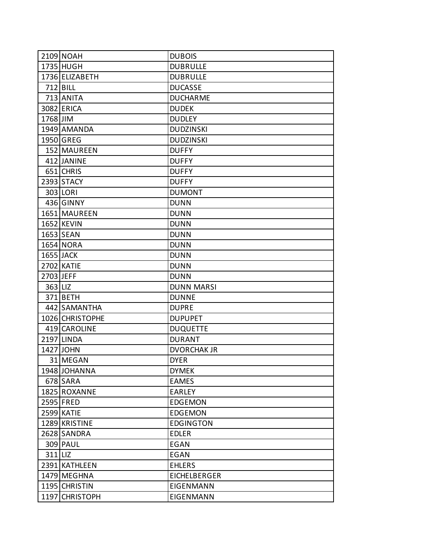|           | 2109 NOAH       | <b>DUBOIS</b>       |
|-----------|-----------------|---------------------|
|           | 1735 HUGH       | <b>DUBRULLE</b>     |
|           | 1736 ELIZABETH  | <b>DUBRULLE</b>     |
|           | $712$ BILL      | <b>DUCASSE</b>      |
|           | 713 ANITA       | <b>DUCHARME</b>     |
|           | 3082 ERICA      | <b>DUDEK</b>        |
| 1768 JIM  |                 | <b>DUDLEY</b>       |
|           | 1949 AMANDA     | <b>DUDZINSKI</b>    |
|           | 1950 GREG       | <b>DUDZINSKI</b>    |
|           | 152 MAUREEN     | <b>DUFFY</b>        |
|           | 412 JANINE      | <b>DUFFY</b>        |
|           | 651 CHRIS       | <b>DUFFY</b>        |
|           | 2393 STACY      | <b>DUFFY</b>        |
|           | 303 LORI        | <b>DUMONT</b>       |
|           | 436 GINNY       | <b>DUNN</b>         |
|           | 1651 MAUREEN    | <b>DUNN</b>         |
|           | 1652 KEVIN      | <b>DUNN</b>         |
|           | 1653 SEAN       | <b>DUNN</b>         |
|           | 1654 NORA       | <b>DUNN</b>         |
|           | 1655 JACK       | <b>DUNN</b>         |
|           | 2702 KATIE      | <b>DUNN</b>         |
| 2703 JEFF |                 | <b>DUNN</b>         |
| 363 LIZ   |                 | <b>DUNN MARSI</b>   |
|           | 371 BETH        | <b>DUNNE</b>        |
|           | 442 SAMANTHA    | <b>DUPRE</b>        |
|           | 1026 CHRISTOPHE | <b>DUPUPET</b>      |
|           | 419 CAROLINE    | <b>DUQUETTE</b>     |
|           | 2197 LINDA      | <b>DURANT</b>       |
|           | 1427 JOHN       | <b>DVORCHAK JR</b>  |
|           | 31 MEGAN        | <b>DYER</b>         |
|           | 1948 JOHANNA    | <b>DYMEK</b>        |
|           | 678 SARA        | <b>EAMES</b>        |
|           | 1825 ROXANNE    | <b>EARLEY</b>       |
|           | 2595 FRED       | <b>EDGEMON</b>      |
|           | 2599 KATIE      | <b>EDGEMON</b>      |
|           | 1289 KRISTINE   | <b>EDGINGTON</b>    |
|           | 2628 SANDRA     | <b>EDLER</b>        |
|           | 309 PAUL        | <b>EGAN</b>         |
| $311$ LIZ |                 | EGAN                |
|           | 2391 KATHLEEN   | <b>EHLERS</b>       |
|           | 1479 MEGHNA     | <b>EICHELBERGER</b> |
|           | 1195 CHRISTIN   | <b>EIGENMANN</b>    |
|           | 1197 CHRISTOPH  | <b>EIGENMANN</b>    |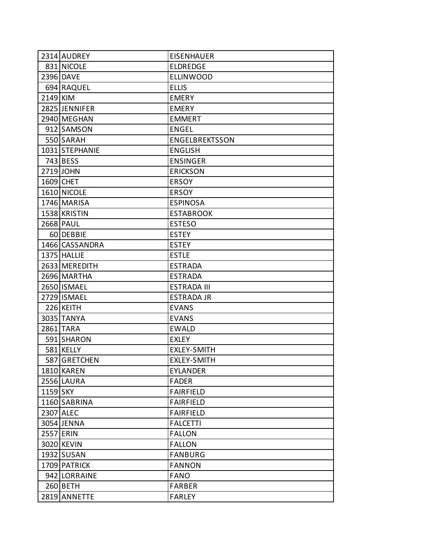|          | 2314 AUDREY    | <b>EISENHAUER</b>     |
|----------|----------------|-----------------------|
|          | 831 NICOLE     | <b>ELDREDGE</b>       |
|          | 2396 DAVE      | <b>ELLINWOOD</b>      |
|          | 694 RAQUEL     | <b>ELLIS</b>          |
| 2149 KIM |                | <b>EMERY</b>          |
|          | 2825 JENNIFER  | <b>EMERY</b>          |
|          | 2940 MEGHAN    | <b>EMMERT</b>         |
|          | 912 SAMSON     | <b>ENGEL</b>          |
|          | 550 SARAH      | <b>ENGELBREKTSSON</b> |
|          | 1031 STEPHANIE | <b>ENGLISH</b>        |
|          | 743 BESS       | <b>ENSINGER</b>       |
|          | 2719 JOHN      | <b>ERICKSON</b>       |
|          | 1609 CHET      | <b>ERSOY</b>          |
|          | 1610 NICOLE    | <b>ERSOY</b>          |
|          | 1746 MARISA    | <b>ESPINOSA</b>       |
|          | 1538 KRISTIN   | <b>ESTABROOK</b>      |
|          | 2668 PAUL      | <b>ESTESO</b>         |
|          | 60 DEBBIE      | <b>ESTEY</b>          |
|          | 1466 CASSANDRA | <b>ESTEY</b>          |
|          | 1375 HALLIE    | <b>ESTLE</b>          |
|          | 2633 MEREDITH  | <b>ESTRADA</b>        |
|          | 2696 MARTHA    | <b>ESTRADA</b>        |
|          | 2650 ISMAEL    | <b>ESTRADA III</b>    |
|          | 2729 ISMAEL    | <b>ESTRADA JR</b>     |
|          | 226 KEITH      | <b>EVANS</b>          |
|          | 3035 TANYA     | <b>EVANS</b>          |
|          | 2861 TARA      | <b>EWALD</b>          |
|          | 591 SHARON     | EXLEY                 |
|          | 581 KELLY      | <b>EXLEY-SMITH</b>    |
|          | 587 GRETCHEN   | <b>EXLEY-SMITH</b>    |
|          | 1810 KAREN     | <b>EYLANDER</b>       |
|          | 2556 LAURA     | <b>FADER</b>          |
| 1159 SKY |                | <b>FAIRFIELD</b>      |
|          | 1160 SABRINA   | <b>FAIRFIELD</b>      |
|          | 2307 ALEC      | <b>FAIRFIELD</b>      |
|          | 3054 JENNA     | <b>FALCETTI</b>       |
|          | 2557 ERIN      | <b>FALLON</b>         |
|          | 3020 KEVIN     | <b>FALLON</b>         |
|          | 1932 SUSAN     | <b>FANBURG</b>        |
|          | 1709 PATRICK   | <b>FANNON</b>         |
|          | 942 LORRAINE   | <b>FANO</b>           |
|          | $260$ BETH     | <b>FARBER</b>         |
|          | 2819 ANNETTE   | <b>FARLEY</b>         |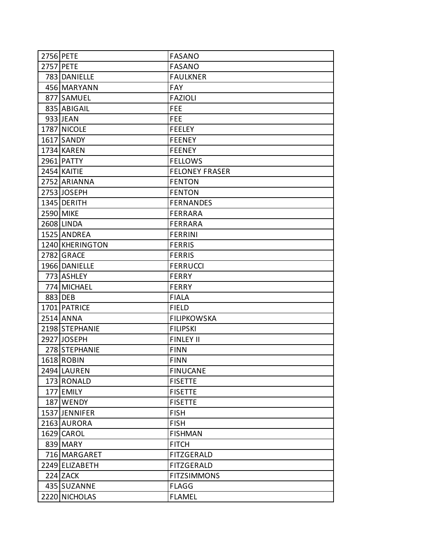| 2756 PETE       | <b>FASANO</b>         |
|-----------------|-----------------------|
| 2757 PETE       | <b>FASANO</b>         |
| 783 DANIELLE    | <b>FAULKNER</b>       |
| 456 MARYANN     | <b>FAY</b>            |
| 877 SAMUEL      | <b>FAZIOLI</b>        |
| 835 ABIGAIL     | <b>FEE</b>            |
| 933 JEAN        | <b>FEE</b>            |
| 1787 NICOLE     | <b>FEELEY</b>         |
| 1617 SANDY      | <b>FEENEY</b>         |
| 1734 KAREN      | <b>FEENEY</b>         |
| 2961 PATTY      | <b>FELLOWS</b>        |
| 2454 KAITIE     | <b>FELONEY FRASER</b> |
| 2752 ARIANNA    | <b>FENTON</b>         |
| 2753 JOSEPH     | <b>FENTON</b>         |
| 1345 DERITH     | <b>FERNANDES</b>      |
| 2590 MIKE       | <b>FERRARA</b>        |
| 2608 LINDA      | <b>FERRARA</b>        |
| 1525 ANDREA     | <b>FERRINI</b>        |
| 1240 KHERINGTON | <b>FERRIS</b>         |
| 2782 GRACE      | <b>FERRIS</b>         |
| 1966 DANIELLE   | <b>FERRUCCI</b>       |
| 773 ASHLEY      | <b>FERRY</b>          |
| 774 MICHAEL     | <b>FERRY</b>          |
| 883 DEB         | <b>FIALA</b>          |
| 1701 PATRICE    | <b>FIELD</b>          |
| 2514 ANNA       | <b>FILIPKOWSKA</b>    |
| 2198 STEPHANIE  | <b>FILIPSKI</b>       |
| 2927 JOSEPH     | <b>FINLEY II</b>      |
| 278 STEPHANIE   | <b>FINN</b>           |
| 1618 ROBIN      | <b>FINN</b>           |
| 2494 LAUREN     | <b>FINUCANE</b>       |
| 173 RONALD      | <b>FISETTE</b>        |
| 177 EMILY       | <b>FISETTE</b>        |
| 187 WENDY       | <b>FISETTE</b>        |
| 1537 JENNIFER   | <b>FISH</b>           |
| 2163 AURORA     | <b>FISH</b>           |
| 1629 CAROL      | <b>FISHMAN</b>        |
| 839 MARY        | <b>FITCH</b>          |
| 716 MARGARET    | FITZGERALD            |
| 2249 ELIZABETH  | <b>FITZGERALD</b>     |
| $224$ ZACK      | <b>FITZSIMMONS</b>    |
| 435 SUZANNE     | <b>FLAGG</b>          |
| 2220 NICHOLAS   | <b>FLAMEL</b>         |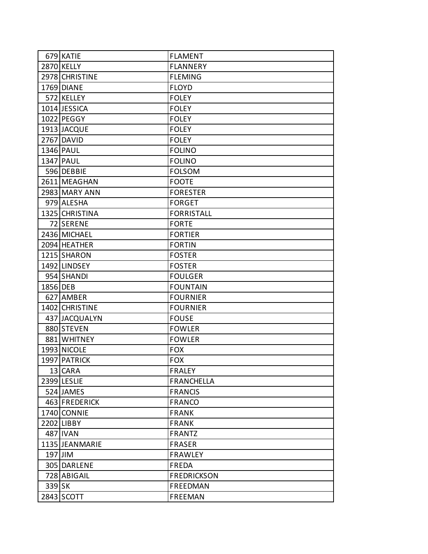|          | 679 KATIE      | <b>FLAMENT</b>     |
|----------|----------------|--------------------|
|          | 2870 KELLY     | <b>FLANNERY</b>    |
|          | 2978 CHRISTINE | <b>FLEMING</b>     |
|          | 1769 DIANE     | <b>FLOYD</b>       |
|          | 572 KELLEY     | <b>FOLEY</b>       |
|          | 1014 JESSICA   | <b>FOLEY</b>       |
|          | 1022 PEGGY     | <b>FOLEY</b>       |
|          | 1913 JACQUE    | <b>FOLEY</b>       |
|          | 2767 DAVID     | <b>FOLEY</b>       |
|          | 1346 PAUL      | <b>FOLINO</b>      |
|          | 1347 PAUL      | <b>FOLINO</b>      |
|          | 596 DEBBIE     | <b>FOLSOM</b>      |
|          | 2611 MEAGHAN   | <b>FOOTE</b>       |
|          | 2983 MARY ANN  | <b>FORESTER</b>    |
|          | 979 ALESHA     | <b>FORGET</b>      |
|          | 1325 CHRISTINA | <b>FORRISTALL</b>  |
|          | 72 SERENE      | <b>FORTE</b>       |
|          | 2436 MICHAEL   | <b>FORTIER</b>     |
|          | 2094 HEATHER   | <b>FORTIN</b>      |
|          | 1215 SHARON    | <b>FOSTER</b>      |
|          | 1492 LINDSEY   | <b>FOSTER</b>      |
|          | 954 SHANDI     | <b>FOULGER</b>     |
| 1856 DEB |                | <b>FOUNTAIN</b>    |
|          | 627 AMBER      | <b>FOURNIER</b>    |
|          | 1402 CHRISTINE | <b>FOURNIER</b>    |
|          | 437 JACQUALYN  | <b>FOUSE</b>       |
|          | 880 STEVEN     | <b>FOWLER</b>      |
|          | 881 WHITNEY    | <b>FOWLER</b>      |
|          | 1993 NICOLE    | <b>FOX</b>         |
|          | 1997 PATRICK   | <b>FOX</b>         |
|          | 13 CARA        | <b>FRALEY</b>      |
|          | 2399 LESLIE    | <b>FRANCHELLA</b>  |
|          | 524 JAMES      | <b>FRANCIS</b>     |
|          | 463 FREDERICK  | <b>FRANCO</b>      |
|          | 1740 CONNIE    | <b>FRANK</b>       |
|          | 2202 LIBBY     | <b>FRANK</b>       |
|          | 487 IVAN       | <b>FRANTZ</b>      |
|          | 1135 JEANMARIE | <b>FRASER</b>      |
| 197 JIM  |                | <b>FRAWLEY</b>     |
|          | 305 DARLENE    | FREDA              |
|          | 728 ABIGAIL    | <b>FREDRICKSON</b> |
| 339 SK   |                | FREEDMAN           |
|          | 2843 SCOTT     | <b>FREEMAN</b>     |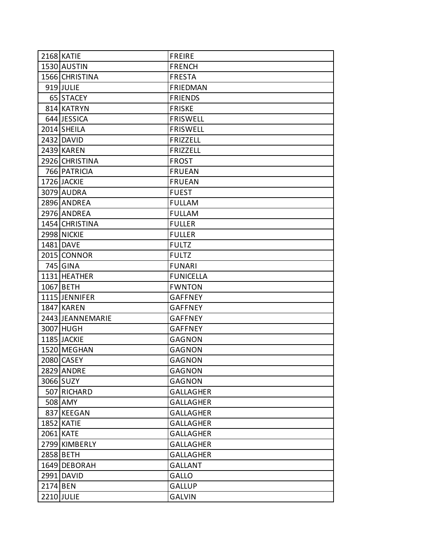|          | 2168 KATIE       | <b>FREIRE</b>    |
|----------|------------------|------------------|
|          | 1530 AUSTIN      | <b>FRENCH</b>    |
|          | 1566 CHRISTINA   | <b>FRESTA</b>    |
|          | 919 JULIE        | <b>FRIEDMAN</b>  |
|          | 65 STACEY        | <b>FRIENDS</b>   |
|          | 814 KATRYN       | <b>FRISKE</b>    |
|          | 644 JESSICA      | <b>FRISWELL</b>  |
|          | 2014 SHEILA      | <b>FRISWELL</b>  |
|          | 2432 DAVID       | <b>FRIZZELL</b>  |
|          | 2439 KAREN       | <b>FRIZZELL</b>  |
|          | 2926 CHRISTINA   | <b>FROST</b>     |
|          | 766 PATRICIA     | <b>FRUEAN</b>    |
|          | 1726 JACKIE      | <b>FRUEAN</b>    |
|          | 3079 AUDRA       | <b>FUEST</b>     |
|          | 2896 ANDREA      | <b>FULLAM</b>    |
|          | 2976 ANDREA      | <b>FULLAM</b>    |
|          | 1454 CHRISTINA   | <b>FULLER</b>    |
|          | 2998 NICKIE      | <b>FULLER</b>    |
|          | 1481 DAVE        | <b>FULTZ</b>     |
|          | 2015 CONNOR      | <b>FULTZ</b>     |
|          | 745 GINA         | <b>FUNARI</b>    |
|          | 1131 HEATHER     | <b>FUNICELLA</b> |
|          | 1067 BETH        | <b>FWNTON</b>    |
|          | 1115 JENNIFER    | <b>GAFFNEY</b>   |
|          | 1847 KAREN       | <b>GAFFNEY</b>   |
|          | 2443 JEANNEMARIE | <b>GAFFNEY</b>   |
|          | 3007 HUGH        | <b>GAFFNEY</b>   |
|          | 1185 JACKIE      | <b>GAGNON</b>    |
|          | 1520 MEGHAN      | <b>GAGNON</b>    |
|          | 2080 CASEY       | <b>GAGNON</b>    |
|          | 2829 ANDRE       | <b>GAGNON</b>    |
|          | 3066 SUZY        | <b>GAGNON</b>    |
|          | 507 RICHARD      | <b>GALLAGHER</b> |
|          | 508 AMY          | <b>GALLAGHER</b> |
|          | 837 KEEGAN       | <b>GALLAGHER</b> |
|          | 1852 KATIE       | <b>GALLAGHER</b> |
|          | 2061 KATE        | <b>GALLAGHER</b> |
|          | 2799 KIMBERLY    | <b>GALLAGHER</b> |
|          | 2858 BETH        | <b>GALLAGHER</b> |
|          | 1649 DEBORAH     | <b>GALLANT</b>   |
|          | 2991 DAVID       | <b>GALLO</b>     |
| 2174 BEN |                  | <b>GALLUP</b>    |
|          | 2210 JULIE       | <b>GALVIN</b>    |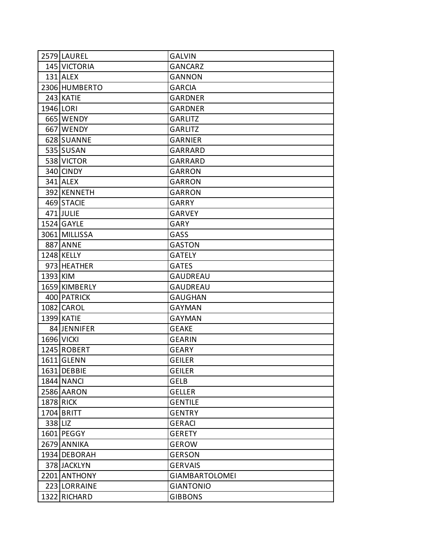|          | 2579 LAUREL       | <b>GALVIN</b>         |
|----------|-------------------|-----------------------|
|          | 145 VICTORIA      | <b>GANCARZ</b>        |
|          | $131$ ALEX        | <b>GANNON</b>         |
|          | 2306 HUMBERTO     | <b>GARCIA</b>         |
|          | 243 KATIE         | <b>GARDNER</b>        |
|          | 1946 LORI         | <b>GARDNER</b>        |
|          | 665 WENDY         | <b>GARLITZ</b>        |
|          | 667 WENDY         | <b>GARLITZ</b>        |
|          | 628 SUANNE        | <b>GARNIER</b>        |
|          | 535 SUSAN         | GARRARD               |
|          | 538 VICTOR        | GARRARD               |
|          | 340 CINDY         | <b>GARRON</b>         |
|          | 341 ALEX          | <b>GARRON</b>         |
|          | 392 KENNETH       | <b>GARRON</b>         |
|          | 469 STACIE        | <b>GARRY</b>          |
|          | 471 JULIE         | <b>GARVEY</b>         |
|          | 1524 GAYLE        | GARY                  |
|          | 3061 MILLISSA     | GASS                  |
|          | <b>887 ANNE</b>   | <b>GASTON</b>         |
|          | 1248 KELLY        | <b>GATELY</b>         |
|          | 973 HEATHER       | <b>GATES</b>          |
| 1393 KIM |                   | <b>GAUDREAU</b>       |
|          | 1659 KIMBERLY     | <b>GAUDREAU</b>       |
|          | 400 PATRICK       | <b>GAUGHAN</b>        |
|          | 1082 CAROL        | <b>GAYMAN</b>         |
|          | 1399 KATIE        | <b>GAYMAN</b>         |
|          | 84 JENNIFER       | <b>GEAKE</b>          |
|          | <b>1696 VICKI</b> | <b>GEARIN</b>         |
|          | 1245 ROBERT       | <b>GEARY</b>          |
|          | 1611 GLENN        | <b>GEILER</b>         |
|          | 1631 DEBBIE       | <b>GEILER</b>         |
|          | 1844 NANCI        | <b>GELB</b>           |
|          | 2586 AARON        | <b>GELLER</b>         |
|          | <b>1878 RICK</b>  | <b>GENTILE</b>        |
|          | 1704 BRITT        | <b>GENTRY</b>         |
| 338 LIZ  |                   | <b>GERACI</b>         |
|          | 1601 PEGGY        | <b>GERETY</b>         |
|          | 2679 ANNIKA       | <b>GEROW</b>          |
|          | 1934 DEBORAH      | <b>GERSON</b>         |
|          | 378 JACKLYN       | <b>GERVAIS</b>        |
|          | 2201 ANTHONY      | <b>GIAMBARTOLOMEI</b> |
|          | 223 LORRAINE      | <b>GIANTONIO</b>      |
|          | 1322 RICHARD      | <b>GIBBONS</b>        |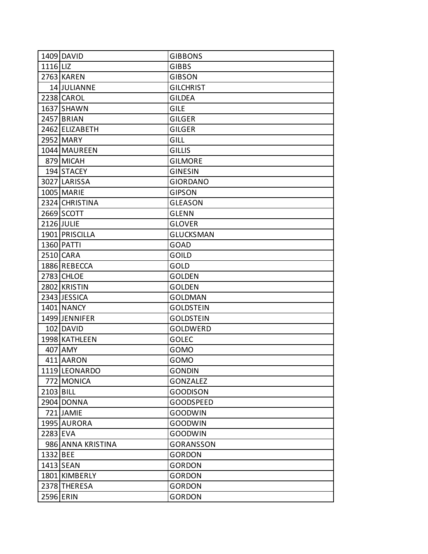|           | 1409 DAVID        | <b>GIBBONS</b>   |
|-----------|-------------------|------------------|
| 1116 LIZ  |                   | <b>GIBBS</b>     |
|           | 2763 KAREN        | <b>GIBSON</b>    |
|           | 14 JULIANNE       | <b>GILCHRIST</b> |
|           | 2238 CAROL        | GILDEA           |
|           | 1637 SHAWN        | <b>GILE</b>      |
|           | 2457 BRIAN        | GILGER           |
|           | 2462 ELIZABETH    | <b>GILGER</b>    |
|           | 2952 MARY         | GILL             |
|           | 1044 MAUREEN      | <b>GILLIS</b>    |
|           | 879 MICAH         | <b>GILMORE</b>   |
|           | 194 STACEY        | <b>GINESIN</b>   |
|           | 3027 LARISSA      | <b>GIORDANO</b>  |
|           | 1005 MARIE        | <b>GIPSON</b>    |
|           | 2324 CHRISTINA    | <b>GLEASON</b>   |
|           | 2669 SCOTT        | <b>GLENN</b>     |
|           | 2126 JULIE        | <b>GLOVER</b>    |
|           | 1901 PRISCILLA    | <b>GLUCKSMAN</b> |
|           | 1360 PATTI        | GOAD             |
|           | 2510 CARA         | <b>GOILD</b>     |
|           | 1886 REBECCA      | GOLD             |
|           | 2783 CHLOE        | <b>GOLDEN</b>    |
|           | 2802 KRISTIN      | <b>GOLDEN</b>    |
|           | 2343 JESSICA      | <b>GOLDMAN</b>   |
|           | 1401 NANCY        | <b>GOLDSTEIN</b> |
|           | 1499 JENNIFER     | <b>GOLDSTEIN</b> |
|           | 102 DAVID         | <b>GOLDWERD</b>  |
|           | 1998 KATHLEEN     | <b>GOLEC</b>     |
|           | 407 AMY           | GOMO             |
|           | 411 AARON         | GOMO             |
|           | 1119 LEONARDO     | <b>GONDIN</b>    |
|           | 772 MONICA        | <b>GONZALEZ</b>  |
| 2103 BILL |                   | <b>GOODISON</b>  |
|           | 2904 DONNA        | <b>GOODSPEED</b> |
|           | 721 JAMIE         | <b>GOODWIN</b>   |
|           | 1995 AURORA       | <b>GOODWIN</b>   |
| 2283 EVA  |                   | <b>GOODWIN</b>   |
|           | 986 ANNA KRISTINA | <b>GORANSSON</b> |
| 1332 BEE  |                   | <b>GORDON</b>    |
|           | 1413 SEAN         | <b>GORDON</b>    |
|           | 1801 KIMBERLY     | <b>GORDON</b>    |
|           | 2378 THERESA      | <b>GORDON</b>    |
|           | 2596 ERIN         | <b>GORDON</b>    |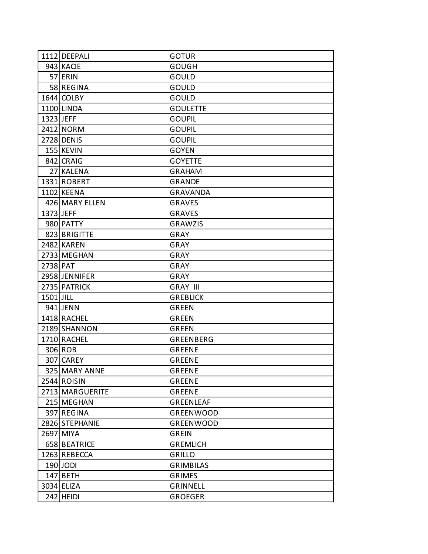|           | 1112 DEEPALI    | <b>GOTUR</b>     |
|-----------|-----------------|------------------|
|           | 943 KACIE       | <b>GOUGH</b>     |
|           | 57 ERIN         | GOULD            |
|           | 58 REGINA       | GOULD            |
|           | 1644 COLBY      | GOULD            |
|           | 1100 LINDA      | <b>GOULETTE</b>  |
| 1323 JEFF |                 | <b>GOUPIL</b>    |
|           | 2412 NORM       | <b>GOUPIL</b>    |
|           | 2728 DENIS      | <b>GOUPIL</b>    |
|           | 155 KEVIN       | <b>GOYEN</b>     |
|           | 842 CRAIG       | <b>GOYETTE</b>   |
|           | 27 KALENA       | <b>GRAHAM</b>    |
|           | 1331 ROBERT     | <b>GRANDE</b>    |
|           | 1102 KEENA      | <b>GRAVANDA</b>  |
|           | 426 MARY ELLEN  | <b>GRAVES</b>    |
| 1373 JEFF |                 | <b>GRAVES</b>    |
|           | 980 PATTY       | <b>GRAWZIS</b>   |
|           | 823 BRIGITTE    | <b>GRAY</b>      |
|           | 2482 KAREN      | GRAY             |
|           | 2733 MEGHAN     | <b>GRAY</b>      |
| 2738 PAT  |                 | GRAY             |
|           | 2958 JENNIFER   | <b>GRAY</b>      |
|           | 2735 PATRICK    | <b>GRAY III</b>  |
| 1501 JILL |                 | <b>GREBLICK</b>  |
|           | 941 JENN        | <b>GREEN</b>     |
|           | 1418 RACHEL     | <b>GREEN</b>     |
|           | 2189 SHANNON    | <b>GREEN</b>     |
|           | 1710 RACHEL     | <b>GREENBERG</b> |
|           | 306 ROB         | <b>GREENE</b>    |
|           | 307 CAREY       | <b>GREENE</b>    |
|           | 325 MARY ANNE   | <b>GREENE</b>    |
|           | 2544 ROISIN     | <b>GREENE</b>    |
|           | 2713 MARGUERITE | <b>GREENE</b>    |
|           | 215 MEGHAN      | <b>GREENLEAF</b> |
|           | 397 REGINA      | <b>GREENWOOD</b> |
|           | 2826 STEPHANIE  | <b>GREENWOOD</b> |
|           | 2697 MIYA       | <b>GREIN</b>     |
|           | 658 BEATRICE    | <b>GREMLICH</b>  |
|           | 1263 REBECCA    | <b>GRILLO</b>    |
|           | 190 JODI        | <b>GRIMBILAS</b> |
|           | $147$ BETH      | <b>GRIMES</b>    |
|           | 3034 ELIZA      | <b>GRINNELL</b>  |
|           | $242$ HEIDI     | <b>GROEGER</b>   |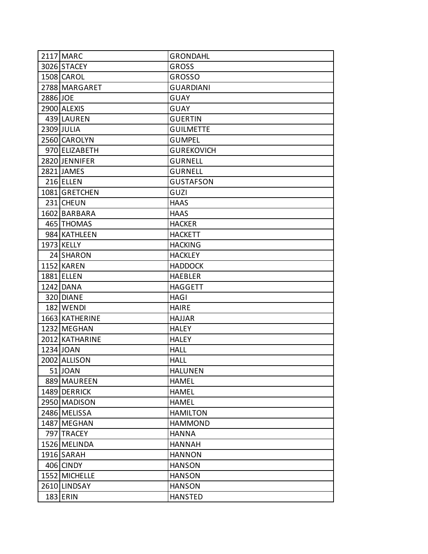|          | 2117 MARC      | <b>GRONDAHL</b>   |
|----------|----------------|-------------------|
|          | 3026 STACEY    | <b>GROSS</b>      |
|          | 1508 CAROL     | <b>GROSSO</b>     |
|          | 2788 MARGARET  | <b>GUARDIANI</b>  |
| 2886 JOE |                | GUAY              |
|          | 2900 ALEXIS    | GUAY              |
|          | 439 LAUREN     | GUERTIN           |
|          | 2309 JULIA     | <b>GUILMETTE</b>  |
|          | 2560 CAROLYN   | GUMPEL            |
|          | 970 ELIZABETH  | <b>GUREKOVICH</b> |
|          | 2820 JENNIFER  | <b>GURNELL</b>    |
|          | 2821 JAMES     | <b>GURNELL</b>    |
|          | 216 ELLEN      | <b>GUSTAFSON</b>  |
|          | 1081 GRETCHEN  | GUZI              |
|          | 231 CHEUN      | HAAS              |
|          | 1602 BARBARA   | <b>HAAS</b>       |
|          | 465 THOMAS     | <b>HACKER</b>     |
|          | 984 KATHLEEN   | <b>HACKETT</b>    |
|          | 1973 KELLY     | <b>HACKING</b>    |
|          | 24 SHARON      | <b>HACKLEY</b>    |
|          | 1152 KAREN     | <b>HADDOCK</b>    |
|          | 1881 ELLEN     | <b>HAEBLER</b>    |
|          | 1242 DANA      | HAGGETT           |
|          | 320 DIANE      | HAGI              |
|          | 182 WENDI      | HAIRE             |
|          | 1663 KATHERINE | <b>HAJJAR</b>     |
|          | 1232 MEGHAN    | HALEY             |
|          | 2012 KATHARINE | <b>HALEY</b>      |
|          | 1234 JOAN      | HALL              |
|          | 2002 ALLISON   | <b>HALL</b>       |
|          | 51 JOAN        | <b>HALUNEN</b>    |
|          | 889 MAUREEN    | <b>HAMEL</b>      |
|          | 1489 DERRICK   | <b>HAMEL</b>      |
|          | 2950 MADISON   | <b>HAMEL</b>      |
|          | 2486 MELISSA   | <b>HAMILTON</b>   |
|          | 1487 MEGHAN    | <b>HAMMOND</b>    |
|          | 797 TRACEY     | <b>HANNA</b>      |
|          | 1526 MELINDA   | <b>HANNAH</b>     |
|          | 1916 SARAH     | <b>HANNON</b>     |
|          | 406 CINDY      | <b>HANSON</b>     |
|          | 1552 MICHELLE  | <b>HANSON</b>     |
|          | 2610 LINDSAY   | <b>HANSON</b>     |
|          | 183 ERIN       | <b>HANSTED</b>    |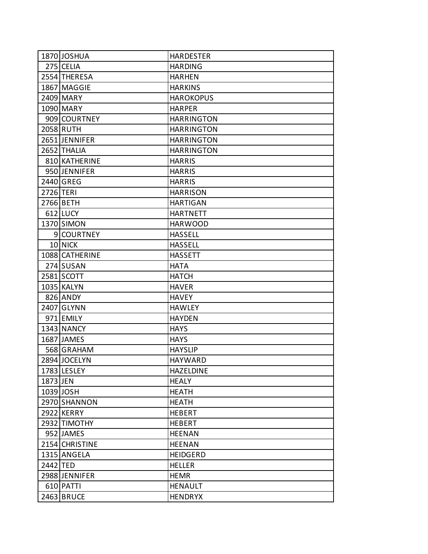|           | 1870 JOSHUA    | <b>HARDESTER</b>  |
|-----------|----------------|-------------------|
|           | 275 CELIA      | <b>HARDING</b>    |
|           | 2554 THERESA   | <b>HARHEN</b>     |
|           | 1867 MAGGIE    | <b>HARKINS</b>    |
|           | 2409 MARY      | <b>HAROKOPUS</b>  |
|           | 1090 MARY      | <b>HARPER</b>     |
|           | 909 COURTNEY   | <b>HARRINGTON</b> |
|           | 2058 RUTH      | <b>HARRINGTON</b> |
|           | 2651 JENNIFER  | <b>HARRINGTON</b> |
|           | 2652 THALIA    | <b>HARRINGTON</b> |
|           | 810 KATHERINE  | <b>HARRIS</b>     |
|           | 950 JENNIFER   | <b>HARRIS</b>     |
|           | 2440 GREG      | <b>HARRIS</b>     |
| 2726 TERI |                | <b>HARRISON</b>   |
|           | 2766 BETH      | <b>HARTIGAN</b>   |
|           | $612$ LUCY     | <b>HARTNETT</b>   |
|           | 1370 SIMON     | <b>HARWOOD</b>    |
|           | 9 COURTNEY     | <b>HASSELL</b>    |
|           | 10 NICK        | <b>HASSELL</b>    |
|           | 1088 CATHERINE | <b>HASSETT</b>    |
|           | 274 SUSAN      | <b>HATA</b>       |
|           | 2581 SCOTT     | <b>HATCH</b>      |
|           | 1035 KALYN     | <b>HAVER</b>      |
|           | 826 ANDY       | <b>HAVEY</b>      |
|           | 2407 GLYNN     | <b>HAWLEY</b>     |
|           | 971 EMILY      | <b>HAYDEN</b>     |
|           | 1343 NANCY     | <b>HAYS</b>       |
|           | 1687 JAMES     | <b>HAYS</b>       |
|           | 568 GRAHAM     | <b>HAYSLIP</b>    |
|           | 2894 JOCELYN   | <b>HAYWARD</b>    |
|           | 1783 LESLEY    | <b>HAZELDINE</b>  |
| 1873 JEN  |                | <b>HEALY</b>      |
|           | 1039 JOSH      | <b>HEATH</b>      |
|           | 2970 SHANNON   | <b>HEATH</b>      |
|           | 2922 KERRY     | <b>HEBERT</b>     |
|           | 2932 TIMOTHY   | <b>HEBERT</b>     |
|           | 952 JAMES      | <b>HEENAN</b>     |
|           | 2154 CHRISTINE | <b>HEENAN</b>     |
|           | 1315 ANGELA    | <b>HEIDGERD</b>   |
| 2442 TED  |                | <b>HELLER</b>     |
|           | 2988 JENNIFER  | <b>HEMR</b>       |
|           | 610 PATTI      | <b>HENAULT</b>    |
|           | 2463 BRUCE     | <b>HENDRYX</b>    |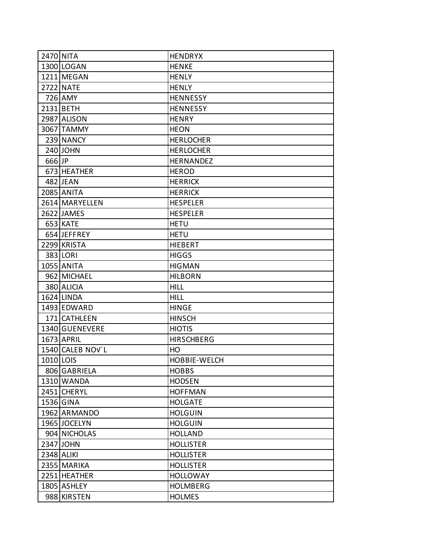|           | 2470 NITA        | <b>HENDRYX</b>    |
|-----------|------------------|-------------------|
|           | 1300 LOGAN       | <b>HENKE</b>      |
|           | 1211 MEGAN       | <b>HENLY</b>      |
|           | <b>2722 NATE</b> | <b>HENLY</b>      |
|           | 726 AMY          | <b>HENNESSY</b>   |
|           | 2131 BETH        | <b>HENNESSY</b>   |
|           | 2987 ALISON      | <b>HENRY</b>      |
|           | 3067 TAMMY       | <b>HEON</b>       |
|           | 239 NANCY        | <b>HERLOCHER</b>  |
|           | 240 JOHN         | <b>HERLOCHER</b>  |
| 666 JP    |                  | HERNANDEZ         |
|           | 673 HEATHER      | <b>HEROD</b>      |
|           | 482 JEAN         | <b>HERRICK</b>    |
|           | 2085 ANITA       | <b>HERRICK</b>    |
|           | 2614 MARYELLEN   | <b>HESPELER</b>   |
|           | 2622 JAMES       | <b>HESPELER</b>   |
|           | 653 KATE         | <b>HETU</b>       |
|           | 654 JEFFREY      | <b>HETU</b>       |
|           | 2299 KRISTA      | <b>HIEBERT</b>    |
|           | 383 LORI         | <b>HIGGS</b>      |
|           | 1055 ANITA       | <b>HIGMAN</b>     |
|           | 962 MICHAEL      | <b>HILBORN</b>    |
|           | 380 ALICIA       | <b>HILL</b>       |
|           | 1624 LINDA       | HILL              |
|           | 1493 EDWARD      | <b>HINGE</b>      |
|           | 171 CATHLEEN     | <b>HINSCH</b>     |
|           | 1340 GUENEVERE   | <b>HIOTIS</b>     |
|           | 1673 APRIL       | <b>HIRSCHBERG</b> |
|           | 1540 CALEB NOV'L | HO                |
| 1010 LOIS |                  | HOBBIE-WELCH      |
|           | 806 GABRIELA     | <b>HOBBS</b>      |
|           | 1310 WANDA       | <b>HODSEN</b>     |
|           | 2451 CHERYL      | <b>HOFFMAN</b>    |
|           | 1536 GINA        | <b>HOLGATE</b>    |
|           | 1962 ARMANDO     | <b>HOLGUIN</b>    |
|           | 1965 JOCELYN     | <b>HOLGUIN</b>    |
|           | 904 NICHOLAS     | <b>HOLLAND</b>    |
|           | 2347 JOHN        | <b>HOLLISTER</b>  |
|           | 2348 ALIKI       | <b>HOLLISTER</b>  |
|           | 2355 MARIKA      | <b>HOLLISTER</b>  |
|           | 2251 HEATHER     | <b>HOLLOWAY</b>   |
|           | 1805 ASHLEY      | <b>HOLMBERG</b>   |
|           | 988 KIRSTEN      | <b>HOLMES</b>     |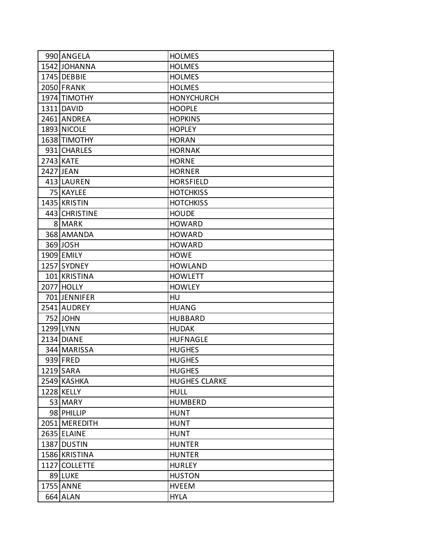| 990 ANGELA        | <b>HOLMES</b>        |
|-------------------|----------------------|
| 1542 JOHANNA      | <b>HOLMES</b>        |
| 1745 DEBBIE       | <b>HOLMES</b>        |
| 2050 FRANK        | <b>HOLMES</b>        |
| 1974 TIMOTHY      | <b>HONYCHURCH</b>    |
| 1311 DAVID        | <b>HOOPLE</b>        |
| 2461 ANDREA       | <b>HOPKINS</b>       |
| 1893 NICOLE       | <b>HOPLEY</b>        |
| 1638 TIMOTHY      | <b>HORAN</b>         |
| 931 CHARLES       | <b>HORNAK</b>        |
| 2743 KATE         | <b>HORNE</b>         |
| 2427 JEAN         | <b>HORNER</b>        |
| 413 LAUREN        | <b>HORSFIELD</b>     |
| 75 KAYLEE         | <b>HOTCHKISS</b>     |
| 1435 KRISTIN      | <b>HOTCHKISS</b>     |
| 443 CHRISTINE     | <b>HOUDE</b>         |
| 8 MARK            | <b>HOWARD</b>        |
| 368 AMANDA        | <b>HOWARD</b>        |
| 369 JOSH          | <b>HOWARD</b>        |
| 1909 EMILY        | <b>HOWE</b>          |
| 1257 SYDNEY       | <b>HOWLAND</b>       |
| 101 KRISTINA      | <b>HOWLETT</b>       |
| <b>2077 HOLLY</b> | <b>HOWLEY</b>        |
| 701 JENNIFER      | <b>HU</b>            |
| 2541 AUDREY       | <b>HUANG</b>         |
| 752 JOHN          | <b>HUBBARD</b>       |
| 1299 LYNN         | <b>HUDAK</b>         |
| 2134 DIANE        | <b>HUFNAGLE</b>      |
| 344 MARISSA       | <b>HUGHES</b>        |
| 939 FRED          | <b>HUGHES</b>        |
| 1219 SARA         | <b>HUGHES</b>        |
| 2549 KASHKA       | <b>HUGHES CLARKE</b> |
| 1228 KELLY        | <b>HULL</b>          |
| 53 MARY           | <b>HUMBERD</b>       |
| 98 PHILLIP        | <b>HUNT</b>          |
| 2051 MEREDITH     | <b>HUNT</b>          |
| 2635 ELAINE       | <b>HUNT</b>          |
| 1387 DUSTIN       | <b>HUNTER</b>        |
| 1586 KRISTINA     | <b>HUNTER</b>        |
| 1127 COLLETTE     | <b>HURLEY</b>        |
| 89 LUKE           | <b>HUSTON</b>        |
| 1755 ANNE         | <b>HVEEM</b>         |
| 664 ALAN          | <b>HYLA</b>          |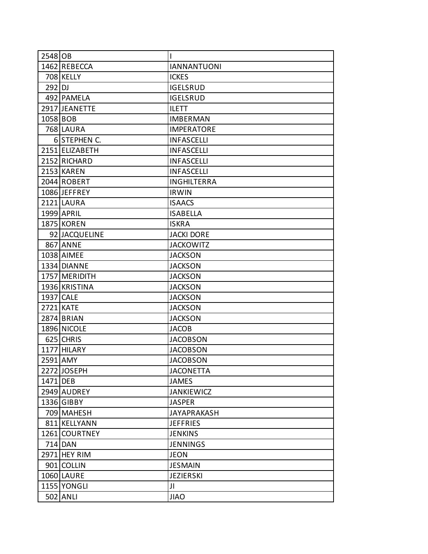| 2548 OB  |                | I                  |
|----------|----------------|--------------------|
|          | 1462 REBECCA   | <b>IANNANTUONI</b> |
|          | 708 KELLY      | <b>ICKES</b>       |
| $292$ DJ |                | <b>IGELSRUD</b>    |
|          | 492 PAMELA     | <b>IGELSRUD</b>    |
|          | 2917 JEANETTE  | <b>ILETT</b>       |
| 1058 BOB |                | <b>IMBERMAN</b>    |
|          | 768 LAURA      | <b>IMPERATORE</b>  |
|          | 6 STEPHEN C.   | <b>INFASCELLI</b>  |
|          | 2151 ELIZABETH | <b>INFASCELLI</b>  |
|          | 2152 RICHARD   | <b>INFASCELLI</b>  |
|          | 2153 KAREN     | <b>INFASCELLI</b>  |
|          | 2044 ROBERT    | <b>INGHILTERRA</b> |
|          | 1086 JEFFREY   | <b>IRWIN</b>       |
|          | 2121 LAURA     | <b>ISAACS</b>      |
|          | 1999 APRIL     | <b>ISABELLA</b>    |
|          | 1875 KOREN     | <b>ISKRA</b>       |
|          | 92 JACQUELINE  | <b>JACKI DORE</b>  |
|          | 867 ANNE       | <b>JACKOWITZ</b>   |
|          | 1038 AIMEE     | <b>JACKSON</b>     |
|          | 1334 DIANNE    | <b>JACKSON</b>     |
|          | 1757 MERIDITH  | <b>JACKSON</b>     |
|          | 1936 KRISTINA  | <b>JACKSON</b>     |
|          | 1937 CALE      | <b>JACKSON</b>     |
|          | 2721 KATE      | <b>JACKSON</b>     |
|          | 2874 BRIAN     | <b>JACKSON</b>     |
|          | 1896 NICOLE    | <b>JACOB</b>       |
|          | 625 CHRIS      | <b>JACOBSON</b>    |
|          | 1177 HILARY    | <b>JACOBSON</b>    |
| 2591 AMY |                | <b>JACOBSON</b>    |
|          | 2272 JOSEPH    | <b>JACONETTA</b>   |
| 1471 DEB |                | <b>JAMES</b>       |
|          | 2949 AUDREY    | <b>JANKIEWICZ</b>  |
|          | 1336 GIBBY     | <b>JASPER</b>      |
|          | 709 MAHESH     | <b>JAYAPRAKASH</b> |
|          | 811 KELLYANN   | <b>JEFFRIES</b>    |
|          | 1261 COURTNEY  | <b>JENKINS</b>     |
|          | 714 DAN        | <b>JENNINGS</b>    |
|          | 2971 HEY RIM   | <b>JEON</b>        |
|          | 901 COLLIN     | <b>JESMAIN</b>     |
|          | 1060 LAURE     | <b>JEZIERSKI</b>   |
|          | 1155 YONGLI    | JI                 |
|          | 502 ANLI       | <b>JIAO</b>        |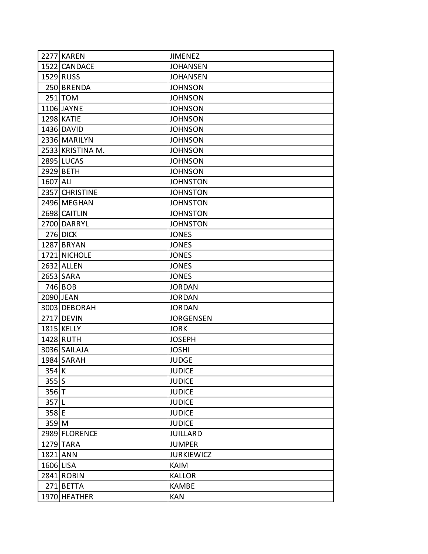|           | 2277 KAREN       | <b>JIMENEZ</b>    |
|-----------|------------------|-------------------|
|           | 1522 CANDACE     | <b>JOHANSEN</b>   |
|           | 1529 RUSS        | <b>JOHANSEN</b>   |
|           | 250 BRENDA       | <b>JOHNSON</b>    |
|           | $251$ TOM        | <b>JOHNSON</b>    |
|           | 1106 JAYNE       | <b>JOHNSON</b>    |
|           | 1298 KATIE       | <b>JOHNSON</b>    |
|           | 1436 DAVID       | <b>JOHNSON</b>    |
|           | 2336 MARILYN     | <b>JOHNSON</b>    |
|           | 2533 KRISTINA M. | <b>JOHNSON</b>    |
|           | 2895 LUCAS       | <b>JOHNSON</b>    |
|           | 2929 BETH        | <b>JOHNSON</b>    |
| 1607 ALI  |                  | <b>JOHNSTON</b>   |
|           | 2357 CHRISTINE   | <b>JOHNSTON</b>   |
|           | 2496 MEGHAN      | <b>JOHNSTON</b>   |
|           | 2698 CAITLIN     | <b>JOHNSTON</b>   |
|           | 2700 DARRYL      | <b>JOHNSTON</b>   |
|           | 276 DICK         | <b>JONES</b>      |
|           | 1287 BRYAN       | <b>JONES</b>      |
|           | 1721 NICHOLE     | <b>JONES</b>      |
|           | 2632 ALLEN       | <b>JONES</b>      |
|           | 2653 SARA        | <b>JONES</b>      |
|           | 746 BOB          | <b>JORDAN</b>     |
|           | 2090 JEAN        | <b>JORDAN</b>     |
|           | 3003 DEBORAH     | <b>JORDAN</b>     |
|           | 2717 DEVIN       | <b>JORGENSEN</b>  |
|           | 1815 KELLY       | <b>JORK</b>       |
|           | 1428 RUTH        | <b>JOSEPH</b>     |
|           | 3036 SAILAJA     | <b>JOSHI</b>      |
|           | 1984 SARAH       | <b>JUDGE</b>      |
| 354K      |                  | <b>JUDICE</b>     |
| $355$ S   |                  | <b>JUDICE</b>     |
| $356$ T   |                  | <b>JUDICE</b>     |
| 357L      |                  | <b>JUDICE</b>     |
| 358 E     |                  | <b>JUDICE</b>     |
| 359 M     |                  | <b>JUDICE</b>     |
|           | 2989 FLORENCE    | <b>JUILLARD</b>   |
|           | 1279 TARA        | <b>JUMPER</b>     |
| 1821 ANN  |                  | <b>JURKIEWICZ</b> |
| 1606 LISA |                  | <b>KAIM</b>       |
|           | 2841 ROBIN       | <b>KALLOR</b>     |
|           | 271 BETTA        | <b>KAMBE</b>      |
|           | 1970 HEATHER     | <b>KAN</b>        |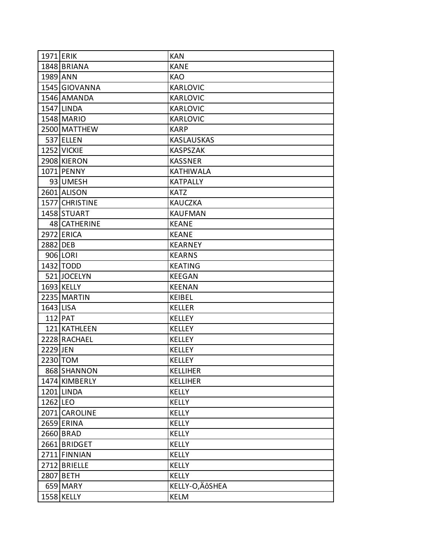| <b>1971 ERIK</b> |                | <b>KAN</b>        |
|------------------|----------------|-------------------|
|                  | 1848 BRIANA    | <b>KANE</b>       |
| 1989 ANN         |                | <b>KAO</b>        |
|                  | 1545 GIOVANNA  | KARLOVIC          |
|                  | 1546 AMANDA    | <b>KARLOVIC</b>   |
|                  | 1547 LINDA     | <b>KARLOVIC</b>   |
|                  | 1548 MARIO     | <b>KARLOVIC</b>   |
|                  | 2500 MATTHEW   | <b>KARP</b>       |
|                  | 537 ELLEN      | <b>KASLAUSKAS</b> |
|                  | 1252 VICKIE    | <b>KASPSZAK</b>   |
|                  | 2908 KIERON    | <b>KASSNER</b>    |
|                  | 1071 PENNY     | <b>KATHIWALA</b>  |
|                  | 93 UMESH       | <b>KATPALLY</b>   |
|                  | 2601 ALISON    | <b>KATZ</b>       |
|                  | 1577 CHRISTINE | <b>KAUCZKA</b>    |
|                  | 1458 STUART    | <b>KAUFMAN</b>    |
|                  | 48 CATHERINE   | <b>KEANE</b>      |
|                  | 2972 ERICA     | <b>KEANE</b>      |
| 2882 DEB         |                | <b>KEARNEY</b>    |
|                  | 906 LORI       | <b>KEARNS</b>     |
|                  | 1432 TODD      | <b>KEATING</b>    |
|                  | 521 JOCELYN    | <b>KEEGAN</b>     |
|                  | 1693 KELLY     | <b>KEENAN</b>     |
|                  | 2235 MARTIN    | <b>KEIBEL</b>     |
| 1643 LISA        |                | <b>KELLER</b>     |
|                  | 112 PAT        | <b>KELLEY</b>     |
|                  | 121 KATHLEEN   | <b>KELLEY</b>     |
|                  | 2228 RACHAEL   | <b>KELLEY</b>     |
| 2229 JEN         |                | <b>KELLEY</b>     |
|                  | 2230 TOM       | <b>KELLEY</b>     |
|                  | 868 SHANNON    | <b>KELLIHER</b>   |
|                  | 1474 KIMBERLY  | <b>KELLIHER</b>   |
|                  | 1201 LINDA     | <b>KELLY</b>      |
| 1262 LEO         |                | <b>KELLY</b>      |
|                  | 2071 CAROLINE  | <b>KELLY</b>      |
|                  | 2659 ERINA     | <b>KELLY</b>      |
|                  | 2660 BRAD      | <b>KELLY</b>      |
|                  | 2661 BRIDGET   | <b>KELLY</b>      |
|                  | 2711 FINNIAN   | <b>KELLY</b>      |
|                  | 2712 BRIELLE   | <b>KELLY</b>      |
|                  | 2807 BETH      | <b>KELLY</b>      |
|                  | 659 MARY       | KELLY-O, ÄÔSHEA   |
|                  | 1558 KELLY     | <b>KELM</b>       |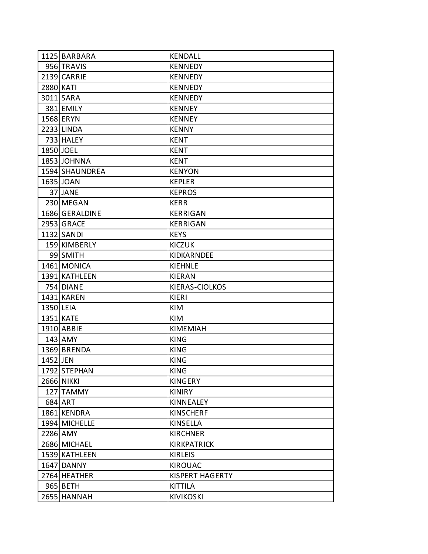|           | 1125 BARBARA      | <b>KENDALL</b>         |
|-----------|-------------------|------------------------|
|           | 956 TRAVIS        | <b>KENNEDY</b>         |
|           | 2139 CARRIE       | <b>KENNEDY</b>         |
| 2880 KATI |                   | <b>KENNEDY</b>         |
|           | 3011 SARA         | <b>KENNEDY</b>         |
|           | 381 EMILY         | <b>KENNEY</b>          |
|           | 1568 ERYN         | <b>KENNEY</b>          |
|           | 2233 LINDA        | <b>KENNY</b>           |
|           | 733 HALEY         | <b>KENT</b>            |
|           | 1850 JOEL         | <b>KENT</b>            |
|           | 1853 JOHNNA       | <b>KENT</b>            |
|           | 1594 SHAUNDREA    | <b>KENYON</b>          |
|           | 1635 JOAN         | <b>KEPLER</b>          |
|           | 37 JANE           | <b>KEPROS</b>          |
|           | 230 MEGAN         | <b>KERR</b>            |
|           | 1686 GERALDINE    | <b>KERRIGAN</b>        |
|           | 2953 GRACE        | <b>KERRIGAN</b>        |
|           | 1132 SANDI        | <b>KEYS</b>            |
|           | 159 KIMBERLY      | <b>KICZUK</b>          |
|           | 99 SMITH          | KIDKARNDEE             |
|           | 1461 MONICA       | <b>KIEHNLE</b>         |
|           | 1391 KATHLEEN     | <b>KIERAN</b>          |
|           | 754 DIANE         | KIERAS-CIOLKOS         |
|           | 1431 KAREN        | KIERI                  |
| 1350 LEIA |                   | KIM                    |
|           | 1351 KATE         | <b>KIM</b>             |
|           | 1910 ABBIE        | <b>KIMEMIAH</b>        |
|           | $143$ AMY         | <b>KING</b>            |
|           | 1369 BRENDA       | <b>KING</b>            |
| 1452 JEN  |                   | <b>KING</b>            |
|           | 1792 STEPHAN      | <b>KING</b>            |
|           | <b>2666 NIKKI</b> | <b>KINGERY</b>         |
|           | 127 TAMMY         | <b>KINIRY</b>          |
|           | 684 ART           | <b>KINNEALEY</b>       |
|           | 1861 KENDRA       | <b>KINSCHERF</b>       |
|           | 1994 MICHELLE     | <b>KINSELLA</b>        |
|           | 2286 AMY          | <b>KIRCHNER</b>        |
|           | 2686 MICHAEL      | <b>KIRKPATRICK</b>     |
|           | 1539 KATHLEEN     | <b>KIRLEIS</b>         |
|           | 1647 DANNY        | <b>KIROUAC</b>         |
|           | 2764 HEATHER      | <b>KISPERT HAGERTY</b> |
|           | 965 BETH          | <b>KITTILA</b>         |
|           | 2655 HANNAH       | <b>KIVIKOSKI</b>       |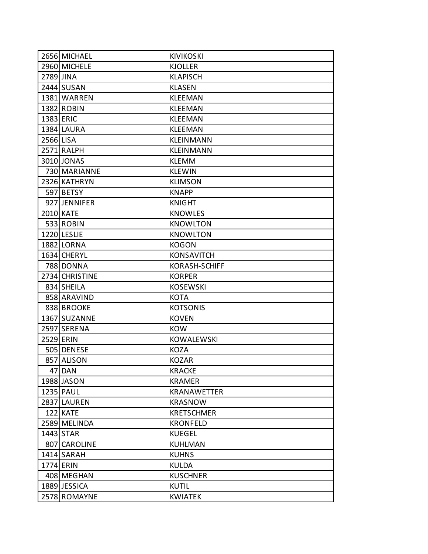|           | 2656 MICHAEL   | <b>KIVIKOSKI</b>   |
|-----------|----------------|--------------------|
|           | 2960 MICHELE   | <b>KJOLLER</b>     |
| 2789 JINA |                | <b>KLAPISCH</b>    |
|           | 2444 SUSAN     | <b>KLASEN</b>      |
|           | 1381 WARREN    | <b>KLEEMAN</b>     |
|           | 1382 ROBIN     | <b>KLEEMAN</b>     |
| 1383 ERIC |                | <b>KLEEMAN</b>     |
|           | 1384 LAURA     | <b>KLEEMAN</b>     |
| 2566 LISA |                | <b>KLEINMANN</b>   |
|           | 2571 RALPH     | KLEINMANN          |
|           | 3010 JONAS     | <b>KLEMM</b>       |
|           | 730 MARIANNE   | <b>KLEWIN</b>      |
|           | 2326 KATHRYN   | <b>KLIMSON</b>     |
|           | 597 BETSY      | <b>KNAPP</b>       |
|           | 927 JENNIFER   | <b>KNIGHT</b>      |
|           | 2010 KATE      | <b>KNOWLES</b>     |
|           | 533 ROBIN      | <b>KNOWLTON</b>    |
|           | 1220 LESLIE    | <b>KNOWLTON</b>    |
|           | 1882 LORNA     | <b>KOGON</b>       |
|           | 1634 CHERYL    | <b>KONSAVITCH</b>  |
|           | 788 DONNA      | KORASH-SCHIFF      |
|           | 2734 CHRISTINE | <b>KORPER</b>      |
|           | 834 SHEILA     | <b>KOSEWSKI</b>    |
|           | 858 ARAVIND    | <b>KOTA</b>        |
|           | 838 BROOKE     | <b>KOTSONIS</b>    |
|           | 1367 SUZANNE   | <b>KOVEN</b>       |
|           | 2597 SERENA    | <b>KOW</b>         |
| 2529 ERIN |                | <b>KOWALEWSKI</b>  |
|           | 505 DENESE     | <b>KOZA</b>        |
|           | 857 ALISON     | <b>KOZAR</b>       |
|           | 47 DAN         | <b>KRACKE</b>      |
|           | 1988 JASON     | <b>KRAMER</b>      |
|           | 1235 PAUL      | <b>KRANAWETTER</b> |
|           | 2837 LAUREN    | <b>KRASNOW</b>     |
|           | 122 KATE       | <b>KRETSCHMER</b>  |
|           | 2589 MELINDA   | <b>KRONFELD</b>    |
|           | 1443 STAR      | <b>KUEGEL</b>      |
|           | 807 CAROLINE   | <b>KUHLMAN</b>     |
|           | 1414 SARAH     | <b>KUHNS</b>       |
| 1774 ERIN |                | <b>KULDA</b>       |
|           | 408 MEGHAN     | <b>KUSCHNER</b>    |
|           | 1889 JESSICA   | <b>KUTIL</b>       |
|           | 2578 ROMAYNE   | <b>KWIATEK</b>     |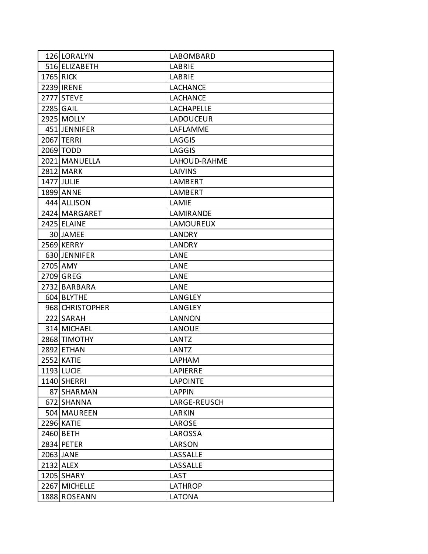| 126 LORALYN       | LABOMBARD         |
|-------------------|-------------------|
| 516 ELIZABETH     | LABRIE            |
| <b>1765 RICK</b>  | LABRIE            |
| 2239 IRENE        | <b>LACHANCE</b>   |
| 2777 STEVE        | <b>LACHANCE</b>   |
| 2285 GAIL         | <b>LACHAPELLE</b> |
| 2925 MOLLY        | <b>LADOUCEUR</b>  |
| 451 JENNIFER      | LAFLAMME          |
| 2067 TERRI        | LAGGIS            |
| 2069 TODD         | <b>LAGGIS</b>     |
| 2021 MANUELLA     | LAHOUD-RAHME      |
| 2812 MARK         | <b>LAIVINS</b>    |
| 1477 JULIE        | LAMBERT           |
| 1899 ANNE         | <b>LAMBERT</b>    |
| 444 ALLISON       | LAMIE             |
| 2424 MARGARET     | LAMIRANDE         |
| 2425 ELAINE       | <b>LAMOUREUX</b>  |
| 30 JAMEE          | LANDRY            |
| 2569 KERRY        | <b>LANDRY</b>     |
| 630 JENNIFER      | LANE              |
| 2705 AMY          | LANE              |
| 2709 GREG         | LANE              |
| 2732 BARBARA      | LANE              |
| 604 BLYTHE        | LANGLEY           |
| 968 CHRISTOPHER   | LANGLEY           |
| 222 SARAH         | <b>LANNON</b>     |
| 314 MICHAEL       | <b>LANOUE</b>     |
| 2868 TIMOTHY      | <b>LANTZ</b>      |
| 2892 ETHAN        | LANTZ             |
| <b>2552 KATIE</b> | LAPHAM            |
| 1193 LUCIE        | LAPIERRE          |
| 1140 SHERRI       | <b>LAPOINTE</b>   |
| 87 SHARMAN        | <b>LAPPIN</b>     |
| 672 SHANNA        | LARGE-REUSCH      |
| 504 MAUREEN       | LARKIN            |
| 2296 KATIE        | LAROSE            |
| 2460 BETH         | LAROSSA           |
| 2834 PETER        | LARSON            |
| 2063 JANE         | LASSALLE          |
| 2132 ALEX         | LASSALLE          |
| 1205 SHARY        | LAST              |
| 2267 MICHELLE     | <b>LATHROP</b>    |
| 1888 ROSEANN      | <b>LATONA</b>     |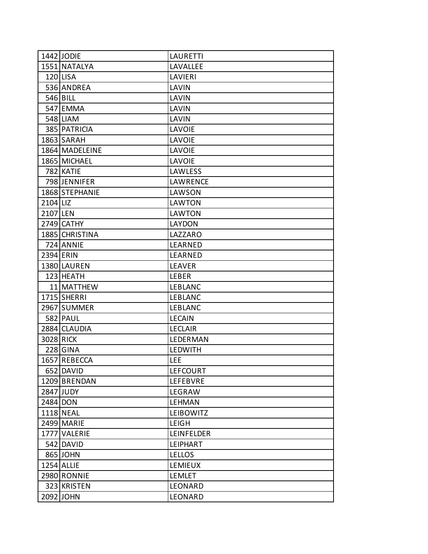|          | 1442 JODIE     | <b>LAURETTI</b>   |
|----------|----------------|-------------------|
|          | 1551 NATALYA   | LAVALLEE          |
|          | 120 LISA       | <b>LAVIERI</b>    |
|          | 536 ANDREA     | LAVIN             |
|          | 546 BILL       | LAVIN             |
|          | 547 EMMA       | LAVIN             |
|          | 548 LIAM       | LAVIN             |
|          | 385 PATRICIA   | <b>LAVOIE</b>     |
|          | 1863 SARAH     | <b>LAVOIE</b>     |
|          | 1864 MADELEINE | <b>LAVOIE</b>     |
|          | 1865 MICHAEL   | <b>LAVOIE</b>     |
|          | 782 KATIE      | <b>LAWLESS</b>    |
|          | 798 JENNIFER   | LAWRENCE          |
|          | 1868 STEPHANIE | LAWSON            |
| 2104 LIZ |                | <b>LAWTON</b>     |
| 2107 LEN |                | <b>LAWTON</b>     |
|          | 2749 CATHY     | <b>LAYDON</b>     |
|          | 1885 CHRISTINA | LAZZARO           |
|          | 724 ANNIE      | LEARNED           |
|          | 2394 ERIN      | LEARNED           |
|          | 1380 LAUREN    | <b>LEAVER</b>     |
|          | 123 HEATH      | <b>LEBER</b>      |
|          | 11 MATTHEW     | <b>LEBLANC</b>    |
|          | 1715 SHERRI    | <b>LEBLANC</b>    |
|          | 2967 SUMMER    | <b>LEBLANC</b>    |
|          | 582 PAUL       | <b>LECAIN</b>     |
|          | 2884 CLAUDIA   | <b>LECLAIR</b>    |
|          | 3028 RICK      | <b>LEDERMAN</b>   |
|          | 228 GINA       | <b>LEDWITH</b>    |
|          | 1657 REBECCA   | LEE               |
|          | 652 DAVID      | LEFCOURT          |
|          | 1209 BRENDAN   | <b>LEFEBVRE</b>   |
|          | 2847 JUDY      | LEGRAW            |
|          | 2484 DON       | <b>LEHMAN</b>     |
|          | 1118 NEAL      | <b>LEIBOWITZ</b>  |
|          | 2499 MARIE     | <b>LEIGH</b>      |
|          | 1777 VALERIE   | <b>LEINFELDER</b> |
|          | 542 DAVID      | <b>LEIPHART</b>   |
|          | 865 JOHN       | <b>LELLOS</b>     |
|          | 1254 ALLIE     | <b>LEMIEUX</b>    |
|          | 2980 RONNIE    | <b>LEMLET</b>     |
|          | 323 KRISTEN    | LEONARD           |
|          | 2092 JOHN      | LEONARD           |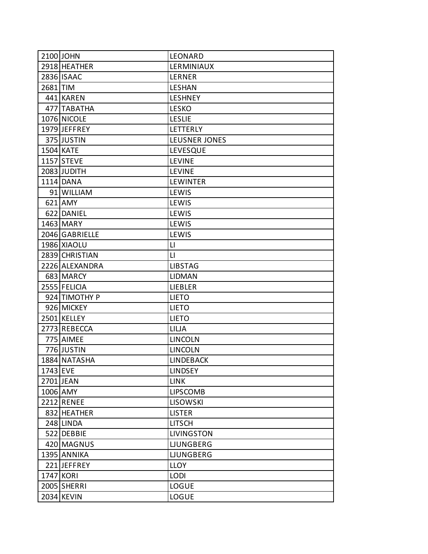|          | 2100 JOHN      | LEONARD              |
|----------|----------------|----------------------|
|          | 2918 HEATHER   | LERMINIAUX           |
|          | 2836 ISAAC     | LERNER               |
| 2681 TIM |                | <b>LESHAN</b>        |
|          | 441 KAREN      | <b>LESHNEY</b>       |
|          | 477 TABATHA    | <b>LESKO</b>         |
|          | 1076 NICOLE    | <b>LESLIE</b>        |
|          | 1979 JEFFREY   | LETTERLY             |
|          | 375 JUSTIN     | <b>LEUSNER JONES</b> |
|          | 1504 KATE      | LEVESQUE             |
|          | 1157 STEVE     | <b>LEVINE</b>        |
|          | 2083 JUDITH    | <b>LEVINE</b>        |
|          | 1114 DANA      | <b>LEWINTER</b>      |
|          | 91 WILLIAM     | LEWIS                |
|          | $621$ AMY      | LEWIS                |
|          | 622 DANIEL     | LEWIS                |
|          | 1463 MARY      | LEWIS                |
|          | 2046 GABRIELLE | LEWIS                |
|          | 1986 XIAOLU    | $\mathsf{L}$         |
|          | 2839 CHRISTIAN | $\mathsf{L}$         |
|          | 2226 ALEXANDRA | <b>LIBSTAG</b>       |
|          | 683 MARCY      | <b>LIDMAN</b>        |
|          | 2555 FELICIA   | <b>LIEBLER</b>       |
|          | 924 TIMOTHY P  | <b>LIETO</b>         |
|          | 926 MICKEY     | <b>LIETO</b>         |
|          | 2501 KELLEY    | <b>LIETO</b>         |
|          | 2773 REBECCA   | <b>LILJA</b>         |
|          | 775 AIMEE      | <b>LINCOLN</b>       |
|          | 776 JUSTIN     | <b>LINCOLN</b>       |
|          | 1884 NATASHA   | <b>LINDEBACK</b>     |
| 1743 EVE |                | <b>LINDSEY</b>       |
|          | 2701 JEAN      | <b>LINK</b>          |
|          | 1006 AMY       | <b>LIPSCOMB</b>      |
|          | 2212 RENEE     | <b>LISOWSKI</b>      |
|          | 832 HEATHER    | <b>LISTER</b>        |
|          | 248 LINDA      | <b>LITSCH</b>        |
|          | 522 DEBBIE     | <b>LIVINGSTON</b>    |
|          | 420 MAGNUS     | <b>LJUNGBERG</b>     |
|          | 1395 ANNIKA    | <b>LJUNGBERG</b>     |
|          | 221 JEFFREY    | <b>LLOY</b>          |
|          | 1747 KORI      | <b>LODI</b>          |
|          | 2005 SHERRI    | LOGUE                |
|          | 2034 KEVIN     | <b>LOGUE</b>         |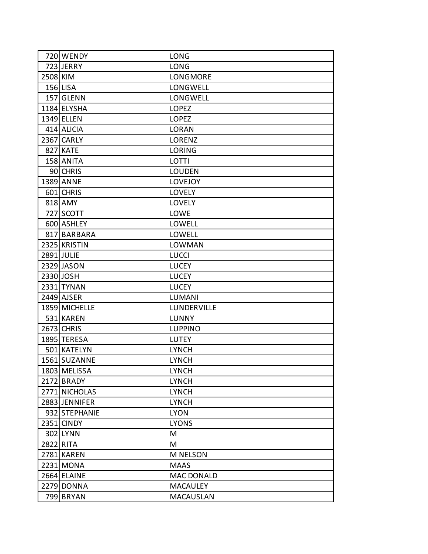|          | 720 WENDY     | <b>LONG</b>       |
|----------|---------------|-------------------|
|          | 723 JERRY     | <b>LONG</b>       |
| 2508 KIM |               | LONGMORE          |
|          | $156$ LISA    | LONGWELL          |
|          | 157 GLENN     | LONGWELL          |
|          | 1184 ELYSHA   | <b>LOPEZ</b>      |
|          | 1349 ELLEN    | <b>LOPEZ</b>      |
|          | 414 ALICIA    | <b>LORAN</b>      |
|          | 2367 CARLY    | LORENZ            |
|          | 827 KATE      | <b>LORING</b>     |
|          | 158 ANITA     | LOTTI             |
|          | 90 CHRIS      | <b>LOUDEN</b>     |
|          | 1389 ANNE     | <b>LOVEJOY</b>    |
|          | 601 CHRIS     | <b>LOVELY</b>     |
|          | 818 AMY       | <b>LOVELY</b>     |
|          | 727 SCOTT     | LOWE              |
|          | 600 ASHLEY    | LOWELL            |
|          | 817 BARBARA   | LOWELL            |
|          | 2325 KRISTIN  | <b>LOWMAN</b>     |
|          | 2891 JULIE    | <b>LUCCI</b>      |
|          | 2329 JASON    | <b>LUCEY</b>      |
|          | 2330 JOSH     | <b>LUCEY</b>      |
|          | 2331 TYNAN    | <b>LUCEY</b>      |
|          | 2449 AJSER    | <b>LUMANI</b>     |
|          | 1859 MICHELLE | LUNDERVILLE       |
|          | 531 KAREN     | <b>LUNNY</b>      |
|          | 2673 CHRIS    | <b>LUPPINO</b>    |
|          | 1895 TERESA   | <b>LUTEY</b>      |
|          | 501 KATELYN   | <b>LYNCH</b>      |
|          | 1561 SUZANNE  | <b>LYNCH</b>      |
|          | 1803 MELISSA  | <b>LYNCH</b>      |
|          | 2172 BRADY    | <b>LYNCH</b>      |
|          | 2771 NICHOLAS | <b>LYNCH</b>      |
|          | 2883 JENNIFER | <b>LYNCH</b>      |
|          | 932 STEPHANIE | <b>LYON</b>       |
|          | 2351 CINDY    | <b>LYONS</b>      |
|          | 302 LYNN      | M                 |
|          | 2822 RITA     | M                 |
|          | 2781 KAREN    | <b>M NELSON</b>   |
|          | 2231 MONA     | <b>MAAS</b>       |
|          | 2664 ELAINE   | <b>MAC DONALD</b> |
|          | 2279 DONNA    | <b>MACAULEY</b>   |
|          | 799 BRYAN     | <b>MACAUSLAN</b>  |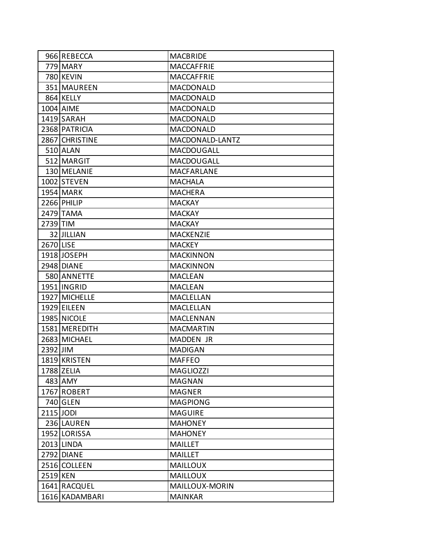|           | 966 REBECCA    | <b>MACBRIDE</b>   |
|-----------|----------------|-------------------|
|           | 779 MARY       | MACCAFFRIE        |
|           | 780 KEVIN      | MACCAFFRIE        |
|           | 351 MAUREEN    | <b>MACDONALD</b>  |
|           | 864 KELLY      | <b>MACDONALD</b>  |
|           | 1004 AIME      | <b>MACDONALD</b>  |
|           | 1419 SARAH     | <b>MACDONALD</b>  |
|           | 2368 PATRICIA  | <b>MACDONALD</b>  |
|           | 2867 CHRISTINE | MACDONALD-LANTZ   |
|           | 510 ALAN       | <b>MACDOUGALL</b> |
|           | 512 MARGIT     | <b>MACDOUGALL</b> |
|           | 130 MELANIE    | <b>MACFARLANE</b> |
|           | 1002 STEVEN    | <b>MACHALA</b>    |
|           | 1954 MARK      | <b>MACHERA</b>    |
|           | 2266 PHILIP    | <b>MACKAY</b>     |
|           | 2479 TAMA      | <b>MACKAY</b>     |
| 2739 TIM  |                | <b>MACKAY</b>     |
|           | 32 JILLIAN     | <b>MACKENZIE</b>  |
| 2670 LISE |                | <b>MACKEY</b>     |
|           | 1918 JOSEPH    | <b>MACKINNON</b>  |
|           | 2948 DIANE     | <b>MACKINNON</b>  |
|           | 580 ANNETTE    | <b>MACLEAN</b>    |
|           | 1951 INGRID    | <b>MACLEAN</b>    |
|           | 1927 MICHELLE  | MACLELLAN         |
|           | 1929 EILEEN    | MACLELLAN         |
|           | 1985 NICOLE    | <b>MACLENNAN</b>  |
|           | 1581 MEREDITH  | <b>MACMARTIN</b>  |
|           | 2683 MICHAEL   | MADDEN JR         |
| 2392 JIM  |                | <b>MADIGAN</b>    |
|           | 1819 KRISTEN   | <b>MAFFEO</b>     |
|           | 1788 ZELIA     | <b>MAGLIOZZI</b>  |
|           | 483 AMY        | <b>MAGNAN</b>     |
|           | 1767 ROBERT    | <b>MAGNER</b>     |
|           | 740 GLEN       | <b>MAGPIONG</b>   |
| 2115 JODI |                | <b>MAGUIRE</b>    |
|           | 236 LAUREN     | <b>MAHONEY</b>    |
|           | 1952 LORISSA   | <b>MAHONEY</b>    |
|           | 2013 LINDA     | <b>MAILLET</b>    |
|           | 2792 DIANE     | <b>MAILLET</b>    |
|           | 2516 COLLEEN   | <b>MAILLOUX</b>   |
| 2519 KEN  |                | <b>MAILLOUX</b>   |
|           | 1641 RACQUEL   | MAILLOUX-MORIN    |
|           | 1616 KADAMBARI | <b>MAINKAR</b>    |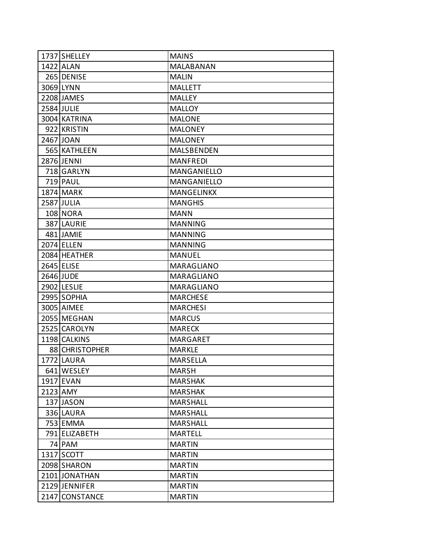| 1737 SHELLEY    | <b>MAINS</b>      |
|-----------------|-------------------|
| 1422 ALAN       | MALABANAN         |
| 265 DENISE      | <b>MALIN</b>      |
| 3069 LYNN       | <b>MALLETT</b>    |
| 2208 JAMES      | <b>MALLEY</b>     |
| 2584 JULIE      | <b>MALLOY</b>     |
| 3004 KATRINA    | <b>MALONE</b>     |
| 922 KRISTIN     | <b>MALONEY</b>    |
| 2467 JOAN       | <b>MALONEY</b>    |
| 565 KATHLEEN    | <b>MALSBENDEN</b> |
| 2876 JENNI      | <b>MANFREDI</b>   |
| 718 GARLYN      | MANGANIELLO       |
| 719 PAUL        | MANGANIELLO       |
| 1874 MARK       | <b>MANGELINKX</b> |
| 2587 JULIA      | <b>MANGHIS</b>    |
| <b>108 NORA</b> | <b>MANN</b>       |
| 387 LAURIE      | <b>MANNING</b>    |
| 481 JAMIE       | <b>MANNING</b>    |
| 2074 ELLEN      | <b>MANNING</b>    |
| 2084 HEATHER    | <b>MANUEL</b>     |
| 2645 ELISE      | <b>MARAGLIANO</b> |
| 2646 JUDE       | MARAGLIANO        |
| 2902 LESLIE     | MARAGLIANO        |
| 2995 SOPHIA     | <b>MARCHESE</b>   |
| 3005 AIMEE      | <b>MARCHESI</b>   |
| 2055 MEGHAN     | <b>MARCUS</b>     |
| 2525 CAROLYN    | <b>MARECK</b>     |
| 1198 CALKINS    | <b>MARGARET</b>   |
| 88 CHRISTOPHER  | <b>MARKLE</b>     |
| 1772 LAURA      | <b>MARSELLA</b>   |
| 641 WESLEY      | <b>MARSH</b>      |
| 1917 EVAN       | <b>MARSHAK</b>    |
| 2123 AMY        | <b>MARSHAK</b>    |
| 137 JASON       | <b>MARSHALL</b>   |
| 336 LAURA       | <b>MARSHALL</b>   |
| 753 EMMA        | <b>MARSHALL</b>   |
| 791 ELIZABETH   | <b>MARTELL</b>    |
| 74 PAM          | <b>MARTIN</b>     |
| 1317 SCOTT      | <b>MARTIN</b>     |
| 2098 SHARON     | <b>MARTIN</b>     |
| 2101 JONATHAN   | <b>MARTIN</b>     |
| 2129 JENNIFER   | <b>MARTIN</b>     |
| 2147 CONSTANCE  | <b>MARTIN</b>     |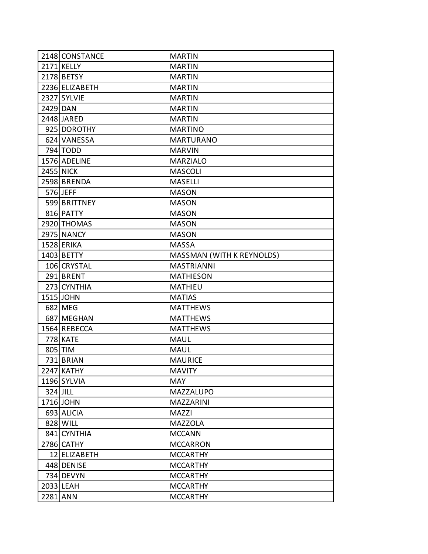|          | 2148 CONSTANCE    | <b>MARTIN</b>             |
|----------|-------------------|---------------------------|
|          | 2171 KELLY        | <b>MARTIN</b>             |
|          | 2178 BETSY        | <b>MARTIN</b>             |
|          | 2236 ELIZABETH    | <b>MARTIN</b>             |
|          | 2327 SYLVIE       | <b>MARTIN</b>             |
| 2429 DAN |                   | <b>MARTIN</b>             |
|          | 2448 JARED        | <b>MARTIN</b>             |
|          | 925 DOROTHY       | <b>MARTINO</b>            |
|          | 624 VANESSA       | <b>MARTURANO</b>          |
|          | 794 TODD          | <b>MARVIN</b>             |
|          | 1576 ADELINE      | <b>MARZIALO</b>           |
|          | <b>2455 NICK</b>  | <b>MASCOLI</b>            |
|          | 2598 BRENDA       | <b>MASELLI</b>            |
|          | 576 JEFF          | <b>MASON</b>              |
|          | 599 BRITTNEY      | <b>MASON</b>              |
|          | 816 PATTY         | <b>MASON</b>              |
|          | 2920 THOMAS       | <b>MASON</b>              |
|          | 2975 NANCY        | <b>MASON</b>              |
|          | 1528 ERIKA        | <b>MASSA</b>              |
|          | 1403 BETTY        | MASSMAN (WITH K REYNOLDS) |
|          | 106 CRYSTAL       | <b>MASTRIANNI</b>         |
|          | 291 BRENT         | <b>MATHIESON</b>          |
|          | 273 CYNTHIA       | <b>MATHIEU</b>            |
|          | 1515 JOHN         | <b>MATIAS</b>             |
|          | 682 MEG           | <b>MATTHEWS</b>           |
|          | 687 MEGHAN        | <b>MATTHEWS</b>           |
|          | 1564 REBECCA      | <b>MATTHEWS</b>           |
|          | 778 KATE          | <b>MAUL</b>               |
|          | 805 TIM           | <b>MAUL</b>               |
|          | 731 BRIAN         | <b>MAURICE</b>            |
|          | <b>2247 KATHY</b> | <b>MAVITY</b>             |
|          | 1196 SYLVIA       | <b>MAY</b>                |
| 324 JILL |                   | <b>MAZZALUPO</b>          |
|          | 1716 JOHN         | <b>MAZZARINI</b>          |
|          | 693 ALICIA        | MAZZI                     |
|          | 828 WILL          | <b>MAZZOLA</b>            |
|          | 841 CYNTHIA       | <b>MCCANN</b>             |
|          | 2786 CATHY        | <b>MCCARRON</b>           |
|          | 12 ELIZABETH      | <b>MCCARTHY</b>           |
|          | 448 DENISE        | <b>MCCARTHY</b>           |
|          | 734 DEVYN         | <b>MCCARTHY</b>           |
|          | 2033 LEAH         | <b>MCCARTHY</b>           |
| 2281 ANN |                   | <b>MCCARTHY</b>           |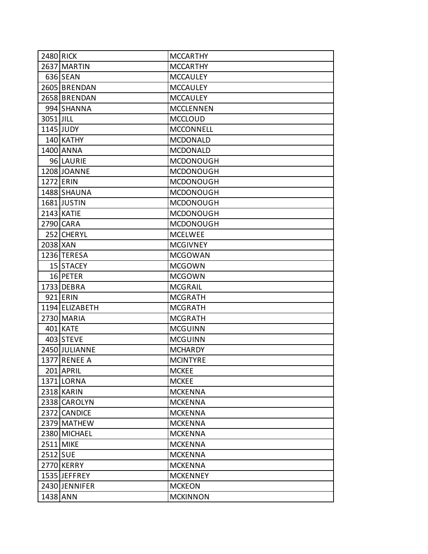| 2480 RICK |                | <b>MCCARTHY</b>  |
|-----------|----------------|------------------|
|           | 2637 MARTIN    | <b>MCCARTHY</b>  |
|           | 636 SEAN       | <b>MCCAULEY</b>  |
|           | 2605 BRENDAN   | <b>MCCAULEY</b>  |
|           | 2658 BRENDAN   | <b>MCCAULEY</b>  |
|           | 994 SHANNA     | <b>MCCLENNEN</b> |
| 3051 JILL |                | <b>MCCLOUD</b>   |
|           | 1145 JUDY      | <b>MCCONNELL</b> |
|           | 140 KATHY      | <b>MCDONALD</b>  |
|           | 1400 ANNA      | <b>MCDONALD</b>  |
|           | 96 LAURIE      | <b>MCDONOUGH</b> |
|           | 1208 JOANNE    | <b>MCDONOUGH</b> |
|           | 1272 ERIN      | <b>MCDONOUGH</b> |
|           | 1488 SHAUNA    | <b>MCDONOUGH</b> |
|           | 1681 JUSTIN    | <b>MCDONOUGH</b> |
|           | 2143 KATIE     | <b>MCDONOUGH</b> |
|           | 2790 CARA      | <b>MCDONOUGH</b> |
|           | 252 CHERYL     | <b>MCELWEE</b>   |
| 2038 XAN  |                | <b>MCGIVNEY</b>  |
|           | 1236 TERESA    | <b>MCGOWAN</b>   |
|           | 15 STACEY      | <b>MCGOWN</b>    |
|           | 16 PETER       | <b>MCGOWN</b>    |
|           | 1733 DEBRA     | <b>MCGRAIL</b>   |
|           | 921 ERIN       | <b>MCGRATH</b>   |
|           | 1194 ELIZABETH | <b>MCGRATH</b>   |
|           | 2730 MARIA     | <b>MCGRATH</b>   |
|           | 401 KATE       | <b>MCGUINN</b>   |
|           | 403 STEVE      | <b>MCGUINN</b>   |
|           | 2450 JULIANNE  | <b>MCHARDY</b>   |
|           | 1377 RENEE A   | <b>MCINTYRE</b>  |
|           | 201 APRIL      | <b>MCKEE</b>     |
|           | 1371 LORNA     | <b>MCKEE</b>     |
|           | 2318 KARIN     | <b>MCKENNA</b>   |
|           | 2338 CAROLYN   | <b>MCKENNA</b>   |
|           | 2372 CANDICE   | <b>MCKENNA</b>   |
|           | 2379 MATHEW    | <b>MCKENNA</b>   |
|           | 2380 MICHAEL   | <b>MCKENNA</b>   |
|           | 2511 MIKE      | <b>MCKENNA</b>   |
| 2512 SUE  |                | <b>MCKENNA</b>   |
|           | 2770 KERRY     | <b>MCKENNA</b>   |
|           | 1535 JEFFREY   | <b>MCKENNEY</b>  |
|           | 2430 JENNIFER  | <b>MCKEON</b>    |
|           | 1438 ANN       | <b>MCKINNON</b>  |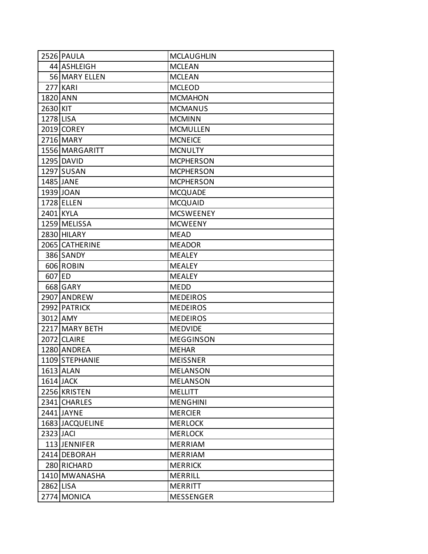|           | 2526 PAULA      | <b>MCLAUGHLIN</b> |
|-----------|-----------------|-------------------|
|           | 44 ASHLEIGH     | <b>MCLEAN</b>     |
|           | 56 MARY ELLEN   | <b>MCLEAN</b>     |
|           | 277 KARI        | <b>MCLEOD</b>     |
| 1820 ANN  |                 | <b>MCMAHON</b>    |
| 2630 KIT  |                 | <b>MCMANUS</b>    |
| 1278 LISA |                 | <b>MCMINN</b>     |
|           | 2019 COREY      | <b>MCMULLEN</b>   |
|           | 2716 MARY       | <b>MCNEICE</b>    |
|           | 1556 MARGARITT  | <b>MCNULTY</b>    |
|           | 1295 DAVID      | <b>MCPHERSON</b>  |
|           | 1297 SUSAN      | <b>MCPHERSON</b>  |
|           | 1485 JANE       | <b>MCPHERSON</b>  |
|           | 1939 JOAN       | <b>MCQUADE</b>    |
|           | 1728 ELLEN      | <b>MCQUAID</b>    |
|           | 2401 KYLA       | <b>MCSWEENEY</b>  |
|           | 1259 MELISSA    | <b>MCWEENY</b>    |
|           | 2830 HILARY     | <b>MEAD</b>       |
|           | 2065 CATHERINE  | <b>MEADOR</b>     |
|           | 386 SANDY       | <b>MEALEY</b>     |
|           | 606 ROBIN       | <b>MEALEY</b>     |
| 607 ED    |                 | <b>MEALEY</b>     |
|           | 668 GARY        | <b>MEDD</b>       |
|           | 2907 ANDREW     | <b>MEDEIROS</b>   |
|           | 2992 PATRICK    | <b>MEDEIROS</b>   |
|           | 3012 AMY        | <b>MEDEIROS</b>   |
|           | 2217 MARY BETH  | <b>MEDVIDE</b>    |
|           | 2072 CLAIRE     | <b>MEGGINSON</b>  |
|           | 1280 ANDREA     | <b>MEHAR</b>      |
|           | 1109 STEPHANIE  | <b>MEISSNER</b>   |
|           | 1613 ALAN       | <b>MELANSON</b>   |
|           | 1614 JACK       | <b>MELANSON</b>   |
|           | 2256 KRISTEN    | <b>MELLITT</b>    |
|           | 2341 CHARLES    | <b>MENGHINI</b>   |
|           | 2441 JAYNE      | <b>MERCIER</b>    |
|           | 1683 JACQUELINE | <b>MERLOCK</b>    |
| 2323 JACI |                 | <b>MERLOCK</b>    |
|           | 113 JENNIFER    | <b>MERRIAM</b>    |
|           | 2414 DEBORAH    | <b>MERRIAM</b>    |
|           | 280 RICHARD     | <b>MERRICK</b>    |
|           | 1410 MWANASHA   | <b>MERRILL</b>    |
| 2862 LISA |                 | <b>MERRITT</b>    |
|           | 2774 MONICA     | <b>MESSENGER</b>  |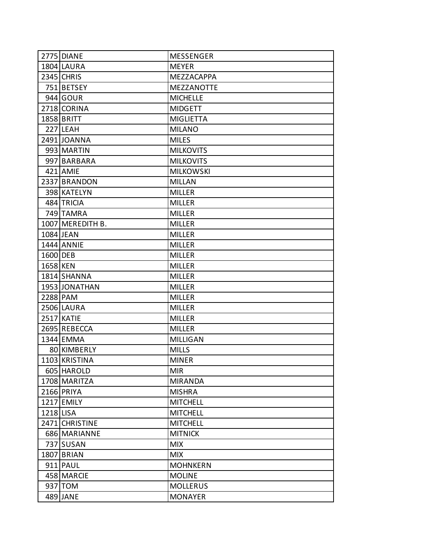|           | 2775 DIANE        | <b>MESSENGER</b>  |
|-----------|-------------------|-------------------|
|           | 1804 LAURA        | <b>MEYER</b>      |
|           | <b>2345 CHRIS</b> | MEZZACAPPA        |
|           | 751 BETSEY        | <b>MEZZANOTTE</b> |
|           | 944 GOUR          | <b>MICHELLE</b>   |
|           | 2718 CORINA       | <b>MIDGETT</b>    |
|           | 1858 BRITT        | <b>MIGLIETTA</b>  |
|           | 227 LEAH          | <b>MILANO</b>     |
|           | 2491 JOANNA       | <b>MILES</b>      |
|           | 993 MARTIN        | <b>MILKOVITS</b>  |
|           | 997 BARBARA       | <b>MILKOVITS</b>  |
|           | 421 AMIE          | <b>MILKOWSKI</b>  |
|           | 2337 BRANDON      | <b>MILLAN</b>     |
|           | 398 KATELYN       | <b>MILLER</b>     |
|           | 484 TRICIA        | <b>MILLER</b>     |
|           | 749 TAMRA         | <b>MILLER</b>     |
|           | 1007 MEREDITH B.  | <b>MILLER</b>     |
|           | 1084 JEAN         | <b>MILLER</b>     |
|           | 1444 ANNIE        | <b>MILLER</b>     |
| 1600 DEB  |                   | <b>MILLER</b>     |
| 1658 KEN  |                   | <b>MILLER</b>     |
|           | 1814 SHANNA       | <b>MILLER</b>     |
|           | 1953 JONATHAN     | <b>MILLER</b>     |
|           | 2288 PAM          | <b>MILLER</b>     |
|           | 2506 LAURA        | <b>MILLER</b>     |
|           | <b>2517 KATIE</b> | <b>MILLER</b>     |
|           | 2695 REBECCA      | <b>MILLER</b>     |
|           | 1344 EMMA         | <b>MILLIGAN</b>   |
|           | 80 KIMBERLY       | <b>MILLS</b>      |
|           | 1103 KRISTINA     | <b>MINER</b>      |
|           | 605 HAROLD        | <b>MIR</b>        |
|           | 1708 MARITZA      | <b>MIRANDA</b>    |
|           | 2166 PRIYA        | <b>MISHRA</b>     |
|           | 1217 EMILY        | <b>MITCHELL</b>   |
| 1218 LISA |                   | <b>MITCHELL</b>   |
|           | 2471 CHRISTINE    | <b>MITCHELL</b>   |
|           | 686 MARIANNE      | <b>MITNICK</b>    |
|           | 737 SUSAN         | <b>MIX</b>        |
|           | 1807 BRIAN        | <b>MIX</b>        |
|           | 911 PAUL          | <b>MOHNKERN</b>   |
|           | 458 MARCIE        | <b>MOLINE</b>     |
|           | 937 TOM           | <b>MOLLERUS</b>   |
|           | 489 JANE          | <b>MONAYER</b>    |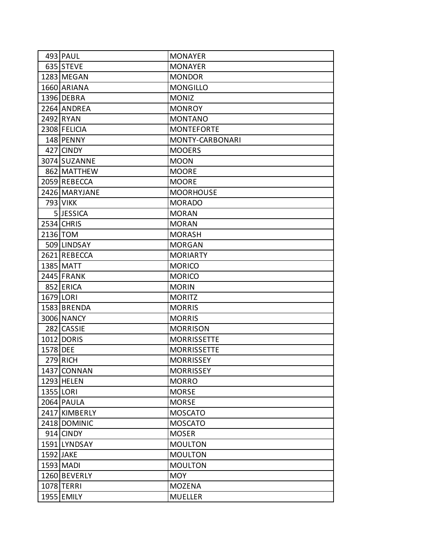|           | 493 PAUL      | <b>MONAYER</b>     |
|-----------|---------------|--------------------|
|           | 635 STEVE     | <b>MONAYER</b>     |
|           | 1283 MEGAN    | <b>MONDOR</b>      |
|           | 1660 ARIANA   | <b>MONGILLO</b>    |
|           | 1396 DEBRA    | <b>MONIZ</b>       |
|           | 2264 ANDREA   | <b>MONROY</b>      |
|           | 2492 RYAN     | <b>MONTANO</b>     |
|           | 2308 FELICIA  | <b>MONTEFORTE</b>  |
|           | 148 PENNY     | MONTY-CARBONARI    |
|           | 427 CINDY     | <b>MOOERS</b>      |
|           | 3074 SUZANNE  | <b>MOON</b>        |
|           | 862 MATTHEW   | <b>MOORE</b>       |
|           | 2059 REBECCA  | <b>MOORE</b>       |
|           | 2426 MARYJANE | <b>MOORHOUSE</b>   |
|           | 793 VIKK      | <b>MORADO</b>      |
|           | 5JESSICA      | <b>MORAN</b>       |
|           | 2534 CHRIS    | <b>MORAN</b>       |
|           | 2136 TOM      | <b>MORASH</b>      |
|           | 509 LINDSAY   | <b>MORGAN</b>      |
|           | 2621 REBECCA  | <b>MORIARTY</b>    |
|           | 1385 MATT     | <b>MORICO</b>      |
|           | 2445 FRANK    | <b>MORICO</b>      |
|           | 852 ERICA     | <b>MORIN</b>       |
|           | 1679 LORI     | <b>MORITZ</b>      |
|           | 1583 BRENDA   | <b>MORRIS</b>      |
|           | 3006 NANCY    | <b>MORRIS</b>      |
|           | 282 CASSIE    | <b>MORRISON</b>    |
|           | 1012 DORIS    | <b>MORRISSETTE</b> |
| 1578 DEE  |               | <b>MORRISSETTE</b> |
|           | 279 RICH      | <b>MORRISSEY</b>   |
|           | 1437 CONNAN   | <b>MORRISSEY</b>   |
|           | 1293 HELEN    | <b>MORRO</b>       |
| 1355 LORI |               | <b>MORSE</b>       |
|           | 2064 PAULA    | <b>MORSE</b>       |
|           | 2417 KIMBERLY | <b>MOSCATO</b>     |
|           | 2418 DOMINIC  | <b>MOSCATO</b>     |
|           | 914 CINDY     | <b>MOSER</b>       |
|           | 1591 LYNDSAY  | <b>MOULTON</b>     |
| 1592 JAKE |               | <b>MOULTON</b>     |
|           | 1593 MADI     | <b>MOULTON</b>     |
|           | 1260 BEVERLY  | <b>MOY</b>         |
|           | 1078 TERRI    | <b>MOZENA</b>      |
|           | 1955 EMILY    | <b>MUELLER</b>     |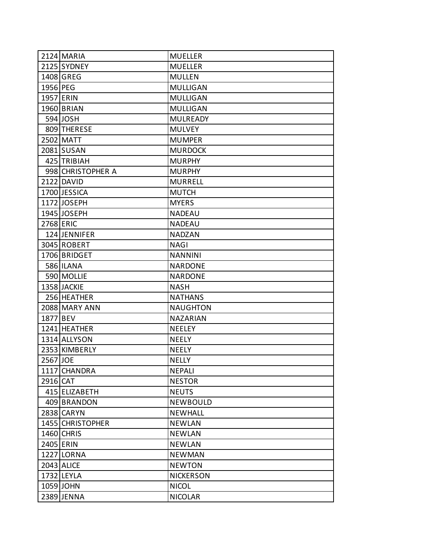|           | 2124 MARIA        | <b>MUELLER</b>   |
|-----------|-------------------|------------------|
|           | 2125 SYDNEY       | <b>MUELLER</b>   |
|           | 1408 GREG         | <b>MULLEN</b>    |
| 1956 PEG  |                   | <b>MULLIGAN</b>  |
|           | <b>1957 ERIN</b>  | <b>MULLIGAN</b>  |
|           | 1960 BRIAN        | <b>MULLIGAN</b>  |
|           | 594 JOSH          | <b>MULREADY</b>  |
|           | 809 THERESE       | <b>MULVEY</b>    |
|           | 2502 MATT         | <b>MUMPER</b>    |
|           | 2081 SUSAN        | <b>MURDOCK</b>   |
|           | 425 TRIBIAH       | <b>MURPHY</b>    |
|           | 998 CHRISTOPHER A | <b>MURPHY</b>    |
|           | 2122 DAVID        | <b>MURRELL</b>   |
|           | 1700 JESSICA      | <b>MUTCH</b>     |
|           | 1172 JOSEPH       | <b>MYERS</b>     |
|           | 1945 JOSEPH       | <b>NADEAU</b>    |
| 2768 ERIC |                   | <b>NADEAU</b>    |
|           | 124 JENNIFER      | <b>NADZAN</b>    |
|           | 3045 ROBERT       | <b>NAGI</b>      |
|           | 1706 BRIDGET      | <b>NANNINI</b>   |
|           | <b>586 ILANA</b>  | <b>NARDONE</b>   |
|           | 590 MOLLIE        | <b>NARDONE</b>   |
|           | 1358 JACKIE       | <b>NASH</b>      |
|           | 256 HEATHER       | <b>NATHANS</b>   |
|           | 2088 MARY ANN     | <b>NAUGHTON</b>  |
| 1877 BEV  |                   | <b>NAZARIAN</b>  |
|           | 1241 HEATHER      | <b>NEELEY</b>    |
|           | 1314 ALLYSON      | <b>NEELY</b>     |
|           | 2353 KIMBERLY     | <b>NEELY</b>     |
| 2567 JOE  |                   | <b>NELLY</b>     |
|           | 1117 CHANDRA      | <b>NEPALI</b>    |
| 2916 CAT  |                   | <b>NESTOR</b>    |
|           | 415 ELIZABETH     | <b>NEUTS</b>     |
|           | 409 BRANDON       | <b>NEWBOULD</b>  |
|           | 2838 CARYN        | <b>NEWHALL</b>   |
|           | 1455 CHRISTOPHER  | <b>NEWLAN</b>    |
|           | 1460 CHRIS        | <b>NEWLAN</b>    |
|           | 2405 ERIN         | <b>NEWLAN</b>    |
|           | 1227 LORNA        | <b>NEWMAN</b>    |
|           | 2043 ALICE        | <b>NEWTON</b>    |
|           | 1732 LEYLA        | <b>NICKERSON</b> |
|           | 1059 JOHN         | <b>NICOL</b>     |
|           | 2389 JENNA        | <b>NICOLAR</b>   |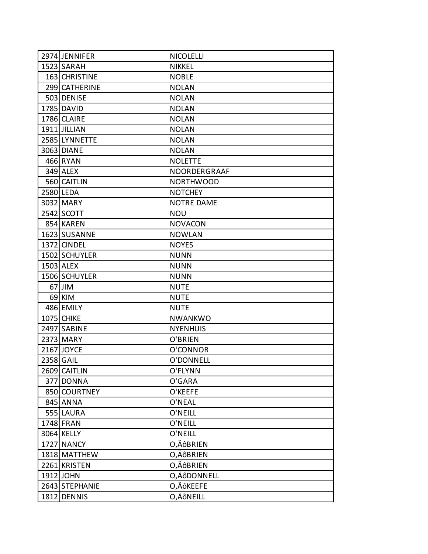| 2974 JENNIFER     | <b>NICOLELLI</b>  |
|-------------------|-------------------|
| 1523 SARAH        | <b>NIKKEL</b>     |
| 163 CHRISTINE     | <b>NOBLE</b>      |
| 299 CATHERINE     | <b>NOLAN</b>      |
| 503 DENISE        | <b>NOLAN</b>      |
| 1785 DAVID        | <b>NOLAN</b>      |
| 1786 CLAIRE       | <b>NOLAN</b>      |
| 1911 JILLIAN      | <b>NOLAN</b>      |
| 2585 LYNNETTE     | <b>NOLAN</b>      |
| 3063 DIANE        | <b>NOLAN</b>      |
| 466 RYAN          | <b>NOLETTE</b>    |
| 349 ALEX          | NOORDERGRAAF      |
| 560 CAITLIN       | <b>NORTHWOOD</b>  |
| 2580 LEDA         | <b>NOTCHEY</b>    |
| 3032 MARY         | <b>NOTRE DAME</b> |
| 2542 SCOTT        | <b>NOU</b>        |
| 854 KAREN         | <b>NOVACON</b>    |
| 1623 SUSANNE      | <b>NOWLAN</b>     |
| 1372 CINDEL       | <b>NOYES</b>      |
| 1502 SCHUYLER     | <b>NUNN</b>       |
| 1503 ALEX         | <b>NUNN</b>       |
| 1506 SCHUYLER     | <b>NUNN</b>       |
| 67 JIM            | <b>NUTE</b>       |
| 69 KIM            | <b>NUTE</b>       |
| 486 EMILY         | <b>NUTE</b>       |
| <b>1075 CHIKE</b> | <b>NWANKWO</b>    |
| 2497 SABINE       | <b>NYENHUIS</b>   |
| 2373 MARY         | O'BRIEN           |
| 2167 JOYCE        | O'CONNOR          |
| 2358 GAIL         | O'DONNELL         |
| 2609 CAITLIN      | O'FLYNN           |
| 377 DONNA         | O'GARA            |
| 850 COURTNEY      | O'KEEFE           |
| 845 ANNA          | O'NEAL            |
| 555 LAURA         | O'NEILL           |
| 1748 FRAN         | O'NEILL           |
| 3064 KELLY        | O'NEILL           |
| 1727 NANCY        | O,ÄôBRIEN         |
| 1818 MATTHEW      | O,ÄôBRIEN         |
| 2261 KRISTEN      | O,ÄôBRIEN         |
| 1912 JOHN         | O,ÄôDONNELL       |
| 2643 STEPHANIE    | O,ÄÔKEEFE         |
| 1812 DENNIS       | O,ÄôNEILL         |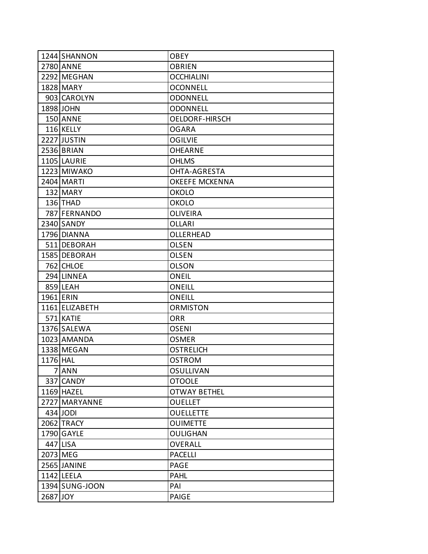|          | 1244 SHANNON   | OBEY                  |
|----------|----------------|-----------------------|
|          | 2780 ANNE      | OBRIEN                |
|          | 2292 MEGHAN    | OCCHIALINI            |
|          | 1828 MARY      | <b>OCONNELL</b>       |
|          | 903 CAROLYN    | <b>ODONNELL</b>       |
|          | 1898 JOHN      | <b>ODONNELL</b>       |
|          | 150 ANNE       | <b>OELDORF-HIRSCH</b> |
|          | 116 KELLY      | <b>OGARA</b>          |
|          | 2227 JUSTIN    | <b>OGILVIE</b>        |
|          | 2536 BRIAN     | OHEARNE               |
|          | 1105 LAURIE    | OHLMS                 |
|          | 1223 MIWAKO    | OHTA-AGRESTA          |
|          | 2404 MARTI     | <b>OKEEFE MCKENNA</b> |
|          | 132 MARY       | <b>OKOLO</b>          |
|          | 136 THAD       | OKOLO                 |
|          | 787 FERNANDO   | <b>OLIVEIRA</b>       |
|          | 2340 SANDY     | OLLARI                |
|          | 1796 DIANNA    | OLLERHEAD             |
|          | 511 DEBORAH    | OLSEN                 |
|          | 1585 DEBORAH   | <b>OLSEN</b>          |
|          | 762 CHLOE      | <b>OLSON</b>          |
|          | 294 LINNEA     | ONEIL                 |
|          | 859 LEAH       | ONEILL                |
|          | 1961 ERIN      | <b>ONEILL</b>         |
|          | 1161 ELIZABETH | ORMISTON              |
|          | 571 KATIE      | <b>ORR</b>            |
|          | 1376 SALEWA    | OSENI                 |
|          | 1023 AMANDA    | <b>OSMER</b>          |
|          | 1338 MEGAN     | <b>OSTRELICH</b>      |
| 1176 HAL |                | <b>OSTROM</b>         |
|          | 7 ANN          | <b>OSULLIVAN</b>      |
|          | 337 CANDY      | <b>OTOOLE</b>         |
|          | 1169 HAZEL     | <b>OTWAY BETHEL</b>   |
|          | 2727 MARYANNE  | <b>OUELLET</b>        |
|          | 434 JODI       | <b>OUELLETTE</b>      |
|          | 2062 TRACY     | <b>OUIMETTE</b>       |
|          | 1790 GAYLE     | OULIGHAN              |
|          | 447 LISA       | <b>OVERALL</b>        |
| 2073 MEG |                | <b>PACELLI</b>        |
|          | 2565 JANINE    | <b>PAGE</b>           |
|          | 1142 LEELA     | <b>PAHL</b>           |
|          | 1394 SUNG-JOON | PAI                   |
| 2687 JOY |                | <b>PAIGE</b>          |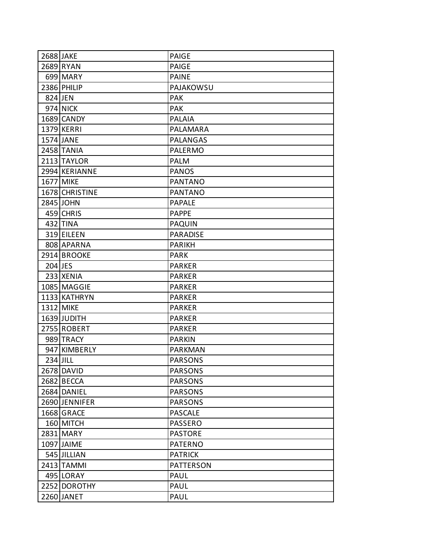| 2688 JAKE |                | <b>PAIGE</b>     |
|-----------|----------------|------------------|
|           | 2689 RYAN      | <b>PAIGE</b>     |
|           | 699 MARY       | <b>PAINE</b>     |
|           | 2386 PHILIP    | PAJAKOWSU        |
| 824 JEN   |                | <b>PAK</b>       |
|           | 974 NICK       | <b>PAK</b>       |
|           | 1689 CANDY     | <b>PALAIA</b>    |
|           | 1379 KERRI     | PALAMARA         |
|           | 1574 JANE      | <b>PALANGAS</b>  |
|           | 2458 TANIA     | <b>PALERMO</b>   |
|           | 2113 TAYLOR    | <b>PALM</b>      |
|           | 2994 KERIANNE  | <b>PANOS</b>     |
|           | 1677 MIKE      | <b>PANTANO</b>   |
|           | 1678 CHRISTINE | <b>PANTANO</b>   |
|           | 2845 JOHN      | <b>PAPALE</b>    |
|           | 459 CHRIS      | <b>PAPPE</b>     |
|           | 432 TINA       | <b>PAQUIN</b>    |
|           | 319 EILEEN     | <b>PARADISE</b>  |
|           | 808 APARNA     | <b>PARIKH</b>    |
|           | 2914 BROOKE    | <b>PARK</b>      |
| 204 JES   |                | <b>PARKER</b>    |
|           | 233 XENIA      | <b>PARKER</b>    |
|           | 1085 MAGGIE    | <b>PARKER</b>    |
|           | 1133 KATHRYN   | <b>PARKER</b>    |
|           | 1312 MIKE      | <b>PARKER</b>    |
|           | 1639 JUDITH    | <b>PARKER</b>    |
|           | 2755 ROBERT    | <b>PARKER</b>    |
|           | 989 TRACY      | <b>PARKIN</b>    |
|           | 947 KIMBERLY   | <b>PARKMAN</b>   |
|           | $234$ JILL     | <b>PARSONS</b>   |
|           | 2678 DAVID     | <b>PARSONS</b>   |
|           | 2682 BECCA     | <b>PARSONS</b>   |
|           | 2684 DANIEL    | <b>PARSONS</b>   |
|           | 2690 JENNIFER  | <b>PARSONS</b>   |
|           | 1668 GRACE     | <b>PASCALE</b>   |
|           | 160 MITCH      | <b>PASSERO</b>   |
|           | 2831 MARY      | <b>PASTORE</b>   |
|           | 1097 JAIME     | <b>PATERNO</b>   |
|           | 545 JILLIAN    | <b>PATRICK</b>   |
|           | 2413 TAMMI     | <b>PATTERSON</b> |
|           | 495 LORAY      | <b>PAUL</b>      |
|           | 2252 DOROTHY   | PAUL             |
|           | 2260 JANET     | PAUL             |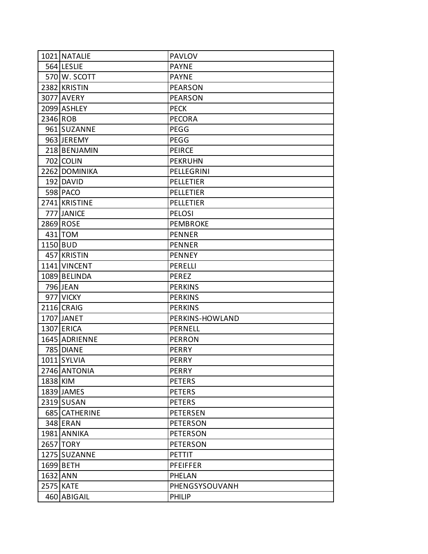|          | 1021 NATALIE     | <b>PAVLOV</b>    |
|----------|------------------|------------------|
|          | 564 LESLIE       | <b>PAYNE</b>     |
|          | 570 W. SCOTT     | <b>PAYNE</b>     |
|          | 2382 KRISTIN     | <b>PEARSON</b>   |
|          | 3077 AVERY       | <b>PEARSON</b>   |
|          | 2099 ASHLEY      | <b>PECK</b>      |
| 2346 ROB |                  | <b>PECORA</b>    |
|          | 961 SUZANNE      | PEGG             |
|          | 963 JEREMY       | PEGG             |
|          | 218 BENJAMIN     | <b>PEIRCE</b>    |
|          | 702 COLIN        | <b>PEKRUHN</b>   |
|          | 2262 DOMINIKA    | PELLEGRINI       |
|          | 192 DAVID        | <b>PELLETIER</b> |
|          | 598 PACO         | <b>PELLETIER</b> |
|          | 2741 KRISTINE    | <b>PELLETIER</b> |
|          | 777 JANICE       | <b>PELOSI</b>    |
|          | 2869 ROSE        | <b>PEMBROKE</b>  |
|          | 431 TOM          | <b>PENNER</b>    |
| 1150 BUD |                  | <b>PENNER</b>    |
|          | 457 KRISTIN      | <b>PENNEY</b>    |
|          | 1141 VINCENT     | <b>PERELLI</b>   |
|          | 1089 BELINDA     | <b>PEREZ</b>     |
|          | 796 JEAN         | <b>PERKINS</b>   |
|          | 977 VICKY        | <b>PERKINS</b>   |
|          | 2116 CRAIG       | <b>PERKINS</b>   |
|          | 1707 JANET       | PERKINS-HOWLAND  |
|          | 1307 ERICA       | <b>PERNELL</b>   |
|          | 1645 ADRIENNE    | <b>PERRON</b>    |
|          | <b>785 DIANE</b> | <b>PERRY</b>     |
|          | 1011 SYLVIA      | <b>PERRY</b>     |
|          | 2746 ANTONIA     | PERRY            |
| 1838 KIM |                  | <b>PETERS</b>    |
|          | 1839 JAMES       | <b>PETERS</b>    |
|          | 2319 SUSAN       | <b>PETERS</b>    |
|          | 685 CATHERINE    | <b>PETERSEN</b>  |
|          | 348 ERAN         | <b>PETERSON</b>  |
|          | 1981 ANNIKA      | <b>PETERSON</b>  |
|          | 2657 TORY        | <b>PETERSON</b>  |
|          | 1275 SUZANNE     | <b>PETTIT</b>    |
|          | 1699 BETH        | <b>PFEIFFER</b>  |
| 1632 ANN |                  | PHELAN           |
|          | 2575 KATE        | PHENGSYSOUVANH   |
|          | 460 ABIGAIL      | <b>PHILIP</b>    |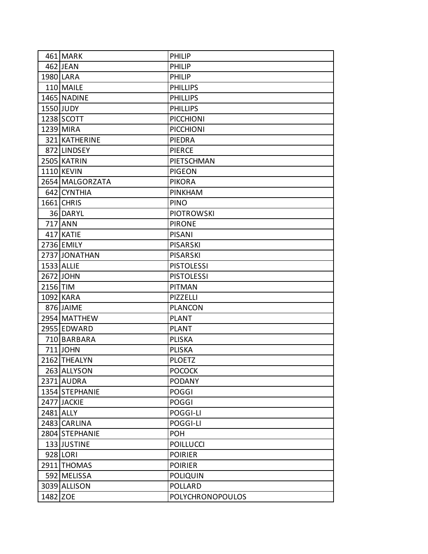|          | 461 MARK        | <b>PHILIP</b>           |
|----------|-----------------|-------------------------|
|          | 462 JEAN        | <b>PHILIP</b>           |
|          | 1980 LARA       | <b>PHILIP</b>           |
|          | 110 MAILE       | <b>PHILLIPS</b>         |
|          | 1465 NADINE     | <b>PHILLIPS</b>         |
|          | 1550 JUDY       | <b>PHILLIPS</b>         |
|          | 1238 SCOTT      | <b>PICCHIONI</b>        |
|          | 1239 MIRA       | <b>PICCHIONI</b>        |
|          | 321 KATHERINE   | PIEDRA                  |
|          | 872 LINDSEY     | <b>PIERCE</b>           |
|          | 2505 KATRIN     | PIETSCHMAN              |
|          | 1110 KEVIN      | <b>PIGEON</b>           |
|          | 2654 MALGORZATA | <b>PIKORA</b>           |
|          | 642 CYNTHIA     | <b>PINKHAM</b>          |
|          | 1661 CHRIS      | <b>PINO</b>             |
|          | 36 DARYL        | <b>PIOTROWSKI</b>       |
|          | 717 ANN         | <b>PIRONE</b>           |
|          | 417 KATIE       | <b>PISANI</b>           |
|          | 2736 EMILY      | <b>PISARSKI</b>         |
|          | 2737 JONATHAN   | <b>PISARSKI</b>         |
|          | 1533 ALLIE      | <b>PISTOLESSI</b>       |
|          | 2672 JOHN       | <b>PISTOLESSI</b>       |
| 2156 TIM |                 | <b>PITMAN</b>           |
|          | 1092 KARA       | <b>PIZZELLI</b>         |
|          | 876 JAIME       | <b>PLANCON</b>          |
|          | 2954 MATTHEW    | <b>PLANT</b>            |
|          | 2955 EDWARD     | <b>PLANT</b>            |
|          | 710 BARBARA     | <b>PLISKA</b>           |
|          | 711 JOHN        | <b>PLISKA</b>           |
|          | 2162 THEALYN    | <b>PLOETZ</b>           |
|          | 263 ALLYSON     | <b>POCOCK</b>           |
|          | 2371 AUDRA      | <b>PODANY</b>           |
|          | 1354 STEPHANIE  | <b>POGGI</b>            |
|          | 2477 JACKIE     | <b>POGGI</b>            |
|          | 2481 ALLY       | POGGI-LI                |
|          | 2483 CARLINA    | POGGI-LI                |
|          | 2804 STEPHANIE  | <b>POH</b>              |
|          | 133 JUSTINE     | <b>POILLUCCI</b>        |
|          | 928 LORI        | <b>POIRIER</b>          |
|          | 2911 THOMAS     | <b>POIRIER</b>          |
|          | 592 MELISSA     | <b>POLIQUIN</b>         |
|          | 3039 ALLISON    | <b>POLLARD</b>          |
| 1482 ZOE |                 | <b>POLYCHRONOPOULOS</b> |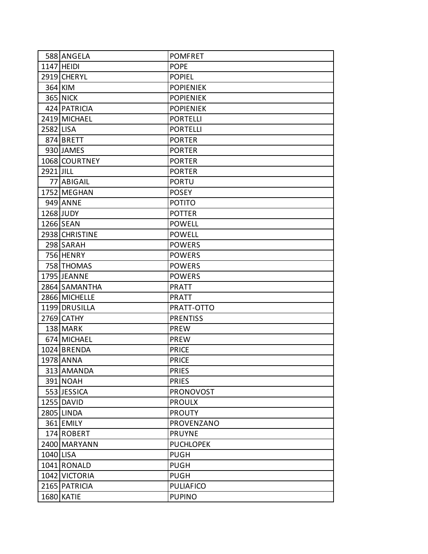|           | 588 ANGELA      | <b>POMFRET</b>   |
|-----------|-----------------|------------------|
|           | 1147 HEIDI      | <b>POPE</b>      |
|           | 2919 CHERYL     | <b>POPIEL</b>    |
|           | 364 KIM         | <b>POPIENIEK</b> |
|           | <b>365 NICK</b> | <b>POPIENIEK</b> |
|           | 424 PATRICIA    | <b>POPIENIEK</b> |
|           | 2419 MICHAEL    | <b>PORTELLI</b>  |
| 2582 LISA |                 | <b>PORTELLI</b>  |
|           | 874 BRETT       | <b>PORTER</b>    |
|           | 930 JAMES       | <b>PORTER</b>    |
|           | 1068 COURTNEY   | <b>PORTER</b>    |
| 2921 JILL |                 | <b>PORTER</b>    |
|           | 77 ABIGAIL      | <b>PORTU</b>     |
|           | 1752 MEGHAN     | <b>POSEY</b>     |
|           | 949 ANNE        | <b>POTITO</b>    |
|           | 1268 JUDY       | <b>POTTER</b>    |
|           | 1266 SEAN       | <b>POWELL</b>    |
|           | 2938 CHRISTINE  | <b>POWELL</b>    |
|           | 298 SARAH       | <b>POWERS</b>    |
|           | 756 HENRY       | <b>POWERS</b>    |
|           | 758 THOMAS      | <b>POWERS</b>    |
|           | 1795 JEANNE     | <b>POWERS</b>    |
|           | 2864 SAMANTHA   | <b>PRATT</b>     |
|           | 2866 MICHELLE   | <b>PRATT</b>     |
|           | 1199 DRUSILLA   | PRATT-OTTO       |
|           | 2769 CATHY      | <b>PRENTISS</b>  |
|           | 138 MARK        | <b>PREW</b>      |
|           | 674 MICHAEL     | <b>PREW</b>      |
|           | 1024 BRENDA     | <b>PRICE</b>     |
|           | 1978 ANNA       | <b>PRICE</b>     |
|           | 313 AMANDA      | <b>PRIES</b>     |
|           | 391 NOAH        | <b>PRIES</b>     |
|           | 553 JESSICA     | <b>PRONOVOST</b> |
|           | 1255 DAVID      | <b>PROULX</b>    |
|           | 2805 LINDA      | <b>PROUTY</b>    |
|           | 361 EMILY       | PROVENZANO       |
|           | 174 ROBERT      | <b>PRUYNE</b>    |
|           | 2400 MARYANN    | <b>PUCHLOPEK</b> |
| 1040 LISA |                 | <b>PUGH</b>      |
|           | 1041 RONALD     | <b>PUGH</b>      |
|           | 1042 VICTORIA   | <b>PUGH</b>      |
|           | 2165 PATRICIA   | <b>PULIAFICO</b> |
|           | 1680 KATIE      | <b>PUPINO</b>    |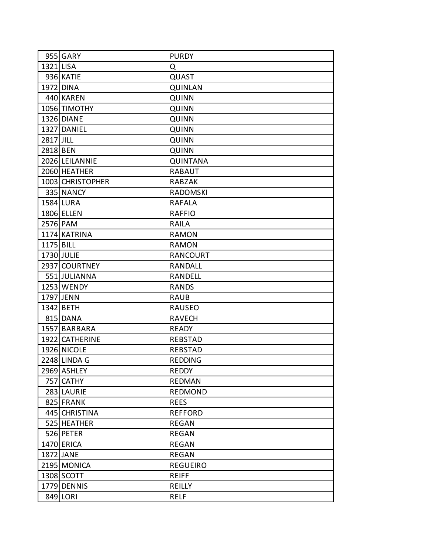|           | 955 GARY         | <b>PURDY</b>    |
|-----------|------------------|-----------------|
| 1321 LISA |                  | Q               |
|           | 936 KATIE        | QUAST           |
|           | 1972 DINA        | <b>QUINLAN</b>  |
|           | 440 KAREN        | <b>QUINN</b>    |
|           | 1056 TIMOTHY     | <b>QUINN</b>    |
|           | 1326 DIANE       | <b>QUINN</b>    |
|           | 1327 DANIEL      | <b>QUINN</b>    |
| 2817 JILL |                  | <b>QUINN</b>    |
| 2818 BEN  |                  | <b>QUINN</b>    |
|           | 2026 LEILANNIE   | <b>QUINTANA</b> |
|           | 2060 HEATHER     | <b>RABAUT</b>   |
|           | 1003 CHRISTOPHER | <b>RABZAK</b>   |
|           | 335 NANCY        | <b>RADOMSKI</b> |
|           | 1584 LURA        | <b>RAFALA</b>   |
|           | 1806 ELLEN       | <b>RAFFIO</b>   |
|           | 2576 PAM         | <b>RAILA</b>    |
|           | 1174 KATRINA     | <b>RAMON</b>    |
| 1175 BILL |                  | <b>RAMON</b>    |
|           | 1730 JULIE       | <b>RANCOURT</b> |
|           | 2937 COURTNEY    | <b>RANDALL</b>  |
|           | 551 JULIANNA     | <b>RANDELL</b>  |
|           | 1253 WENDY       | <b>RANDS</b>    |
|           | 1797 JENN        | <b>RAUB</b>     |
|           | 1342 BETH        | <b>RAUSEO</b>   |
|           | 815 DANA         | <b>RAVECH</b>   |
|           | 1557 BARBARA     | <b>READY</b>    |
|           | 1922 CATHERINE   | <b>REBSTAD</b>  |
|           | 1926 NICOLE      | <b>REBSTAD</b>  |
|           | 2248 LINDA G     | <b>REDDING</b>  |
|           | 2969 ASHLEY      | REDDY           |
|           | 757 CATHY        | <b>REDMAN</b>   |
|           | 283 LAURIE       | <b>REDMOND</b>  |
|           | 825 FRANK        | <b>REES</b>     |
|           | 445 CHRISTINA    | <b>REFFORD</b>  |
|           | 525 HEATHER      | <b>REGAN</b>    |
|           | 526 PETER        | <b>REGAN</b>    |
|           | 1470 ERICA       | <b>REGAN</b>    |
|           | 1872 JANE        | <b>REGAN</b>    |
|           | 2195 MONICA      | <b>REGUEIRO</b> |
|           | 1308 SCOTT       | <b>REIFF</b>    |
|           | 1779 DENNIS      | REILLY          |
|           | 849 LORI         | <b>RELF</b>     |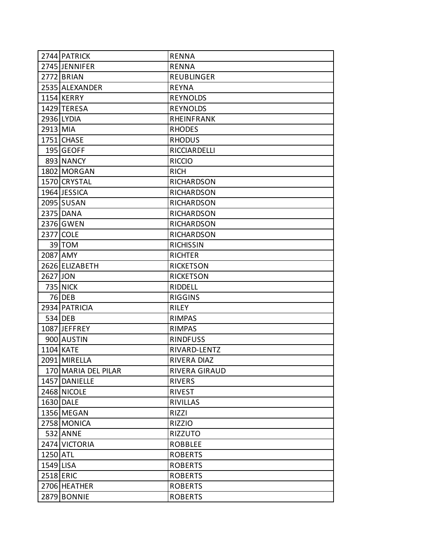|           | 2744 PATRICK        | <b>RENNA</b>        |
|-----------|---------------------|---------------------|
|           | 2745 JENNIFER       | <b>RENNA</b>        |
|           | 2772 BRIAN          | <b>REUBLINGER</b>   |
|           | 2535 ALEXANDER      | <b>REYNA</b>        |
|           | 1154 KERRY          | <b>REYNOLDS</b>     |
|           | 1429 TERESA         | <b>REYNOLDS</b>     |
|           | 2936 LYDIA          | <b>RHEINFRANK</b>   |
| 2913 MIA  |                     | <b>RHODES</b>       |
|           | 1751 CHASE          | <b>RHODUS</b>       |
|           | 195 GEOFF           | <b>RICCIARDELLI</b> |
|           | 893 NANCY           | <b>RICCIO</b>       |
|           | 1802 MORGAN         | <b>RICH</b>         |
|           | 1570 CRYSTAL        | <b>RICHARDSON</b>   |
|           | 1964 JESSICA        | <b>RICHARDSON</b>   |
|           | 2095 SUSAN          | <b>RICHARDSON</b>   |
|           | 2375 DANA           | <b>RICHARDSON</b>   |
|           | 2376 GWEN           | <b>RICHARDSON</b>   |
|           | 2377 COLE           | <b>RICHARDSON</b>   |
|           | 39 TOM              | <b>RICHISSIN</b>    |
| 2087 AMY  |                     | <b>RICHTER</b>      |
|           | 2626 ELIZABETH      | <b>RICKETSON</b>    |
| 2627 JON  |                     | <b>RICKETSON</b>    |
|           | <b>735 NICK</b>     | RIDDELL             |
|           | $76$ DEB            | <b>RIGGINS</b>      |
|           | 2934 PATRICIA       | <b>RILEY</b>        |
|           | 534 DEB             | <b>RIMPAS</b>       |
|           | 1087 JEFFREY        | <b>RIMPAS</b>       |
|           | 900 AUSTIN          | <b>RINDFUSS</b>     |
|           | 1104 KATE           | RIVARD-LENTZ        |
|           | 2091 MIRELLA        | <b>RIVERA DIAZ</b>  |
|           | 170 MARIA DEL PILAR | RIVERA GIRAUD       |
|           | 1457 DANIELLE       | <b>RIVERS</b>       |
|           | 2468 NICOLE         | <b>RIVEST</b>       |
|           | 1630 DALE           | <b>RIVILLAS</b>     |
|           | 1356 MEGAN          | RIZZI               |
|           | 2758 MONICA         | <b>RIZZIO</b>       |
|           | 532 ANNE            | <b>RIZZUTO</b>      |
|           | 2474 VICTORIA       | <b>ROBBLEE</b>      |
| 1250 ATL  |                     | <b>ROBERTS</b>      |
| 1549 LISA |                     | <b>ROBERTS</b>      |
| 2518 ERIC |                     | <b>ROBERTS</b>      |
|           | 2706 HEATHER        | <b>ROBERTS</b>      |
|           | 2879 BONNIE         | <b>ROBERTS</b>      |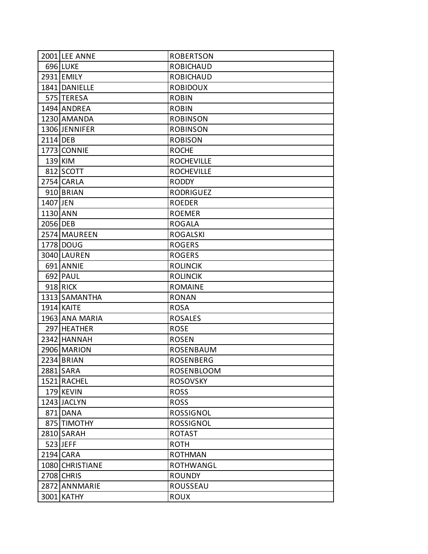|          | 2001 LEE ANNE     | <b>ROBERTSON</b>  |
|----------|-------------------|-------------------|
|          | 696 LUKE          | <b>ROBICHAUD</b>  |
|          | 2931 EMILY        | <b>ROBICHAUD</b>  |
|          | 1841 DANIELLE     | <b>ROBIDOUX</b>   |
|          | 575 TERESA        | <b>ROBIN</b>      |
|          | 1494 ANDREA       | <b>ROBIN</b>      |
|          | 1230 AMANDA       | <b>ROBINSON</b>   |
|          | 1306 JENNIFER     | <b>ROBINSON</b>   |
| 2114 DEB |                   | <b>ROBISON</b>    |
|          | 1773 CONNIE       | <b>ROCHE</b>      |
|          | 139 KIM           | <b>ROCHEVILLE</b> |
|          | 812 SCOTT         | <b>ROCHEVILLE</b> |
|          | 2754 CARLA        | <b>RODDY</b>      |
|          | 910 BRIAN         | <b>RODRIGUEZ</b>  |
| 1407 JEN |                   | <b>ROEDER</b>     |
| 1130 ANN |                   | <b>ROEMER</b>     |
| 2056 DEB |                   | <b>ROGALA</b>     |
|          | 2574 MAUREEN      | <b>ROGALSKI</b>   |
|          | 1778 DOUG         | <b>ROGERS</b>     |
|          | 3040 LAUREN       | <b>ROGERS</b>     |
|          | 691 ANNIE         | <b>ROLINCIK</b>   |
|          | 692 PAUL          | <b>ROLINCIK</b>   |
|          | 918 RICK          | <b>ROMAINE</b>    |
|          | 1313 SAMANTHA     | <b>RONAN</b>      |
|          | <b>1914 KAITE</b> | <b>ROSA</b>       |
|          | 1963 ANA MARIA    | <b>ROSALES</b>    |
|          | 297 HEATHER       | <b>ROSE</b>       |
|          | 2342 HANNAH       | <b>ROSEN</b>      |
|          | 2906 MARION       | ROSENBAUM         |
|          | 2234 BRIAN        | <b>ROSENBERG</b>  |
|          | 2881 SARA         | <b>ROSENBLOOM</b> |
|          | 1521 RACHEL       | <b>ROSOVSKY</b>   |
|          | 179 KEVIN         | <b>ROSS</b>       |
|          | 1243 JACLYN       | <b>ROSS</b>       |
|          | 871 DANA          | <b>ROSSIGNOL</b>  |
|          | 875 TIMOTHY       | <b>ROSSIGNOL</b>  |
|          | 2810 SARAH        | <b>ROTAST</b>     |
|          | 523 JEFF          | <b>ROTH</b>       |
|          | 2194 CARA         | <b>ROTHMAN</b>    |
|          | 1080 CHRISTIANE   | <b>ROTHWANGL</b>  |
|          | 2708 CHRIS        | <b>ROUNDY</b>     |
|          | 2872 ANNMARIE     | ROUSSEAU          |
|          | 3001 KATHY        | <b>ROUX</b>       |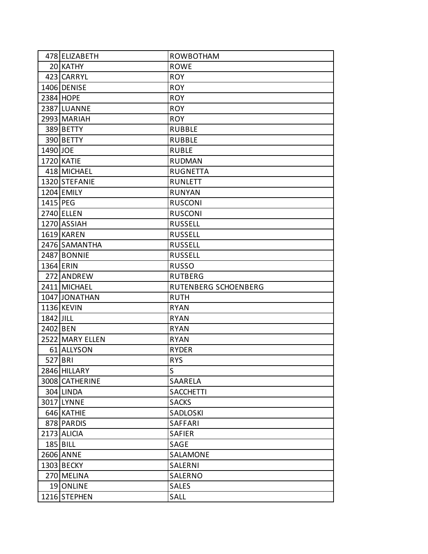|           | 478 ELIZABETH   | <b>ROWBOTHAM</b>     |
|-----------|-----------------|----------------------|
|           | 20 KATHY        | <b>ROWE</b>          |
|           | 423 CARRYL      | <b>ROY</b>           |
|           | 1406 DENISE     | <b>ROY</b>           |
|           | 2384 HOPE       | <b>ROY</b>           |
|           | 2387 LUANNE     | <b>ROY</b>           |
|           | 2993 MARIAH     | <b>ROY</b>           |
|           | 389 BETTY       | <b>RUBBLE</b>        |
|           | 390 BETTY       | <b>RUBBLE</b>        |
| 1490 JOE  |                 | <b>RUBLE</b>         |
|           | 1720 KATIE      | <b>RUDMAN</b>        |
|           | 418 MICHAEL     | <b>RUGNETTA</b>      |
|           | 1320 STEFANIE   | <b>RUNLETT</b>       |
|           | 1204 EMILY      | <b>RUNYAN</b>        |
| 1415 PEG  |                 | <b>RUSCONI</b>       |
|           | 2740 ELLEN      | <b>RUSCONI</b>       |
|           | 1270 ASSIAH     | <b>RUSSELL</b>       |
|           | 1619 KAREN      | <b>RUSSELL</b>       |
|           | 2476 SAMANTHA   | <b>RUSSELL</b>       |
|           | 2487 BONNIE     | <b>RUSSELL</b>       |
|           | 1364 ERIN       | <b>RUSSO</b>         |
|           | 272 ANDREW      | <b>RUTBERG</b>       |
|           | 2411 MICHAEL    | RUTENBERG SCHOENBERG |
|           | 1047 JONATHAN   | <b>RUTH</b>          |
|           | 1136 KEVIN      | <b>RYAN</b>          |
| 1842 JILL |                 | <b>RYAN</b>          |
| 2402 BEN  |                 | <b>RYAN</b>          |
|           | 2522 MARY ELLEN | <b>RYAN</b>          |
|           | 61 ALLYSON      | <b>RYDER</b>         |
| 527 BRI   |                 | <b>RYS</b>           |
|           | 2846 HILLARY    | S                    |
|           | 3008 CATHERINE  | SAARELA              |
|           | 304 LINDA       | <b>SACCHETTI</b>     |
|           | 3017 LYNNE      | <b>SACKS</b>         |
|           | 646 KATHIE      | SADLOSKI             |
|           | 878 PARDIS      | SAFFARI              |
|           | 2173 ALICIA     | <b>SAFIER</b>        |
|           | $185$ BILL      | SAGE                 |
|           | 2606 ANNE       | SALAMONE             |
|           | 1303 BECKY      | SALERNI              |
|           | 270 MELINA      | SALERNO              |
|           | 19 ONLINE       | <b>SALES</b>         |
|           | 1216 STEPHEN    | SALL                 |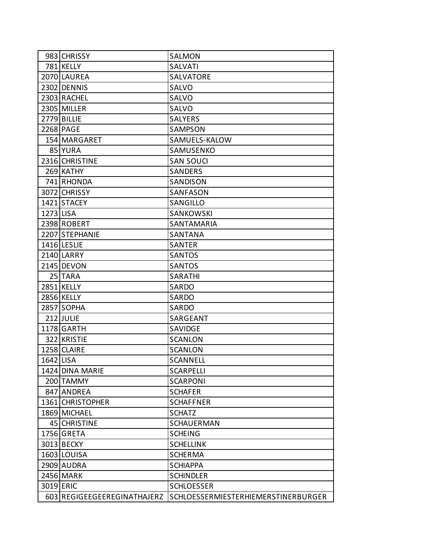|           | 983 CHRISSY                 | <b>SALMON</b>                              |
|-----------|-----------------------------|--------------------------------------------|
|           | 781 KELLY                   | <b>SALVATI</b>                             |
|           | 2070 LAUREA                 | SALVATORE                                  |
|           | 2302 DENNIS                 | <b>SALVO</b>                               |
|           | 2303 RACHEL                 | <b>SALVO</b>                               |
|           | 2305 MILLER                 | SALVO                                      |
|           | 2779 BILLIE                 | <b>SALYERS</b>                             |
|           | 2268 PAGE                   | SAMPSON                                    |
|           | 154 MARGARET                | SAMUELS-KALOW                              |
|           | 85 YURA                     | SAMUSENKO                                  |
|           | 2316 CHRISTINE              | <b>SAN SOUCI</b>                           |
|           | 269 KATHY                   | <b>SANDERS</b>                             |
|           | 741 RHONDA                  | SANDISON                                   |
|           | 3072 CHRISSY                | SANFASON                                   |
|           | 1421 STACEY                 | <b>SANGILLO</b>                            |
| 1273 LISA |                             | <b>SANKOWSKI</b>                           |
|           | 2398 ROBERT                 | SANTAMARIA                                 |
|           | 2207 STEPHANIE              | <b>SANTANA</b>                             |
|           | 1416 LESLIE                 | <b>SANTER</b>                              |
|           | 2140 LARRY                  | <b>SANTOS</b>                              |
|           | 2145 DEVON                  | <b>SANTOS</b>                              |
|           | 25 TARA                     | <b>SARATHI</b>                             |
|           | 2851 KELLY                  | SARDO                                      |
|           | <b>2856 KELLY</b>           | SARDO                                      |
|           | 2857 SOPHA                  | SARDO                                      |
|           | 212 JULIE                   | SARGEANT                                   |
|           | 1178 GARTH                  | SAVIDGE                                    |
|           | 322 KRISTIE                 | <b>SCANLON</b>                             |
|           | 1258 CLAIRE                 | <b>SCANLON</b>                             |
| 1642 LISA |                             | <b>SCANNELL</b>                            |
|           | 1424 DINA MARIE             | <b>SCARPELLI</b>                           |
|           | 200 TAMMY                   | <b>SCARPONI</b>                            |
|           | 847 ANDREA                  | <b>SCHAFER</b>                             |
|           | 1361 CHRISTOPHER            | <b>SCHAFFNER</b>                           |
|           | 1869 MICHAEL                | <b>SCHATZ</b>                              |
|           | 45 CHRISTINE                | <b>SCHAUERMAN</b>                          |
|           | 1756 GRETA                  | <b>SCHEING</b>                             |
|           | 3013 BECKY                  | <b>SCHELLINK</b>                           |
|           | 1603 LOUISA                 | <b>SCHERMA</b>                             |
|           | 2909 AUDRA                  | <b>SCHIAPPA</b>                            |
|           | 2456 MARK                   | <b>SCHINDLER</b>                           |
| 3019 ERIC |                             | <b>SCHLOESSER</b>                          |
|           | 603 REGIGEEGEEREGINATHAJERZ | <b>SCHLOESSERMIESTERHIEMERSTINERBURGER</b> |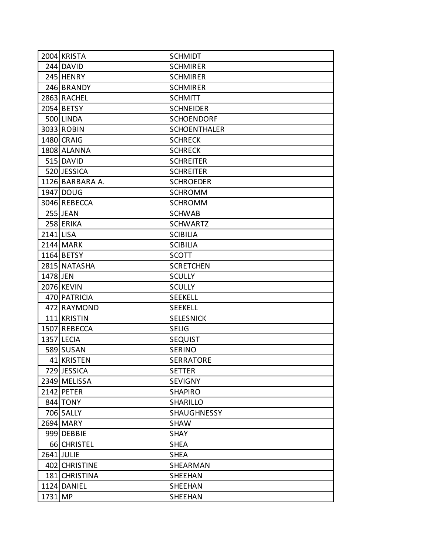|           | 2004 KRISTA     | <b>SCHMIDT</b>      |
|-----------|-----------------|---------------------|
|           | 244 DAVID       | <b>SCHMIRER</b>     |
|           | 245 HENRY       | <b>SCHMIRER</b>     |
|           | 246 BRANDY      | <b>SCHMIRER</b>     |
|           | 2863 RACHEL     | <b>SCHMITT</b>      |
|           | 2054 BETSY      | <b>SCHNEIDER</b>    |
|           | 500 LINDA       | <b>SCHOENDORF</b>   |
|           | 3033 ROBIN      | <b>SCHOENTHALER</b> |
|           | 1480 CRAIG      | <b>SCHRECK</b>      |
|           | 1808 ALANNA     | <b>SCHRECK</b>      |
|           | 515 DAVID       | <b>SCHREITER</b>    |
|           | 520 JESSICA     | <b>SCHREITER</b>    |
|           | 1126 BARBARA A. | <b>SCHROEDER</b>    |
|           | 1947 DOUG       | <b>SCHROMM</b>      |
|           | 3046 REBECCA    | <b>SCHROMM</b>      |
|           | 255 JEAN        | <b>SCHWAB</b>       |
|           | 258 ERIKA       | <b>SCHWARTZ</b>     |
| 2141 LISA |                 | <b>SCIBILIA</b>     |
|           | 2144 MARK       | <b>SCIBILIA</b>     |
|           | 1164 BETSY      | <b>SCOTT</b>        |
|           | 2815 NATASHA    | <b>SCRETCHEN</b>    |
| 1478 JEN  |                 | <b>SCULLY</b>       |
|           | 2076 KEVIN      | <b>SCULLY</b>       |
|           | 470 PATRICIA    | <b>SEEKELL</b>      |
|           | 472 RAYMOND     | <b>SEEKELL</b>      |
|           | 111 KRISTIN     | <b>SELESNICK</b>    |
|           | 1507 REBECCA    | <b>SELIG</b>        |
|           | 1357 LECIA      | <b>SEQUIST</b>      |
|           | 589 SUSAN       | <b>SERINO</b>       |
|           | 41 KRISTEN      | <b>SERRATORE</b>    |
|           | 729 JESSICA     | <b>SETTER</b>       |
|           | 2349 MELISSA    | <b>SEVIGNY</b>      |
|           | 2142 PETER      | <b>SHAPIRO</b>      |
|           | 844 TONY        | SHARILLO            |
|           | 706 SALLY       | <b>SHAUGHNESSY</b>  |
|           | 2694 MARY       | <b>SHAW</b>         |
|           | 999 DEBBIE      | <b>SHAY</b>         |
|           | 66 CHRISTEL     | <b>SHEA</b>         |
|           | 2641 JULIE      | <b>SHEA</b>         |
|           | 402 CHRISTINE   | SHEARMAN            |
|           | 181 CHRISTINA   | <b>SHEEHAN</b>      |
|           | 1124 DANIEL     | <b>SHEEHAN</b>      |
| 1731 MP   |                 | SHEEHAN             |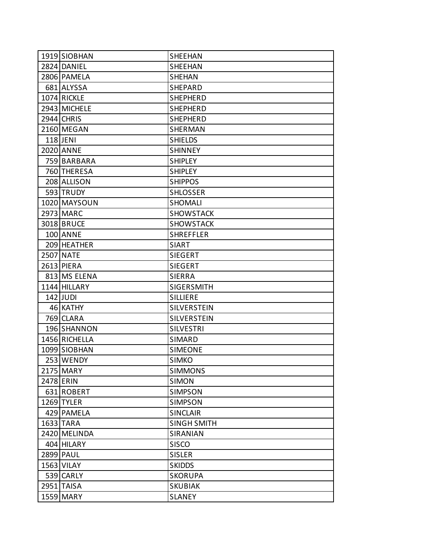| 1919 SIOBHAN     | <b>SHEEHAN</b>     |
|------------------|--------------------|
| 2824 DANIEL      | <b>SHEEHAN</b>     |
| 2806 PAMELA      | <b>SHEHAN</b>      |
| 681 ALYSSA       | <b>SHEPARD</b>     |
| 1074 RICKLE      | <b>SHEPHERD</b>    |
| 2943 MICHELE     | <b>SHEPHERD</b>    |
| 2944 CHRIS       | <b>SHEPHERD</b>    |
| 2160 MEGAN       | SHERMAN            |
| 118 JENI         | <b>SHIELDS</b>     |
| 2020 ANNE        | <b>SHINNEY</b>     |
| 759 BARBARA      | <b>SHIPLEY</b>     |
| 760 THERESA      | <b>SHIPLEY</b>     |
| 208 ALLISON      | <b>SHIPPOS</b>     |
| 593 TRUDY        | <b>SHLOSSER</b>    |
| 1020 MAYSOUN     | <b>SHOMALI</b>     |
| 2973 MARC        | <b>SHOWSTACK</b>   |
| 3018 BRUCE       | <b>SHOWSTACK</b>   |
| <b>100 ANNE</b>  | <b>SHREFFLER</b>   |
| 209 HEATHER      | <b>SIART</b>       |
| <b>2507 NATE</b> | <b>SIEGERT</b>     |
| 2613 PIERA       | <b>SIEGERT</b>     |
| 813 MS ELENA     | <b>SIERRA</b>      |
| 1144 HILLARY     | <b>SIGERSMITH</b>  |
| 142 JUDI         | <b>SILLIERE</b>    |
| 46 KATHY         | <b>SILVERSTEIN</b> |
| 769 CLARA        | <b>SILVERSTEIN</b> |
| 196 SHANNON      | <b>SILVESTRI</b>   |
| 1456 RICHELLA    | SIMARD             |
| 1099 SIOBHAN     | <b>SIMEONE</b>     |
| 253 WENDY        | <b>SIMKO</b>       |
| 2175 MARY        | <b>SIMMONS</b>     |
| 2478 ERIN        | <b>SIMON</b>       |
| 631 ROBERT       | <b>SIMPSON</b>     |
| 1269 TYLER       | <b>SIMPSON</b>     |
| 429 PAMELA       | <b>SINCLAIR</b>    |
| 1633 TARA        | <b>SINGH SMITH</b> |
| 2420 MELINDA     | SIRANIAN           |
| 404 HILARY       | <b>SISCO</b>       |
| 2899 PAUL        | <b>SISLER</b>      |
| 1563 VILAY       | <b>SKIDDS</b>      |
| 539 CARLY        | <b>SKORUPA</b>     |
| 2951 TAISA       | <b>SKUBIAK</b>     |
| 1559 MARY        | <b>SLANEY</b>      |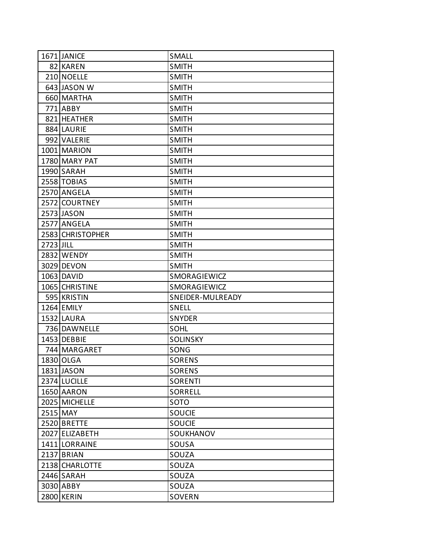|           | 1671 JANICE      | <b>SMALL</b>     |
|-----------|------------------|------------------|
|           | 82 KAREN         | <b>SMITH</b>     |
|           | 210 NOELLE       | <b>SMITH</b>     |
|           | 643 JASON W      | <b>SMITH</b>     |
|           | 660 MARTHA       | <b>SMITH</b>     |
|           | 771 ABBY         | <b>SMITH</b>     |
|           | 821 HEATHER      | <b>SMITH</b>     |
|           | 884 LAURIE       | <b>SMITH</b>     |
|           | 992 VALERIE      | <b>SMITH</b>     |
|           | 1001 MARION      | <b>SMITH</b>     |
|           | 1780 MARY PAT    | <b>SMITH</b>     |
|           | 1990 SARAH       | <b>SMITH</b>     |
|           | 2558 TOBIAS      | <b>SMITH</b>     |
|           | 2570 ANGELA      | <b>SMITH</b>     |
|           | 2572 COURTNEY    | <b>SMITH</b>     |
|           | 2573 JASON       | <b>SMITH</b>     |
|           | 2577 ANGELA      | <b>SMITH</b>     |
|           | 2583 CHRISTOPHER | <b>SMITH</b>     |
| 2723 JILL |                  | <b>SMITH</b>     |
|           | 2832 WENDY       | <b>SMITH</b>     |
|           | 3029 DEVON       | <b>SMITH</b>     |
|           | 1063 DAVID       | SMORAGIEWICZ     |
|           | 1065 CHRISTINE   | SMORAGIEWICZ     |
|           | 595 KRISTIN      | SNEIDER-MULREADY |
|           | 1264 EMILY       | <b>SNELL</b>     |
|           | 1532 LAURA       | <b>SNYDER</b>    |
|           | 736 DAWNELLE     | <b>SOHL</b>      |
|           | 1453 DEBBIE      | <b>SOLINSKY</b>  |
|           | 744 MARGARET     | SONG             |
|           | 1830 OLGA        | <b>SORENS</b>    |
|           | 1831 JASON       | <b>SORENS</b>    |
|           | 2374 LUCILLE     | <b>SORENTI</b>   |
|           | 1650 AARON       | <b>SORRELL</b>   |
|           | 2025 MICHELLE    | SOTO             |
|           | 2515 MAY         | <b>SOUCIE</b>    |
|           | 2520 BRETTE      | SOUCIE           |
|           | 2027 ELIZABETH   | SOUKHANOV        |
|           | 1411 LORRAINE    | SOUSA            |
|           | 2137 BRIAN       | SOUZA            |
|           | 2138 CHARLOTTE   | SOUZA            |
|           | 2446 SARAH       | SOUZA            |
|           | 3030 ABBY        | SOUZA            |
|           | 2800 KERIN       | SOVERN           |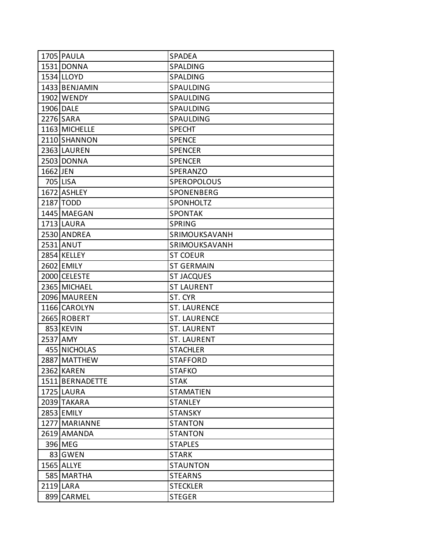|          | 1705 PAULA      | SPADEA              |
|----------|-----------------|---------------------|
|          | 1531 DONNA      | <b>SPALDING</b>     |
|          | 1534 LLOYD      | <b>SPALDING</b>     |
|          | 1433 BENJAMIN   | SPAULDING           |
|          | 1902 WENDY      | <b>SPAULDING</b>    |
|          | 1906 DALE       | SPAULDING           |
|          | 2276 SARA       | <b>SPAULDING</b>    |
|          | 1163 MICHELLE   | <b>SPECHT</b>       |
|          | 2110 SHANNON    | <b>SPENCE</b>       |
|          | 2363 LAUREN     | <b>SPENCER</b>      |
|          | 2503 DONNA      | <b>SPENCER</b>      |
| 1662 JEN |                 | SPERANZO            |
|          | 705 LISA        | SPEROPOLOUS         |
|          | 1672 ASHLEY     | SPONENBERG          |
|          | 2187 TODD       | <b>SPONHOLTZ</b>    |
|          | 1445 MAEGAN     | <b>SPONTAK</b>      |
|          | 1713 LAURA      | <b>SPRING</b>       |
|          | 2530 ANDREA     | SRIMOUKSAVANH       |
|          | 2531 ANUT       | SRIMOUKSAVANH       |
|          | 2854 KELLEY     | <b>ST COEUR</b>     |
|          | 2602 EMILY      | <b>ST GERMAIN</b>   |
|          | 2000 CELESTE    | <b>ST JACQUES</b>   |
|          | 2365 MICHAEL    | <b>ST LAURENT</b>   |
|          | 2096 MAUREEN    | ST. CYR             |
|          | 1166 CAROLYN    | <b>ST. LAURENCE</b> |
|          | 2665 ROBERT     | <b>ST. LAURENCE</b> |
|          | 853 KEVIN       | <b>ST. LAURENT</b>  |
|          | 2537 AMY        | <b>ST. LAURENT</b>  |
|          | 455 NICHOLAS    | <b>STACHLER</b>     |
|          | 2887 MATTHEW    | <b>STAFFORD</b>     |
|          | 2362 KAREN      | <b>STAFKO</b>       |
|          | 1511 BERNADETTE | <b>STAK</b>         |
|          | 1725 LAURA      | <b>STAMATIEN</b>    |
|          | 2039 TAKARA     | <b>STANLEY</b>      |
|          | 2853 EMILY      | <b>STANSKY</b>      |
|          | 1277 MARIANNE   | <b>STANTON</b>      |
|          | 2619 AMANDA     | <b>STANTON</b>      |
|          | 396 MEG         | <b>STAPLES</b>      |
|          | 83 GWEN         | <b>STARK</b>        |
|          | 1565 ALLYE      | <b>STAUNTON</b>     |
|          | 585 MARTHA      | <b>STEARNS</b>      |
|          | 2119 LARA       | <b>STECKLER</b>     |
|          | 899 CARMEL      | <b>STEGER</b>       |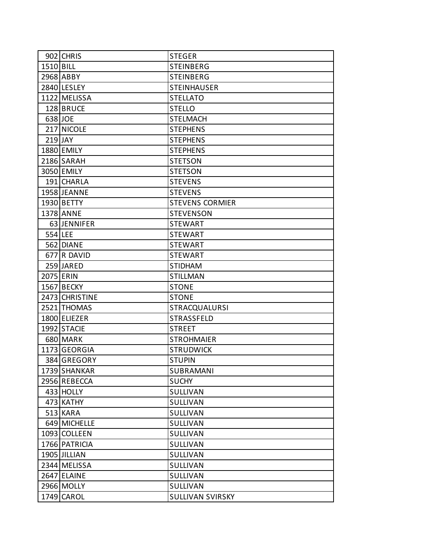|           | 902 CHRIS      | <b>STEGER</b>           |
|-----------|----------------|-------------------------|
| 1510 BILL |                | <b>STEINBERG</b>        |
|           | 2968 ABBY      | <b>STEINBERG</b>        |
|           | 2840 LESLEY    | <b>STEINHAUSER</b>      |
|           | 1122 MELISSA   | <b>STELLATO</b>         |
|           | 128 BRUCE      | <b>STELLO</b>           |
|           | 638 JOE        | <b>STELMACH</b>         |
|           | 217 NICOLE     | <b>STEPHENS</b>         |
|           | $219$ JAY      | <b>STEPHENS</b>         |
|           | 1880 EMILY     | <b>STEPHENS</b>         |
|           | 2186 SARAH     | <b>STETSON</b>          |
|           | 3050 EMILY     | <b>STETSON</b>          |
|           | 191 CHARLA     | <b>STEVENS</b>          |
|           | 1958 JEANNE    | <b>STEVENS</b>          |
|           | 1930 BETTY     | <b>STEVENS CORMIER</b>  |
|           | 1378 ANNE      | <b>STEVENSON</b>        |
|           | 63 JENNIFER    | <b>STEWART</b>          |
| 554 LEE   |                | <b>STEWART</b>          |
|           | 562 DIANE      | <b>STEWART</b>          |
|           | 677 R DAVID    | <b>STEWART</b>          |
|           | 259 JARED      | <b>STIDHAM</b>          |
|           | 2075 ERIN      | <b>STILLMAN</b>         |
|           | 1567 BECKY     | <b>STONE</b>            |
|           | 2473 CHRISTINE | <b>STONE</b>            |
|           | 2521 THOMAS    | STRACQUALURSI           |
|           | 1800 ELIEZER   | STRASSFELD              |
|           | 1992 STACIE    | <b>STREET</b>           |
|           | 680 MARK       | <b>STROHMAIER</b>       |
|           | 1173 GEORGIA   | <b>STRUDWICK</b>        |
|           | 384 GREGORY    | <b>STUPIN</b>           |
|           | 1739 SHANKAR   | SUBRAMANI               |
|           | 2956 REBECCA   | <b>SUCHY</b>            |
|           | 433 HOLLY      | <b>SULLIVAN</b>         |
|           | 473 KATHY      | SULLIVAN                |
|           | $513$ KARA     | SULLIVAN                |
|           | 649 MICHELLE   | SULLIVAN                |
|           | 1093 COLLEEN   | SULLIVAN                |
|           | 1766 PATRICIA  | SULLIVAN                |
|           | 1905 JILLIAN   | SULLIVAN                |
|           | 2344 MELISSA   | SULLIVAN                |
|           | 2647 ELAINE    | SULLIVAN                |
|           | 2966 MOLLY     | SULLIVAN                |
|           | 1749 CAROL     | <b>SULLIVAN SVIRSKY</b> |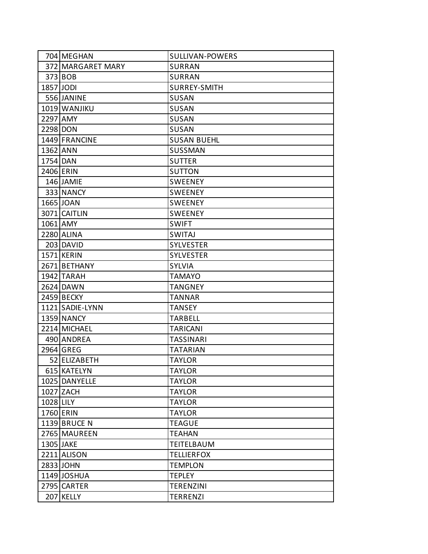|           | 704 MEGHAN        | SULLIVAN-POWERS     |
|-----------|-------------------|---------------------|
|           | 372 MARGARET MARY | <b>SURRAN</b>       |
|           | 373 BOB           | <b>SURRAN</b>       |
| 1857 JODI |                   | <b>SURREY-SMITH</b> |
|           | 556 JANINE        | <b>SUSAN</b>        |
|           | 1019 WANJIKU      | SUSAN               |
| 2297 AMY  |                   | <b>SUSAN</b>        |
| 2298 DON  |                   | <b>SUSAN</b>        |
|           | 1449 FRANCINE     | <b>SUSAN BUEHL</b>  |
| 1362 ANN  |                   | <b>SUSSMAN</b>      |
| 1754 DAN  |                   | <b>SUTTER</b>       |
|           | 2406 ERIN         | <b>SUTTON</b>       |
|           | 146 JAMIE         | <b>SWEENEY</b>      |
|           | 333 NANCY         | <b>SWEENEY</b>      |
|           | 1665 JOAN         | <b>SWEENEY</b>      |
|           | 3071 CAITLIN      | <b>SWEENEY</b>      |
|           | 1061 AMY          | <b>SWIFT</b>        |
|           | 2280 ALINA        | <b>SWITAJ</b>       |
|           | 203 DAVID         | <b>SYLVESTER</b>    |
|           | 1571 KERIN        | <b>SYLVESTER</b>    |
|           | 2671 BETHANY      | <b>SYLVIA</b>       |
|           | 1942 TARAH        | <b>TAMAYO</b>       |
|           | 2624 DAWN         | <b>TANGNEY</b>      |
|           | 2459 BECKY        | <b>TANNAR</b>       |
|           | 1121 SADIE-LYNN   | TANSEY              |
|           | 1359 NANCY        | <b>TARBELL</b>      |
|           | 2214 MICHAEL      | <b>TARICANI</b>     |
|           | 490 ANDREA        | <b>TASSINARI</b>    |
|           | 2964 GREG         | TATARIAN            |
|           | 52 ELIZABETH      | <b>TAYLOR</b>       |
|           | 615 KATELYN       | <b>TAYLOR</b>       |
|           | 1025 DANYELLE     | <b>TAYLOR</b>       |
|           | 1027 ZACH         | <b>TAYLOR</b>       |
| 1028 LILY |                   | <b>TAYLOR</b>       |
|           | 1760 ERIN         | <b>TAYLOR</b>       |
|           | 1139 BRUCE N      | <b>TEAGUE</b>       |
|           | 2765 MAUREEN      | <b>TEAHAN</b>       |
|           | 1305 JAKE         | TEITELBAUM          |
|           | 2211 ALISON       | <b>TELLIERFOX</b>   |
|           | 2833 JOHN         | <b>TEMPLON</b>      |
|           | 1149 JOSHUA       | <b>TEPLEY</b>       |
|           | 2795 CARTER       | <b>TERENZINI</b>    |
|           | 207 KELLY         | TERRENZI            |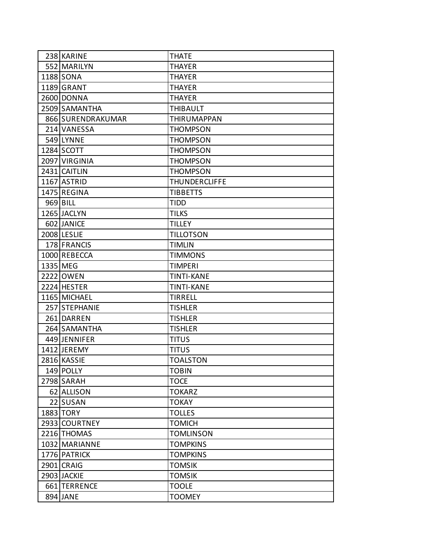| 238 KARINE        | <b>THATE</b>         |
|-------------------|----------------------|
| 552 MARILYN       | <b>THAYER</b>        |
| 1188 SONA         | <b>THAYER</b>        |
| 1189 GRANT        | <b>THAYER</b>        |
| 2600 DONNA        | <b>THAYER</b>        |
| 2509 SAMANTHA     | <b>THIBAULT</b>      |
| 866 SURENDRAKUMAR | <b>THIRUMAPPAN</b>   |
| 214 VANESSA       | <b>THOMPSON</b>      |
| 549 LYNNE         | <b>THOMPSON</b>      |
| 1284 SCOTT        | <b>THOMPSON</b>      |
| 2097 VIRGINIA     | <b>THOMPSON</b>      |
| 2431 CAITLIN      | <b>THOMPSON</b>      |
| 1167 ASTRID       | <b>THUNDERCLIFFE</b> |
| 1475 REGINA       | <b>TIBBETTS</b>      |
| 969 BILL          | <b>TIDD</b>          |
| 1265 JACLYN       | <b>TILKS</b>         |
| 602 JANICE        | <b>TILLEY</b>        |
| 2008 LESLIE       | <b>TILLOTSON</b>     |
| 178 FRANCIS       | <b>TIMLIN</b>        |
| 1000 REBECCA      | <b>TIMMONS</b>       |
| 1335 MEG          | <b>TIMPERI</b>       |
| 2222 OWEN         | <b>TINTI-KANE</b>    |
| 2224 HESTER       | <b>TINTI-KANE</b>    |
| 1165 MICHAEL      | <b>TIRRELL</b>       |
| 257 STEPHANIE     | <b>TISHLER</b>       |
| 261 DARREN        | <b>TISHLER</b>       |
| 264 SAMANTHA      | <b>TISHLER</b>       |
| 449 JENNIFER      | <b>TITUS</b>         |
| 1412 JEREMY       | <b>TITUS</b>         |
| 2816 KASSIE       | <b>TOALSTON</b>      |
| 149 POLLY         | <b>TOBIN</b>         |
| 2798 SARAH        | <b>TOCE</b>          |
| 62 ALLISON        | <b>TOKARZ</b>        |
| 22 SUSAN          | <b>TOKAY</b>         |
| 1883 TORY         | <b>TOLLES</b>        |
| 2933 COURTNEY     | <b>TOMICH</b>        |
| 2216 THOMAS       | <b>TOMLINSON</b>     |
| 1032 MARIANNE     | <b>TOMPKINS</b>      |
| 1776 PATRICK      | <b>TOMPKINS</b>      |
| 2901 CRAIG        | <b>TOMSIK</b>        |
| 2903 JACKIE       | <b>TOMSIK</b>        |
| 661 TERRENCE      | <b>TOOLE</b>         |
| 894 JANE          | <b>TOOMEY</b>        |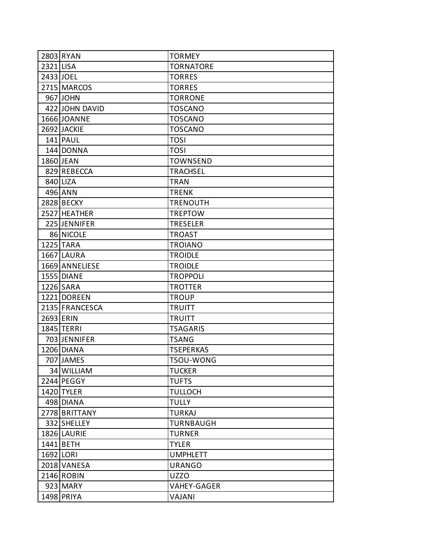|           | 2803 RYAN         | <b>TORMEY</b>      |
|-----------|-------------------|--------------------|
| 2321 LISA |                   | <b>TORNATORE</b>   |
|           | 2433 JOEL         | <b>TORRES</b>      |
|           | 2715 MARCOS       | <b>TORRES</b>      |
|           | 967 JOHN          | <b>TORRONE</b>     |
|           | 422 JOHN DAVID    | <b>TOSCANO</b>     |
|           | 1666 JOANNE       | <b>TOSCANO</b>     |
|           | 2692 JACKIE       | <b>TOSCANO</b>     |
|           | 141 PAUL          | <b>TOSI</b>        |
|           | 144 DONNA         | <b>TOSI</b>        |
|           | 1860 JEAN         | <b>TOWNSEND</b>    |
|           | 829 REBECCA       | <b>TRACHSEL</b>    |
|           | 840 LIZA          | <b>TRAN</b>        |
|           | 496 ANN           | <b>TRENK</b>       |
|           | <b>2828 BECKY</b> | <b>TRENOUTH</b>    |
|           | 2527 HEATHER      | <b>TREPTOW</b>     |
|           | 225 JENNIFER      | <b>TRESELER</b>    |
|           | 86 NICOLE         | <b>TROAST</b>      |
|           | 1225 TARA         | <b>TROIANO</b>     |
|           | 1667 LAURA        | <b>TROIDLE</b>     |
|           | 1669 ANNELIESE    | <b>TROIDLE</b>     |
|           | 1555 DIANE        | <b>TROPPOLI</b>    |
|           | 1226 SARA         | <b>TROTTER</b>     |
|           | 1221 DOREEN       | <b>TROUP</b>       |
|           | 2135 FRANCESCA    | <b>TRUITT</b>      |
| 2693 ERIN |                   | <b>TRUITT</b>      |
|           | 1845 TERRI        | <b>TSAGARIS</b>    |
|           | 703 JENNIFER      | <b>TSANG</b>       |
|           | 1206 DIANA        | <b>TSEPERKAS</b>   |
|           | 707 JAMES         | TSOU-WONG          |
|           | 34 WILLIAM        | <b>TUCKER</b>      |
|           | 2244 PEGGY        | <b>TUFTS</b>       |
|           | 1420 TYLER        | <b>TULLOCH</b>     |
|           | 498 DIANA         | <b>TULLY</b>       |
|           | 2778 BRITTANY     | <b>TURKAJ</b>      |
|           | 332 SHELLEY       | <b>TURNBAUGH</b>   |
|           | 1826 LAURIE       | <b>TURNER</b>      |
|           | 1441 BETH         | <b>TYLER</b>       |
|           | 1692 LORI         | <b>UMPHLETT</b>    |
|           | 2018 VANESA       | <b>URANGO</b>      |
|           | 2146 ROBIN        | <b>UZZO</b>        |
|           | 923 MARY          | <b>VAHEY-GAGER</b> |
|           | 1498 PRIYA        | VAJANI             |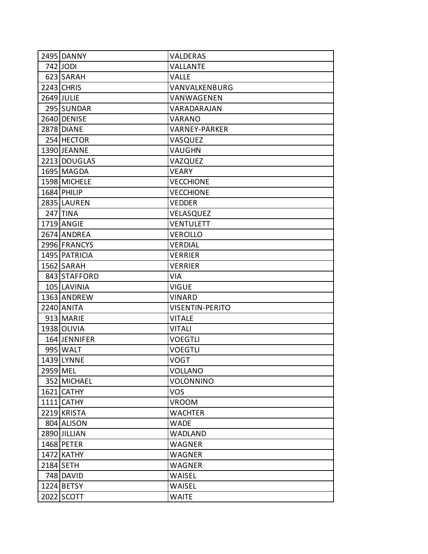|          | 2495 DANNY    | VALDERAS               |
|----------|---------------|------------------------|
|          | 742 JODI      | <b>VALLANTE</b>        |
|          | 623 SARAH     | <b>VALLE</b>           |
|          | 2243 CHRIS    | VANVALKENBURG          |
|          | 2649 JULIE    | VANWAGENEN             |
|          | 295 SUNDAR    | VARADARAJAN            |
|          | 2640 DENISE   | VARANO                 |
|          | 2878 DIANE    | <b>VARNEY-PARKER</b>   |
|          | 254 HECTOR    | VASQUEZ                |
|          | 1390 JEANNE   | <b>VAUGHN</b>          |
|          | 2213 DOUGLAS  | VAZQUEZ                |
|          | 1695 MAGDA    | <b>VEARY</b>           |
|          | 1598 MICHELE  | <b>VECCHIONE</b>       |
|          | 1684 PHILIP   | <b>VECCHIONE</b>       |
|          | 2835 LAUREN   | <b>VEDDER</b>          |
|          | 247 TINA      | VELASQUEZ              |
|          | 1719 ANGIE    | <b>VENTULETT</b>       |
|          | 2674 ANDREA   | <b>VERCILLO</b>        |
|          | 2996 FRANCYS  | <b>VERDIAL</b>         |
|          | 1495 PATRICIA | <b>VERRIER</b>         |
|          | 1562 SARAH    | <b>VERRIER</b>         |
|          | 843 STAFFORD  | <b>VIA</b>             |
|          | 105 LAVINIA   | <b>VIGUE</b>           |
|          | 1363 ANDREW   | <b>VINARD</b>          |
|          | 2240 ANITA    | <b>VISENTIN-PERITO</b> |
|          | 913 MARIE     | <b>VITALE</b>          |
|          | 1938 OLIVIA   | <b>VITALI</b>          |
|          | 164 JENNIFER  | <b>VOEGTLI</b>         |
|          | 995 WALT      | <b>VOEGTLI</b>         |
|          | 1439 LYNNE    | <b>VOGT</b>            |
| 2959 MEL |               | <b>VOLLANO</b>         |
|          | 352 MICHAEL   | VOLONNINO              |
|          | 1621 CATHY    | <b>VOS</b>             |
|          | 1111 CATHY    | <b>VROOM</b>           |
|          | 2219 KRISTA   | <b>WACHTER</b>         |
|          | 804 ALISON    | <b>WADE</b>            |
|          | 2890 JILLIAN  | WADLAND                |
|          | 1468 PETER    | WAGNER                 |
|          | 1472 KATHY    | WAGNER                 |
|          | 2184 SETH     | WAGNER                 |
|          | 748 DAVID     | <b>WAISEL</b>          |
|          | 1224 BETSY    | WAISEL                 |
|          | 2022 SCOTT    | <b>WAITE</b>           |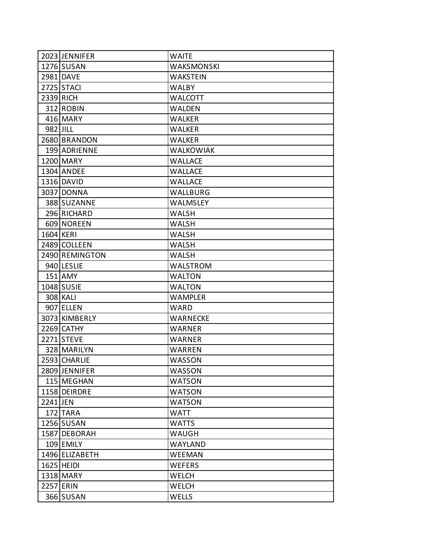|           | 2023 JENNIFER  | <b>WAITE</b>     |
|-----------|----------------|------------------|
|           | 1276 SUSAN     | WAKSMONSKI       |
|           | 2981 DAVE      | <b>WAKSTEIN</b>  |
|           | 2725 STACI     | <b>WALBY</b>     |
|           | 2339 RICH      | <b>WALCOTT</b>   |
|           | 312 ROBIN      | <b>WALDEN</b>    |
|           | 416 MARY       | WALKER           |
| 982 JILL  |                | <b>WALKER</b>    |
|           | 2680 BRANDON   | <b>WALKER</b>    |
|           | 199 ADRIENNE   | <b>WALKOWIAK</b> |
|           | 1200 MARY      | WALLACE          |
|           | 1304 ANDEE     | <b>WALLACE</b>   |
|           | 1316 DAVID     | WALLACE          |
|           | 3037 DONNA     | WALLBURG         |
|           | 388 SUZANNE    | WALMSLEY         |
|           | 296 RICHARD    | WALSH            |
|           | 609 NOREEN     | WALSH            |
| 1604 KERI |                | WALSH            |
|           | 2489 COLLEEN   | WALSH            |
|           | 2490 REMINGTON | <b>WALSH</b>     |
|           | 940 LESLIE     | WALSTROM         |
|           | 151 AMY        | <b>WALTON</b>    |
|           | 1048 SUSIE     | WALTON           |
|           | 308 KALI       | <b>WAMPLER</b>   |
|           | 907 ELLEN      | WARD             |
|           | 3073 KIMBERLY  | WARNECKE         |
|           | 2269 CATHY     | WARNER           |
|           | 2271 STEVE     | WARNER           |
|           | 328 MARILYN    | WARREN           |
|           | 2593 CHARLIE   | <b>WASSON</b>    |
|           | 2809 JENNIFER  | WASSON           |
|           | 115 MEGHAN     | <b>WATSON</b>    |
|           | 1158 DEIRDRE   | <b>WATSON</b>    |
| 2241 JEN  |                | <b>WATSON</b>    |
|           | 172 TARA       | <b>WATT</b>      |
|           | 1256 SUSAN     | <b>WATTS</b>     |
|           | 1587 DEBORAH   | WAUGH            |
|           | 109 EMILY      | WAYLAND          |
|           | 1496 ELIZABETH | WEEMAN           |
|           | 1625 HEIDI     | <b>WEFERS</b>    |
|           | 1318 MARY      | <b>WELCH</b>     |
|           | 2257 ERIN      | <b>WELCH</b>     |
|           | 366 SUSAN      | WELLS            |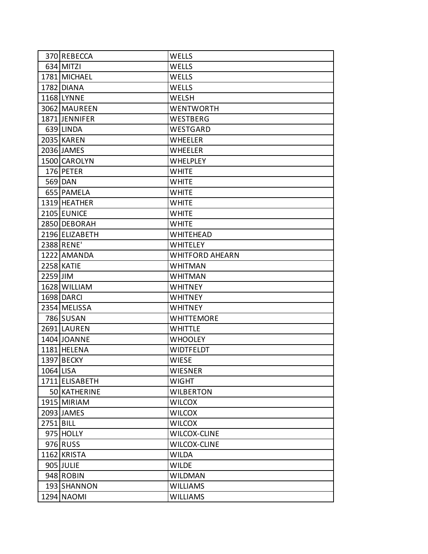|           | 370 REBECCA       | <b>WELLS</b>           |
|-----------|-------------------|------------------------|
|           | 634 MITZI         | <b>WELLS</b>           |
|           | 1781 MICHAEL      | <b>WELLS</b>           |
|           | 1782 DIANA        | <b>WELLS</b>           |
|           | 1168 LYNNE        | WELSH                  |
|           | 3062 MAUREEN      | <b>WENTWORTH</b>       |
|           | 1871 JENNIFER     | WESTBERG               |
|           | 639 LINDA         | WESTGARD               |
|           | 2035 KAREN        | <b>WHEELER</b>         |
|           | 2036 JAMES        | <b>WHEELER</b>         |
|           | 1500 CAROLYN      | <b>WHELPLEY</b>        |
|           | 176 PETER         | <b>WHITE</b>           |
|           | 569 DAN           | <b>WHITE</b>           |
|           | 655 PAMELA        | <b>WHITE</b>           |
|           | 1319 HEATHER      | <b>WHITE</b>           |
|           | 2105 EUNICE       | <b>WHITE</b>           |
|           | 2850 DEBORAH      | <b>WHITE</b>           |
|           | 2196 ELIZABETH    | <b>WHITEHEAD</b>       |
|           | 2388 RENE'        | WHITELEY               |
|           | 1222 AMANDA       | <b>WHITFORD AHEARN</b> |
|           | <b>2258 KATIE</b> | WHITMAN                |
| 2259 JIM  |                   | <b>WHITMAN</b>         |
|           | 1628 WILLIAM      | <b>WHITNEY</b>         |
|           | 1698 DARCI        | <b>WHITNEY</b>         |
|           | 2354 MELISSA      | <b>WHITNEY</b>         |
|           | 786 SUSAN         | <b>WHITTEMORE</b>      |
|           | 2691 LAUREN       | <b>WHITTLE</b>         |
|           | 1404 JOANNE       | <b>WHOOLEY</b>         |
|           | 1181 HELENA       | <b>WIDTFELDT</b>       |
|           | 1397 BECKY        | <b>WIESE</b>           |
| 1064 LISA |                   | <b>WIESNER</b>         |
|           | 1711 ELISABETH    | <b>WIGHT</b>           |
|           | 50 KATHERINE      | <b>WILBERTON</b>       |
|           | 1915 MIRIAM       | <b>WILCOX</b>          |
|           | 2093 JAMES        | <b>WILCOX</b>          |
| 2751 BILL |                   | <b>WILCOX</b>          |
|           | 975 HOLLY         | <b>WILCOX-CLINE</b>    |
|           | 976 RUSS          | <b>WILCOX-CLINE</b>    |
|           | 1162 KRISTA       | <b>WILDA</b>           |
|           | 905 JULIE         | <b>WILDE</b>           |
|           | 948 ROBIN         | <b>WILDMAN</b>         |
|           | 193 SHANNON       | <b>WILLIAMS</b>        |
|           | 1294 NAOMI        | <b>WILLIAMS</b>        |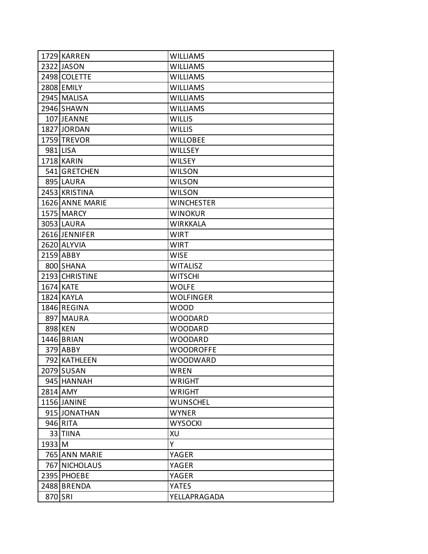|          | 1729 KARREN     | <b>WILLIAMS</b>   |
|----------|-----------------|-------------------|
|          | 2322 JASON      | <b>WILLIAMS</b>   |
|          | 2498 COLETTE    | <b>WILLIAMS</b>   |
|          | 2808 EMILY      | <b>WILLIAMS</b>   |
|          | 2945 MALISA     | <b>WILLIAMS</b>   |
|          | 2946 SHAWN      | <b>WILLIAMS</b>   |
|          | 107 JEANNE      | <b>WILLIS</b>     |
|          | 1827 JORDAN     | <b>WILLIS</b>     |
|          | 1759 TREVOR     | <b>WILLOBEE</b>   |
|          | 981 LISA        | <b>WILLSEY</b>    |
|          | 1718 KARIN      | <b>WILSEY</b>     |
|          | 541 GRETCHEN    | <b>WILSON</b>     |
|          | 895 LAURA       | <b>WILSON</b>     |
|          | 2453 KRISTINA   | <b>WILSON</b>     |
|          | 1626 ANNE MARIE | <b>WINCHESTER</b> |
|          | 1575 MARCY      | <b>WINOKUR</b>    |
|          | 3053 LAURA      | <b>WIRKKALA</b>   |
|          | 2616 JENNIFER   | <b>WIRT</b>       |
|          | 2620 ALYVIA     | WIRT              |
|          | 2159 ABBY       | <b>WISE</b>       |
|          | 800 SHANA       | <b>WITALISZ</b>   |
|          | 2193 CHRISTINE  | <b>WITSCHI</b>    |
|          | 1674 KATE       | <b>WOLFE</b>      |
|          | 1824 KAYLA      | <b>WOLFINGER</b>  |
|          | 1846 REGINA     | <b>WOOD</b>       |
|          | 897 MAURA       | <b>WOODARD</b>    |
|          | 898 KEN         | <b>WOODARD</b>    |
|          | 1446 BRIAN      | <b>WOODARD</b>    |
|          | 379 ABBY        | <b>WOODROFFE</b>  |
|          | 792 KATHLEEN    | <b>WOODWARD</b>   |
|          | 2079 SUSAN      | <b>WREN</b>       |
|          | 945 HANNAH      | <b>WRIGHT</b>     |
|          | 2814 AMY        | <b>WRIGHT</b>     |
|          | 1156 JANINE     | <b>WUNSCHEL</b>   |
|          | 915 JONATHAN    | <b>WYNER</b>      |
|          | 946 RITA        | <b>WYSOCKI</b>    |
|          | 33 TIINA        | XU                |
| $1933$ M |                 | Y                 |
|          | 765 ANN MARIE   | YAGER             |
|          | 767 NICHOLAUS   | YAGER             |
|          | 2395 PHOEBE     | YAGER             |
|          | 2488 BRENDA     | <b>YATES</b>      |
| 870 SRI  |                 | YELLAPRAGADA      |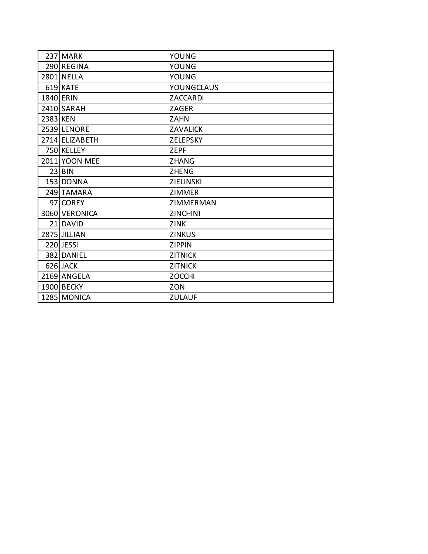|          | 237 MARK       | <b>YOUNG</b>      |
|----------|----------------|-------------------|
|          | 290 REGINA     | YOUNG             |
|          | 2801 NELLA     | YOUNG             |
|          | 619 KATE       | <b>YOUNGCLAUS</b> |
|          | 1840 ERIN      | ZACCARDI          |
|          | 2410 SARAH     | ZAGER             |
| 2383 KEN |                | <b>ZAHN</b>       |
|          | 2539 LENORE    | <b>ZAVALICK</b>   |
|          | 2714 ELIZABETH | <b>ZELEPSKY</b>   |
|          | 750 KELLEY     | <b>ZEPF</b>       |
|          | 2011 YOON MEE  | <b>ZHANG</b>      |
|          | $23$ BIN       | <b>ZHENG</b>      |
|          | 153 DONNA      | ZIELINSKI         |
|          | 249 TAMARA     | <b>ZIMMER</b>     |
|          | 97 COREY       | ZIMMERMAN         |
|          | 3060 VERONICA  | <b>ZINCHINI</b>   |
|          | 21 DAVID       | <b>ZINK</b>       |
|          | 2875 JILLIAN   | <b>ZINKUS</b>     |
|          | 220 JESSI      | <b>ZIPPIN</b>     |
|          | 382 DANIEL     | <b>ZITNICK</b>    |
|          | 626 JACK       | <b>ZITNICK</b>    |
|          | 2169 ANGELA    | <b>ZOCCHI</b>     |
|          | 1900 BECKY     | ZON               |
|          | 1285 MONICA    | <b>ZULAUF</b>     |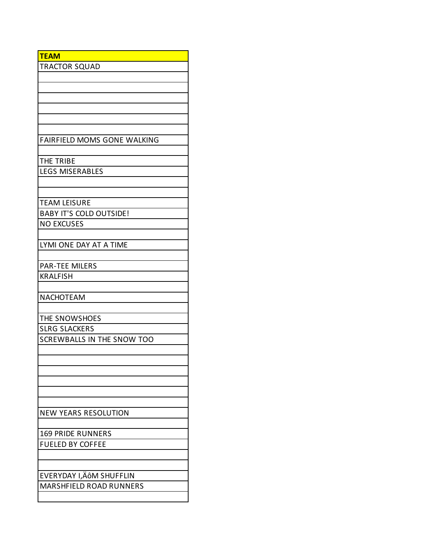| <b>TEAM</b>                        |
|------------------------------------|
| <b>TRACTOR SQUAD</b>               |
|                                    |
|                                    |
|                                    |
|                                    |
|                                    |
|                                    |
| <b>FAIRFIELD MOMS GONE WALKING</b> |
|                                    |
| THE TRIBE                          |
| <b>LEGS MISERABLES</b>             |
|                                    |
|                                    |
| <b>TEAM LEISURE</b>                |
| <b>BABY IT'S COLD OUTSIDE!</b>     |
| <b>NO EXCUSES</b>                  |
|                                    |
| LYMI ONE DAY AT A TIME             |
|                                    |
| <b>PAR-TEE MILERS</b>              |
| <b>KRALFISH</b>                    |
|                                    |
| NACHOTEAM                          |
|                                    |
| THE SNOWSHOES                      |
| <b>SLRG SLACKERS</b>               |
| SCREWBALLS IN THE SNOW TOO         |
|                                    |
|                                    |
|                                    |
|                                    |
|                                    |
|                                    |
| <b>NEW YEARS RESOLUTION</b>        |
|                                    |
| <b>169 PRIDE RUNNERS</b>           |
| <b>FUELED BY COFFEE</b>            |
|                                    |
|                                    |
| EVERYDAY I,ÄÔM SHUFFLIN            |
| <b>MARSHFIELD ROAD RUNNERS</b>     |
|                                    |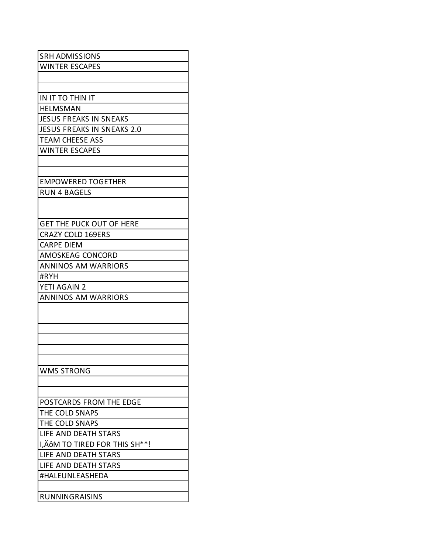| <b>SRH ADMISSIONS</b>             |
|-----------------------------------|
| <b>WINTER ESCAPES</b>             |
|                                   |
|                                   |
| IN IT TO THIN IT                  |
| <b>HELMSMAN</b>                   |
| <b>JESUS FREAKS IN SNEAKS</b>     |
| <b>JESUS FREAKS IN SNEAKS 2.0</b> |
| <b>TEAM CHEESE ASS</b>            |
| <b>WINTER ESCAPES</b>             |
|                                   |
|                                   |
| <b>EMPOWERED TOGETHER</b>         |
| RUN 4 BAGELS                      |
|                                   |
|                                   |
| <b>GET THE PUCK OUT OF HERE</b>   |
| <b>CRAZY COLD 169ERS</b>          |
| <b>CARPE DIEM</b>                 |
| AMOSKEAG CONCORD                  |
| <b>ANNINOS AM WARRIORS</b>        |
| #RYH                              |
| YETI AGAIN 2                      |
| <b>ANNINOS AM WARRIORS</b>        |
|                                   |
|                                   |
|                                   |
|                                   |
|                                   |
|                                   |
| <b>WMS STRONG</b>                 |
|                                   |
|                                   |
| POSTCARDS FROM THE EDGE           |
| THE COLD SNAPS                    |
| THE COLD SNAPS                    |
| LIFE AND DEATH STARS              |
| I, ÄÔM TO TIRED FOR THIS SH**!    |
| LIFE AND DEATH STARS              |
| LIFE AND DEATH STARS              |
| #HALEUNLEASHEDA                   |
|                                   |
| <b>RUNNINGRAISINS</b>             |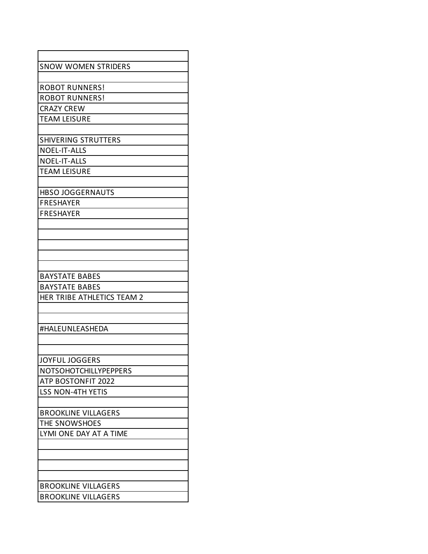| <b>SNOW WOMEN STRIDERS</b> |
|----------------------------|
|                            |
| <b>ROBOT RUNNERS!</b>      |
| <b>ROBOT RUNNERS!</b>      |
| <b>CRAZY CREW</b>          |
| <b>TEAM LEISURE</b>        |
|                            |
| <b>SHIVERING STRUTTERS</b> |
| <b>NOEL-IT-ALLS</b>        |
| <b>NOEL-IT-ALLS</b>        |
| <b>TEAM LEISURE</b>        |
|                            |
| <b>HBSO JOGGERNAUTS</b>    |
| <b>FRESHAYER</b>           |
| FRESHAYER                  |
|                            |
|                            |
|                            |
|                            |
|                            |
| <b>BAYSTATE BABES</b>      |
| <b>BAYSTATE BABES</b>      |
| HER TRIBE ATHLETICS TEAM 2 |
|                            |
|                            |
| #HALEUNLEASHEDA            |
|                            |
|                            |
| JOYFUL JOGGERS             |
| NOTSOHOTCHILLYPEPPERS      |
| ATP BOSTONFIT 2022         |
| <b>LSS NON-4TH YETIS</b>   |
|                            |
| <b>BROOKLINE VILLAGERS</b> |
| THE SNOWSHOES              |
| LYMI ONE DAY AT A TIME     |
|                            |
|                            |
|                            |
|                            |
| <b>BROOKLINE VILLAGERS</b> |
| <b>BROOKLINE VILLAGERS</b> |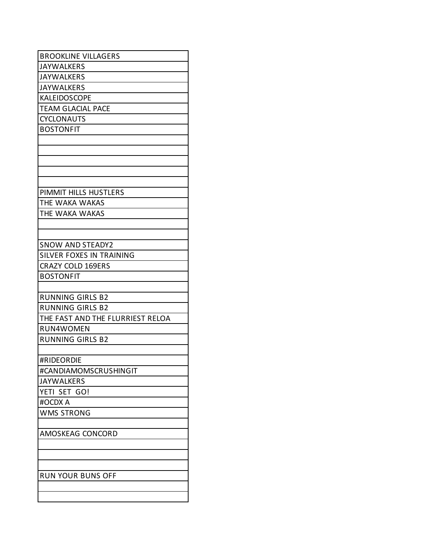| <b>BROOKLINE VILLAGERS</b>       |
|----------------------------------|
| <b>JAYWALKERS</b>                |
| <b>JAYWALKERS</b>                |
| <b>JAYWALKERS</b>                |
| <b>KALEIDOSCOPE</b>              |
| <b>TEAM GLACIAL PACE</b>         |
| <b>CYCLONAUTS</b>                |
| <b>BOSTONFIT</b>                 |
|                                  |
|                                  |
|                                  |
|                                  |
|                                  |
| PIMMIT HILLS HUSTLERS            |
| THE WAKA WAKAS                   |
| THE WAKA WAKAS                   |
|                                  |
|                                  |
| <b>SNOW AND STEADY2</b>          |
| SILVER FOXES IN TRAINING         |
| <b>CRAZY COLD 169ERS</b>         |
| <b>BOSTONFIT</b>                 |
|                                  |
| <b>RUNNING GIRLS B2</b>          |
| <b>RUNNING GIRLS B2</b>          |
| THE FAST AND THE FLURRIEST RELOA |
| <b>RUN4WOMEN</b>                 |
| <b>RUNNING GIRLS B2</b>          |
|                                  |
| #RIDEORDIE                       |
| #CANDIAMOMSCRUSHINGIT            |
| <b>JAYWALKERS</b>                |
| YETI SET GO!                     |
| #OCDX A                          |
| <b>WMS STRONG</b>                |
|                                  |
| AMOSKEAG CONCORD                 |
|                                  |
|                                  |
|                                  |
| <b>RUN YOUR BUNS OFF</b>         |
|                                  |
|                                  |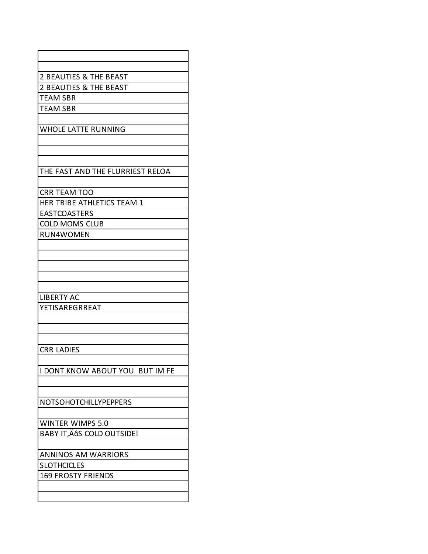| 2 BEAUTIES & THE BEAST           |
|----------------------------------|
| 2 BEAUTIES & THE BEAST           |
| <b>TEAM SBR</b>                  |
| <b>TEAM SBR</b>                  |
|                                  |
| <b>WHOLE LATTE RUNNING</b>       |
|                                  |
|                                  |
|                                  |
| THE FAST AND THE FLURRIEST RELOA |
|                                  |
| CRR TEAM TOO                     |
| HER TRIBE ATHLETICS TEAM 1       |
| <b>EASTCOASTERS</b>              |
| <b>COLD MOMS CLUB</b>            |
| RUN4WOMEN                        |
|                                  |
|                                  |
|                                  |
|                                  |
|                                  |
| <b>LIBERTY AC</b>                |
| YETISAREGRREAT                   |
|                                  |
|                                  |
|                                  |
| <b>CRR LADIES</b>                |
|                                  |
| I DONT KNOW ABOUT YOU BUT IM FE  |
|                                  |
|                                  |
| NOTSOHOTCHILLYPEPPERS            |
|                                  |
| <b>WINTER WIMPS 5.0</b>          |
| BABY IT, ÄÔS COLD OUTSIDE!       |
|                                  |
| <b>ANNINOS AM WARRIORS</b>       |
| <b>SLOTHCICLES</b>               |
| <b>169 FROSTY FRIENDS</b>        |
|                                  |
|                                  |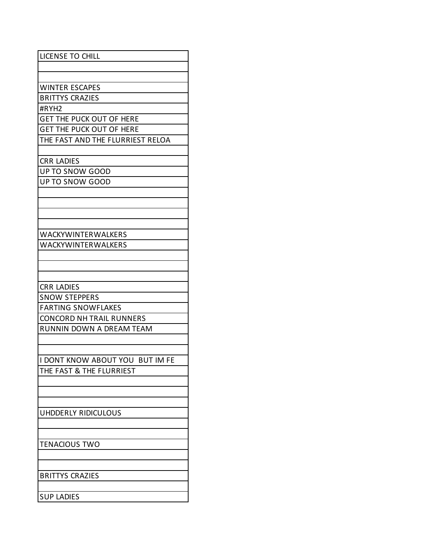| <b>LICENSE TO CHILL</b>          |
|----------------------------------|
|                                  |
|                                  |
| <b>WINTER ESCAPES</b>            |
| <b>BRITTYS CRAZIES</b>           |
| #RYH2                            |
| <b>GET THE PUCK OUT OF HERE</b>  |
| <b>GET THE PUCK OUT OF HERE</b>  |
| THE FAST AND THE FLURRIEST RELOA |
|                                  |
| <b>CRR LADIES</b>                |
| <b>UP TO SNOW GOOD</b>           |
| UP TO SNOW GOOD                  |
|                                  |
|                                  |
|                                  |
|                                  |
| <b>WACKYWINTERWALKERS</b>        |
| WACKYWINTERWALKERS               |
|                                  |
|                                  |
|                                  |
| <b>CRR LADIES</b>                |
| <b>SNOW STEPPERS</b>             |
| <b>FARTING SNOWFLAKES</b>        |
| <b>CONCORD NH TRAIL RUNNERS</b>  |
| RUNNIN DOWN A DREAM TEAM         |
|                                  |
|                                  |
| I DONT KNOW ABOUT YOU BUT IM FE  |
| THE FAST & THE FLURRIEST         |
|                                  |
|                                  |
|                                  |
| UHDDERLY RIDICULOUS              |
|                                  |
|                                  |
| <b>TENACIOUS TWO</b>             |
|                                  |
|                                  |
| <b>BRITTYS CRAZIES</b>           |
|                                  |
| <b>SUP LADIES</b>                |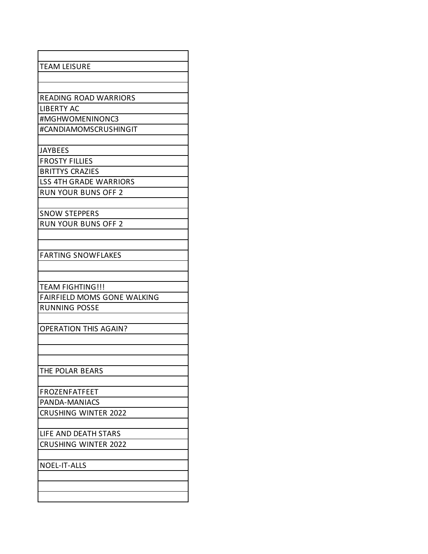| <b>TEAM LEISURE</b>                |
|------------------------------------|
|                                    |
|                                    |
| <b>READING ROAD WARRIORS</b>       |
| <b>LIBERTY AC</b>                  |
| #MGHWOMENINONC3                    |
| #CANDIAMOMSCRUSHINGIT              |
|                                    |
| <b>JAYBEES</b>                     |
| <b>FROSTY FILLIES</b>              |
| <b>BRITTYS CRAZIES</b>             |
| <b>LSS 4TH GRADE WARRIORS</b>      |
| <b>RUN YOUR BUNS OFF 2</b>         |
|                                    |
| <b>SNOW STEPPERS</b>               |
| <b>RUN YOUR BUNS OFF 2</b>         |
|                                    |
|                                    |
| <b>FARTING SNOWFLAKES</b>          |
|                                    |
|                                    |
| <b>TEAM FIGHTING!!!</b>            |
| <b>FAIRFIELD MOMS GONE WALKING</b> |
| <b>RUNNING POSSE</b>               |
|                                    |
| <b>OPERATION THIS AGAIN?</b>       |
|                                    |
|                                    |
|                                    |
| THE POLAR BEARS                    |
|                                    |
| <b>FROZENFATFEET</b>               |
| PANDA-MANIACS                      |
| <b>CRUSHING WINTER 2022</b>        |
|                                    |
| LIFE AND DEATH STARS               |
| <b>CRUSHING WINTER 2022</b>        |
|                                    |
| NOEL-IT-ALLS                       |
|                                    |
|                                    |
|                                    |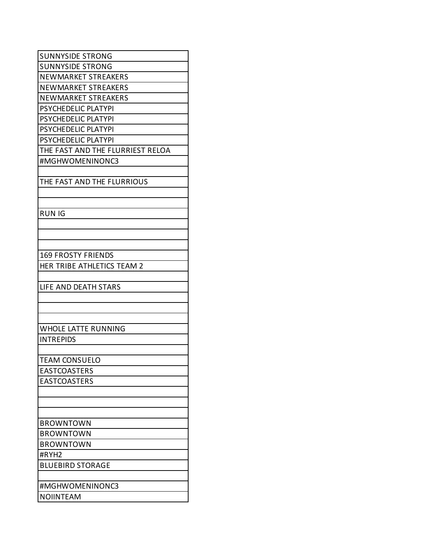| <b>SUNNYSIDE STRONG</b>          |
|----------------------------------|
| <b>SUNNYSIDE STRONG</b>          |
| NEWMARKET STREAKERS              |
| <b>NEWMARKET STREAKERS</b>       |
| NEWMARKET STREAKERS              |
| PSYCHEDELIC PLATYPI              |
| <b>PSYCHEDELIC PLATYPI</b>       |
| PSYCHEDELIC PLATYPI              |
| <b>PSYCHEDELIC PLATYPI</b>       |
| THE FAST AND THE FLURRIEST RELOA |
| #MGHWOMENINONC3                  |
|                                  |
| THE FAST AND THE FLURRIOUS       |
|                                  |
|                                  |
| <b>RUN IG</b>                    |
|                                  |
|                                  |
|                                  |
| <b>169 FROSTY FRIENDS</b>        |
| HER TRIBE ATHLETICS TEAM 2       |
|                                  |
| LIFE AND DEATH STARS             |
|                                  |
|                                  |
|                                  |
| <b>WHOLE LATTE RUNNING</b>       |
| <b>INTREPIDS</b>                 |
|                                  |
| <b>TEAM CONSUELO</b>             |
| EASTCOASTERS                     |
| <b>EASTCOASTERS</b>              |
|                                  |
|                                  |
|                                  |
| <b>BROWNTOWN</b>                 |
| <b>BROWNTOWN</b>                 |
| <b>BROWNTOWN</b>                 |
| #RYH2                            |
| <b>BLUEBIRD STORAGE</b>          |
|                                  |
|                                  |
| #MGHWOMENINONC3                  |
| <b>NOIINTEAM</b>                 |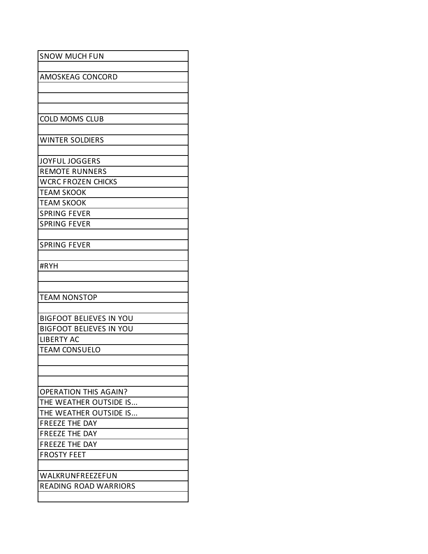| <b>SNOW MUCH FUN</b>           |
|--------------------------------|
| AMOSKEAG CONCORD               |
|                                |
|                                |
|                                |
| <b>COLD MOMS CLUB</b>          |
| <b>WINTER SOLDIERS</b>         |
|                                |
| <b>JOYFUL JOGGERS</b>          |
| <b>REMOTE RUNNERS</b>          |
| <b>WCRC FROZEN CHICKS</b>      |
| <b>TEAM SKOOK</b>              |
| <b>TEAM SKOOK</b>              |
| <b>SPRING FEVER</b>            |
| <b>SPRING FEVER</b>            |
|                                |
| <b>SPRING FEVER</b>            |
|                                |
| #RYH                           |
|                                |
|                                |
| <b>TEAM NONSTOP</b>            |
| <b>BIGFOOT BELIEVES IN YOU</b> |
| <b>BIGFOOT BELIEVES IN YOU</b> |
| <b>LIBERTY AC</b>              |
| <b>TEAM CONSUELO</b>           |
|                                |
|                                |
|                                |
| <b>OPERATION THIS AGAIN?</b>   |
| THE WEATHER OUTSIDE IS         |
| THE WEATHER OUTSIDE IS         |
| <b>FREEZE THE DAY</b>          |
| <b>FREEZE THE DAY</b>          |
| <b>FREEZE THE DAY</b>          |
| <b>FROSTY FEET</b>             |
|                                |
| WALKRUNFREEZEFUN               |
|                                |
| <b>READING ROAD WARRIORS</b>   |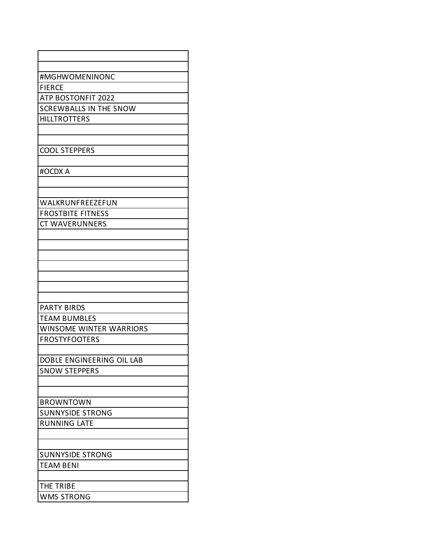| #MGHWOMENINONC                 |
|--------------------------------|
| <b>FIERCE</b>                  |
| ATP BOSTONFIT 2022             |
| <b>SCREWBALLS IN THE SNOW</b>  |
| <b>HILLTROTTERS</b>            |
|                                |
| <b>COOL STEPPERS</b>           |
|                                |
| #OCDX A                        |
|                                |
|                                |
| WALKRUNFREEZEFUN               |
| <b>FROSTBITE FITNESS</b>       |
| <b>CT WAVERUNNERS</b>          |
|                                |
|                                |
|                                |
|                                |
|                                |
|                                |
| <b>PARTY BIRDS</b>             |
| <b>TEAM BUMBLES</b>            |
| <b>WINSOME WINTER WARRIORS</b> |
| <b>FROSTYFOOTERS</b>           |
|                                |
| DOBLE ENGINEERING OIL LAB      |
| <b>SNOW STEPPERS</b>           |
|                                |
| <b>BROWNTOWN</b>               |
| <b>SUNNYSIDE STRONG</b>        |
| <b>RUNNING LATE</b>            |
|                                |
|                                |
| <b>SUNNYSIDE STRONG</b>        |
| <b>TEAM BENI</b>               |
|                                |
| THE TRIBE                      |
| <b>WMS STRONG</b>              |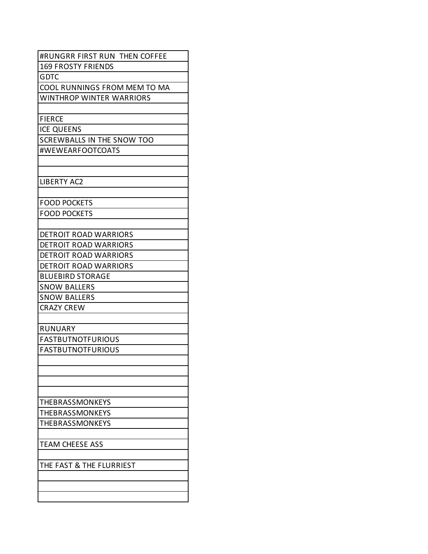| #RUNGRR FIRST RUN THEN COFFEE     |
|-----------------------------------|
| <b>169 FROSTY FRIENDS</b>         |
| <b>GDTC</b>                       |
| COOL RUNNINGS FROM MEM TO MA      |
| <b>WINTHROP WINTER WARRIORS</b>   |
|                                   |
| <b>FIERCE</b>                     |
| <b>ICE QUEENS</b>                 |
| <b>SCREWBALLS IN THE SNOW TOO</b> |
| #WEWEARFOOTCOATS                  |
|                                   |
|                                   |
| <b>LIBERTY AC2</b>                |
|                                   |
| <b>FOOD POCKETS</b>               |
| <b>FOOD POCKETS</b>               |
|                                   |
| <b>DETROIT ROAD WARRIORS</b>      |
| <b>DETROIT ROAD WARRIORS</b>      |
| DETROIT ROAD WARRIORS             |
| <b>DETROIT ROAD WARRIORS</b>      |
| <b>BLUEBIRD STORAGE</b>           |
| <b>SNOW BALLERS</b>               |
| <b>SNOW BALLERS</b>               |
| <b>CRAZY CREW</b>                 |
|                                   |
| <b>RUNUARY</b>                    |
| <b>FASTBUTNOTFURIOUS</b>          |
| <b>FASTBUTNOTFURIOUS</b>          |
|                                   |
|                                   |
|                                   |
|                                   |
| THEBRASSMONKEYS                   |
| THEBRASSMONKEYS                   |
| THEBRASSMONKEYS                   |
|                                   |
| <b>TEAM CHEESE ASS</b>            |
|                                   |
| THE FAST & THE FLURRIEST          |
|                                   |
|                                   |
|                                   |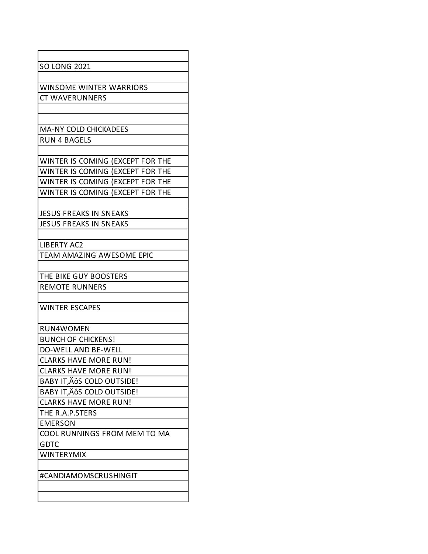| <b>SO LONG 2021</b>              |
|----------------------------------|
|                                  |
| <b>WINSOME WINTER WARRIORS</b>   |
| <b>CT WAVERUNNERS</b>            |
|                                  |
|                                  |
| <b>MA-NY COLD CHICKADEES</b>     |
| <b>RUN 4 BAGELS</b>              |
|                                  |
| WINTER IS COMING (EXCEPT FOR THE |
| WINTER IS COMING (EXCEPT FOR THE |
| WINTER IS COMING (EXCEPT FOR THE |
| WINTER IS COMING (EXCEPT FOR THE |
|                                  |
| <b>JESUS FREAKS IN SNEAKS</b>    |
| <b>JESUS FREAKS IN SNEAKS</b>    |
|                                  |
| <b>LIBERTY AC2</b>               |
| TEAM AMAZING AWESOME EPIC        |
|                                  |
| THE BIKE GUY BOOSTERS            |
| <b>REMOTE RUNNERS</b>            |
|                                  |
| <b>WINTER ESCAPES</b>            |
|                                  |
| RUN4WOMEN                        |
| <b>BUNCH OF CHICKENS!</b>        |
| DO-WELL AND BE-WELL              |
| <b>CLARKS HAVE MORE RUN!</b>     |
| <b>CLARKS HAVE MORE RUN!</b>     |
| BABY IT, AOS COLD OUTSIDE!       |
| BABY IT, ÄÔS COLD OUTSIDE!       |
| <b>CLARKS HAVE MORE RUN!</b>     |
| THE R.A.P.STERS                  |
| <b>EMERSON</b>                   |
| COOL RUNNINGS FROM MEM TO MA     |
| <b>GDTC</b>                      |
| <b>WINTERYMIX</b>                |
|                                  |
| #CANDIAMOMSCRUSHINGIT            |
|                                  |
|                                  |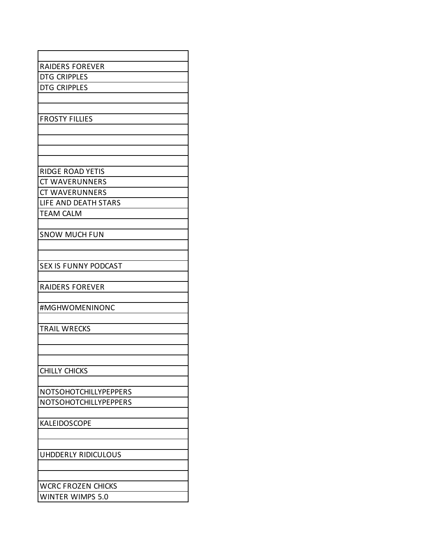| <b>RAIDERS FOREVER</b><br>DTG CRIPPLES<br><b>DTG CRIPPLES</b> |
|---------------------------------------------------------------|
|                                                               |
|                                                               |
|                                                               |
|                                                               |
|                                                               |
| <b>FROSTY FILLIES</b>                                         |
|                                                               |
|                                                               |
|                                                               |
|                                                               |
| <b>RIDGE ROAD YETIS</b>                                       |
| <b>CT WAVERUNNERS</b>                                         |
| <b>CT WAVERUNNERS</b>                                         |
| LIFE AND DEATH STARS                                          |
| <b>TEAM CALM</b>                                              |
|                                                               |
| <b>SNOW MUCH FUN</b>                                          |
|                                                               |
| <b>SEX IS FUNNY PODCAST</b>                                   |
|                                                               |
| <b>RAIDERS FOREVER</b>                                        |
|                                                               |
| #MGHWOMENINONC                                                |
|                                                               |
| <b>TRAIL WRECKS</b>                                           |
|                                                               |
|                                                               |
|                                                               |
| <b>CHILLY CHICKS</b>                                          |
|                                                               |
| NOTSOHOTCHILLYPEPPERS                                         |
| NOTSOHOTCHILLYPEPPERS                                         |
|                                                               |
| KALEIDOSCOPE                                                  |
|                                                               |
|                                                               |
| UHDDERLY RIDICULOUS                                           |
|                                                               |
|                                                               |
| <b>WCRC FROZEN CHICKS</b>                                     |
| <b>WINTER WIMPS 5.0</b>                                       |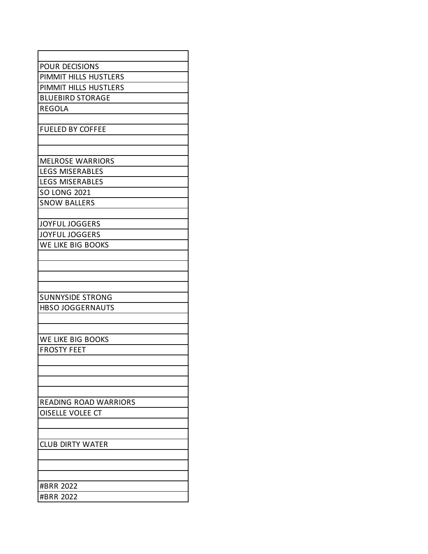| <b>POUR DECISIONS</b>        |
|------------------------------|
| PIMMIT HILLS HUSTLERS        |
| PIMMIT HILLS HUSTLERS        |
| <b>BLUEBIRD STORAGE</b>      |
| <b>REGOLA</b>                |
|                              |
|                              |
| <b>FUELED BY COFFEE</b>      |
|                              |
| <b>MELROSE WARRIORS</b>      |
|                              |
| <b>LEGS MISERABLES</b>       |
| <b>LEGS MISERABLES</b>       |
| <b>SO LONG 2021</b>          |
| <b>SNOW BALLERS</b>          |
|                              |
| <b>JOYFUL JOGGERS</b>        |
| <b>JOYFUL JOGGERS</b>        |
| WE LIKE BIG BOOKS            |
|                              |
|                              |
|                              |
|                              |
| <b>SUNNYSIDE STRONG</b>      |
| <b>HBSO JOGGERNAUTS</b>      |
|                              |
|                              |
| WE LIKE BIG BOOKS            |
| <b>FROSTY FEET</b>           |
|                              |
|                              |
|                              |
|                              |
| <b>READING ROAD WARRIORS</b> |
| OISELLE VOLEE CT             |
|                              |
|                              |
| <b>CLUB DIRTY WATER</b>      |
|                              |
|                              |
|                              |
| #BRR 2022                    |
| #BRR 2022                    |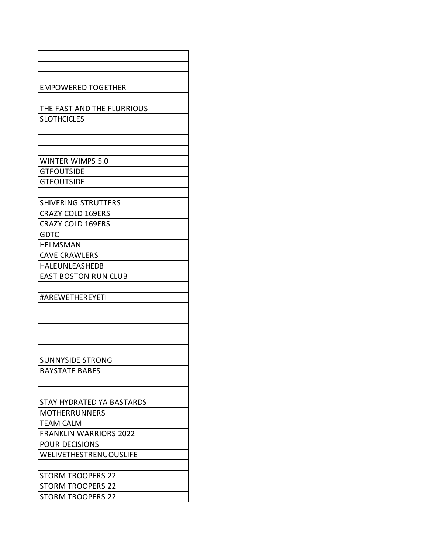| <b>EMPOWERED TOGETHER</b>        |
|----------------------------------|
|                                  |
| THE FAST AND THE FLURRIOUS       |
| <b>SLOTHCICLES</b>               |
|                                  |
|                                  |
|                                  |
| <b>WINTER WIMPS 5.0</b>          |
| <b>GTFOUTSIDE</b>                |
| <b>GTFOUTSIDE</b>                |
|                                  |
| <b>SHIVERING STRUTTERS</b>       |
| <b>CRAZY COLD 169ERS</b>         |
| <b>CRAZY COLD 169ERS</b>         |
| <b>GDTC</b>                      |
| <b>HELMSMAN</b>                  |
| <b>CAVE CRAWLERS</b>             |
| <b>HALEUNLEASHEDB</b>            |
| <b>EAST BOSTON RUN CLUB</b>      |
|                                  |
| #AREWETHEREYETI                  |
|                                  |
|                                  |
|                                  |
|                                  |
|                                  |
| <b>SUNNYSIDE STRONG</b>          |
| <b>BAYSTATE BABES</b>            |
|                                  |
|                                  |
| <b>STAY HYDRATED YA BASTARDS</b> |
| <b>MOTHERRUNNERS</b>             |
| <b>TEAM CALM</b>                 |
| <b>FRANKLIN WARRIORS 2022</b>    |
| <b>POUR DECISIONS</b>            |
| WELIVETHESTRENUOUSLIFE           |
|                                  |
| <b>STORM TROOPERS 22</b>         |
| <b>STORM TROOPERS 22</b>         |
| <b>STORM TROOPERS 22</b>         |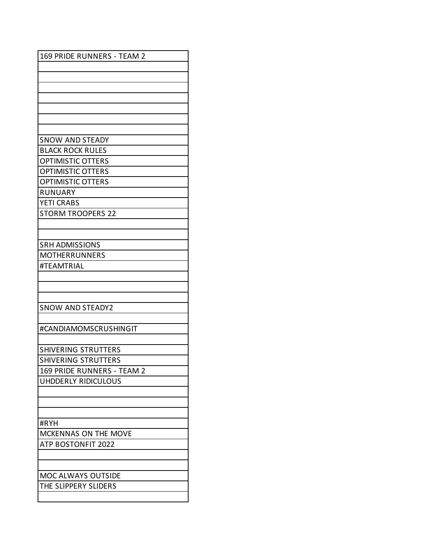| 169 PRIDE RUNNERS - TEAM 2 |
|----------------------------|
|                            |
|                            |
|                            |
|                            |
|                            |
|                            |
|                            |
| <b>SNOW AND STEADY</b>     |
| <b>BLACK ROCK RULES</b>    |
| <b>OPTIMISTIC OTTERS</b>   |
| <b>OPTIMISTIC OTTERS</b>   |
| <b>OPTIMISTIC OTTERS</b>   |
| <b>RUNUARY</b>             |
| <b>YETI CRABS</b>          |
| <b>STORM TROOPERS 22</b>   |
|                            |
|                            |
| <b>SRH ADMISSIONS</b>      |
| <b>MOTHERRUNNERS</b>       |
| #TEAMTRIAL                 |
|                            |
|                            |
|                            |
| <b>SNOW AND STEADY2</b>    |
|                            |
| #CANDIAMOMSCRUSHINGIT      |
|                            |
| <b>SHIVERING STRUTTERS</b> |
| <b>SHIVERING STRUTTERS</b> |
| 169 PRIDE RUNNERS - TEAM 2 |
| UHDDERLY RIDICULOUS        |
|                            |
|                            |
|                            |
| #RYH                       |
| MCKENNAS ON THE MOVE       |
| <b>ATP BOSTONFIT 2022</b>  |
|                            |
|                            |
| MOC ALWAYS OUTSIDE         |
| THE SLIPPERY SLIDERS       |
|                            |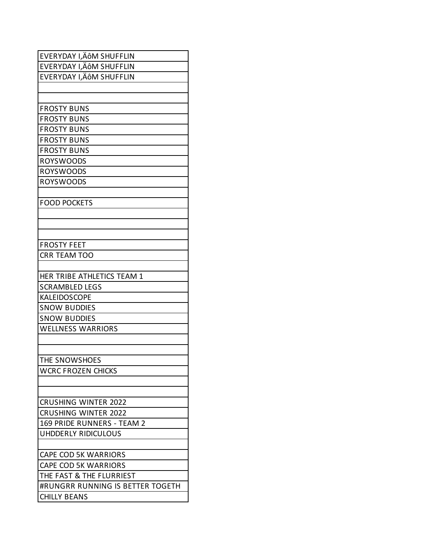| EVERYDAY I,ÄôM SHUFFLIN          |
|----------------------------------|
| EVERYDAY I, ÄÔM SHUFFLIN         |
| EVERYDAY I,ÄÔM SHUFFLIN          |
|                                  |
|                                  |
| <b>FROSTY BUNS</b>               |
| <b>FROSTY BUNS</b>               |
| <b>FROSTY BUNS</b>               |
| <b>FROSTY BUNS</b>               |
| <b>FROSTY BUNS</b>               |
| <b>ROYSWOODS</b>                 |
| <b>ROYSWOODS</b>                 |
| <b>ROYSWOODS</b>                 |
|                                  |
| <b>FOOD POCKETS</b>              |
|                                  |
|                                  |
|                                  |
| <b>FROSTY FEET</b>               |
| <b>CRR TEAM TOO</b>              |
|                                  |
| HER TRIBE ATHLETICS TEAM 1       |
| <b>SCRAMBLED LEGS</b>            |
| <b>KALEIDOSCOPE</b>              |
| <b>SNOW BUDDIES</b>              |
| <b>SNOW BUDDIES</b>              |
| <b>WELLNESS WARRIORS</b>         |
|                                  |
|                                  |
| THE SNOWSHOES                    |
| <b>WCRC FROZEN CHICKS</b>        |
|                                  |
|                                  |
| <b>CRUSHING WINTER 2022</b>      |
| <b>CRUSHING WINTER 2022</b>      |
| 169 PRIDE RUNNERS - TEAM 2       |
| UHDDERLY RIDICULOUS              |
|                                  |
| <b>CAPE COD 5K WARRIORS</b>      |
| <b>CAPE COD 5K WARRIORS</b>      |
| THE FAST & THE FLURRIEST         |
| #RUNGRR RUNNING IS BETTER TOGETH |
| <b>CHILLY BEANS</b>              |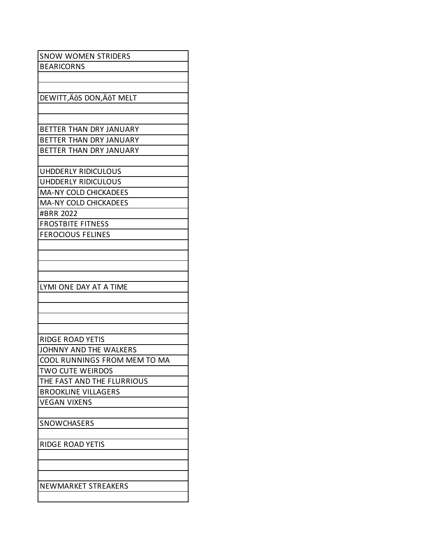| <b>SNOW WOMEN STRIDERS</b>   |
|------------------------------|
| <b>BEARICORNS</b>            |
|                              |
|                              |
| DEWITT, ÄÔS DON, ÄÔT MELT    |
|                              |
|                              |
| BETTER THAN DRY JANUARY      |
| BETTER THAN DRY JANUARY      |
| BETTER THAN DRY JANUARY      |
|                              |
| UHDDERLY RIDICULOUS          |
| <b>UHDDERLY RIDICULOUS</b>   |
| <b>MA-NY COLD CHICKADEES</b> |
| <b>MA-NY COLD CHICKADEES</b> |
| #BRR 2022                    |
| <b>FROSTBITE FITNESS</b>     |
| <b>FEROCIOUS FELINES</b>     |
|                              |
|                              |
|                              |
|                              |
| LYMI ONE DAY AT A TIME       |
|                              |
|                              |
|                              |
|                              |
| <b>RIDGE ROAD YETIS</b>      |
| JOHNNY AND THE WALKERS       |
| COOL RUNNINGS FROM MEM TO MA |
| <b>TWO CUTE WEIRDOS</b>      |
| THE FAST AND THE FLURRIOUS   |
| <b>BROOKLINE VILLAGERS</b>   |
| <b>VEGAN VIXENS</b>          |
|                              |
| <b>SNOWCHASERS</b>           |
|                              |
| RIDGE ROAD YETIS             |
|                              |
|                              |
|                              |
|                              |
| NEWMARKET STREAKERS          |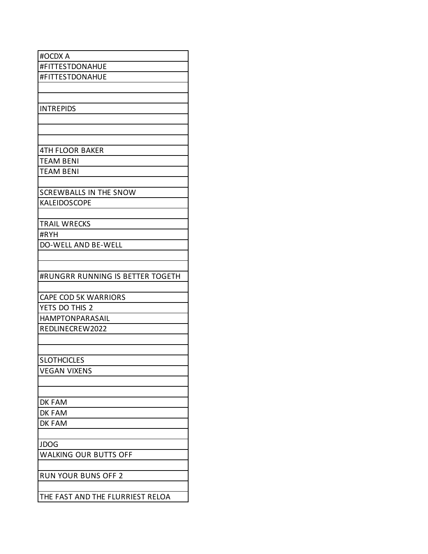| #OCDX A<br>#FITTESTDONAHUE       |
|----------------------------------|
|                                  |
|                                  |
| #FITTESTDONAHUE                  |
|                                  |
|                                  |
| <b>INTREPIDS</b>                 |
|                                  |
|                                  |
|                                  |
| <b>4TH FLOOR BAKER</b>           |
| <b>TEAM BENI</b>                 |
| TEAM BENI                        |
|                                  |
| <b>SCREWBALLS IN THE SNOW</b>    |
| KALEIDOSCOPE                     |
|                                  |
| <b>TRAIL WRECKS</b>              |
| #RYH                             |
| <b>DO-WELL AND BE-WELL</b>       |
|                                  |
|                                  |
| #RUNGRR RUNNING IS BETTER TOGETH |
|                                  |
| <b>CAPE COD 5K WARRIORS</b>      |
| YETS DO THIS 2                   |
| <b>HAMPTONPARASAIL</b>           |
| REDLINECREW2022                  |
|                                  |
|                                  |
| <b>SLOTHCICLES</b>               |
| <b>VEGAN VIXENS</b>              |
|                                  |
|                                  |
| DK FAM                           |
| DK FAM                           |
| DK FAM                           |
|                                  |
| <b>JDOG</b>                      |
| WALKING OUR BUTTS OFF            |
|                                  |
| <b>RUN YOUR BUNS OFF 2</b>       |
|                                  |
| THE FAST AND THE FLURRIEST RELOA |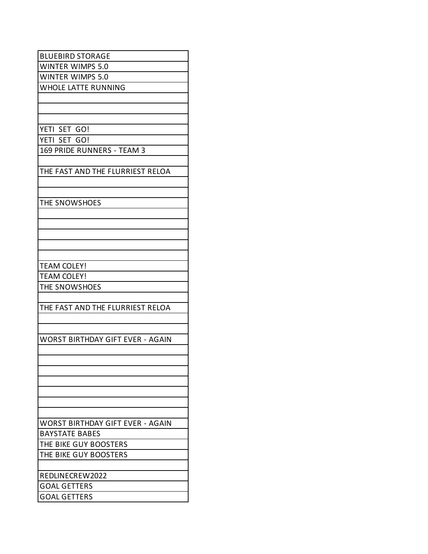| <b>BLUEBIRD STORAGE</b>                 |
|-----------------------------------------|
| <b>WINTER WIMPS 5.0</b>                 |
| <b>WINTER WIMPS 5.0</b>                 |
| <b>WHOLE LATTE RUNNING</b>              |
|                                         |
|                                         |
|                                         |
|                                         |
| YETI SET GO!                            |
| YETI SET GO!                            |
| 169 PRIDE RUNNERS - TEAM 3              |
|                                         |
| THE FAST AND THE FLURRIEST RELOA        |
|                                         |
|                                         |
| THE SNOWSHOES                           |
|                                         |
|                                         |
|                                         |
|                                         |
|                                         |
|                                         |
| <b>TEAM COLEY!</b>                      |
| <b>TEAM COLEY!</b>                      |
| THE SNOWSHOES                           |
|                                         |
| THE FAST AND THE FLURRIEST RELOA        |
|                                         |
|                                         |
|                                         |
| <b>WORST BIRTHDAY GIFT EVER - AGAIN</b> |
|                                         |
|                                         |
|                                         |
|                                         |
|                                         |
|                                         |
|                                         |
|                                         |
| WORST BIRTHDAY GIFT EVER - AGAIN        |
| <b>BAYSTATE BABES</b>                   |
| THE BIKE GUY BOOSTERS                   |
| THE BIKE GUY BOOSTERS                   |
|                                         |
| REDLINECREW2022                         |
| <b>GOAL GETTERS</b>                     |
|                                         |
| <b>GOAL GETTERS</b>                     |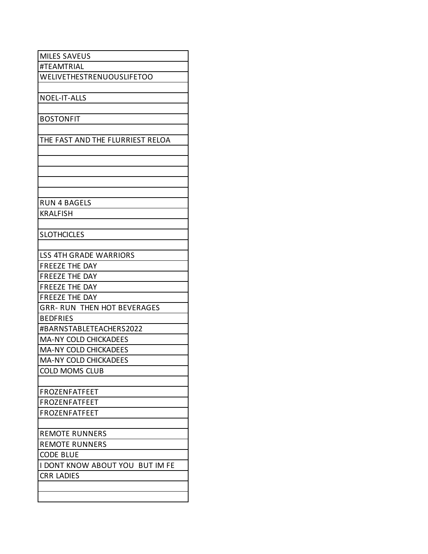| <b>MILES SAVEUS</b>                    |
|----------------------------------------|
| #TEAMTRIAL                             |
| WELIVETHESTRENUOUSLIFETOO              |
|                                        |
| <b>NOEL-IT-ALLS</b>                    |
|                                        |
| <b>BOSTONFIT</b>                       |
|                                        |
| THE FAST AND THE FLURRIEST RELOA       |
|                                        |
|                                        |
|                                        |
|                                        |
|                                        |
| <b>RUN 4 BAGELS</b>                    |
| <b>KRALFISH</b>                        |
|                                        |
| <b>SLOTHCICLES</b>                     |
|                                        |
| <b>LSS 4TH GRADE WARRIORS</b>          |
| <b>FREEZE THE DAY</b>                  |
| <b>FREEZE THE DAY</b>                  |
| <b>FREEZE THE DAY</b>                  |
| <b>FREEZE THE DAY</b>                  |
| <b>GRR- RUN THEN HOT BEVERAGES</b>     |
| <b>BEDFRIES</b>                        |
| #BARNSTABLETEACHERS2022                |
| <b>MA-NY COLD CHICKADEES</b>           |
| <b>MA-NY COLD CHICKADEES</b>           |
| <b>MA-NY COLD CHICKADEES</b>           |
| <b>COLD MOMS CLUB</b>                  |
|                                        |
| <b>FROZENFATFEET</b>                   |
| <b>FROZENFATFEET</b>                   |
| <b>FROZENFATFEET</b>                   |
|                                        |
| <b>REMOTE RUNNERS</b>                  |
| <b>REMOTE RUNNERS</b>                  |
| <b>CODE BLUE</b>                       |
| <b>I DONT KNOW ABOUT YOU BUT IM FE</b> |
| <b>CRR LADIES</b>                      |
|                                        |
|                                        |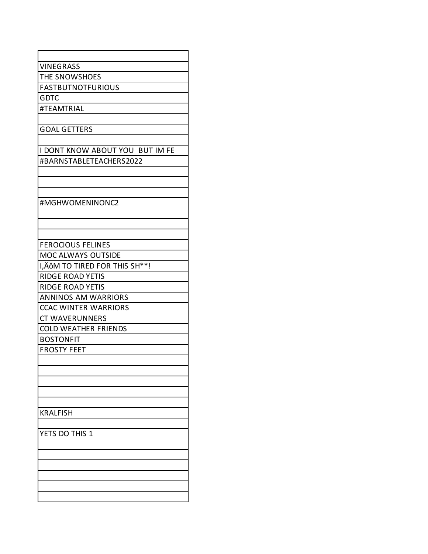| <b>VINEGRASS</b>                |
|---------------------------------|
| THE SNOWSHOES                   |
| <b>FASTBUTNOTFURIOUS</b>        |
| <b>GDTC</b>                     |
| #TEAMTRIAL                      |
|                                 |
| <b>GOAL GETTERS</b>             |
|                                 |
| I DONT KNOW ABOUT YOU BUT IM FE |
| #BARNSTABLETEACHERS2022         |
|                                 |
|                                 |
|                                 |
| #MGHWOMENINONC2                 |
|                                 |
|                                 |
|                                 |
| <b>FEROCIOUS FELINES</b>        |
| MOC ALWAYS OUTSIDE              |
| I, ÄÔM TO TIRED FOR THIS SH**!  |
| <b>RIDGE ROAD YETIS</b>         |
| <b>RIDGE ROAD YETIS</b>         |
| <b>ANNINOS AM WARRIORS</b>      |
| <b>CCAC WINTER WARRIORS</b>     |
| <b>CT WAVERUNNERS</b>           |
| <b>COLD WEATHER FRIENDS</b>     |
| <b>BOSTONFIT</b>                |
| <b>FROSTY FEET</b>              |
|                                 |
|                                 |
|                                 |
|                                 |
|                                 |
| <b>KRALFISH</b>                 |
|                                 |
| YETS DO THIS 1                  |
|                                 |
|                                 |
|                                 |
|                                 |
|                                 |
|                                 |
|                                 |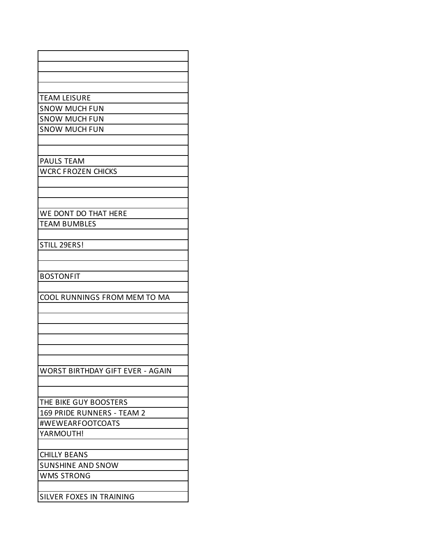| <b>TEAM LEISURE</b>              |
|----------------------------------|
| <b>SNOW MUCH FUN</b>             |
| <b>SNOW MUCH FUN</b>             |
| <b>SNOW MUCH FUN</b>             |
|                                  |
|                                  |
| <b>PAULS TEAM</b>                |
| <b>WCRC FROZEN CHICKS</b>        |
|                                  |
|                                  |
|                                  |
| WE DONT DO THAT HERE             |
| <b>TEAM BUMBLES</b>              |
|                                  |
| STILL 29ERS!                     |
|                                  |
|                                  |
| <b>BOSTONFIT</b>                 |
|                                  |
| COOL RUNNINGS FROM MEM TO MA     |
|                                  |
|                                  |
|                                  |
|                                  |
|                                  |
|                                  |
| WORST BIRTHDAY GIFT EVER - AGAIN |
|                                  |
|                                  |
| THE BIKE GUY BOOSTERS            |
| 169 PRIDE RUNNERS - TEAM 2       |
| #WEWEARFOOTCOATS                 |
| YARMOUTH!                        |
|                                  |
| <b>CHILLY BEANS</b>              |
| <b>SUNSHINE AND SNOW</b>         |
| <b>WMS STRONG</b>                |
|                                  |
|                                  |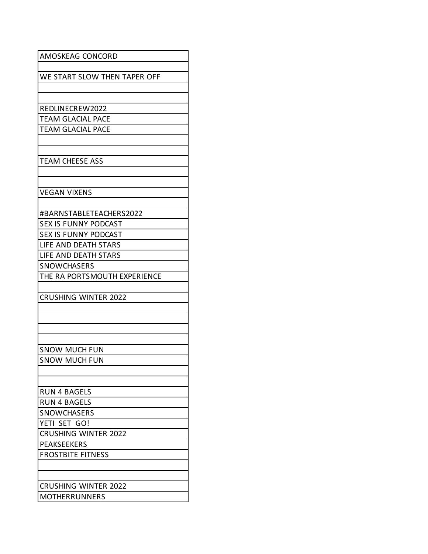| AMOSKEAG CONCORD             |
|------------------------------|
| WE START SLOW THEN TAPER OFF |
|                              |
|                              |
| REDLINECREW2022              |
| <b>TEAM GLACIAL PACE</b>     |
| <b>TEAM GLACIAL PACE</b>     |
|                              |
| <b>TEAM CHEESE ASS</b>       |
|                              |
|                              |
| <b>VEGAN VIXENS</b>          |
|                              |
| #BARNSTABLETEACHERS2022      |
| <b>SEX IS FUNNY PODCAST</b>  |
| <b>SEX IS FUNNY PODCAST</b>  |
| LIFE AND DEATH STARS         |
| LIFE AND DEATH STARS         |
| SNOWCHASERS                  |
| THE RA PORTSMOUTH EXPERIENCE |
| <b>CRUSHING WINTER 2022</b>  |
|                              |
|                              |
|                              |
|                              |
| <b>SNOW MUCH FUN</b>         |
| <b>SNOW MUCH FUN</b>         |
|                              |
| <b>RUN 4 BAGELS</b>          |
| <b>RUN 4 BAGELS</b>          |
| <b>SNOWCHASERS</b>           |
| YETI SET GO!                 |
| <b>CRUSHING WINTER 2022</b>  |
| <b>PEAKSEEKERS</b>           |
| <b>FROSTBITE FITNESS</b>     |
|                              |
|                              |
| <b>CRUSHING WINTER 2022</b>  |
| <b>MOTHERRUNNERS</b>         |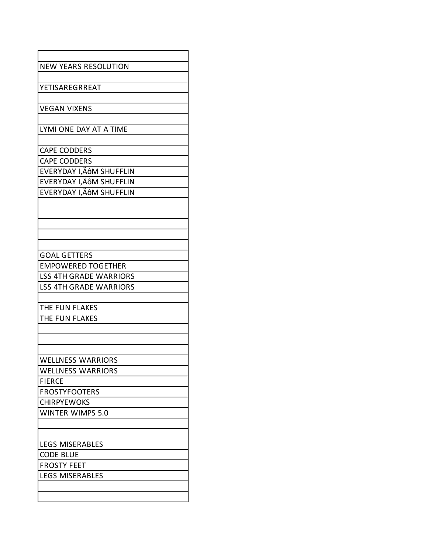| <b>NEW YEARS RESOLUTION</b>   |
|-------------------------------|
|                               |
| YETISAREGRREAT                |
|                               |
| <b>VEGAN VIXENS</b>           |
|                               |
| LYMI ONE DAY AT A TIME        |
|                               |
| <b>CAPE CODDERS</b>           |
| <b>CAPE CODDERS</b>           |
| EVERYDAY I, ÄÔM SHUFFLIN      |
| EVERYDAY I, ÄÔM SHUFFLIN      |
| EVERYDAY I, ÄÔM SHUFFLIN      |
|                               |
|                               |
|                               |
|                               |
|                               |
| <b>GOAL GETTERS</b>           |
| <b>EMPOWERED TOGETHER</b>     |
| <b>LSS 4TH GRADE WARRIORS</b> |
| <b>LSS 4TH GRADE WARRIORS</b> |
|                               |
| THE FUN FLAKES                |
| THE FUN FLAKES                |
|                               |
|                               |
| <b>WELLNESS WARRIORS</b>      |
| <b>WELLNESS WARRIORS</b>      |
| <b>FIERCE</b>                 |
| <b>FROSTYFOOTERS</b>          |
| <b>CHIRPYEWOKS</b>            |
| <b>WINTER WIMPS 5.0</b>       |
|                               |
|                               |
| <b>LEGS MISERABLES</b>        |
| <b>CODE BLUE</b>              |
| <b>FROSTY FEET</b>            |
| <b>LEGS MISERABLES</b>        |
|                               |
|                               |
|                               |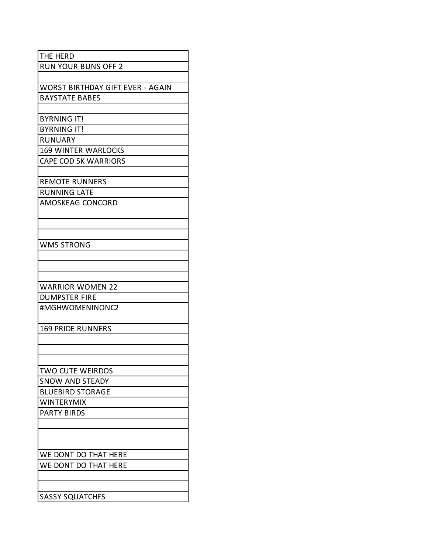| THE HERD                                |
|-----------------------------------------|
| <b>RUN YOUR BUNS OFF 2</b>              |
|                                         |
| <b>WORST BIRTHDAY GIFT EVER - AGAIN</b> |
| <b>BAYSTATE BABES</b>                   |
|                                         |
| <b>BYRNING IT!</b>                      |
| <b>BYRNING IT!</b>                      |
| <b>RUNUARY</b>                          |
| <b>169 WINTER WARLOCKS</b>              |
| <b>CAPE COD 5K WARRIORS</b>             |
|                                         |
| <b>REMOTE RUNNERS</b>                   |
| <b>RUNNING LATE</b>                     |
| AMOSKEAG CONCORD                        |
|                                         |
|                                         |
|                                         |
| <b>WMS STRONG</b>                       |
|                                         |
|                                         |
|                                         |
| <b>WARRIOR WOMEN 22</b>                 |
| <b>DUMPSTER FIRE</b>                    |
| #MGHWOMENINONC2                         |
|                                         |
| <b>169 PRIDE RUNNERS</b>                |
|                                         |
|                                         |
|                                         |
| TWO CUTE WEIRDOS                        |
| <b>SNOW AND STEADY</b>                  |
| <b>BLUEBIRD STORAGE</b>                 |
| <b>WINTERYMIX</b>                       |
| <b>PARTY BIRDS</b>                      |
|                                         |
|                                         |
|                                         |
| WE DONT DO THAT HERE                    |
| WE DONT DO THAT HERE                    |
|                                         |
|                                         |
| <b>SASSY SQUATCHES</b>                  |
|                                         |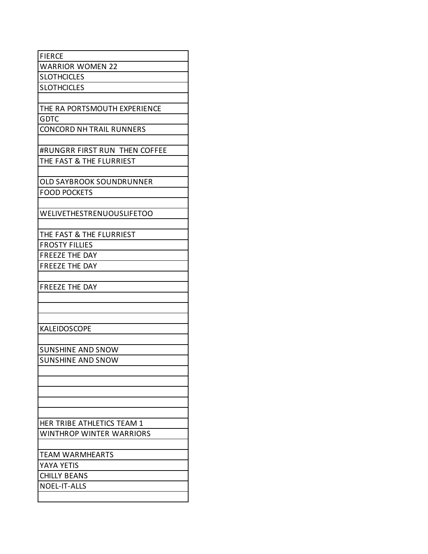| <b>FIERCE</b>                    |
|----------------------------------|
| <b>WARRIOR WOMEN 22</b>          |
| <b>SLOTHCICLES</b>               |
| <b>SLOTHCICLES</b>               |
|                                  |
| THE RA PORTSMOUTH EXPERIENCE     |
| <b>GDTC</b>                      |
| <b>CONCORD NH TRAIL RUNNERS</b>  |
|                                  |
| #RUNGRR FIRST RUN THEN COFFEE    |
| THE FAST & THE FLURRIEST         |
|                                  |
| <b>OLD SAYBROOK SOUNDRUNNER</b>  |
| <b>FOOD POCKETS</b>              |
|                                  |
| <b>WELIVETHESTRENUOUSLIFETOO</b> |
|                                  |
| THE FAST & THE FLURRIEST         |
| <b>FROSTY FILLIES</b>            |
| <b>FREEZE THE DAY</b>            |
| <b>FREEZE THE DAY</b>            |
|                                  |
| <b>FREEZE THE DAY</b>            |
|                                  |
|                                  |
|                                  |
| <b>KALEIDOSCOPE</b>              |
|                                  |
| <b>SUNSHINE AND SNOW</b>         |
| <b>SUNSHINE AND SNOW</b>         |
|                                  |
|                                  |
|                                  |
|                                  |
|                                  |
| HER TRIBE ATHLETICS TEAM 1       |
| <b>WINTHROP WINTER WARRIORS</b>  |
|                                  |
| <b>TEAM WARMHEARTS</b>           |
| YAYA YETIS                       |
| <b>CHILLY BEANS</b>              |
| <b>NOEL-IT-ALLS</b>              |
|                                  |
|                                  |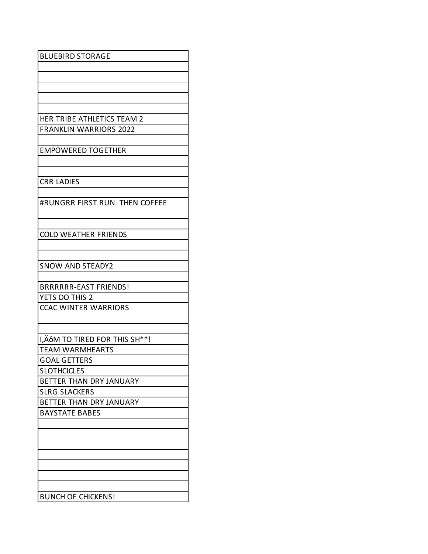| <b>BLUEBIRD STORAGE</b>        |
|--------------------------------|
|                                |
|                                |
|                                |
|                                |
|                                |
| HER TRIBE ATHLETICS TEAM 2     |
| <b>FRANKLIN WARRIORS 2022</b>  |
|                                |
| <b>EMPOWERED TOGETHER</b>      |
|                                |
|                                |
| <b>CRR LADIES</b>              |
|                                |
| #RUNGRR FIRST RUN THEN COFFEE  |
|                                |
|                                |
| <b>COLD WEATHER FRIENDS</b>    |
|                                |
|                                |
| <b>SNOW AND STEADY2</b>        |
|                                |
| <b>BRRRRRR-EAST FRIENDS!</b>   |
| YETS DO THIS 2                 |
| <b>CCAC WINTER WARRIORS</b>    |
|                                |
| I, ÄÔM TO TIRED FOR THIS SH**! |
| <b>TEAM WARMHEARTS</b>         |
| <b>GOAL GETTERS</b>            |
| <b>SLOTHCICLES</b>             |
| BETTER THAN DRY JANUARY        |
| <b>SLRG SLACKERS</b>           |
| BETTER THAN DRY JANUARY        |
| <b>BAYSTATE BABES</b>          |
|                                |
|                                |
|                                |
|                                |
|                                |
|                                |
|                                |
| <b>BUNCH OF CHICKENS!</b>      |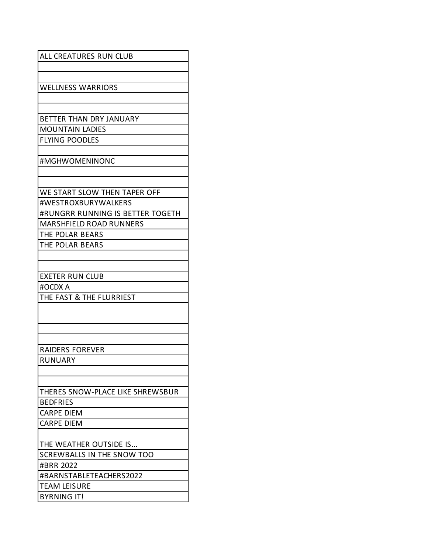| ALL CREATURES RUN CLUB           |
|----------------------------------|
|                                  |
|                                  |
| <b>WELLNESS WARRIORS</b>         |
|                                  |
|                                  |
| BETTER THAN DRY JANUARY          |
| <b>MOUNTAIN LADIES</b>           |
| <b>FLYING POODLES</b>            |
|                                  |
| #MGHWOMENINONC                   |
|                                  |
|                                  |
|                                  |
| WE START SLOW THEN TAPER OFF     |
| #WESTROXBURYWALKERS              |
| #RUNGRR RUNNING IS BETTER TOGETH |
| <b>MARSHFIELD ROAD RUNNERS</b>   |
| THE POLAR BEARS                  |
| THE POLAR BEARS                  |
|                                  |
|                                  |
| EXETER RUN CLUB                  |
| #OCDX A                          |
| THE FAST & THE FLURRIEST         |
|                                  |
|                                  |
|                                  |
|                                  |
|                                  |
| <b>RAIDERS FOREVER</b>           |
| <b>RUNUARY</b>                   |
|                                  |
|                                  |
| THERES SNOW-PLACE LIKE SHREWSBUR |
| <b>BEDFRIES</b>                  |
| <b>CARPE DIEM</b>                |
| CARPE DIEM                       |
|                                  |
| THE WEATHER OUTSIDE IS           |
| SCREWBALLS IN THE SNOW TOO       |
| #BRR 2022                        |
| #BARNSTABLETEACHERS2022          |
|                                  |
| <b>TEAM LEISURE</b>              |
| <b>BYRNING IT!</b>               |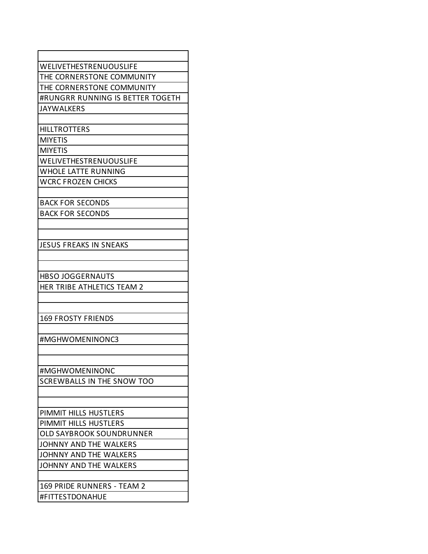| WELIVETHESTRENUOUSLIFE            |
|-----------------------------------|
| THE CORNERSTONE COMMUNITY         |
| THE CORNERSTONE COMMUNITY         |
| #RUNGRR RUNNING IS BETTER TOGETH  |
| <b>JAYWALKERS</b>                 |
|                                   |
| <b>HILLTROTTERS</b>               |
| <b>MIYETIS</b>                    |
| <b>MIYETIS</b>                    |
| WELIVETHESTRENUOUSLIFE            |
| <b>WHOLE LATTE RUNNING</b>        |
| <b>WCRC FROZEN CHICKS</b>         |
|                                   |
| <b>BACK FOR SECONDS</b>           |
| <b>BACK FOR SECONDS</b>           |
|                                   |
|                                   |
| JESUS FREAKS IN SNEAKS            |
|                                   |
|                                   |
| <b>HBSO JOGGERNAUTS</b>           |
| HER TRIBE ATHLETICS TEAM 2        |
|                                   |
|                                   |
| <b>169 FROSTY FRIENDS</b>         |
|                                   |
| #MGHWOMENINONC3                   |
|                                   |
|                                   |
| #MGHWOMENINONC                    |
| <b>SCREWBALLS IN THE SNOW TOO</b> |
|                                   |
|                                   |
| PIMMIT HILLS HUSTLERS             |
| PIMMIT HILLS HUSTLERS             |
| <b>OLD SAYBROOK SOUNDRUNNER</b>   |
| JOHNNY AND THE WALKERS            |
| JOHNNY AND THE WALKERS            |
| JOHNNY AND THE WALKERS            |
|                                   |
| 169 PRIDE RUNNERS - TEAM 2        |
| #FITTESTDONAHUE                   |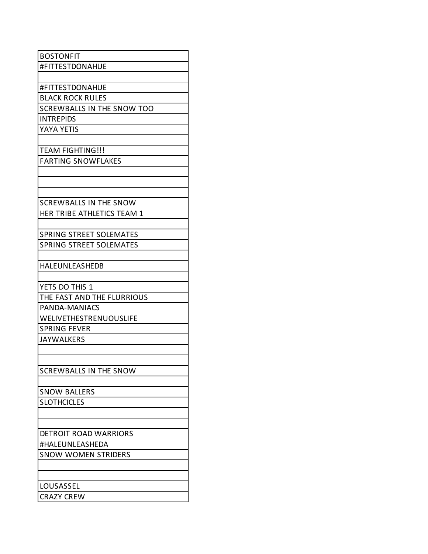| <b>BOSTONFIT</b>               |
|--------------------------------|
| #FITTESTDONAHUE                |
|                                |
| #FITTESTDONAHUE                |
| <b>BLACK ROCK RULES</b>        |
| SCREWBALLS IN THE SNOW TOO     |
| <b>INTREPIDS</b>               |
| YAYA YETIS                     |
|                                |
| <b>TEAM FIGHTING!!!</b>        |
| <b>FARTING SNOWFLAKES</b>      |
|                                |
|                                |
|                                |
| <b>SCREWBALLS IN THE SNOW</b>  |
| HER TRIBE ATHLETICS TEAM 1     |
|                                |
| <b>SPRING STREET SOLEMATES</b> |
| <b>SPRING STREET SOLEMATES</b> |
|                                |
| <b>HALEUNLEASHEDB</b>          |
|                                |
| YETS DO THIS 1                 |
| THE FAST AND THE FLURRIOUS     |
| PANDA-MANIACS                  |
| <b>WELIVETHESTRENUOUSLIFE</b>  |
| <b>SPRING FEVER</b>            |
| <b>JAYWALKERS</b>              |
|                                |
|                                |
| <b>SCREWBALLS IN THE SNOW</b>  |
|                                |
| <b>SNOW BALLERS</b>            |
| <b>SLOTHCICLES</b>             |
|                                |
|                                |
| <b>DETROIT ROAD WARRIORS</b>   |
| #HALEUNLEASHEDA                |
| <b>SNOW WOMEN STRIDERS</b>     |
|                                |
|                                |
| LOUSASSEL                      |
| <b>CRAZY CREW</b>              |
|                                |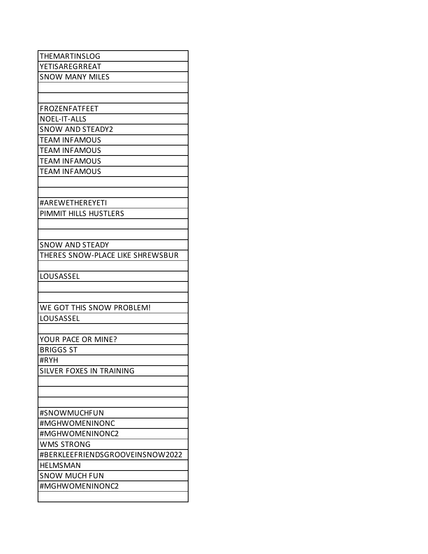| <b>THEMARTINSLOG</b>             |
|----------------------------------|
| YETISAREGRREAT                   |
| <b>SNOW MANY MILES</b>           |
|                                  |
|                                  |
| <b>FROZENFATFEET</b>             |
| <b>NOEL-IT-ALLS</b>              |
| <b>SNOW AND STEADY2</b>          |
| <b>TEAM INFAMOUS</b>             |
| <b>TEAM INFAMOUS</b>             |
| <b>TEAM INFAMOUS</b>             |
| <b>TEAM INFAMOUS</b>             |
|                                  |
|                                  |
| #AREWETHEREYETI                  |
| PIMMIT HILLS HUSTLERS            |
|                                  |
|                                  |
| <b>SNOW AND STEADY</b>           |
| THERES SNOW-PLACE LIKE SHREWSBUR |
|                                  |
| LOUSASSEL                        |
|                                  |
|                                  |
| WE GOT THIS SNOW PROBLEM!        |
| LOUSASSEL                        |
|                                  |
| YOUR PACE OR MINE?               |
| <b>BRIGGS ST</b>                 |
| #RYH                             |
| SILVER FOXES IN TRAINING         |
|                                  |
|                                  |
|                                  |
| #SNOWMUCHFUN                     |
| #MGHWOMENINONC                   |
| #MGHWOMENINONC2                  |
| <b>WMS STRONG</b>                |
| #BERKLEEFRIENDSGROOVEINSNOW2022  |
| <b>HELMSMAN</b>                  |
| <b>SNOW MUCH FUN</b>             |
| #MGHWOMENINONC2                  |
|                                  |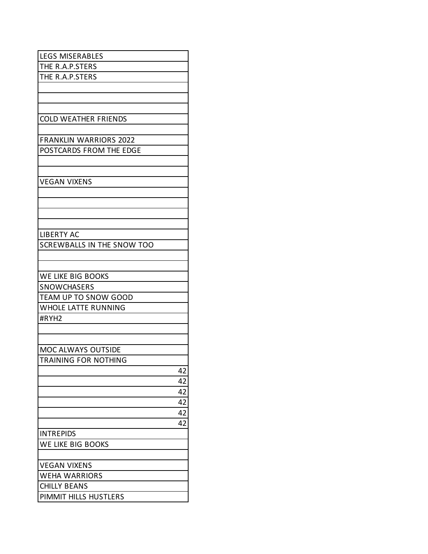| <b>LEGS MISERABLES</b>            |    |
|-----------------------------------|----|
| THE R.A.P.STERS                   |    |
| THE R.A.P.STERS                   |    |
|                                   |    |
|                                   |    |
|                                   |    |
| <b>COLD WEATHER FRIENDS</b>       |    |
|                                   |    |
| <b>FRANKLIN WARRIORS 2022</b>     |    |
| POSTCARDS FROM THE EDGE           |    |
|                                   |    |
|                                   |    |
| <b>VEGAN VIXENS</b>               |    |
|                                   |    |
|                                   |    |
|                                   |    |
|                                   |    |
|                                   |    |
| <b>LIBERTY AC</b>                 |    |
| <b>SCREWBALLS IN THE SNOW TOO</b> |    |
|                                   |    |
|                                   |    |
| WE LIKE BIG BOOKS                 |    |
| <b>SNOWCHASERS</b>                |    |
| <b>TEAM UP TO SNOW GOOD</b>       |    |
| <b>WHOLE LATTE RUNNING</b>        |    |
| #RYH2                             |    |
|                                   |    |
|                                   |    |
| MOC ALWAYS OUTSIDE                |    |
| <b>TRAINING FOR NOTHING</b>       |    |
|                                   | 42 |
|                                   | 42 |
|                                   | 42 |
|                                   | 42 |
|                                   | 42 |
|                                   | 42 |
| <b>INTREPIDS</b>                  |    |
| WE LIKE BIG BOOKS                 |    |
|                                   |    |
|                                   |    |
| <b>VEGAN VIXENS</b>               |    |
| <b>WEHA WARRIORS</b>              |    |
| <b>CHILLY BEANS</b>               |    |
| PIMMIT HILLS HUSTLERS             |    |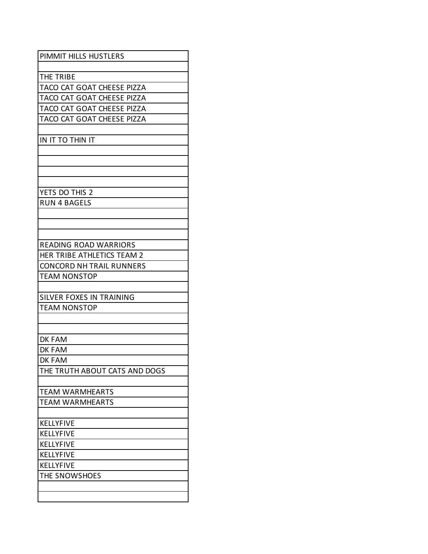| PIMMIT HILLS HUSTLERS                                  |
|--------------------------------------------------------|
|                                                        |
| THE TRIBE                                              |
| TACO CAT GOAT CHEESE PIZZA                             |
| TACO CAT GOAT CHEESE PIZZA                             |
| TACO CAT GOAT CHEESE PIZZA                             |
| TACO CAT GOAT CHEESE PIZZA                             |
|                                                        |
| IN IT TO THIN IT                                       |
|                                                        |
|                                                        |
|                                                        |
|                                                        |
| YETS DO THIS 2                                         |
| <b>RUN 4 BAGELS</b>                                    |
|                                                        |
|                                                        |
|                                                        |
| <b>READING ROAD WARRIORS</b>                           |
| HER TRIBE ATHLETICS TEAM 2                             |
| <b>CONCORD NH TRAIL RUNNERS</b><br><b>TEAM NONSTOP</b> |
|                                                        |
| <b>SILVER FOXES IN TRAINING</b>                        |
| <b>TEAM NONSTOP</b>                                    |
|                                                        |
|                                                        |
| DK FAM                                                 |
| DK FAM                                                 |
| DK FAM                                                 |
| THE TRUTH ABOUT CATS AND DOGS                          |
|                                                        |
| <b>TEAM WARMHEARTS</b>                                 |
| <b>TEAM WARMHEARTS</b>                                 |
|                                                        |
| <b>KELLYFIVE</b>                                       |
| <b>KELLYFIVE</b>                                       |
| <b>KELLYFIVE</b>                                       |
| KELLYFIVE                                              |
| <b>KELLYFIVE</b>                                       |
| THE SNOWSHOES                                          |
|                                                        |
|                                                        |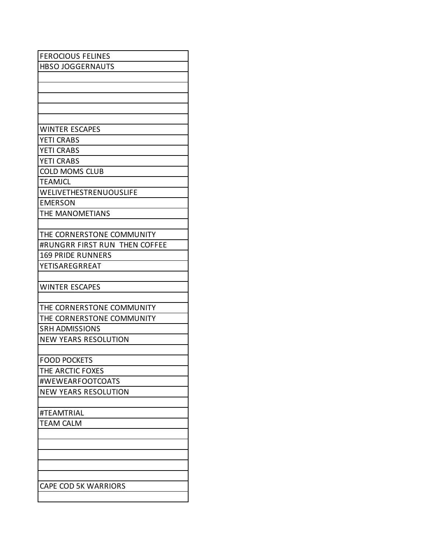| <b>FEROCIOUS FELINES</b>      |
|-------------------------------|
| <b>HBSO JOGGERNAUTS</b>       |
|                               |
|                               |
|                               |
|                               |
|                               |
| <b>WINTER ESCAPES</b>         |
| <b>YETI CRABS</b>             |
| <b>YETI CRABS</b>             |
| <b>YETI CRABS</b>             |
| <b>COLD MOMS CLUB</b>         |
| <b>TEAMJCL</b>                |
| WELIVETHESTRENUOUSLIFE        |
| <b>EMERSON</b>                |
| THE MANOMETIANS               |
|                               |
| THE CORNERSTONE COMMUNITY     |
| #RUNGRR FIRST RUN THEN COFFEE |
| <b>169 PRIDE RUNNERS</b>      |
| YETISAREGRREAT                |
|                               |
| <b>WINTER ESCAPES</b>         |
|                               |
| THE CORNERSTONE COMMUNITY     |
| THE CORNERSTONE COMMUNITY     |
| <b>SRH ADMISSIONS</b>         |
| <b>NEW YEARS RESOLUTION</b>   |
|                               |
| <b>FOOD POCKETS</b>           |
| THE ARCTIC FOXES              |
| #WEWEARFOOTCOATS              |
| <b>NEW YEARS RESOLUTION</b>   |
|                               |
| #TEAMTRIAL                    |
| <b>TEAM CALM</b>              |
|                               |
|                               |
|                               |
|                               |
|                               |
| <b>CAPE COD 5K WARRIORS</b>   |
|                               |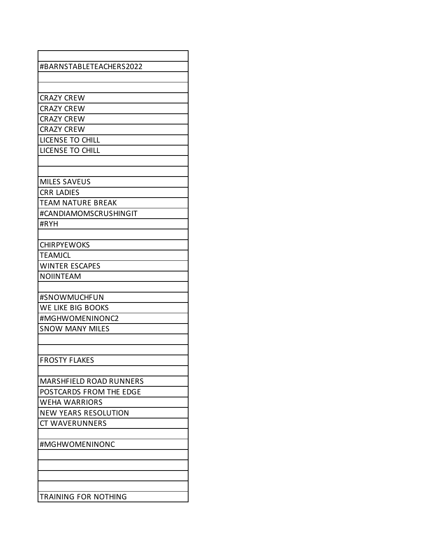| #BARNSTABLETEACHERS2022        |
|--------------------------------|
|                                |
|                                |
| <b>CRAZY CREW</b>              |
| <b>CRAZY CREW</b>              |
| <b>CRAZY CREW</b>              |
| <b>CRAZY CREW</b>              |
| LICENSE TO CHILL               |
| <b>LICENSE TO CHILL</b>        |
|                                |
|                                |
| <b>MILES SAVEUS</b>            |
| <b>CRR LADIES</b>              |
| <b>TEAM NATURE BREAK</b>       |
| #CANDIAMOMSCRUSHINGIT          |
| #RYH                           |
|                                |
| <b>CHIRPYEWOKS</b>             |
| <b>TEAMJCL</b>                 |
| <b>WINTER ESCAPES</b>          |
| <b>NOIINTEAM</b>               |
|                                |
| #SNOWMUCHFUN                   |
| WE LIKE BIG BOOKS              |
| #MGHWOMENINONC2                |
| <b>SNOW MANY MILES</b>         |
|                                |
|                                |
| <b>FROSTY FLAKES</b>           |
|                                |
| <b>MARSHFIELD ROAD RUNNERS</b> |
| POSTCARDS FROM THE EDGE        |
| <b>WEHA WARRIORS</b>           |
| <b>NEW YEARS RESOLUTION</b>    |
| <b>CT WAVERUNNERS</b>          |
|                                |
| #MGHWOMENINONC                 |
|                                |
|                                |
|                                |
|                                |
| <b>TRAINING FOR NOTHING</b>    |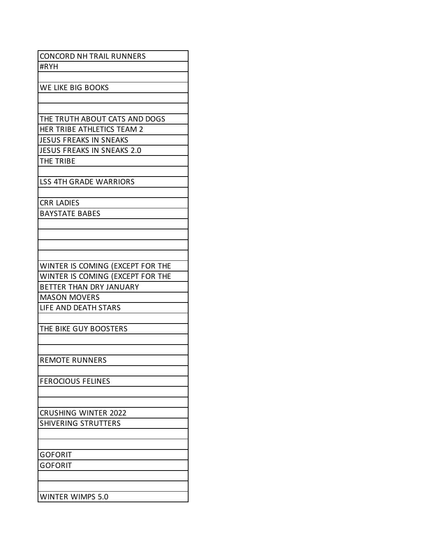| <b>CONCORD NH TRAIL RUNNERS</b>   |
|-----------------------------------|
| #RYH                              |
|                                   |
| WE LIKE BIG BOOKS                 |
|                                   |
|                                   |
| THE TRUTH ABOUT CATS AND DOGS     |
| HER TRIBE ATHLETICS TEAM 2        |
| <b>JESUS FREAKS IN SNEAKS</b>     |
| <b>JESUS FREAKS IN SNEAKS 2.0</b> |
| THE TRIBE                         |
|                                   |
| <b>LSS 4TH GRADE WARRIORS</b>     |
|                                   |
| <b>CRR LADIES</b>                 |
| <b>BAYSTATE BABES</b>             |
|                                   |
|                                   |
|                                   |
|                                   |
| WINTER IS COMING (EXCEPT FOR THE  |
| WINTER IS COMING (EXCEPT FOR THE  |
| BETTER THAN DRY JANUARY           |
| <b>MASON MOVERS</b>               |
| LIFE AND DEATH STARS              |
|                                   |
| THE BIKE GUY BOOSTERS             |
|                                   |
|                                   |
| <b>REMOTE RUNNERS</b>             |
|                                   |
| <b>FEROCIOUS FELINES</b>          |
|                                   |
|                                   |
| <b>CRUSHING WINTER 2022</b>       |
| SHIVERING STRUTTERS               |
|                                   |
|                                   |
| <b>GOFORIT</b>                    |
| GOFORIT                           |
|                                   |
|                                   |
| <b>WINTER WIMPS 5.0</b>           |
|                                   |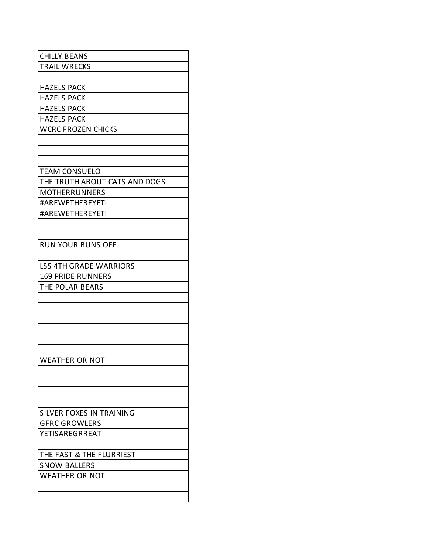| <b>CHILLY BEANS</b>           |
|-------------------------------|
| <b>TRAIL WRECKS</b>           |
|                               |
| <b>HAZELS PACK</b>            |
| <b>HAZELS PACK</b>            |
|                               |
| <b>HAZELS PACK</b>            |
| <b>HAZELS PACK</b>            |
| <b>WCRC FROZEN CHICKS</b>     |
|                               |
|                               |
|                               |
| <b>TEAM CONSUELO</b>          |
| THE TRUTH ABOUT CATS AND DOGS |
| <b>MOTHERRUNNERS</b>          |
| #AREWETHEREYETI               |
| #AREWETHEREYETI               |
|                               |
|                               |
| <b>RUN YOUR BUNS OFF</b>      |
|                               |
| <b>LSS 4TH GRADE WARRIORS</b> |
| <b>169 PRIDE RUNNERS</b>      |
| THE POLAR BEARS               |
|                               |
|                               |
|                               |
|                               |
|                               |
|                               |
|                               |
| <b>WEATHER OR NOT</b>         |
|                               |
|                               |
|                               |
|                               |
| SILVER FOXES IN TRAINING      |
| <b>GFRC GROWLERS</b>          |
| YETISAREGRREAT                |
|                               |
| THE FAST & THE FLURRIEST      |
| <b>SNOW BALLERS</b>           |
| <b>WEATHER OR NOT</b>         |
|                               |
|                               |
|                               |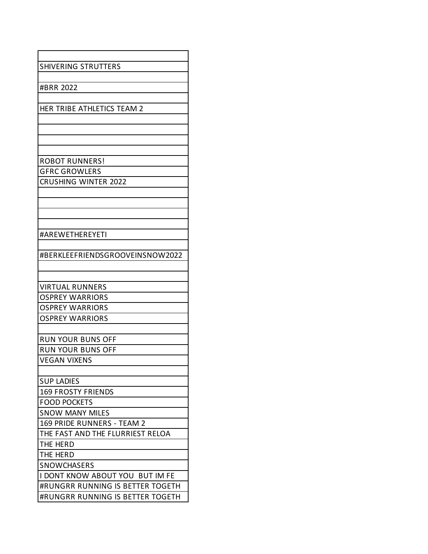| <b>SHIVERING STRUTTERS</b>       |
|----------------------------------|
|                                  |
| #BRR 2022                        |
|                                  |
| HER TRIBE ATHLETICS TEAM 2       |
|                                  |
|                                  |
|                                  |
|                                  |
| <b>ROBOT RUNNERS!</b>            |
| <b>GFRC GROWLERS</b>             |
| <b>CRUSHING WINTER 2022</b>      |
|                                  |
|                                  |
|                                  |
|                                  |
| #AREWETHEREYETI                  |
|                                  |
| #BERKLEEFRIENDSGROOVEINSNOW2022  |
|                                  |
|                                  |
| <b>VIRTUAL RUNNERS</b>           |
| <b>OSPREY WARRIORS</b>           |
| <b>OSPREY WARRIORS</b>           |
| <b>OSPREY WARRIORS</b>           |
|                                  |
| <b>RUN YOUR BUNS OFF</b>         |
| <b>RUN YOUR BUNS OFF</b>         |
| <b>VEGAN VIXENS</b>              |
|                                  |
| <b>SUP LADIES</b>                |
| <b>169 FROSTY FRIENDS</b>        |
| <b>FOOD POCKETS</b>              |
| <b>SNOW MANY MILES</b>           |
| 169 PRIDE RUNNERS - TEAM 2       |
| THE FAST AND THE FLURRIEST RELOA |
| THE HERD                         |
| THE HERD                         |
| SNOWCHASERS                      |
| I DONT KNOW ABOUT YOU BUT IM FE  |
| #RUNGRR RUNNING IS BETTER TOGETH |
| #RUNGRR RUNNING IS BETTER TOGETH |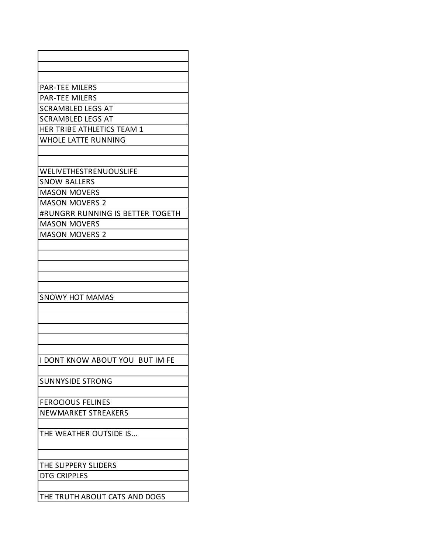| <b>PAR-TEE MILERS</b>            |
|----------------------------------|
| <b>PAR-TEE MILERS</b>            |
| <b>SCRAMBLED LEGS AT</b>         |
| <b>SCRAMBLED LEGS AT</b>         |
| HER TRIBE ATHLETICS TEAM 1       |
| <b>WHOLE LATTE RUNNING</b>       |
|                                  |
|                                  |
| WELIVETHESTRENUOUSLIFE           |
| <b>SNOW BALLERS</b>              |
| <b>MASON MOVERS</b>              |
| <b>MASON MOVERS 2</b>            |
| #RUNGRR RUNNING IS BETTER TOGETH |
| <b>MASON MOVERS</b>              |
| <b>MASON MOVERS 2</b>            |
|                                  |
|                                  |
|                                  |
|                                  |
|                                  |
| <b>SNOWY HOT MAMAS</b>           |
|                                  |
|                                  |
|                                  |
|                                  |
| I DONT KNOW ABOUT YOU BUT IM FE  |
|                                  |
| <b>SUNNYSIDE STRONG</b>          |
|                                  |
| <b>FEROCIOUS FELINES</b>         |
| <b>NEWMARKET STREAKERS</b>       |
|                                  |
| THE WEATHER OUTSIDE IS           |
|                                  |
|                                  |
| THE SLIPPERY SLIDERS             |
| <b>DTG CRIPPLES</b>              |
|                                  |
| THE TRUTH ABOUT CATS AND DOGS    |
|                                  |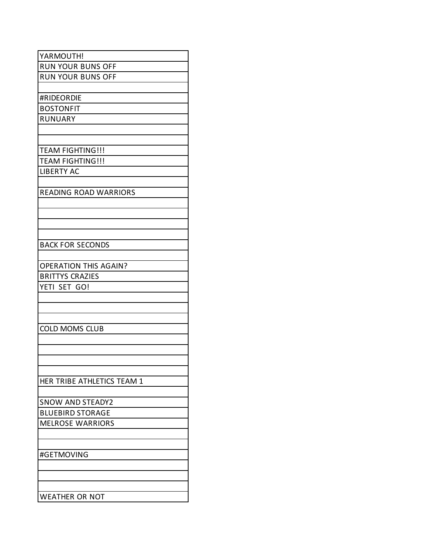| YARMOUTH!                    |
|------------------------------|
| <b>RUN YOUR BUNS OFF</b>     |
| <b>RUN YOUR BUNS OFF</b>     |
|                              |
| #RIDEORDIE                   |
| <b>BOSTONFIT</b>             |
| <b>RUNUARY</b>               |
|                              |
|                              |
| <b>TEAM FIGHTING!!!</b>      |
| <b>TEAM FIGHTING!!!</b>      |
| <b>LIBERTY AC</b>            |
|                              |
| <b>READING ROAD WARRIORS</b> |
|                              |
|                              |
|                              |
|                              |
| <b>BACK FOR SECONDS</b>      |
|                              |
| <b>OPERATION THIS AGAIN?</b> |
| <b>BRITTYS CRAZIES</b>       |
| YETI SET GO!                 |
|                              |
|                              |
|                              |
| <b>COLD MOMS CLUB</b>        |
|                              |
|                              |
|                              |
|                              |
| HER TRIBE ATHLETICS TEAM 1   |
|                              |
| <b>SNOW AND STEADY2</b>      |
| <b>BLUEBIRD STORAGE</b>      |
| <b>MELROSE WARRIORS</b>      |
|                              |
|                              |
| #GETMOVING                   |
|                              |
|                              |
|                              |
| <b>WEATHER OR NOT</b>        |
|                              |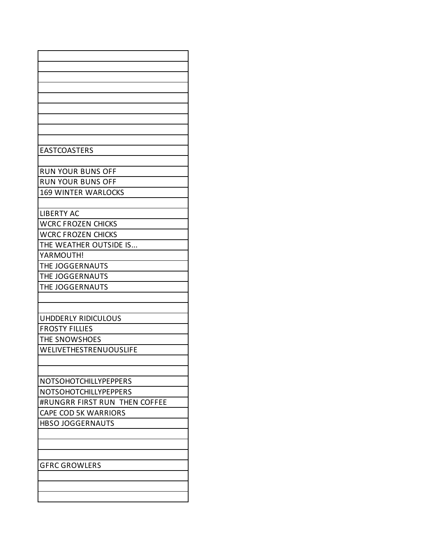| <b>EASTCOASTERS</b>           |
|-------------------------------|
|                               |
| <b>RUN YOUR BUNS OFF</b>      |
| <b>RUN YOUR BUNS OFF</b>      |
| <b>169 WINTER WARLOCKS</b>    |
|                               |
| <b>LIBERTY AC</b>             |
| <b>WCRC FROZEN CHICKS</b>     |
| <b>WCRC FROZEN CHICKS</b>     |
| THE WEATHER OUTSIDE IS        |
| YARMOUTH!                     |
| THE JOGGERNAUTS               |
| THE JOGGERNAUTS               |
| THE JOGGERNAUTS               |
|                               |
|                               |
| <b>UHDDERLY RIDICULOUS</b>    |
| <b>FROSTY FILLIES</b>         |
| THE SNOWSHOES                 |
| WELIVETHESTRENUOUSLIFE        |
|                               |
|                               |
| NOTSOHOTCHILLYPEPPERS         |
| NOTSOHOTCHILLYPEPPERS         |
| #RUNGRR FIRST RUN THEN COFFEE |
| <b>CAPE COD 5K WARRIORS</b>   |
| <b>HBSO JOGGERNAUTS</b>       |
|                               |
|                               |
|                               |
| <b>GFRC GROWLERS</b>          |
|                               |
|                               |
|                               |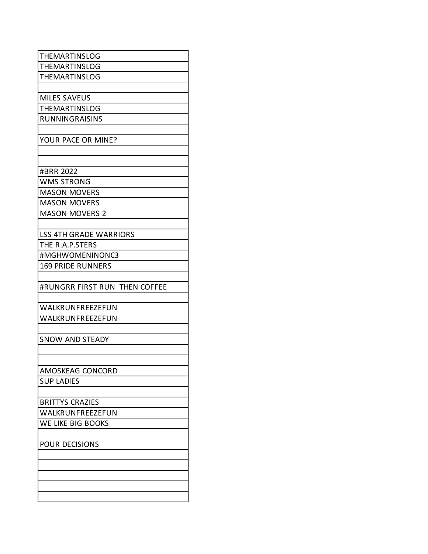| <b>THEMARTINSLOG</b>          |
|-------------------------------|
| THEMARTINSLOG                 |
| <b>THEMARTINSLOG</b>          |
|                               |
| <b>MILES SAVEUS</b>           |
| THEMARTINSLOG                 |
| <b>RUNNINGRAISINS</b>         |
|                               |
| YOUR PACE OR MINE?            |
|                               |
|                               |
| #BRR 2022                     |
| <b>WMS STRONG</b>             |
| <b>MASON MOVERS</b>           |
| <b>MASON MOVERS</b>           |
| <b>MASON MOVERS 2</b>         |
|                               |
| <b>LSS 4TH GRADE WARRIORS</b> |
| THE R.A.P.STERS               |
| #MGHWOMENINONC3               |
| <b>169 PRIDE RUNNERS</b>      |
|                               |
| #RUNGRR FIRST RUN THEN COFFEE |
|                               |
| WALKRUNFREEZEFUN              |
| WALKRUNFREEZEFUN              |
|                               |
| <b>SNOW AND STEADY</b>        |
|                               |
|                               |
| AMOSKEAG CONCORD              |
| <b>SUP LADIES</b>             |
|                               |
| <b>BRITTYS CRAZIES</b>        |
| WALKRUNFREEZEFUN              |
| WE LIKE BIG BOOKS             |
|                               |
|                               |
| <b>POUR DECISIONS</b>         |
|                               |
|                               |
|                               |
|                               |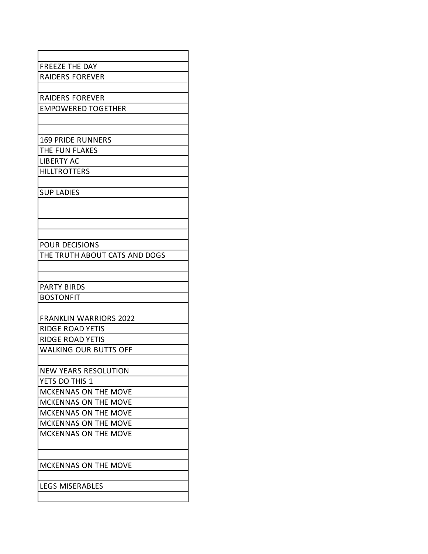| <b>FREEZE THE DAY</b>         |
|-------------------------------|
| <b>RAIDERS FOREVER</b>        |
|                               |
| <b>RAIDERS FOREVER</b>        |
| <b>EMPOWERED TOGETHER</b>     |
|                               |
|                               |
| <b>169 PRIDE RUNNERS</b>      |
| THE FUN FLAKES                |
| <b>LIBERTY AC</b>             |
| <b>HILLTROTTERS</b>           |
|                               |
| <b>SUP LADIES</b>             |
|                               |
|                               |
|                               |
|                               |
| <b>POUR DECISIONS</b>         |
| THE TRUTH ABOUT CATS AND DOGS |
|                               |
| <b>PARTY BIRDS</b>            |
| <b>BOSTONFIT</b>              |
|                               |
| <b>FRANKLIN WARRIORS 2022</b> |
| <b>RIDGE ROAD YETIS</b>       |
| <b>RIDGE ROAD YETIS</b>       |
| <b>WALKING OUR BUTTS OFF</b>  |
|                               |
| <b>NEW YEARS RESOLUTION</b>   |
| YETS DO THIS 1                |
| MCKENNAS ON THE MOVE          |
| MCKENNAS ON THE MOVE          |
| <b>MCKENNAS ON THE MOVE</b>   |
| MCKENNAS ON THE MOVE          |
| <b>MCKENNAS ON THE MOVE</b>   |
|                               |
|                               |
| MCKENNAS ON THE MOVE          |
|                               |
| <b>LEGS MISERABLES</b>        |
|                               |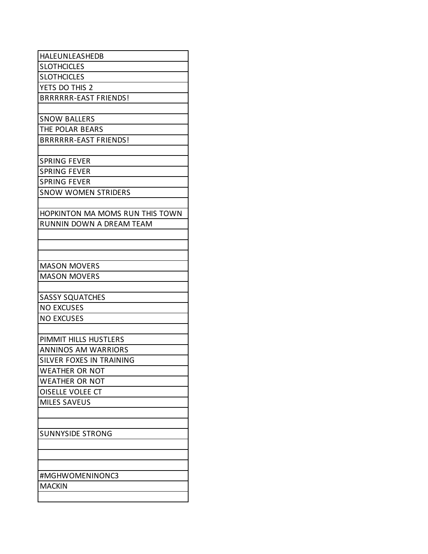| HALEUNLEASHEDB                         |
|----------------------------------------|
| <b>SLOTHCICLES</b>                     |
| <b>SLOTHCICLES</b>                     |
| YETS DO THIS 2                         |
| <b>BRRRRRR-EAST FRIENDS!</b>           |
|                                        |
| <b>SNOW BALLERS</b>                    |
| THE POLAR BEARS                        |
| <b>BRRRRRR-EAST FRIENDS!</b>           |
|                                        |
| <b>SPRING FEVER</b>                    |
| <b>SPRING FEVER</b>                    |
| <b>SPRING FEVER</b>                    |
| <b>SNOW WOMEN STRIDERS</b>             |
|                                        |
| <b>HOPKINTON MA MOMS RUN THIS TOWN</b> |
| <b>RUNNIN DOWN A DREAM TEAM</b>        |
|                                        |
|                                        |
|                                        |
| <b>MASON MOVERS</b>                    |
| <b>MASON MOVERS</b>                    |
|                                        |
| <b>SASSY SQUATCHES</b>                 |
| <b>NO EXCUSES</b>                      |
| <b>NO EXCUSES</b>                      |
|                                        |
| PIMMIT HILLS HUSTLERS                  |
| <b>ANNINOS AM WARRIORS</b>             |
| <b>SILVER FOXES IN TRAINING</b>        |
| <b>WEATHER OR NOT</b>                  |
| <b>WEATHER OR NOT</b>                  |
| OISELLE VOLEE CT                       |
| <b>MILES SAVEUS</b>                    |
|                                        |
|                                        |
|                                        |
|                                        |
| <b>SUNNYSIDE STRONG</b>                |
|                                        |
|                                        |
| #MGHWOMENINONC3                        |
| <b>MACKIN</b>                          |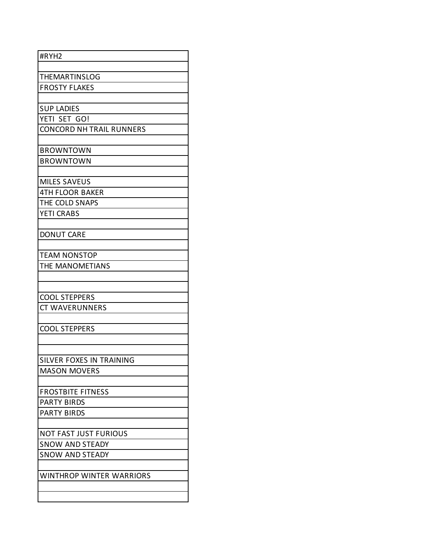| #RYH2                           |
|---------------------------------|
|                                 |
| THEMARTINSLOG                   |
| <b>FROSTY FLAKES</b>            |
|                                 |
| <b>SUP LADIES</b>               |
| YETI SET GO!                    |
| <b>CONCORD NH TRAIL RUNNERS</b> |
|                                 |
| <b>BROWNTOWN</b>                |
| <b>BROWNTOWN</b>                |
|                                 |
| <b>MILES SAVEUS</b>             |
| <b>4TH FLOOR BAKER</b>          |
| THE COLD SNAPS                  |
| <b>YETI CRABS</b>               |
| <b>DONUT CARE</b>               |
|                                 |
| <b>TEAM NONSTOP</b>             |
| THE MANOMETIANS                 |
|                                 |
|                                 |
| <b>COOL STEPPERS</b>            |
| <b>CT WAVERUNNERS</b>           |
|                                 |
| <b>COOL STEPPERS</b>            |
|                                 |
|                                 |
| SILVER FOXES IN TRAINING        |
| <b>MASON MOVERS</b>             |
|                                 |
| <b>FROSTBITE FITNESS</b>        |
| <b>PARTY BIRDS</b>              |
| <b>PARTY BIRDS</b>              |
|                                 |
| <b>NOT FAST JUST FURIOUS</b>    |
| <b>SNOW AND STEADY</b>          |
| <b>SNOW AND STEADY</b>          |
| <b>WINTHROP WINTER WARRIORS</b> |
|                                 |
|                                 |
|                                 |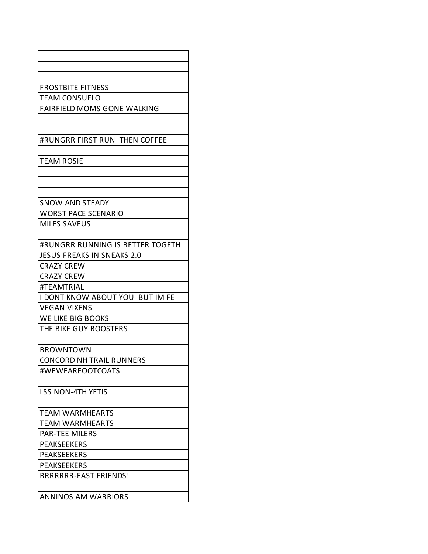| <b>FROSTBITE FITNESS</b>         |
|----------------------------------|
| <b>TEAM CONSUELO</b>             |
| FAIRFIELD MOMS GONE WALKING      |
|                                  |
| #RUNGRR FIRST RUN THEN COFFEE    |
|                                  |
| <b>TEAM ROSIE</b>                |
|                                  |
|                                  |
|                                  |
| <b>SNOW AND STEADY</b>           |
| <b>WORST PACE SCENARIO</b>       |
| <b>MILES SAVEUS</b>              |
|                                  |
| #RUNGRR RUNNING IS BETTER TOGETH |
| JESUS FREAKS IN SNEAKS 2.0       |
| <b>CRAZY CREW</b>                |
| <b>CRAZY CREW</b>                |
| #TEAMTRIAL                       |
| I DONT KNOW ABOUT YOU BUT IM FE  |
| <b>VEGAN VIXENS</b>              |
| WE LIKE BIG BOOKS                |
| THE BIKE GUY BOOSTERS            |
|                                  |
| <b>BROWNTOWN</b>                 |
| <b>CONCORD NH TRAIL RUNNERS</b>  |
| #WEWEARFOOTCOATS                 |
|                                  |
| <b>LSS NON-4TH YETIS</b>         |
| TEAM WARMHEARTS                  |
| <b>TEAM WARMHEARTS</b>           |
| <b>PAR-TEE MILERS</b>            |
| <b>PEAKSEEKERS</b>               |
| <b>PEAKSEEKERS</b>               |
| <b>PEAKSEEKERS</b>               |
| BRRRRRR-EAST FRIENDS!            |
|                                  |
| <b>ANNINOS AM WARRIORS</b>       |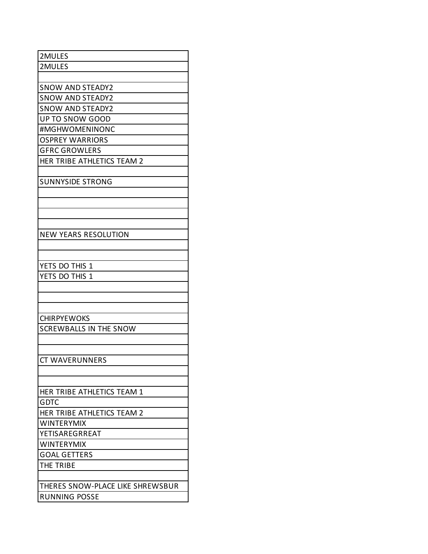| 2MULES                           |
|----------------------------------|
| 2MULES                           |
|                                  |
| <b>SNOW AND STEADY2</b>          |
| <b>SNOW AND STEADY2</b>          |
| <b>SNOW AND STEADY2</b>          |
| <b>UP TO SNOW GOOD</b>           |
| #MGHWOMENINONC                   |
| <b>OSPREY WARRIORS</b>           |
| <b>GFRC GROWLERS</b>             |
| HER TRIBE ATHLETICS TEAM 2       |
|                                  |
| <b>SUNNYSIDE STRONG</b>          |
|                                  |
|                                  |
|                                  |
|                                  |
| <b>NEW YEARS RESOLUTION</b>      |
|                                  |
|                                  |
| YETS DO THIS 1                   |
| YETS DO THIS 1                   |
|                                  |
|                                  |
|                                  |
| <b>CHIRPYEWOKS</b>               |
| <b>SCREWBALLS IN THE SNOW</b>    |
|                                  |
|                                  |
|                                  |
| <b>CT WAVERUNNERS</b>            |
|                                  |
|                                  |
| HER TRIBE ATHLETICS TEAM 1       |
| <b>GDTC</b>                      |
| HER TRIBE ATHLETICS TEAM 2       |
| <b>WINTERYMIX</b>                |
| YETISAREGRREAT                   |
| <b>WINTERYMIX</b>                |
| <b>GOAL GETTERS</b>              |
| THE TRIBE                        |
|                                  |
| THERES SNOW-PLACE LIKE SHREWSBUR |
| <b>RUNNING POSSE</b>             |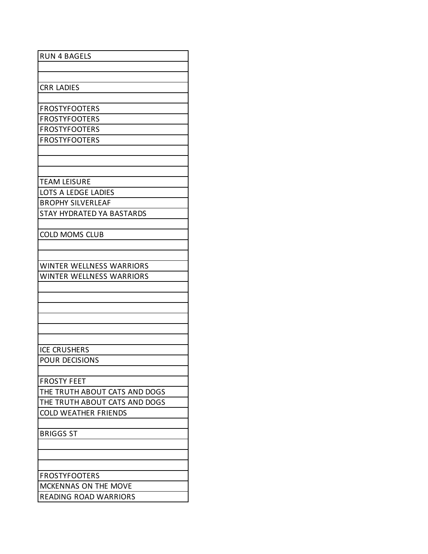| <b>RUN 4 BAGELS</b>             |
|---------------------------------|
|                                 |
|                                 |
|                                 |
| <b>CRR LADIES</b>               |
|                                 |
| <b>FROSTYFOOTERS</b>            |
| <b>FROSTYFOOTERS</b>            |
|                                 |
| <b>FROSTYFOOTERS</b>            |
| <b>FROSTYFOOTERS</b>            |
|                                 |
|                                 |
|                                 |
| <b>TEAM LEISURE</b>             |
|                                 |
| LOTS A LEDGE LADIES             |
| <b>BROPHY SILVERLEAF</b>        |
| STAY HYDRATED YA BASTARDS       |
|                                 |
| <b>COLD MOMS CLUB</b>           |
|                                 |
|                                 |
|                                 |
| <b>WINTER WELLNESS WARRIORS</b> |
| <b>WINTER WELLNESS WARRIORS</b> |
|                                 |
|                                 |
|                                 |
|                                 |
|                                 |
|                                 |
|                                 |
| <b>ICE CRUSHERS</b>             |
| <b>POUR DECISIONS</b>           |
|                                 |
| <b>FROSTY FEET</b>              |
| THE TRUTH ABOUT CATS AND DOGS   |
| THE TRUTH ABOUT CATS AND DOGS   |
|                                 |
| <b>COLD WEATHER FRIENDS</b>     |
|                                 |
| <b>BRIGGS ST</b>                |
|                                 |
|                                 |
|                                 |
| <b>FROSTYFOOTERS</b>            |
|                                 |
| MCKENNAS ON THE MOVE            |
| <b>READING ROAD WARRIORS</b>    |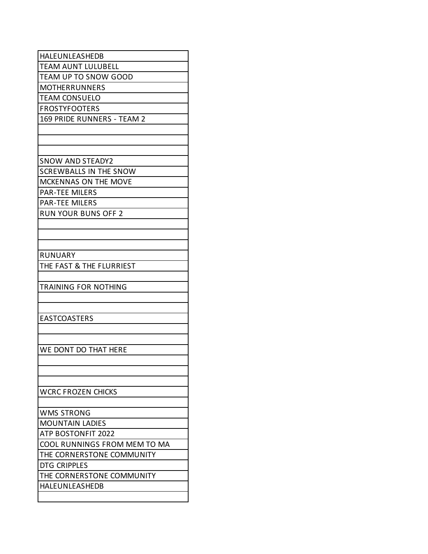| HALEUNLEASHEDB                |
|-------------------------------|
| <b>TEAM AUNT LULUBELL</b>     |
| <b>TEAM UP TO SNOW GOOD</b>   |
| <b>MOTHERRUNNERS</b>          |
| <b>TEAM CONSUELO</b>          |
| <b>FROSTYFOOTERS</b>          |
| 169 PRIDE RUNNERS - TEAM 2    |
|                               |
|                               |
|                               |
| <b>SNOW AND STEADY2</b>       |
| <b>SCREWBALLS IN THE SNOW</b> |
| MCKENNAS ON THE MOVE          |
| <b>PAR-TEE MILERS</b>         |
| <b>PAR-TEE MILERS</b>         |
| <b>RUN YOUR BUNS OFF 2</b>    |
|                               |
|                               |
|                               |
| <b>RUNUARY</b>                |
| THE FAST & THE FLURRIEST      |
|                               |
| <b>TRAINING FOR NOTHING</b>   |
|                               |
|                               |
| <b>EASTCOASTERS</b>           |
|                               |
|                               |
| WE DONT DO THAT HERE          |
|                               |
|                               |
|                               |
| <b>WCRC FROZEN CHICKS</b>     |
|                               |
| <b>WMS STRONG</b>             |
| <b>MOUNTAIN LADIES</b>        |
| ATP BOSTONFIT 2022            |
| COOL RUNNINGS FROM MEM TO MA  |
| THE CORNERSTONE COMMUNITY     |
| DTG CRIPPLES                  |
| THE CORNERSTONE COMMUNITY     |
| HALEUNLEASHEDB                |
|                               |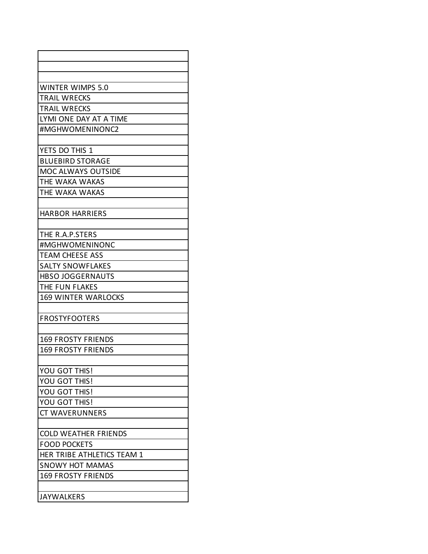| <b>WINTER WIMPS 5.0</b>     |
|-----------------------------|
| <b>TRAIL WRECKS</b>         |
| <b>TRAIL WRECKS</b>         |
| LYMI ONE DAY AT A TIME      |
| #MGHWOMENINONC2             |
|                             |
| YETS DO THIS 1              |
| <b>BLUEBIRD STORAGE</b>     |
| <b>MOC ALWAYS OUTSIDE</b>   |
| THE WAKA WAKAS              |
| THE WAKA WAKAS              |
|                             |
| <b>HARBOR HARRIERS</b>      |
|                             |
| THE R.A.P.STERS             |
| #MGHWOMENINONC              |
| <b>TEAM CHEESE ASS</b>      |
| <b>SALTY SNOWFLAKES</b>     |
| <b>HBSO JOGGERNAUTS</b>     |
| THE FUN FLAKES              |
| <b>169 WINTER WARLOCKS</b>  |
|                             |
| <b>FROSTYFOOTERS</b>        |
|                             |
| <b>169 FROSTY FRIENDS</b>   |
| <b>169 FROSTY FRIENDS</b>   |
|                             |
| <b>YOU GOT THIS!</b>        |
| YOU GOT THIS!               |
| YOU GOT THIS!               |
| YOU GOT THIS!               |
| <b>CT WAVERUNNERS</b>       |
|                             |
| <b>COLD WEATHER FRIENDS</b> |
| <b>FOOD POCKETS</b>         |
| HER TRIBE ATHLETICS TEAM 1  |
| <b>SNOWY HOT MAMAS</b>      |
| <b>169 FROSTY FRIENDS</b>   |
|                             |
| <b>JAYWALKERS</b>           |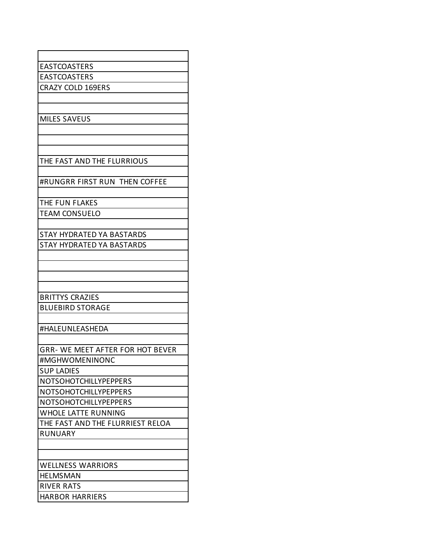| <b>EASTCOASTERS</b>                     |
|-----------------------------------------|
| <b>EASTCOASTERS</b>                     |
| <b>CRAZY COLD 169ERS</b>                |
|                                         |
|                                         |
| <b>MILES SAVEUS</b>                     |
|                                         |
|                                         |
|                                         |
| THE FAST AND THE FLURRIOUS              |
|                                         |
| #RUNGRR FIRST RUN THEN COFFEE           |
|                                         |
| THE FUN FLAKES                          |
| <b>TEAM CONSUELO</b>                    |
|                                         |
| <b>STAY HYDRATED YA BASTARDS</b>        |
| <b>STAY HYDRATED YA BASTARDS</b>        |
|                                         |
|                                         |
|                                         |
|                                         |
| <b>BRITTYS CRAZIES</b>                  |
| <b>BLUEBIRD STORAGE</b>                 |
|                                         |
| #HALEUNLEASHEDA                         |
|                                         |
| <b>GRR- WE MEET AFTER FOR HOT BEVER</b> |
| #MGHWOMENINONC                          |
| <b>SUP LADIES</b>                       |
| <b>NOTSOHOTCHILLYPEPPERS</b>            |
| <b>NOTSOHOTCHILLYPEPPERS</b>            |
| <b>NOTSOHOTCHILLYPEPPERS</b>            |
| <b>WHOLE LATTE RUNNING</b>              |
| THE FAST AND THE FLURRIEST RELOA        |
| <b>RUNUARY</b>                          |
|                                         |
|                                         |
| <b>WELLNESS WARRIORS</b>                |
| <b>HELMSMAN</b>                         |
| RIVER RATS                              |
| <b>HARBOR HARRIERS</b>                  |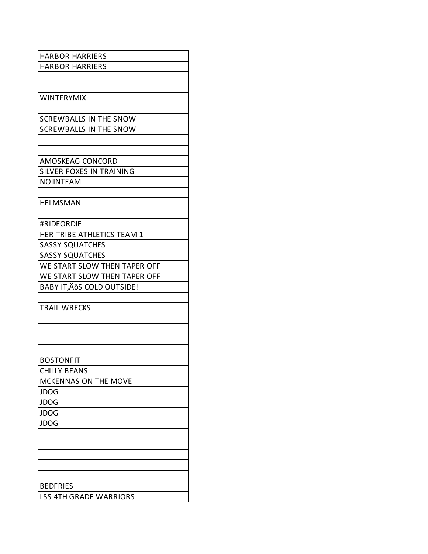| <b>HARBOR HARRIERS</b>        |
|-------------------------------|
| <b>HARBOR HARRIERS</b>        |
|                               |
|                               |
| WINTERYMIX                    |
|                               |
| <b>SCREWBALLS IN THE SNOW</b> |
| <b>SCREWBALLS IN THE SNOW</b> |
|                               |
|                               |
| AMOSKEAG CONCORD              |
| SILVER FOXES IN TRAINING      |
| <b>NOIINTEAM</b>              |
|                               |
| <b>HELMSMAN</b>               |
|                               |
| #RIDEORDIE                    |
| HER TRIBE ATHLETICS TEAM 1    |
| <b>SASSY SQUATCHES</b>        |
| <b>SASSY SQUATCHES</b>        |
| WE START SLOW THEN TAPER OFF  |
| WE START SLOW THEN TAPER OFF  |
| BABY IT, ÄÔS COLD OUTSIDE!    |
|                               |
| <b>TRAIL WRECKS</b>           |
|                               |
|                               |
|                               |
|                               |
| <b>BOSTONFIT</b>              |
| <b>CHILLY BEANS</b>           |
| MCKENNAS ON THE MOVE          |
| <b>JDOG</b>                   |
| <b>JDOG</b>                   |
| <b>JDOG</b>                   |
| <b>JDOG</b>                   |
|                               |
|                               |
|                               |
|                               |
|                               |
| <b>BEDFRIES</b>               |
| <b>LSS 4TH GRADE WARRIORS</b> |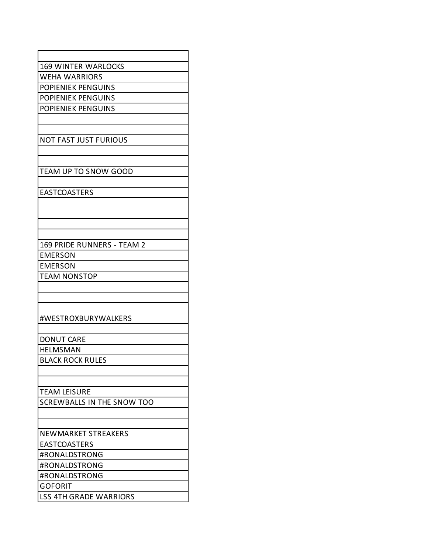| <b>169 WINTER WARLOCKS</b>                        |
|---------------------------------------------------|
| <b>WEHA WARRIORS</b>                              |
| <b>POPIENIEK PENGUINS</b>                         |
| <b>POPIENIEK PENGUINS</b>                         |
| <b>POPIENIEK PENGUINS</b>                         |
|                                                   |
|                                                   |
| <b>NOT FAST JUST FURIOUS</b>                      |
|                                                   |
|                                                   |
| TEAM UP TO SNOW GOOD                              |
|                                                   |
| <b>EASTCOASTERS</b>                               |
|                                                   |
|                                                   |
|                                                   |
| 169 PRIDE RUNNERS - TEAM 2                        |
| <b>EMERSON</b>                                    |
| <b>EMERSON</b>                                    |
| <b>TEAM NONSTOP</b>                               |
|                                                   |
|                                                   |
|                                                   |
| #WESTROXBURYWALKERS                               |
|                                                   |
| <b>DONUT CARE</b>                                 |
| <b>HELMSMAN</b>                                   |
| <b>BLACK ROCK RULES</b>                           |
|                                                   |
|                                                   |
| <b>TEAM LEISURE</b><br>SCREWBALLS IN THE SNOW TOO |
|                                                   |
|                                                   |
| NEWMARKET STREAKERS                               |
| <b>EASTCOASTERS</b>                               |
| #RONALDSTRONG                                     |
| #RONALDSTRONG                                     |
| #RONALDSTRONG                                     |
| <b>GOFORIT</b>                                    |
| <b>LSS 4TH GRADE WARRIORS</b>                     |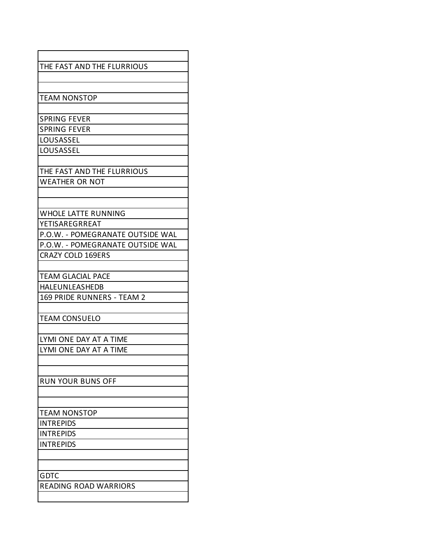| THE FAST AND THE FLURRIOUS       |
|----------------------------------|
|                                  |
|                                  |
| <b>TEAM NONSTOP</b>              |
|                                  |
| <b>SPRING FEVER</b>              |
| <b>SPRING FEVER</b>              |
| LOUSASSEL                        |
| LOUSASSEL                        |
|                                  |
| THE FAST AND THE FLURRIOUS       |
| <b>WEATHER OR NOT</b>            |
|                                  |
|                                  |
| <b>WHOLE LATTE RUNNING</b>       |
| YETISAREGRREAT                   |
| P.O.W. - POMEGRANATE OUTSIDE WAL |
| P.O.W. - POMEGRANATE OUTSIDE WAL |
| <b>CRAZY COLD 169ERS</b>         |
|                                  |
| <b>TEAM GLACIAL PACE</b>         |
| HALEUNLEASHEDB                   |
| 169 PRIDE RUNNERS - TEAM 2       |
|                                  |
| <b>TEAM CONSUELO</b>             |
|                                  |
| LYMI ONE DAY AT A TIME           |
| LYMI ONE DAY AT A TIME           |
|                                  |
|                                  |
| <b>RUN YOUR BUNS OFF</b>         |
|                                  |
|                                  |
| <b>TEAM NONSTOP</b>              |
| <b>INTREPIDS</b>                 |
| <b>INTREPIDS</b>                 |
| <b>INTREPIDS</b>                 |
|                                  |
|                                  |
| GDTC                             |
| <b>READING ROAD WARRIORS</b>     |
|                                  |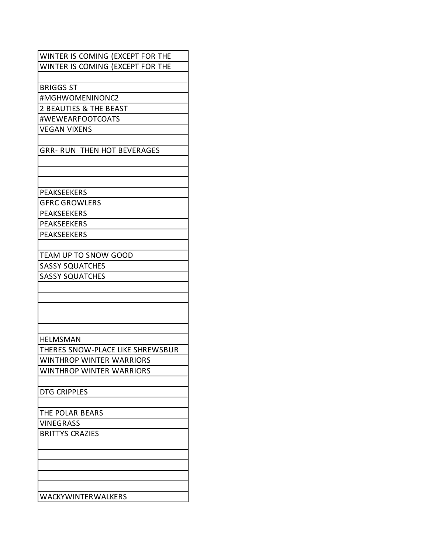| WINTER IS COMING (EXCEPT FOR THE   |
|------------------------------------|
| WINTER IS COMING (EXCEPT FOR THE   |
|                                    |
| <b>BRIGGS ST</b>                   |
| #MGHWOMENINONC2                    |
| 2 BEAUTIES & THE BEAST             |
| #WEWEARFOOTCOATS                   |
| <b>VEGAN VIXENS</b>                |
|                                    |
| <b>GRR- RUN THEN HOT BEVERAGES</b> |
|                                    |
|                                    |
|                                    |
| PEAKSEEKERS                        |
|                                    |
| <b>GFRC GROWLERS</b>               |
| <b>PEAKSEEKERS</b>                 |
| <b>PEAKSEEKERS</b>                 |
| <b>PEAKSEEKERS</b>                 |
|                                    |
| TEAM UP TO SNOW GOOD               |
| <b>SASSY SQUATCHES</b>             |
| <b>SASSY SQUATCHES</b>             |
|                                    |
|                                    |
|                                    |
|                                    |
|                                    |
| <b>HELMSMAN</b>                    |
| THERES SNOW-PLACE LIKE SHREWSBUR   |
| <b>WINTHROP WINTER WARRIORS</b>    |
| <b>WINTHROP WINTER WARRIORS</b>    |
|                                    |
| <b>DTG CRIPPLES</b>                |
|                                    |
| THE POLAR BEARS                    |
| <b>VINEGRASS</b>                   |
| <b>BRITTYS CRAZIES</b>             |
|                                    |
|                                    |
|                                    |
|                                    |
|                                    |
|                                    |
| WACKYWINTERWALKERS                 |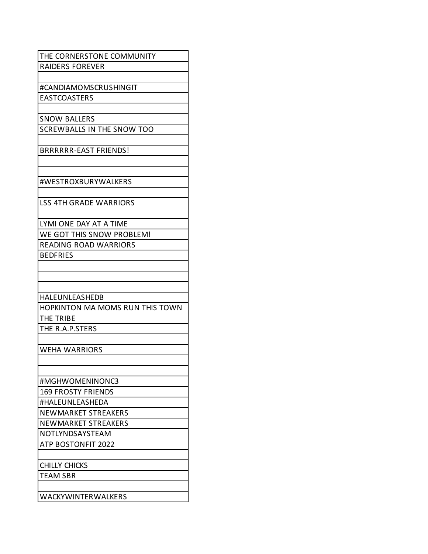| THE CORNERSTONE COMMUNITY       |
|---------------------------------|
| <b>RAIDERS FOREVER</b>          |
|                                 |
| #CANDIAMOMSCRUSHINGIT           |
| <b>EASTCOASTERS</b>             |
|                                 |
| <b>SNOW BALLERS</b>             |
| SCREWBALLS IN THE SNOW TOO      |
|                                 |
| <b>BRRRRRR-EAST FRIENDS!</b>    |
|                                 |
|                                 |
| #WESTROXBURYWALKERS             |
|                                 |
| <b>LSS 4TH GRADE WARRIORS</b>   |
|                                 |
| LYMI ONE DAY AT A TIME          |
| WE GOT THIS SNOW PROBLEM!       |
| <b>READING ROAD WARRIORS</b>    |
| <b>BEDFRIES</b>                 |
|                                 |
|                                 |
|                                 |
| HALEUNLEASHEDB                  |
|                                 |
| HOPKINTON MA MOMS RUN THIS TOWN |
| THE TRIBE                       |
| THE R.A.P.STERS                 |
|                                 |
| <b>WEHA WARRIORS</b>            |
|                                 |
|                                 |
| #MGHWOMENINONC3                 |
| <b>169 FROSTY FRIENDS</b>       |
| #HALEUNLEASHEDA                 |
| <b>NEWMARKET STREAKERS</b>      |
| NEWMARKET STREAKERS             |
| NOTLYNDSAYSTEAM                 |
| <b>ATP BOSTONFIT 2022</b>       |
|                                 |
| CHILLY CHICKS                   |
| <b>TEAM SBR</b>                 |
| WACKYWINTERWALKERS              |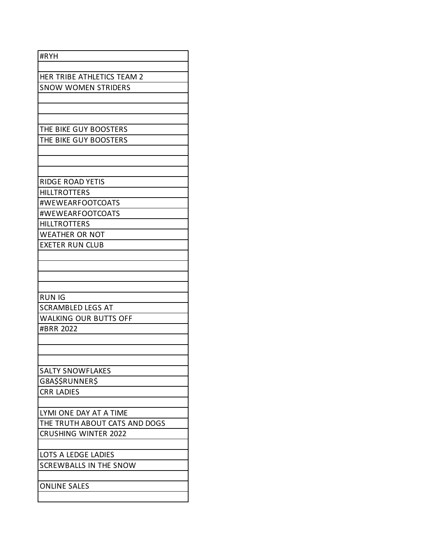| #RYH                          |
|-------------------------------|
|                               |
| HER TRIBE ATHLETICS TEAM 2    |
| <b>SNOW WOMEN STRIDERS</b>    |
|                               |
|                               |
|                               |
| THE BIKE GUY BOOSTERS         |
| THE BIKE GUY BOOSTERS         |
|                               |
|                               |
| <b>RIDGE ROAD YETIS</b>       |
| <b>HILLTROTTERS</b>           |
| #WEWEARFOOTCOATS              |
| #WEWEARFOOTCOATS              |
| <b>HILLTROTTERS</b>           |
| <b>WEATHER OR NOT</b>         |
| <b>EXETER RUN CLUB</b>        |
|                               |
|                               |
|                               |
|                               |
| <b>RUN IG</b>                 |
| <b>SCRAMBLED LEGS AT</b>      |
| <b>WALKING OUR BUTTS OFF</b>  |
| #BRR 2022                     |
|                               |
|                               |
| <b>SALTY SNOWFLAKES</b>       |
| G8A\$\$RUNNER\$               |
| <b>CRR LADIES</b>             |
|                               |
| LYMI ONE DAY AT A TIME        |
| THE TRUTH ABOUT CATS AND DOGS |
| <b>CRUSHING WINTER 2022</b>   |
|                               |
| LOTS A LEDGE LADIES           |
| <b>SCREWBALLS IN THE SNOW</b> |
|                               |
| <b>ONLINE SALES</b>           |
|                               |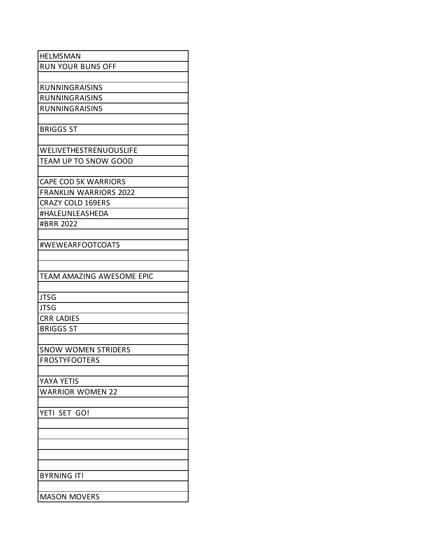| <b>HELMSMAN</b>               |
|-------------------------------|
| <b>RUN YOUR BUNS OFF</b>      |
|                               |
| <b>RUNNINGRAISINS</b>         |
| RUNNINGRAISINS                |
| <b>RUNNINGRAISINS</b>         |
|                               |
| <b>BRIGGS ST</b>              |
|                               |
| <b>WELIVETHESTRENUOUSLIFE</b> |
| TEAM UP TO SNOW GOOD          |
|                               |
| <b>CAPE COD 5K WARRIORS</b>   |
| <b>FRANKLIN WARRIORS 2022</b> |
| <b>CRAZY COLD 169ERS</b>      |
| #HALEUNLEASHEDA               |
| #BRR 2022                     |
|                               |
| #WEWEARFOOTCOATS              |
|                               |
|                               |
| TEAM AMAZING AWESOME EPIC     |
|                               |
| <b>JTSG</b>                   |
| <b>JTSG</b>                   |
| <b>CRR LADIES</b>             |
| <b>BRIGGS ST</b>              |
|                               |
| <b>SNOW WOMEN STRIDERS</b>    |
| <b>FROSTYFOOTERS</b>          |
|                               |
| YAYA YETIS                    |
| <b>WARRIOR WOMEN 22</b>       |
|                               |
| YETI SET GO!                  |
|                               |
|                               |
|                               |
|                               |
|                               |
| <b>BYRNING IT!</b>            |
|                               |
|                               |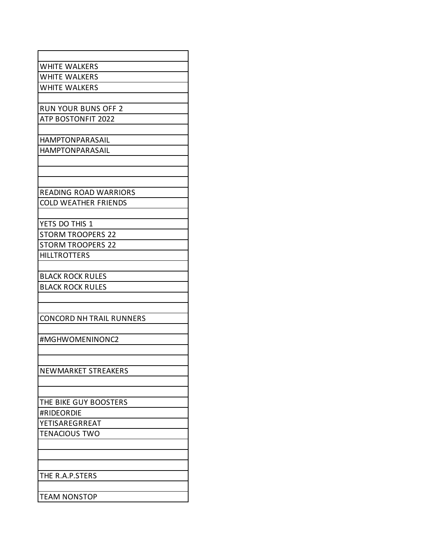| <b>WHITE WALKERS</b>            |
|---------------------------------|
| <b>WHITE WALKERS</b>            |
| <b>WHITE WALKERS</b>            |
|                                 |
| <b>RUN YOUR BUNS OFF 2</b>      |
| <b>ATP BOSTONFIT 2022</b>       |
|                                 |
| <b>HAMPTONPARASAIL</b>          |
| <b>HAMPTONPARASAIL</b>          |
|                                 |
|                                 |
|                                 |
| <b>READING ROAD WARRIORS</b>    |
| <b>COLD WEATHER FRIENDS</b>     |
|                                 |
| YETS DO THIS 1                  |
| <b>STORM TROOPERS 22</b>        |
| <b>STORM TROOPERS 22</b>        |
| <b>HILLTROTTERS</b>             |
|                                 |
| <b>BLACK ROCK RULES</b>         |
| <b>BLACK ROCK RULES</b>         |
|                                 |
|                                 |
| <b>CONCORD NH TRAIL RUNNERS</b> |
|                                 |
| #MGHWOMENINONC2                 |
|                                 |
|                                 |
| NEWMARKET STREAKERS             |
|                                 |
|                                 |
| THE BIKE GUY BOOSTERS           |
| #RIDEORDIE                      |
| YETISAREGRREAT                  |
| <b>TENACIOUS TWO</b>            |
|                                 |
|                                 |
|                                 |
| THE R.A.P.STERS                 |
|                                 |
| <b>TEAM NONSTOP</b>             |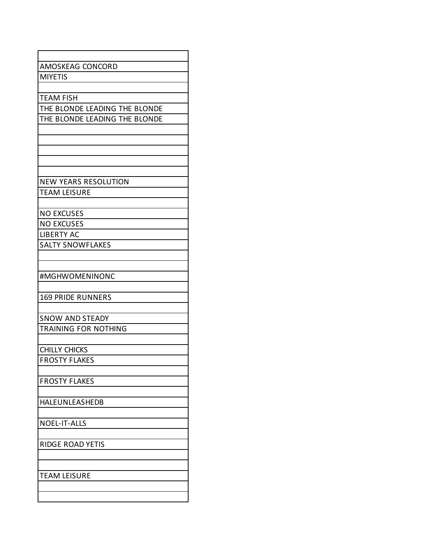| AMOSKEAG CONCORD              |
|-------------------------------|
| <b>MIYETIS</b>                |
|                               |
| <b>TEAM FISH</b>              |
| THE BLONDE LEADING THE BLONDE |
| THE BLONDE LEADING THE BLONDE |
|                               |
|                               |
|                               |
|                               |
|                               |
| NEW YEARS RESOLUTION          |
| <b>TEAM LEISURE</b>           |
|                               |
| <b>NO EXCUSES</b>             |
| <b>NO EXCUSES</b>             |
| <b>LIBERTY AC</b>             |
| <b>SALTY SNOWFLAKES</b>       |
|                               |
|                               |
| #MGHWOMENINONC                |
|                               |
| <b>169 PRIDE RUNNERS</b>      |
|                               |
| <b>SNOW AND STEADY</b>        |
| <b>TRAINING FOR NOTHING</b>   |
|                               |
| <b>CHILLY CHICKS</b>          |
| <b>FROSTY FLAKES</b>          |
|                               |
| <b>FROSTY FLAKES</b>          |
|                               |
| HALEUNLEASHEDB                |
|                               |
| <b>NOEL-IT-ALLS</b>           |
|                               |
| RIDGE ROAD YETIS              |
|                               |
|                               |
| <b>TEAM LEISURE</b>           |
|                               |
|                               |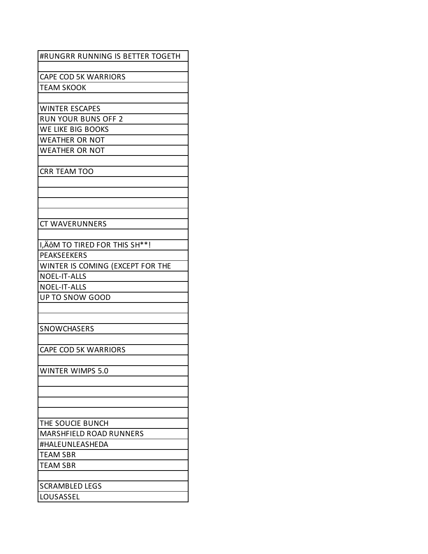| #RUNGRR RUNNING IS BETTER TOGETH |
|----------------------------------|
| <b>CAPE COD 5K WARRIORS</b>      |
|                                  |
| <b>TEAM SKOOK</b>                |
| <b>WINTER ESCAPES</b>            |
| <b>RUN YOUR BUNS OFF 2</b>       |
| WE LIKE BIG BOOKS                |
| <b>WEATHER OR NOT</b>            |
| <b>WEATHER OR NOT</b>            |
|                                  |
| <b>CRR TEAM TOO</b>              |
|                                  |
|                                  |
|                                  |
|                                  |
| <b>CT WAVERUNNERS</b>            |
|                                  |
| I, ÄÔM TO TIRED FOR THIS SH**!   |
| <b>PEAKSEEKERS</b>               |
| WINTER IS COMING (EXCEPT FOR THE |
| <b>NOEL-IT-ALLS</b>              |
| <b>NOEL-IT-ALLS</b>              |
| <b>UP TO SNOW GOOD</b>           |
|                                  |
|                                  |
| <b>SNOWCHASERS</b>               |
|                                  |
| <b>CAPE COD 5K WARRIORS</b>      |
|                                  |
| <b>WINTER WIMPS 5.0</b>          |
|                                  |
|                                  |
|                                  |
|                                  |
| THE SOUCIE BUNCH                 |
| MARSHFIELD ROAD RUNNERS          |
| #HALEUNLEASHEDA                  |
| <b>TEAM SBR</b>                  |
| <b>TEAM SBR</b>                  |
|                                  |
| <b>SCRAMBLED LEGS</b>            |
| LOUSASSEL                        |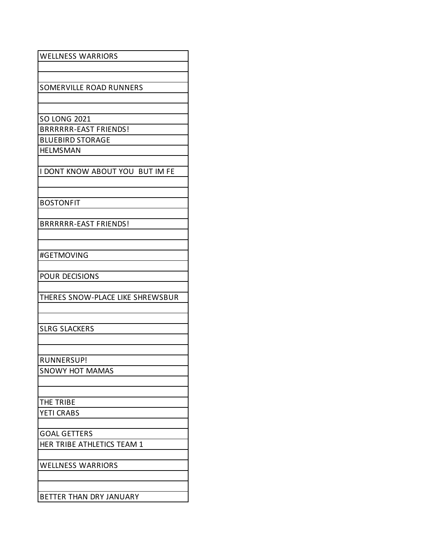| <b>WELLNESS WARRIORS</b>         |
|----------------------------------|
|                                  |
|                                  |
| SOMERVILLE ROAD RUNNERS          |
|                                  |
|                                  |
| <b>SO LONG 2021</b>              |
| <b>BRRRRRR-EAST FRIENDS!</b>     |
| <b>BLUEBIRD STORAGE</b>          |
| <b>HELMSMAN</b>                  |
|                                  |
| I DONT KNOW ABOUT YOU BUT IM FE  |
|                                  |
|                                  |
| <b>BOSTONFIT</b>                 |
|                                  |
| <b>BRRRRRR-EAST FRIENDS!</b>     |
|                                  |
|                                  |
| #GETMOVING                       |
|                                  |
| <b>POUR DECISIONS</b>            |
|                                  |
| THERES SNOW-PLACE LIKE SHREWSBUR |
|                                  |
|                                  |
| <b>SLRG SLACKERS</b>             |
|                                  |
|                                  |
|                                  |
| RUNNERSUP!                       |
| <b>SNOWY HOT MAMAS</b>           |
|                                  |
|                                  |
| THE TRIBE                        |
| <b>YETI CRABS</b>                |
|                                  |
| <b>GOAL GETTERS</b>              |
| HER TRIBE ATHLETICS TEAM 1       |
|                                  |
| <b>WELLNESS WARRIORS</b>         |
|                                  |
|                                  |
| BETTER THAN DRY JANUARY          |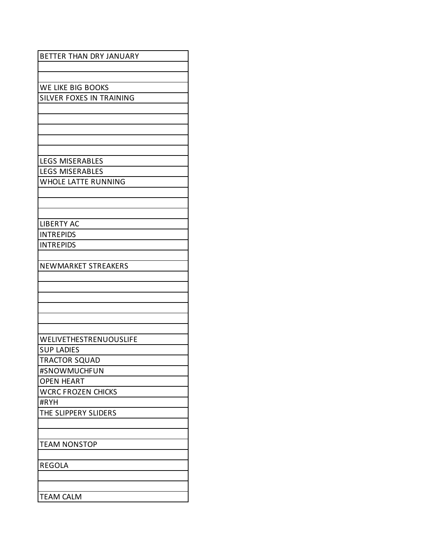| BETTER THAN DRY JANUARY         |
|---------------------------------|
|                                 |
|                                 |
| <b>WE LIKE BIG BOOKS</b>        |
| <b>SILVER FOXES IN TRAINING</b> |
|                                 |
|                                 |
|                                 |
|                                 |
|                                 |
| <b>LEGS MISERABLES</b>          |
| <b>LEGS MISERABLES</b>          |
| <b>WHOLE LATTE RUNNING</b>      |
|                                 |
|                                 |
|                                 |
| <b>LIBERTY AC</b>               |
| <b>INTREPIDS</b>                |
| <b>INTREPIDS</b>                |
|                                 |
| <b>NEWMARKET STREAKERS</b>      |
|                                 |
|                                 |
|                                 |
|                                 |
|                                 |
|                                 |
| <b>WELIVETHESTRENUOUSLIFE</b>   |
| <b>SUP LADIES</b>               |
| <b>TRACTOR SQUAD</b>            |
| #SNOWMUCHFUN                    |
| <b>OPEN HEART</b>               |
| <b>WCRC FROZEN CHICKS</b>       |
| #RYH                            |
| THE SLIPPERY SLIDERS            |
|                                 |
|                                 |
| <b>TEAM NONSTOP</b>             |
|                                 |
| <b>REGOLA</b>                   |
|                                 |
|                                 |
| <b>TEAM CALM</b>                |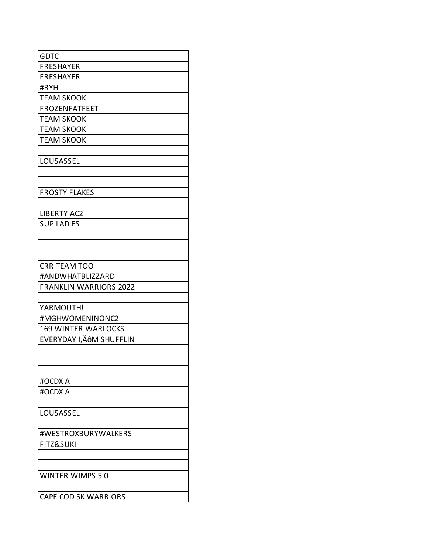| GDTC                          |
|-------------------------------|
| <b>FRESHAYER</b>              |
| FRESHAYER                     |
| #RYH                          |
| <b>TEAM SKOOK</b>             |
| <b>FROZENFATFEET</b>          |
| <b>TEAM SKOOK</b>             |
| <b>TEAM SKOOK</b>             |
| <b>TEAM SKOOK</b>             |
|                               |
| LOUSASSEL                     |
|                               |
|                               |
| <b>FROSTY FLAKES</b>          |
|                               |
| <b>LIBERTY AC2</b>            |
| <b>SUP LADIES</b>             |
|                               |
|                               |
|                               |
| <b>CRR TEAM TOO</b>           |
| #ANDWHATBLIZZARD              |
| <b>FRANKLIN WARRIORS 2022</b> |
|                               |
| YARMOUTH!                     |
| #MGHWOMENINONC2               |
| <b>169 WINTER WARLOCKS</b>    |
| EVERYDAY I, ÄÔM SHUFFLIN      |
|                               |
|                               |
|                               |
| #OCDX A                       |
| #OCDX A                       |
|                               |
| LOUSASSEL                     |
|                               |
| #WESTROXBURYWALKERS           |
| <b>FITZ&amp;SUKI</b>          |
|                               |
|                               |
| <b>WINTER WIMPS 5.0</b>       |
|                               |
| <b>CAPE COD 5K WARRIORS</b>   |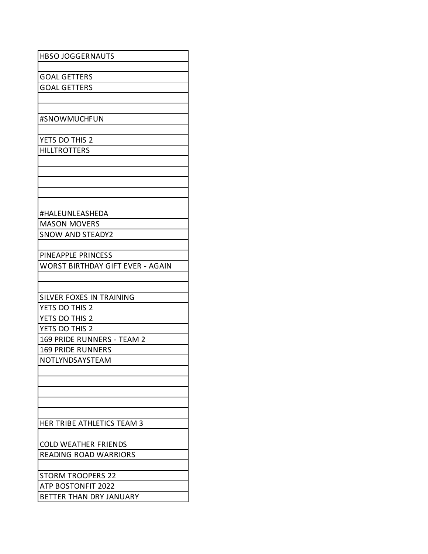| <b>HBSO JOGGERNAUTS</b>                                       |
|---------------------------------------------------------------|
|                                                               |
| <b>GOAL GETTERS</b>                                           |
| <b>GOAL GETTERS</b>                                           |
|                                                               |
|                                                               |
| #SNOWMUCHFUN                                                  |
|                                                               |
| YETS DO THIS 2                                                |
| <b>HILLTROTTERS</b>                                           |
|                                                               |
|                                                               |
|                                                               |
|                                                               |
| #HALEUNLEASHEDA                                               |
| <b>MASON MOVERS</b>                                           |
|                                                               |
| <b>SNOW AND STEADY2</b>                                       |
|                                                               |
| PINEAPPLE PRINCESS<br><b>WORST BIRTHDAY GIFT EVER - AGAIN</b> |
|                                                               |
|                                                               |
| SILVER FOXES IN TRAINING                                      |
| YETS DO THIS 2                                                |
| YETS DO THIS 2                                                |
| YETS DO THIS 2                                                |
| 169 PRIDE RUNNERS - TEAM 2                                    |
| <b>169 PRIDE RUNNERS</b>                                      |
| NOTLYNDSAYSTEAM                                               |
|                                                               |
|                                                               |
|                                                               |
|                                                               |
|                                                               |
| HER TRIBE ATHLETICS TEAM 3                                    |
|                                                               |
| <b>COLD WEATHER FRIENDS</b>                                   |
| <b>READING ROAD WARRIORS</b>                                  |
|                                                               |
| <b>STORM TROOPERS 22</b>                                      |
| <b>ATP BOSTONFIT 2022</b>                                     |
| BETTER THAN DRY JANUARY                                       |
|                                                               |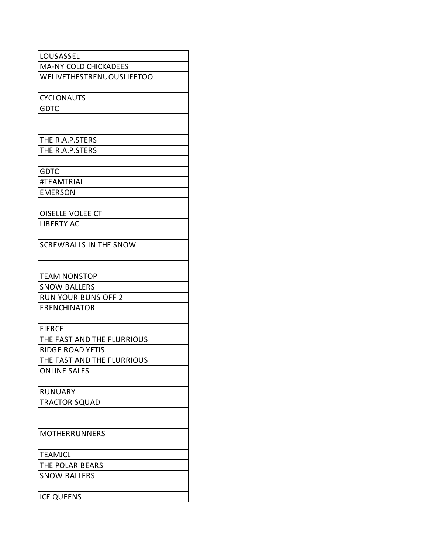| LOUSASSEL                     |
|-------------------------------|
| <b>MA-NY COLD CHICKADEES</b>  |
| WELIVETHESTRENUOUSLIFETOO     |
|                               |
| <b>CYCLONAUTS</b>             |
| <b>GDTC</b>                   |
|                               |
|                               |
| THE R.A.P.STERS               |
| THE R.A.P.STERS               |
|                               |
| <b>GDTC</b>                   |
| #TEAMTRIAL                    |
| <b>EMERSON</b>                |
|                               |
| <b>OISELLE VOLEE CT</b>       |
| <b>LIBERTY AC</b>             |
|                               |
| <b>SCREWBALLS IN THE SNOW</b> |
|                               |
|                               |
| <b>TEAM NONSTOP</b>           |
| <b>SNOW BALLERS</b>           |
| <b>RUN YOUR BUNS OFF 2</b>    |
| <b>FRENCHINATOR</b>           |
|                               |
| <b>FIERCE</b>                 |
| THE FAST AND THE FLURRIOUS    |
| <b>RIDGE ROAD YETIS</b>       |
| THE FAST AND THE FLURRIOUS    |
| <b>ONLINE SALES</b>           |
|                               |
| <b>RUNUARY</b>                |
| TRACTOR SQUAD                 |
|                               |
|                               |
| <b>MOTHERRUNNERS</b>          |
|                               |
| <b>TEAMJCL</b>                |
| THE POLAR BEARS               |
| <b>SNOW BALLERS</b>           |
|                               |
| <b>ICE QUEENS</b>             |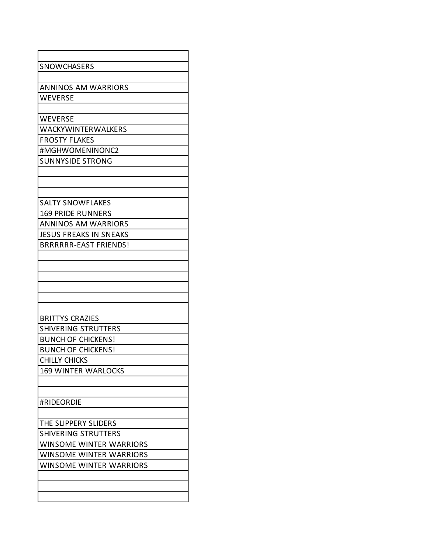| SNOWCHASERS                                            |
|--------------------------------------------------------|
|                                                        |
| <b>ANNINOS AM WARRIORS</b>                             |
| WEVERSE                                                |
|                                                        |
| WEVERSE                                                |
| WACKYWINTERWALKERS                                     |
| <b>FROSTY FLAKES</b>                                   |
| #MGHWOMENINONC2                                        |
| <b>SUNNYSIDE STRONG</b>                                |
|                                                        |
|                                                        |
|                                                        |
| <b>SALTY SNOWFLAKES</b>                                |
|                                                        |
| <b>169 PRIDE RUNNERS</b><br><b>ANNINOS AM WARRIORS</b> |
|                                                        |
| <b>JESUS FREAKS IN SNEAKS</b>                          |
| <b>BRRRRRR-EAST FRIENDS!</b>                           |
|                                                        |
|                                                        |
|                                                        |
|                                                        |
|                                                        |
|                                                        |
| <b>BRITTYS CRAZIES</b>                                 |
| <b>SHIVERING STRUTTERS</b>                             |
| <b>BUNCH OF CHICKENS!</b>                              |
| <b>BUNCH OF CHICKENS!</b>                              |
| <b>CHILLY CHICKS</b>                                   |
| <b>169 WINTER WARLOCKS</b>                             |
|                                                        |
|                                                        |
| #RIDEORDIE                                             |
|                                                        |
| THE SLIPPERY SLIDERS                                   |
| <b>SHIVERING STRUTTERS</b>                             |
| <b>WINSOME WINTER WARRIORS</b>                         |
| <b>WINSOME WINTER WARRIORS</b>                         |
| <b>WINSOME WINTER WARRIORS</b>                         |
|                                                        |
|                                                        |
|                                                        |
|                                                        |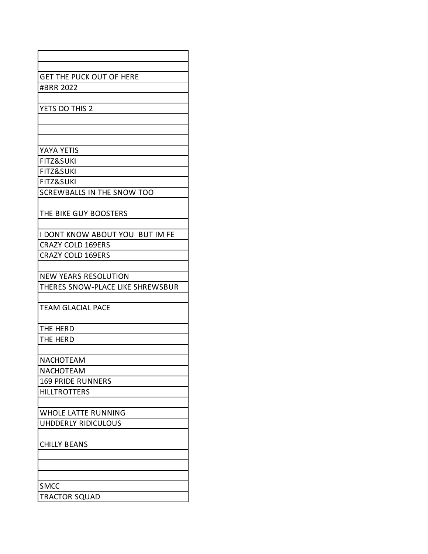| <b>GET THE PUCK OUT OF HERE</b>   |
|-----------------------------------|
| #BRR 2022                         |
|                                   |
| YETS DO THIS 2                    |
|                                   |
|                                   |
| YAYA YETIS                        |
| <b>FITZ&amp;SUKI</b>              |
| <b>FITZ&amp;SUKI</b>              |
| <b>FITZ&amp;SUKI</b>              |
| <b>SCREWBALLS IN THE SNOW TOO</b> |
|                                   |
| THE BIKE GUY BOOSTERS             |
|                                   |
| I DONT KNOW ABOUT YOU BUT IM FE   |
| <b>CRAZY COLD 169ERS</b>          |
| <b>CRAZY COLD 169ERS</b>          |
|                                   |
| NEW YEARS RESOLUTION              |
| THERES SNOW-PLACE LIKE SHREWSBUR  |
|                                   |
| <b>TEAM GLACIAL PACE</b>          |
|                                   |
| THE HERD                          |
| THE HERD                          |
|                                   |
| <b>NACHOTEAM</b>                  |
| <b>NACHOTEAM</b>                  |
| <b>169 PRIDE RUNNERS</b>          |
| <b>HILLTROTTERS</b>               |
| <b>WHOLE LATTE RUNNING</b>        |
| UHDDERLY RIDICULOUS               |
|                                   |
| <b>CHILLY BEANS</b>               |
|                                   |
|                                   |
|                                   |
| <b>SMCC</b>                       |
| <b>TRACTOR SQUAD</b>              |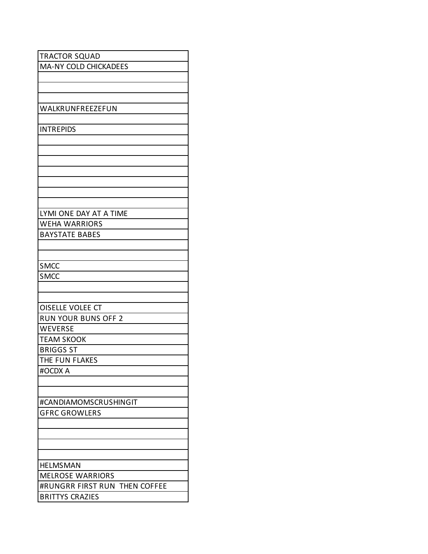| <b>TRACTOR SQUAD</b>          |
|-------------------------------|
| MA-NY COLD CHICKADEES         |
|                               |
|                               |
|                               |
| WALKRUNFREEZEFUN              |
|                               |
| <b>INTREPIDS</b>              |
|                               |
|                               |
|                               |
|                               |
|                               |
|                               |
|                               |
| LYMI ONE DAY AT A TIME        |
| <b>WEHA WARRIORS</b>          |
| <b>BAYSTATE BABES</b>         |
|                               |
|                               |
| <b>SMCC</b>                   |
| <b>SMCC</b>                   |
|                               |
|                               |
| <b>OISELLE VOLEE CT</b>       |
| <b>RUN YOUR BUNS OFF 2</b>    |
| WEVERSE                       |
| <b>TEAM SKOOK</b>             |
| <b>BRIGGS ST</b>              |
| THE FUN FLAKES                |
| #OCDX A                       |
|                               |
|                               |
| #CANDIAMOMSCRUSHINGIT         |
| <b>GFRC GROWLERS</b>          |
|                               |
|                               |
|                               |
|                               |
| <b>HELMSMAN</b>               |
| <b>MELROSE WARRIORS</b>       |
| #RUNGRR FIRST RUN THEN COFFEE |
| <b>BRITTYS CRAZIES</b>        |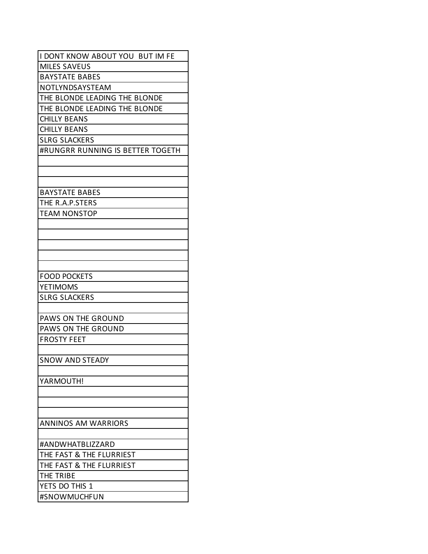| I DONT KNOW ABOUT YOU BUT IM FE  |
|----------------------------------|
| <b>MILES SAVEUS</b>              |
| <b>BAYSTATE BABES</b>            |
| NOTLYNDSAYSTEAM                  |
| THE BLONDE LEADING THE BLONDE    |
| THE BLONDE LEADING THE BLONDE    |
| <b>CHILLY BEANS</b>              |
| <b>CHILLY BEANS</b>              |
| <b>SLRG SLACKERS</b>             |
| #RUNGRR RUNNING IS BETTER TOGETH |
|                                  |
|                                  |
|                                  |
| <b>BAYSTATE BABES</b>            |
| THE R.A.P.STERS                  |
| <b>TEAM NONSTOP</b>              |
|                                  |
|                                  |
|                                  |
|                                  |
|                                  |
| <b>FOOD POCKETS</b>              |
| YETIMOMS                         |
| <b>SLRG SLACKERS</b>             |
|                                  |
| PAWS ON THE GROUND               |
| PAWS ON THE GROUND               |
| <b>FROSTY FEET</b>               |
|                                  |
| <b>SNOW AND STEADY</b>           |
|                                  |
| YARMOUTH!                        |
|                                  |
|                                  |
|                                  |
| <b>ANNINOS AM WARRIORS</b>       |
|                                  |
| #ANDWHATBLIZZARD                 |
| THE FAST & THE FLURRIEST         |
| THE FAST & THE FLURRIEST         |
| THE TRIBE                        |
| YETS DO THIS 1                   |
| #SNOWMUCHFUN                     |